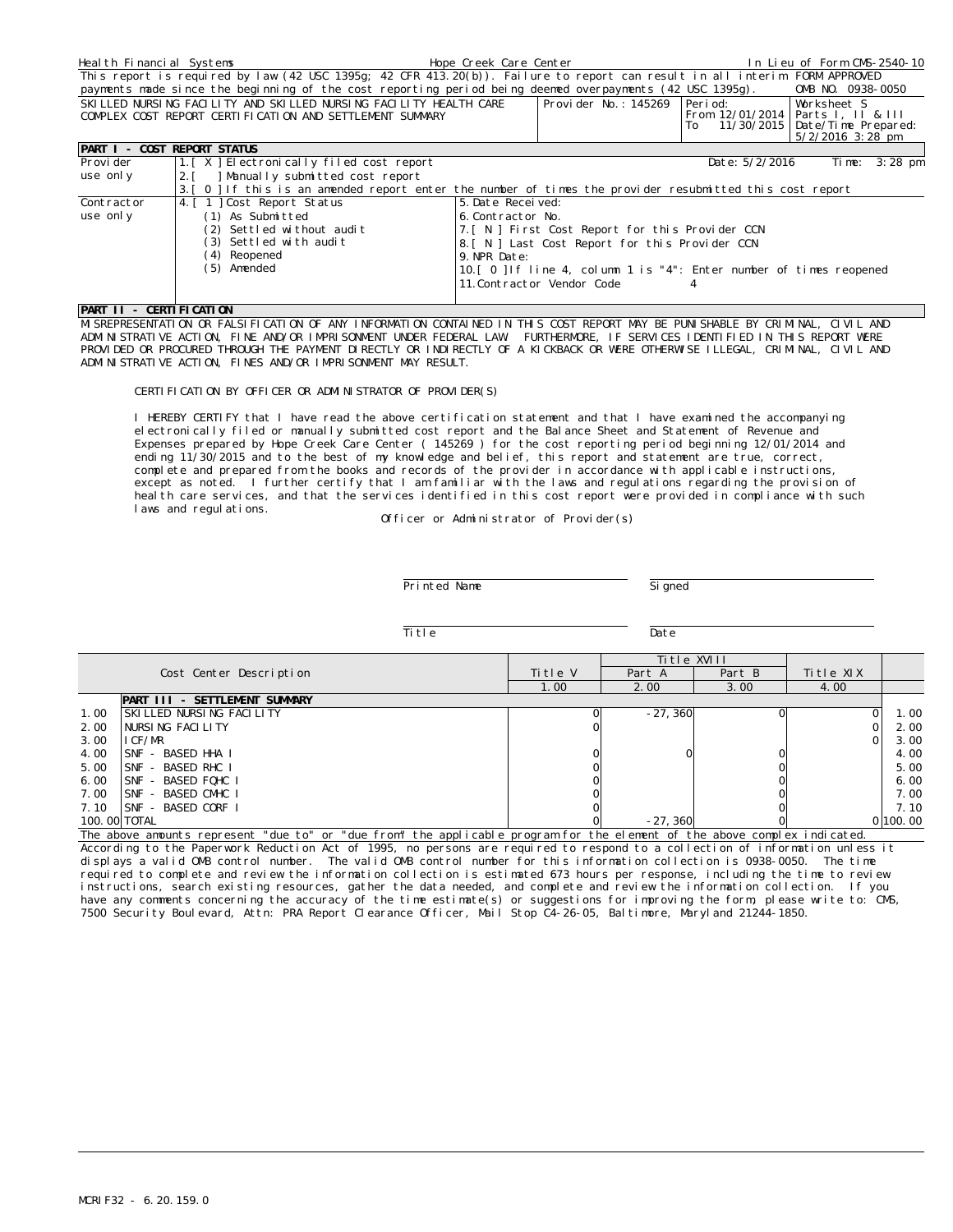| Heal th Financial Systems          |                                                                                                                               | Hope Creek Care Center |                                                                      |                                           | In Lieu of Form CMS-2540-10                                           |         |
|------------------------------------|-------------------------------------------------------------------------------------------------------------------------------|------------------------|----------------------------------------------------------------------|-------------------------------------------|-----------------------------------------------------------------------|---------|
|                                    | This report is required by law (42 USC 1395q; 42 CFR 413.20(b)). Failure to report can result in all interim FORM APPROVED    |                        |                                                                      |                                           |                                                                       |         |
|                                    | payments made since the beginning of the cost reporting period being deemed overpayments (42 USC 1395g).                      |                        |                                                                      |                                           | OMB NO. 0938-0050                                                     |         |
|                                    | SKILLED NURSING FACILITY AND SKILLED NURSING FACILITY HEALTH CARE<br>COMPLEX COST REPORT CERTIFICATION AND SETTLEMENT SUMMARY |                        | Provider No.: 145269 Period:                                         | From 12/01/2014   Parts I, II & III<br>To | Worksheet S<br>11/30/2015   Date/Time Prepared:<br>$5/2/2016$ 3:28 pm |         |
| <b>PART I - COST REPORT STATUS</b> |                                                                                                                               |                        |                                                                      |                                           |                                                                       |         |
| Provi der                          | 1. [X] Electronically filed cost report                                                                                       |                        |                                                                      | Date: 5/2/2016                            | Time:                                                                 | 3:28 pm |
| use only                           | Manually submitted cost report<br>2.1                                                                                         |                        |                                                                      |                                           |                                                                       |         |
|                                    | 3. [ 0 ] If this is an amended report enter the number of times the provider resubmitted this cost report                     |                        |                                                                      |                                           |                                                                       |         |
| Contractor                         | 4. [ 1 ] Cost Report Status                                                                                                   | 5. Date Received:      |                                                                      |                                           |                                                                       |         |
| use only                           | (1) As Submitted                                                                                                              | 6. Contractor No.      |                                                                      |                                           |                                                                       |         |
|                                    | (2) Settled without audit                                                                                                     |                        | 7. [ N ] First Cost Report for this Provider CCN                     |                                           |                                                                       |         |
|                                    | (3) Settled with audit                                                                                                        |                        | 8. [ N ] Last Cost Report for this Provider CCN                      |                                           |                                                                       |         |
| (4) Reopened<br>9. NPR Date:       |                                                                                                                               |                        |                                                                      |                                           |                                                                       |         |
|                                    | (5) Amended                                                                                                                   |                        | 10. [ 0 ] If line 4, column 1 is "4": Enter number of times reopened |                                           |                                                                       |         |
|                                    |                                                                                                                               |                        | 11. Contractor Vendor Code                                           |                                           |                                                                       |         |

## **PART II - CERTIFICATION**

MISREPRESENTATION OR FALSIFICATION OF ANY INFORMATION CONTAINED IN THIS COST REPORT MAY BE PUNISHABLE BY CRIMINAL, CIVIL AND ADMINISTRATIVE ACTION, FINE AND/OR IMPRISONMENT UNDER FEDERAL LAW. FURTHERMORE, IF SERVICES IDENTIFIED IN THIS REPORT WERE PROVIDED OR PROCURED THROUGH THE PAYMENT DIRECTLY OR INDIRECTLY OF A KICKBACK OR WERE OTHERWISE ILLEGAL, CRIMINAL, CIVIL AND ADMINISTRATIVE ACTION, FINES AND/OR IMPRISONMENT MAY RESULT.

## CERTIFICATION BY OFFICER OR ADMINISTRATOR OF PROVIDER(S)

I HEREBY CERTIFY that I have read the above certification statement and that I have examined the accompanying electronically filed or manually submitted cost report and the Balance Sheet and Statement of Revenue and Expenses prepared by Hope Creek Care Center ( 145269 ) for the cost reporting period beginning 12/01/2014 and ending 11/30/2015 and to the best of my knowledge and belief, this report and statement are true, correct, complete and prepared from the books and records of the provider in accordance with applicable instructions, except as noted. I further certify that I am familiar with the laws and regulations regarding the provision of heal th care services, and that the services identified in this cost report were provided in compliance with such laws and regulations.

Officer or Administrator of Provider(s)

Printed Name

Signed

Title Date

|      |                               |         | Title XVIII |        |           |          |
|------|-------------------------------|---------|-------------|--------|-----------|----------|
|      | Cost Center Description       | Title V | Part A      | Part B | Title XIX |          |
|      |                               | 1.00    | 2.00        | 3.00   | 4.00      |          |
|      | PART III - SETTLEMENT SUMMARY |         |             |        |           |          |
| 1.00 | SKILLED NURSING FACILITY      |         | $-27.360$   |        |           | 1.00     |
| 2.00 | NURSING FACILITY              |         |             |        |           | 2.00     |
| 3.00 | I CF/MR                       |         |             |        |           | 3.00     |
| 4.00 | ISNF - BASED HHA I            |         |             |        |           | 4.00     |
| 5.00 | SNF - BASED RHC I             |         |             |        |           | 5.00     |
| 6.00 | SNF - BASED FOHC I            |         |             |        |           | 6.00     |
| 7.00 | SNF - BASED CMHC I            |         |             |        |           | 7.00     |
| 7.10 | ISNF - BASED CORF I           |         |             |        |           | 7.10     |
|      | 100.00 TOTAL                  |         | $-27.360$   |        |           | 0 100.00 |

The above amounts represent "due to" or "due from" the applicable program for the element of the above complex indicated. According to the Paperwork Reduction Act of 1995, no persons are required to respond to a collection of information unless it displays a valid OMB control number. The valid OMB control number for this information collection is 0938-0050. The time required to complete and review the information collection is estimated 673 hours per response, including the time to review instructions, search existing resources, gather the data needed, and complete and review the information collection. If you have any comments concerning the accuracy of the time estimate(s) or suggestions for improving the form, please write to: CMS, 7500 Security Boulevard, Attn: PRA Report Clearance Officer, Mail Stop C4-26-05, Baltimore, Maryland 21244-1850.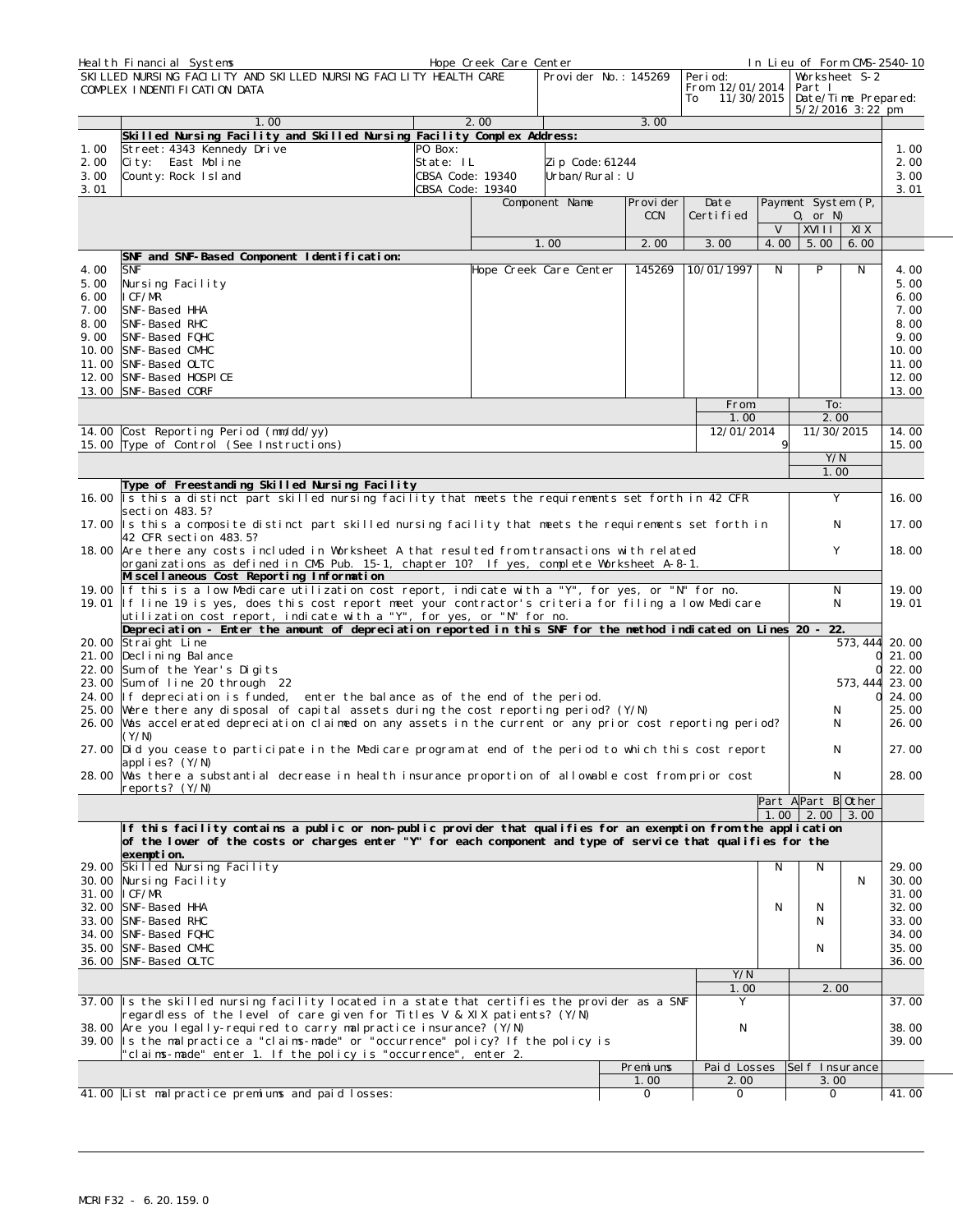|              | Heal th Financial Systems                                                                                                                                                                                         |                  | Hope Creek Care Center |                 |                         |                                                 |        | In Lieu of Form CMS-2540-10                    |          |                |
|--------------|-------------------------------------------------------------------------------------------------------------------------------------------------------------------------------------------------------------------|------------------|------------------------|-----------------|-------------------------|-------------------------------------------------|--------|------------------------------------------------|----------|----------------|
|              | SKILLED NURSING FACILITY AND SKILLED NURSING FACILITY HEALTH CARE<br>COMPLEX INDENTIFICATION DATA                                                                                                                 |                  |                        |                 | Provider No.: 145269    | Peri od:<br>From 12/01/2014<br>11/30/2015<br>To |        | Worksheet S-2<br>Part I<br>Date/Time Prepared: |          |                |
|              | 1.00                                                                                                                                                                                                              |                  | 2.00                   |                 | 3.00                    |                                                 |        | 5/2/2016 3:22 pm                               |          |                |
|              | Skilled Nursing Facility and Skilled Nursing Facility Complex Address:                                                                                                                                            |                  |                        |                 |                         |                                                 |        |                                                |          |                |
| 1.00         | Street: 4343 Kennedy Drive                                                                                                                                                                                        | PO Box:          |                        |                 |                         |                                                 |        |                                                |          | 1.00           |
| 2.00         | City: East Moline                                                                                                                                                                                                 | State: IL        |                        | Zip Code: 61244 |                         |                                                 |        |                                                |          | 2.00           |
| 3.00         | County: Rock Island                                                                                                                                                                                               | CBSA Code: 19340 |                        | Urban/Rural: U  |                         |                                                 |        |                                                |          | 3.00           |
| 3.01         |                                                                                                                                                                                                                   | CBSA Code: 19340 |                        |                 |                         |                                                 |        |                                                |          | 3.01           |
|              |                                                                                                                                                                                                                   |                  |                        | Component Name  | Provi der<br><b>CCN</b> | Date<br>Certified                               |        | Payment System (P,<br>$0,$ or N)               |          |                |
|              |                                                                                                                                                                                                                   |                  |                        |                 |                         |                                                 | $\vee$ | XVIII <sup>I</sup>                             | XI X     |                |
|              |                                                                                                                                                                                                                   |                  |                        | 1.00            | 2.00                    | 3.00                                            | 4.00   | 5.00                                           | 6.00     |                |
|              | SNF and SNF-Based Component Identification:                                                                                                                                                                       |                  |                        |                 |                         |                                                 |        |                                                |          |                |
| 4.00         | <b>SNF</b>                                                                                                                                                                                                        |                  | Hope Creek Care Center |                 | 145269                  | 10/01/1997                                      | N      | P                                              | N        | 4.00           |
| 5.00<br>6.00 | Nursing Facility<br>ICF/MR                                                                                                                                                                                        |                  |                        |                 |                         |                                                 |        |                                                |          | 5.00<br>6.00   |
| 7.00         | SNF-Based HHA                                                                                                                                                                                                     |                  |                        |                 |                         |                                                 |        |                                                |          | 7.00           |
| 8.00         | SNF-Based RHC                                                                                                                                                                                                     |                  |                        |                 |                         |                                                 |        |                                                |          | 8.00           |
| 9.00         | SNF-Based FQHC                                                                                                                                                                                                    |                  |                        |                 |                         |                                                 |        |                                                |          | 9.00           |
|              | 10.00 SNF-Based CMHC                                                                                                                                                                                              |                  |                        |                 |                         |                                                 |        |                                                |          | 10.00          |
|              | 11.00 SNF-Based OLTC<br>12.00 SNF-Based HOSPICE                                                                                                                                                                   |                  |                        |                 |                         |                                                 |        |                                                |          | 11.00<br>12.00 |
|              | 13.00 SNF-Based CORF                                                                                                                                                                                              |                  |                        |                 |                         |                                                 |        |                                                |          | 13.00          |
|              |                                                                                                                                                                                                                   |                  |                        |                 |                         | From:                                           |        | To:                                            |          |                |
|              |                                                                                                                                                                                                                   |                  |                        |                 |                         | 1.00                                            |        | 2.00                                           |          |                |
|              | 14.00 Cost Reporting Period (mm/dd/yy)                                                                                                                                                                            |                  |                        |                 |                         | 12/01/2014                                      |        | 11/30/2015                                     |          | 14.00          |
|              | 15.00 Type of Control (See Instructions)                                                                                                                                                                          |                  |                        |                 |                         |                                                 | 9      | Y/N                                            |          | 15.00          |
|              |                                                                                                                                                                                                                   |                  |                        |                 |                         |                                                 |        | 1.00                                           |          |                |
|              | Type of Freestanding Skilled Nursing Facility                                                                                                                                                                     |                  |                        |                 |                         |                                                 |        |                                                |          |                |
|              | 16.00 Is this a distinct part skilled nursing facility that meets the requirements set forth in 42 CFR                                                                                                            |                  |                        |                 |                         |                                                 |        | Y                                              |          | 16.00          |
|              | section 483.5?                                                                                                                                                                                                    |                  |                        |                 |                         |                                                 |        |                                                |          |                |
|              | 17.00 Is this a composite distinct part skilled nursing facility that meets the requirements set forth in<br>42 CFR section 483.5?                                                                                |                  |                        |                 |                         |                                                 |        | Ν                                              |          | 17.00          |
|              | 18.00 Are there any costs included in Worksheet A that resulted from transactions with related                                                                                                                    |                  |                        |                 |                         |                                                 |        | Y                                              |          | 18.00          |
|              | organizations as defined in CMS Pub. 15-1, chapter 10? If yes, complete Worksheet A-8-1.                                                                                                                          |                  |                        |                 |                         |                                                 |        |                                                |          |                |
|              | Miscellaneous Cost Reporting Information                                                                                                                                                                          |                  |                        |                 |                         |                                                 |        |                                                |          |                |
|              | 19.00 If this is a low Medicare utilization cost report, indicate with a "Y", for yes, or "N" for no.<br>19.01 If line 19 is yes, does this cost report meet your contractor's criteria for filing a low Medicare |                  |                        |                 |                         |                                                 |        | Ν<br>N                                         |          | 19.00<br>19.01 |
|              | utilization cost report, indicate with a "Y", for yes, or "N" for no.                                                                                                                                             |                  |                        |                 |                         |                                                 |        |                                                |          |                |
|              | Depreciation - Enter the amount of depreciation reported in this SNF for the method indicated on Lines 20 -                                                                                                       |                  |                        |                 |                         |                                                 |        | 22.                                            |          |                |
|              | 20.00 Straight Line                                                                                                                                                                                               |                  |                        |                 |                         |                                                 |        |                                                |          | 573, 444 20.00 |
|              | 21.00 Declining Balance                                                                                                                                                                                           |                  |                        |                 |                         |                                                 |        |                                                |          | 21.00          |
|              | 22.00 Sum of the Year's Digits<br>23.00 Sum of line 20 through 22                                                                                                                                                 |                  |                        |                 |                         |                                                 |        |                                                | 573, 444 | 22.00<br>23.00 |
|              | 24.00 If depreciation is funded, enter the balance as of the end of the period.                                                                                                                                   |                  |                        |                 |                         |                                                 |        |                                                | Ω        | 24.00          |
|              | 25.00 Were there any disposal of capital assets during the cost reporting period? (Y/N)                                                                                                                           |                  |                        |                 |                         |                                                 |        | Ν                                              |          | 25.00          |
|              | 26.00 Was accelerated depreciation claimed on any assets in the current or any prior cost reporting period?                                                                                                       |                  |                        |                 |                         |                                                 |        | N                                              |          | 26.00          |
|              | (Y/N)                                                                                                                                                                                                             |                  |                        |                 |                         |                                                 |        |                                                |          |                |
|              | 27.00 Did you cease to participate in the Medicare program at end of the period to which this cost report<br>applies? (Y/N)                                                                                       |                  |                        |                 |                         |                                                 |        | N                                              |          | 27.00          |
|              | 28.00 Was there a substantial decrease in health insurance proportion of allowable cost from prior cost                                                                                                           |                  |                        |                 |                         |                                                 |        | Ν                                              |          | 28.00          |
|              | reports? (Y/N)                                                                                                                                                                                                    |                  |                        |                 |                         |                                                 |        |                                                |          |                |
|              |                                                                                                                                                                                                                   |                  |                        |                 |                         |                                                 |        | Part APart B Other                             |          |                |
|              | If this facility contains a public or non-public provider that qualifies for an exemption from the application                                                                                                    |                  |                        |                 |                         |                                                 | 1.00   | $2.00$ 3.00                                    |          |                |
|              | of the lower of the costs or charges enter "Y" for each component and type of service that qualifies for the                                                                                                      |                  |                        |                 |                         |                                                 |        |                                                |          |                |
|              | exemption.                                                                                                                                                                                                        |                  |                        |                 |                         |                                                 |        |                                                |          |                |
|              | 29.00 Skilled Nursing Facility                                                                                                                                                                                    |                  |                        |                 |                         |                                                 | N      | N                                              |          | 29.00          |
|              | 30.00 Nursing Facility                                                                                                                                                                                            |                  |                        |                 |                         |                                                 |        |                                                | N        | 30.00          |
|              | 31.00   CF/MR<br>32.00 SNF-Based HHA                                                                                                                                                                              |                  |                        |                 |                         |                                                 | N      | N                                              |          | 31.00<br>32.00 |
|              | 33.00 SNF-Based RHC                                                                                                                                                                                               |                  |                        |                 |                         |                                                 |        | N                                              |          | 33.00          |
|              | 34.00 SNF-Based FQHC                                                                                                                                                                                              |                  |                        |                 |                         |                                                 |        |                                                |          | 34.00          |
|              | 35.00 SNF-Based CMHC                                                                                                                                                                                              |                  |                        |                 |                         |                                                 |        | N                                              |          | 35.00          |
|              | 36.00 SNF-Based OLTC                                                                                                                                                                                              |                  |                        |                 |                         |                                                 |        |                                                |          | 36.00          |
|              |                                                                                                                                                                                                                   |                  |                        |                 |                         | Y/N<br>1.00                                     |        | 2.00                                           |          |                |
|              | 37.00 Is the skilled nursing facility located in a state that certifies the provider as a SNF                                                                                                                     |                  |                        |                 |                         | Y                                               |        |                                                |          | 37.00          |
|              | regardless of the level of care given for Titles V & XIX patients? (Y/N)                                                                                                                                          |                  |                        |                 |                         |                                                 |        |                                                |          |                |
|              | 38.00 Are you legally-required to carry malpractice insurance? (Y/N)                                                                                                                                              |                  |                        |                 |                         | Ν                                               |        |                                                |          | 38.00          |
|              | 39.00 Is the malpractice a "claims-made" or "occurrence" policy? If the policy is<br>"claims-made" enter 1. If the policy is "occurrence", enter 2.                                                               |                  |                        |                 |                         |                                                 |        |                                                |          | 39.00          |
|              |                                                                                                                                                                                                                   |                  |                        |                 | Premiums                | Paid Losses                                     |        | Sel f Insurance                                |          |                |
|              |                                                                                                                                                                                                                   |                  |                        |                 | 1.00                    | 2.00                                            |        | 3.00                                           |          |                |
|              | 41.00 List malpractice premiums and paid losses:<br>0<br>0<br>0                                                                                                                                                   |                  |                        |                 |                         |                                                 |        | 41.00                                          |          |                |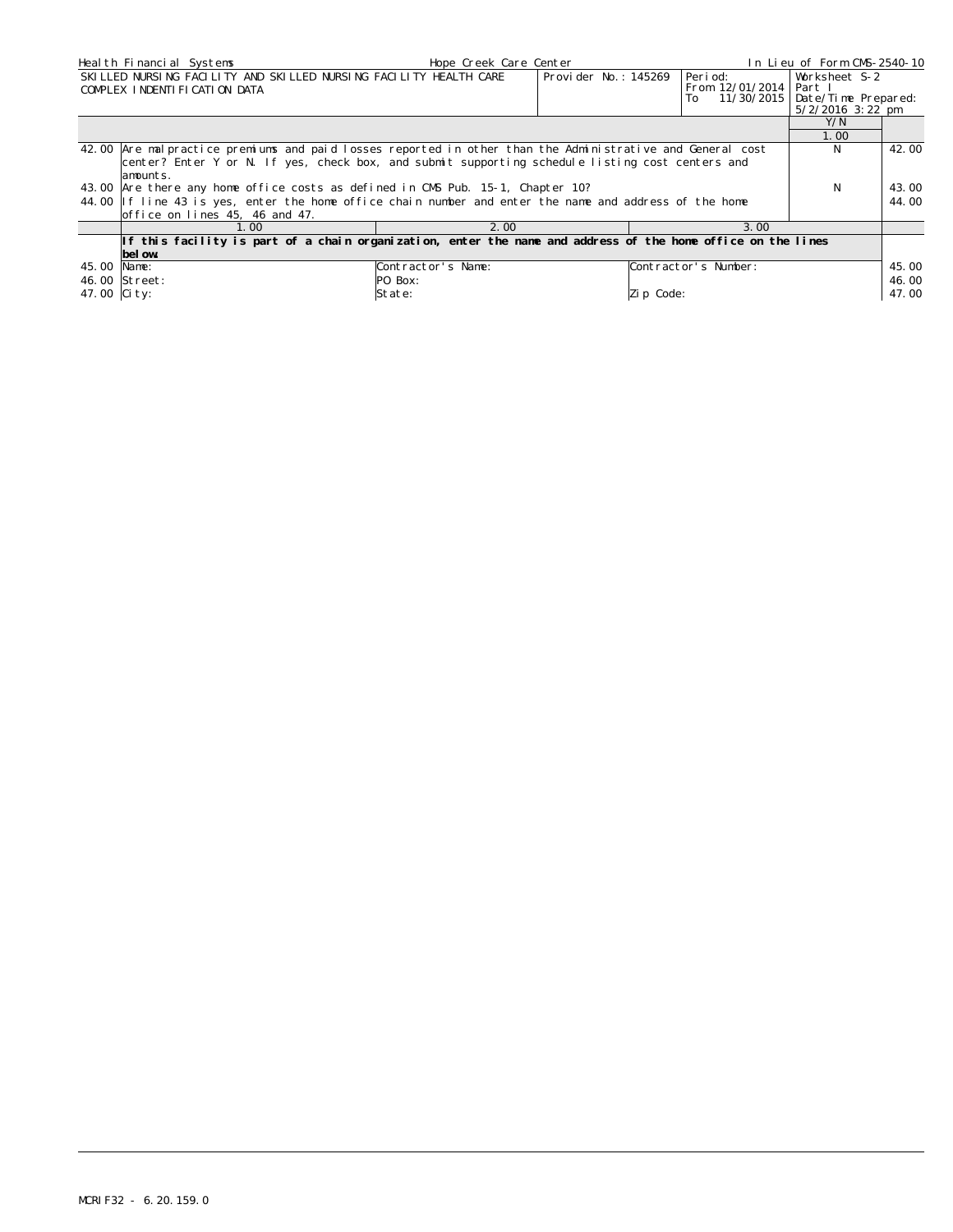| Heal th Financial Systems                                                                                                                                                                                     | In Lieu of Form CMS-2540-10                                                                                                                                                                                                             |                                          |                      |                                           |                                                                         |                         |  |  |
|---------------------------------------------------------------------------------------------------------------------------------------------------------------------------------------------------------------|-----------------------------------------------------------------------------------------------------------------------------------------------------------------------------------------------------------------------------------------|------------------------------------------|----------------------|-------------------------------------------|-------------------------------------------------------------------------|-------------------------|--|--|
|                                                                                                                                                                                                               | SKILLED NURSING FACILITY AND SKILLED NURSING FACILITY HEALTH CARE<br>COMPLEX INDENTIFICATION DATA                                                                                                                                       |                                          | Provider No.: 145269 | Period:<br>From 12/01/2014   Part I<br>To | Worksheet S-2<br>11/30/2015   Date/Time Prepared:<br>$5/2/2016$ 3:22 pm |                         |  |  |
|                                                                                                                                                                                                               |                                                                                                                                                                                                                                         |                                          |                      |                                           | Y/N<br>1.00                                                             |                         |  |  |
| 42.00 Are malpractice premiums and paid losses reported in other than the Administrative and General cost<br>center? Enter Y or N. If yes, check box, and submit supporting schedule listing cost centers and | N.                                                                                                                                                                                                                                      | 42.00                                    |                      |                                           |                                                                         |                         |  |  |
|                                                                                                                                                                                                               | lamounts.<br>43.00 Are there any home office costs as defined in CMS Pub. 15-1, Chapter 10?<br>44.00 If line 43 is yes, enter the home office chain number and enter the name and address of the home<br>office on lines 45, 46 and 47. |                                          |                      |                                           |                                                                         |                         |  |  |
|                                                                                                                                                                                                               | 1.00                                                                                                                                                                                                                                    | 2.00                                     |                      | 3.00                                      |                                                                         |                         |  |  |
|                                                                                                                                                                                                               | If this facility is part of a chain organization, enter the name and address of the home office on the lines<br>bel ow.                                                                                                                 |                                          |                      |                                           |                                                                         |                         |  |  |
| 45.00 Name:<br>47.00 City:                                                                                                                                                                                    | 46.00 Street:                                                                                                                                                                                                                           | Contractor's Name:<br>PO Box:<br> State: |                      | Contractor's Number:<br>Zip Code:         |                                                                         | 45.00<br>46.00<br>47.00 |  |  |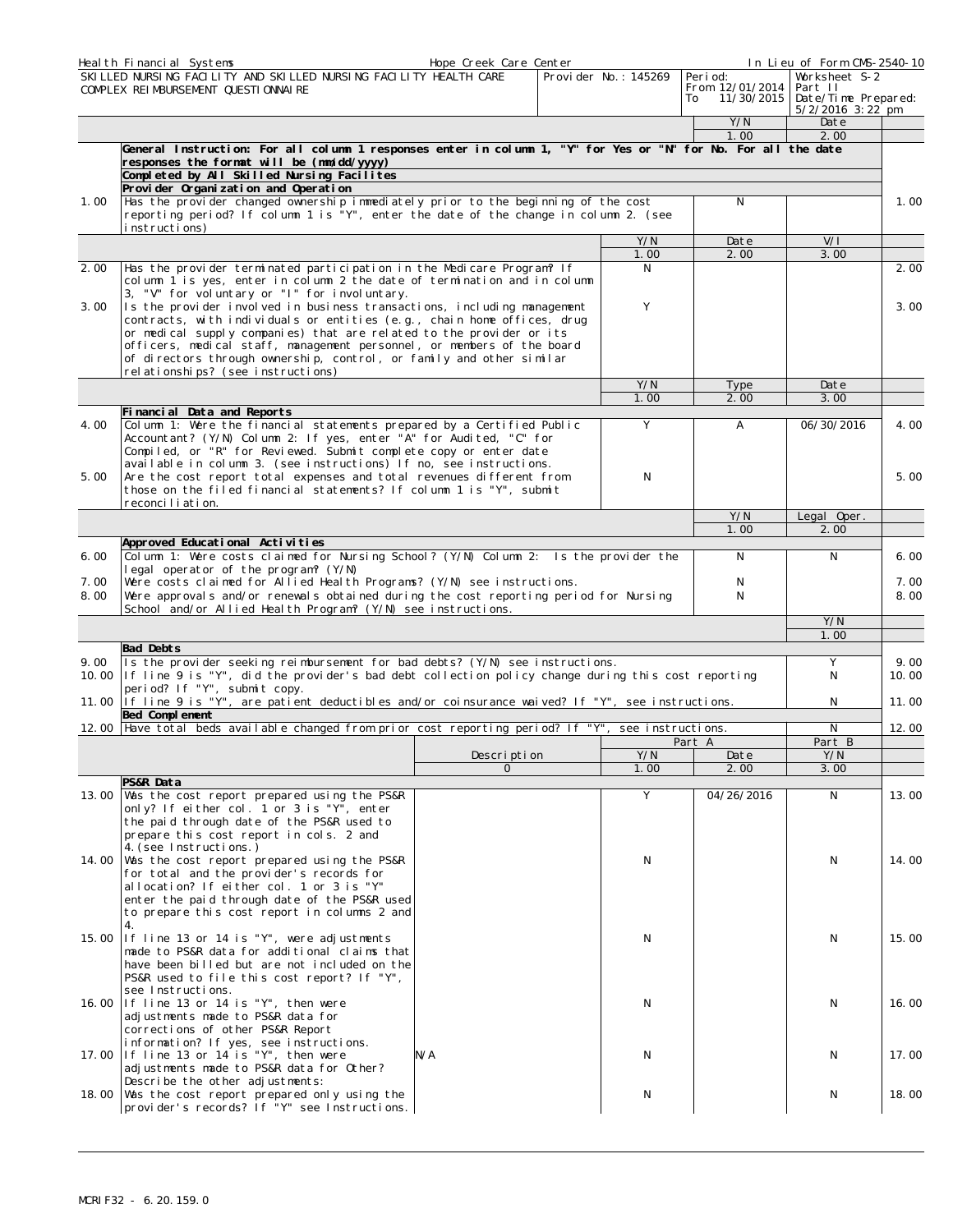|              | Heal th Financial Systems                                                                                                                                                                                                                                                                                                               | Hope Creek Care Center |                      |                                                 | In Lieu of Form CMS-2540-10                                         |               |
|--------------|-----------------------------------------------------------------------------------------------------------------------------------------------------------------------------------------------------------------------------------------------------------------------------------------------------------------------------------------|------------------------|----------------------|-------------------------------------------------|---------------------------------------------------------------------|---------------|
|              | SKI LLED NURSING FACILITY AND SKILLED NURSING FACILITY HEALTH CARE<br>COMPLEX REIMBURSEMENT QUESTIONNAIRE                                                                                                                                                                                                                               |                        | Provider No.: 145269 | Peri od:<br>From 12/01/2014<br>11/30/2015<br>To | Worksheet S-2<br>Part II<br>Date/Time Prepared:<br>5/2/2016 3:22 pm |               |
|              |                                                                                                                                                                                                                                                                                                                                         |                        |                      | Y/N                                             | Date                                                                |               |
|              | General Instruction: For all column 1 responses enter in column 1, "Y" for Yes or "N" for No. For all the date                                                                                                                                                                                                                          |                        |                      | 1.00                                            | 2.00                                                                |               |
|              | responses the format will be (mm/dd/yyyy)<br>Completed by All Skilled Nursing Facilites                                                                                                                                                                                                                                                 |                        |                      |                                                 |                                                                     |               |
| 1.00         | Provider Organization and Operation<br>Has the provider changed ownership immediately prior to the beginning of the cost                                                                                                                                                                                                                |                        |                      | N                                               |                                                                     | 1.00          |
|              | reporting period? If column 1 is "Y", enter the date of the change in column 2. (see<br>instructions)                                                                                                                                                                                                                                   |                        |                      |                                                 |                                                                     |               |
|              |                                                                                                                                                                                                                                                                                                                                         |                        | Y/N<br>1.00          | Date<br>2.00                                    | V/I<br>3.00                                                         |               |
| 2.00         | Has the provider terminated participation in the Medicare Program? If                                                                                                                                                                                                                                                                   |                        | N                    |                                                 |                                                                     | 2.00          |
| 3.00         | column 1 is yes, enter in column 2 the date of termination and in column<br>3, "V" for voluntary or "I" for involuntary.<br>Is the provider involved in business transactions, including management                                                                                                                                     |                        | Y                    |                                                 |                                                                     | 3.00          |
|              | contracts, with individuals or entities (e.g., chain home offices, drug<br>or medical supply companies) that are related to the provider or its<br>officers, medical staff, management personnel, or members of the board<br>of directors through ownership, control, or family and other similar<br>rel ationships? (see instructions) |                        |                      |                                                 |                                                                     |               |
|              |                                                                                                                                                                                                                                                                                                                                         |                        | Y/N                  | Type                                            | Date                                                                |               |
|              | Financial Data and Reports                                                                                                                                                                                                                                                                                                              |                        | 1.00                 | 2.00                                            | 3.00                                                                |               |
| 4.00         | Column 1: Were the financial statements prepared by a Certified Public<br>Accountant? (Y/N) Column 2: If yes, enter "A" for Audited, "C" for<br>Compiled, or "R" for Reviewed. Submit complete copy or enter date                                                                                                                       |                        | Y                    | $\mathsf{A}$                                    | 06/30/2016                                                          | 4.00          |
| 5.00         | available in column 3. (see instructions) If no, see instructions.<br>Are the cost report total expenses and total revenues different from<br>those on the filed financial statements? If column 1 is "Y", submit<br>reconciliation.                                                                                                    |                        | N                    |                                                 |                                                                     | 5.00          |
|              |                                                                                                                                                                                                                                                                                                                                         |                        |                      | Y/N                                             | Legal Oper.                                                         |               |
|              | Approved Educational Activities                                                                                                                                                                                                                                                                                                         |                        |                      | 1.00                                            | 2.00                                                                |               |
| 6.00         | Column 1: Were costs claimed for Nursing School? (Y/N) Column 2: Is the provider the                                                                                                                                                                                                                                                    |                        |                      | N                                               | N                                                                   | 6.00          |
| 7.00<br>8.00 | legal operator of the program? (Y/N)<br>Were costs claimed for Allied Health Programs? (Y/N) see instructions.<br>Were approvals and/or renewals obtained during the cost reporting period for Nursing                                                                                                                                  |                        |                      | N<br>N                                          |                                                                     | 7.00<br>8.00  |
|              | School and/or Allied Health Program? (Y/N) see instructions.                                                                                                                                                                                                                                                                            |                        |                      |                                                 | Y/N<br>1.00                                                         |               |
| 9.00         | Bad Debts<br>Is the provider seeking reimbursement for bad debts? (Y/N) see instructions.<br>10.00 If line 9 is "Y", did the provider's bad debt collection policy change during this cost reporting                                                                                                                                    |                        |                      |                                                 | Υ<br>N                                                              | 9.00<br>10.00 |
|              | period? If "Y", submit copy.<br>11.00 If line 9 is "Y", are patient deductibles and/or coinsurance waived? If "Y", see instructions.                                                                                                                                                                                                    |                        |                      |                                                 | N                                                                   | 11.00         |
|              | Bed Complement<br>12.00 Have total beds available changed from prior cost reporting period? If "Y", see instructions.                                                                                                                                                                                                                   |                        |                      |                                                 | N                                                                   | 12.00         |
|              |                                                                                                                                                                                                                                                                                                                                         |                        |                      | Part A                                          | Part B                                                              |               |
|              |                                                                                                                                                                                                                                                                                                                                         | Description<br>0       | Y/N<br>1.00          | Date<br>2.00                                    | Y/N<br>3.00                                                         |               |
|              | PS&R Data                                                                                                                                                                                                                                                                                                                               |                        |                      |                                                 |                                                                     |               |
|              | 13.00 Was the cost report prepared using the PS&R<br>only? If either col. 1 or 3 is "Y", enter<br>the paid through date of the PS&R used to<br>prepare this cost report in cols. 2 and                                                                                                                                                  |                        | Y                    | 04/26/2016                                      | N                                                                   | 13.00         |
|              | 4. (see Instructions.)<br>14.00 Was the cost report prepared using the PS&R<br>for total and the provider's records for<br>allocation? If either col. 1 or 3 is "Y"<br>enter the paid through date of the PS&R used<br>to prepare this cost report in columns 2 and                                                                     |                        | N                    |                                                 | N                                                                   | 14.00         |
|              | 4.<br>15.00 If line 13 or 14 is "Y", were adjustments<br>made to PS&R data for additional claims that<br>have been billed but are not included on the<br>PS&R used to file this cost report? If "Y",                                                                                                                                    |                        | N                    |                                                 | N                                                                   | 15.00         |
|              | see Instructions.<br>16.00 If line 13 or 14 is "Y", then were<br>adjustments made to PS&R data for<br>corrections of other PS&R Report<br>information? If yes, see instructions.                                                                                                                                                        |                        | N                    |                                                 | N                                                                   | 16.00         |
|              | 17.00 If line 13 or 14 is "Y", then were<br>adjustments made to PS&R data for Other?                                                                                                                                                                                                                                                    | N/A                    | N                    |                                                 | N                                                                   | 17.00         |
|              | Describe the other adjustments:<br>18.00 Was the cost report prepared only using the<br>provider's records? If "Y" see Instructions.                                                                                                                                                                                                    |                        | N                    |                                                 | N                                                                   | 18.00         |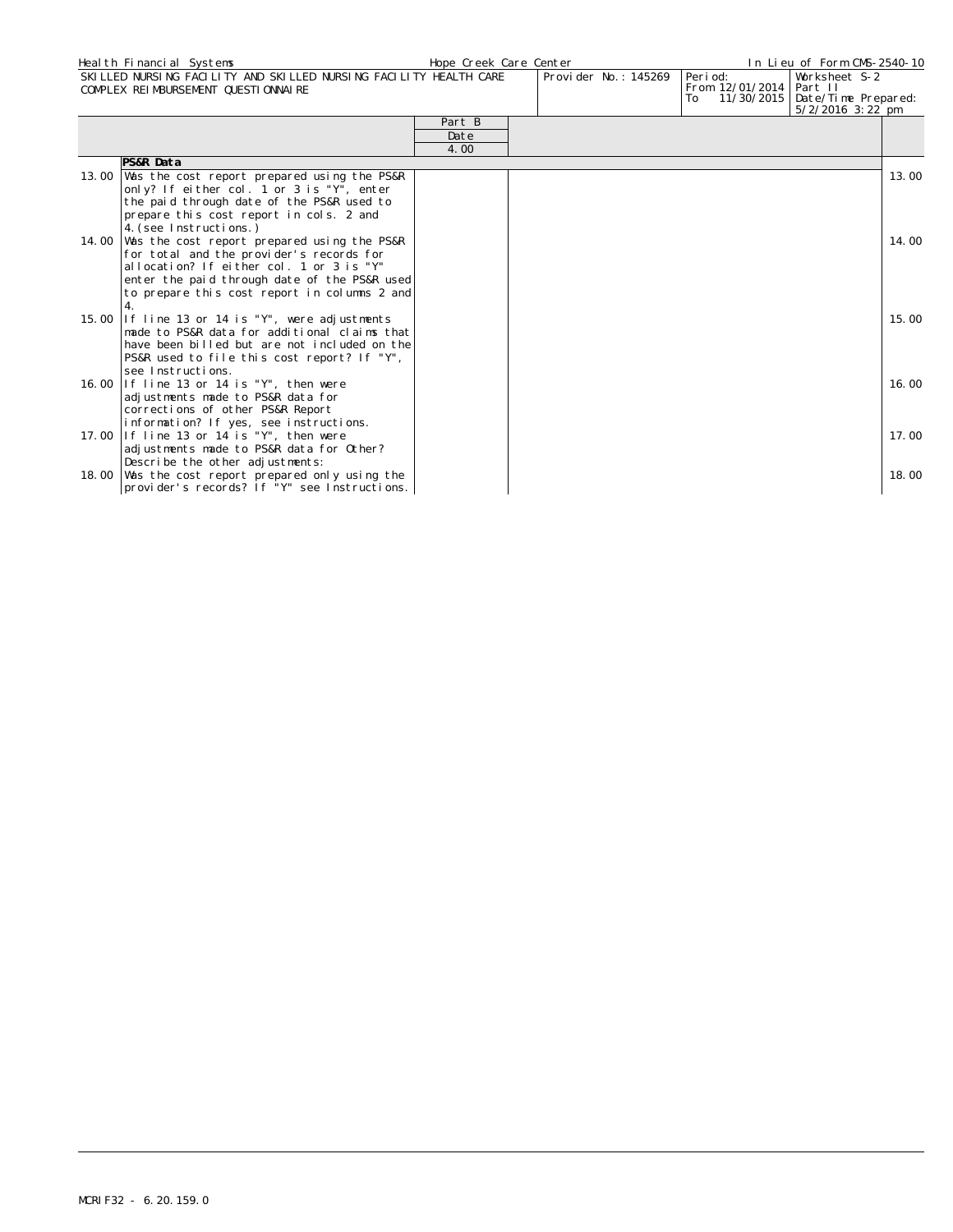|       | Heal th Financial Systems                                                                                | Hope Creek Care Center |                      |                                             | In Lieu of Form CMS-2540-10                                             |  |
|-------|----------------------------------------------------------------------------------------------------------|------------------------|----------------------|---------------------------------------------|-------------------------------------------------------------------------|--|
|       | SKILLED NURSING FACILITY AND SKILLED NURSING FACILITY HEALTH CARE<br>COMPLEX REIMBURSEMENT QUESTIONNAIRE |                        | Provider No.: 145269 | Peri od:<br>From 12/01/2014   Part II<br>To | Worksheet S-2<br>11/30/2015   Date/Time Prepared:<br>$5/2/2016$ 3:22 pm |  |
|       |                                                                                                          | Part B                 |                      |                                             |                                                                         |  |
|       |                                                                                                          | Date                   |                      |                                             |                                                                         |  |
|       |                                                                                                          | 4.00                   |                      |                                             |                                                                         |  |
|       | PS&R Data                                                                                                |                        |                      |                                             |                                                                         |  |
| 13.00 | Was the cost report prepared using the PS&R                                                              |                        |                      |                                             | 13.00                                                                   |  |
|       | only? If either col. 1 or 3 is "Y", enter                                                                |                        |                      |                                             |                                                                         |  |
|       | the paid through date of the PS&R used to                                                                |                        |                      |                                             |                                                                         |  |
|       | prepare this cost report in cols. 2 and                                                                  |                        |                      |                                             |                                                                         |  |
|       | 4. (see Instructions.)                                                                                   |                        |                      |                                             |                                                                         |  |
| 14.00 | Was the cost report prepared using the PS&R                                                              |                        |                      |                                             | 14.00                                                                   |  |
|       | for total and the provider's records for                                                                 |                        |                      |                                             |                                                                         |  |
|       | allocation? If either col. 1 or 3 is "Y"                                                                 |                        |                      |                                             |                                                                         |  |
|       | enter the paid through date of the PS&R used                                                             |                        |                      |                                             |                                                                         |  |
|       | to prepare this cost report in columns 2 and                                                             |                        |                      |                                             |                                                                         |  |
|       | $\overline{4}$ .                                                                                         |                        |                      |                                             |                                                                         |  |
| 15.00 | If line 13 or 14 is "Y", were adjustments                                                                |                        |                      |                                             | 15.00                                                                   |  |
|       | made to PS&R data for additional claims that                                                             |                        |                      |                                             |                                                                         |  |
|       | have been billed but are not included on the                                                             |                        |                      |                                             |                                                                         |  |
|       | PS&R used to file this cost report? If "Y",                                                              |                        |                      |                                             |                                                                         |  |
|       | see Instructions.                                                                                        |                        |                      |                                             |                                                                         |  |
| 16.00 | If line 13 or 14 is "Y", then were                                                                       |                        |                      |                                             | 16.00                                                                   |  |
|       | adjustments made to PS&R data for                                                                        |                        |                      |                                             |                                                                         |  |
|       | corrections of other PS&R Report                                                                         |                        |                      |                                             |                                                                         |  |
|       | information? If yes, see instructions.                                                                   |                        |                      |                                             |                                                                         |  |
|       | 17.00 If line 13 or 14 is "Y", then were                                                                 |                        |                      |                                             | 17.00                                                                   |  |
|       | adjustments made to PS&R data for Other?                                                                 |                        |                      |                                             |                                                                         |  |
|       | Describe the other adjustments:                                                                          |                        |                      |                                             |                                                                         |  |
|       | 18.00 Was the cost report prepared only using the                                                        |                        |                      |                                             | 18.00                                                                   |  |
|       | provider's records? If "Y" see Instructions.                                                             |                        |                      |                                             |                                                                         |  |
|       |                                                                                                          |                        |                      |                                             |                                                                         |  |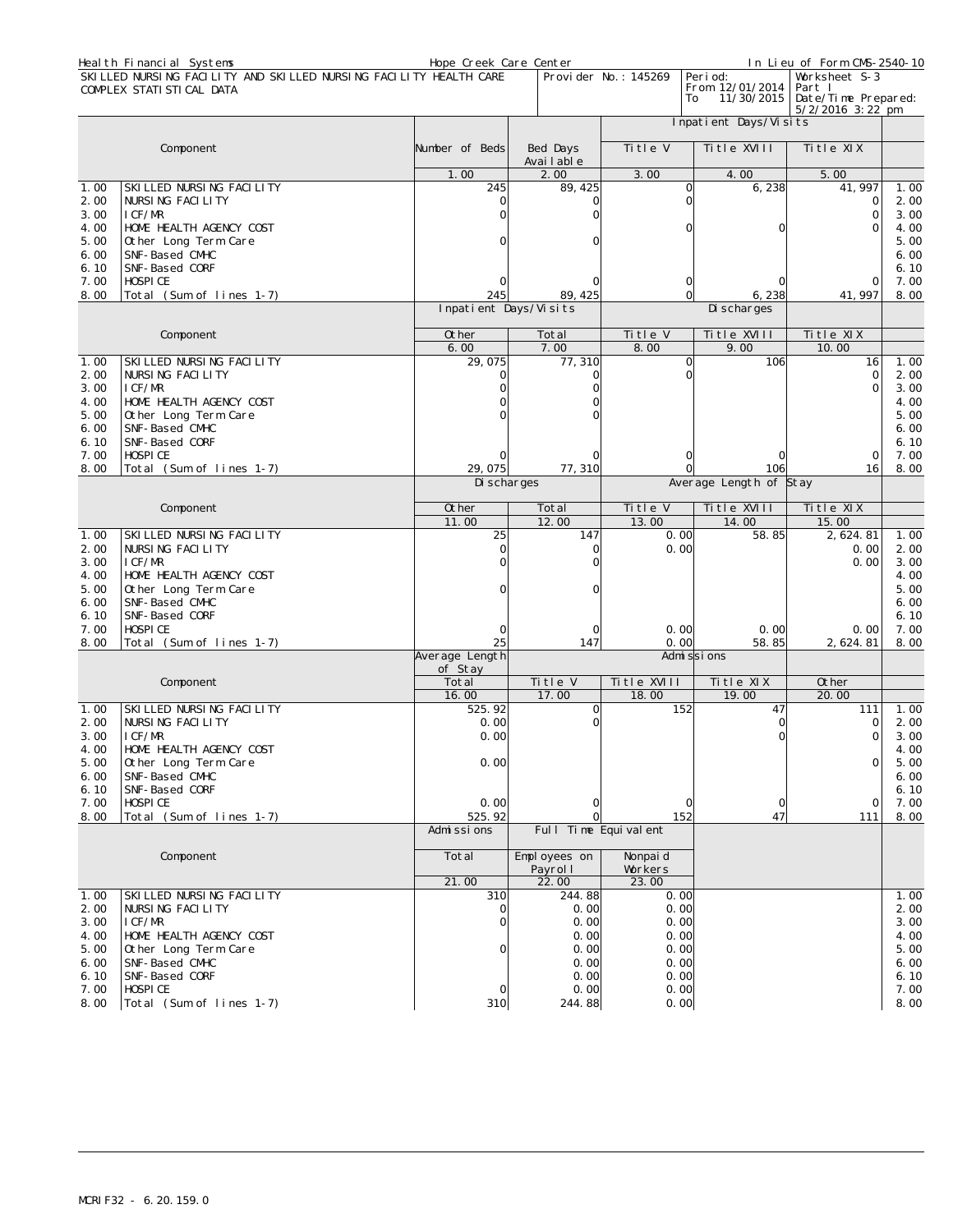| Heal th Financial Systems<br>SKI LLED NURSING FACILITY AND SKILLED NURSING FACILITY HEALTH CARE<br>Provi der No.: 145269<br>Peri od: |                                                                       | In Lieu of Form CMS-2540-10 |
|--------------------------------------------------------------------------------------------------------------------------------------|-----------------------------------------------------------------------|-----------------------------|
| From 12/01/2014<br>COMPLEX STATI STI CAL DATA<br>11/30/2015<br>To                                                                    | Worksheet S-3<br>Part I<br>Date/Time Prepared:<br>$5/2/2016$ 3: 22 pm |                             |
| Inpatient Days/Visits                                                                                                                |                                                                       |                             |
| Title V<br>Title XVIII<br>Component<br>Number of Beds<br>Bed Days<br>Avai I abl e                                                    | Title XIX                                                             |                             |
| 2.00<br>1.00<br>3.00<br>4.00                                                                                                         | 5.00                                                                  |                             |
| 245<br>6,238<br>SKILLED NURSING FACILITY<br>89, 425<br>$\mathbf 0$<br>1.00                                                           | 41, 997                                                               | 1.00                        |
| 2.00<br>NURSING FACILITY<br>$\Omega$<br>U                                                                                            | 0                                                                     | 2.00                        |
| I CF/MR<br>3.00<br>Ω                                                                                                                 | 0                                                                     | 3.00                        |
| HOME HEALTH AGENCY COST<br>4.00<br>U                                                                                                 | C<br>$\Omega$                                                         | 4.00                        |
| 5.00<br>Other Long Term Care                                                                                                         |                                                                       | 5.00                        |
| 6.00<br>SNF-Based CMHC                                                                                                               |                                                                       | 6.00                        |
| SNF-Based CORF<br>6.10                                                                                                               |                                                                       | 6.10                        |
| 7.00<br>HOSPI CE<br>0                                                                                                                | $\Omega$                                                              | 7.00                        |
| Total (Sum of lines 1-7)<br>245<br>$\mathbf 0$<br>8.00<br>89, 425<br>6,238<br>Inpatient Days/Visits<br>Di scharges                   | 41, 997                                                               | 8.00                        |
|                                                                                                                                      |                                                                       |                             |
| 0ther<br>Title V<br>Title XVIII<br>Component<br>Total<br>7.00<br>9.00<br>6.00<br>8.00                                                | Ti tle XIX<br>10.00                                                   |                             |
| SKILLED NURSING FACILITY<br>29,075<br>77,310<br>1.00<br>$\Omega$                                                                     | 106<br>16                                                             | 1.00                        |
| 2.00<br>NURSING FACILITY<br>$\Omega$<br>$\Omega$                                                                                     | $\mathbf{O}$                                                          | 2.00                        |
| I CF/MR<br>3.00                                                                                                                      | 0                                                                     | 3.00                        |
| HOME HEALTH AGENCY COST<br>4.00                                                                                                      |                                                                       | 4.00                        |
| 5.00<br>Other Long Term Care                                                                                                         |                                                                       | 5.00                        |
| SNF-Based CMHC<br>6.00                                                                                                               |                                                                       | 6.00                        |
| SNF-Based CORF<br>6.10                                                                                                               |                                                                       | 6.10                        |
| HOSPI CE<br>7.00<br>0                                                                                                                | 0<br>n                                                                | 7.00                        |
| 29,075<br>77,310<br>8.00<br>Total (Sum of lines 1-7)                                                                                 | 106<br>16                                                             | 8.00                        |
|                                                                                                                                      |                                                                       |                             |
| Average Length of Stay<br>Di scharges                                                                                                |                                                                       |                             |
| Title XVIII<br>Component<br>Other<br>Total<br>Title V                                                                                | Title XIX                                                             |                             |
| 12.00<br>13.00<br>14.00<br>11.00                                                                                                     | 15.00                                                                 |                             |
| SKI LLED NURSI NG FACI LI TY<br>25<br>147<br>58.85<br>1.00<br>0.00                                                                   | 2, 624.81                                                             | 1.00                        |
| 2.00<br>NURSING FACILITY<br>0.00<br>$\Omega$<br>0                                                                                    | 0.00                                                                  | 2.00                        |
| I CF/MR<br>3.00                                                                                                                      | 0.00                                                                  | 3.00                        |
| HOME HEALTH AGENCY COST<br>4.00                                                                                                      |                                                                       | 4.00                        |
| Other Long Term Care<br>5.00                                                                                                         |                                                                       | 5.00                        |
| SNF-Based CMHC<br>6.00                                                                                                               |                                                                       | 6.00                        |
| SNF-Based CORF<br>6.10                                                                                                               |                                                                       | 6.10                        |
| 7.00<br>HOSPI CE<br>0.00                                                                                                             | 0.00<br>0.00                                                          | 7.00                        |
| Total (Sum of lines 1-7)<br>25<br>147<br>0.00<br>8.00<br>58.85                                                                       | 2, 624. 81                                                            | 8.00                        |
| Average Length<br>Admi ssi ons<br>of Stay                                                                                            |                                                                       |                             |
| Total<br>Title XVIII<br>Component<br>Title V<br>Title XIX                                                                            | Other                                                                 |                             |
| 16.00<br>17.00<br>18.00<br>19.00                                                                                                     | 20.00                                                                 |                             |
| 525.92<br>SKILLED NURSING FACILITY<br>$\Omega$<br>152<br>1.00                                                                        | 47<br>111                                                             | 1.00                        |
| NURSING FACILITY<br>0.00<br>2.00                                                                                                     | 0                                                                     | 2.00                        |
| I CF/MR<br>0.00<br>3.00                                                                                                              | 0                                                                     | 3.00                        |
| HOME HEALTH AGENCY COST<br>4.00                                                                                                      | 0                                                                     | 4.00                        |
| Other Long Term Care<br>0.00<br>5.00<br>6.00<br>SNF-Based CMHC                                                                       |                                                                       | 5.00<br>6.00                |
| SNF-Based CORF<br>6.10                                                                                                               |                                                                       | 6.10                        |
| HOSPI CE<br>0.00<br>7.00<br>$\circ$<br>0                                                                                             | $\circ$<br>0                                                          | 7.00                        |
| Total (Sum of lines 1-7)<br>525.92<br>$\Omega$<br>152<br>8.00                                                                        | 47<br>111                                                             | 8.00                        |
| Full Time Equivalent<br>Admissions                                                                                                   |                                                                       |                             |
| Component<br>Total<br>Employees on<br>Nonpai d                                                                                       |                                                                       |                             |
| Payrol I<br>Workers                                                                                                                  |                                                                       |                             |
| 21.00<br>22.00<br>23.00<br>SKILLED NURSING FACILITY<br>310<br>244.88<br>1.00<br>0.00                                                 |                                                                       | 1.00                        |
| NURSING FACILITY<br>0.00<br>2.00<br>0.00<br>$\Omega$                                                                                 |                                                                       | 2.00                        |
| I CF/MR<br>0.00<br>0.00<br>3.00                                                                                                      |                                                                       | 3.00                        |
| HOME HEALTH AGENCY COST<br>4.00<br>0.00<br>0.00                                                                                      |                                                                       | 4.00                        |
| Other Long Term Care<br>0.00<br>0.00<br>5.00<br>0                                                                                    |                                                                       | 5.00                        |
| SNF-Based CMHC<br>6.00<br>0.00<br>0.00                                                                                               |                                                                       | 6.00                        |
| SNF-Based CORF<br>0.00<br>0.00<br>6.10                                                                                               |                                                                       | 6.10                        |
| 0.00<br>7.00<br>HOSPI CE<br>0.00<br>8.00<br>Total (Sum of lines 1-7)<br>310<br>244.88<br>0.00                                        |                                                                       | 7.00<br>8.00                |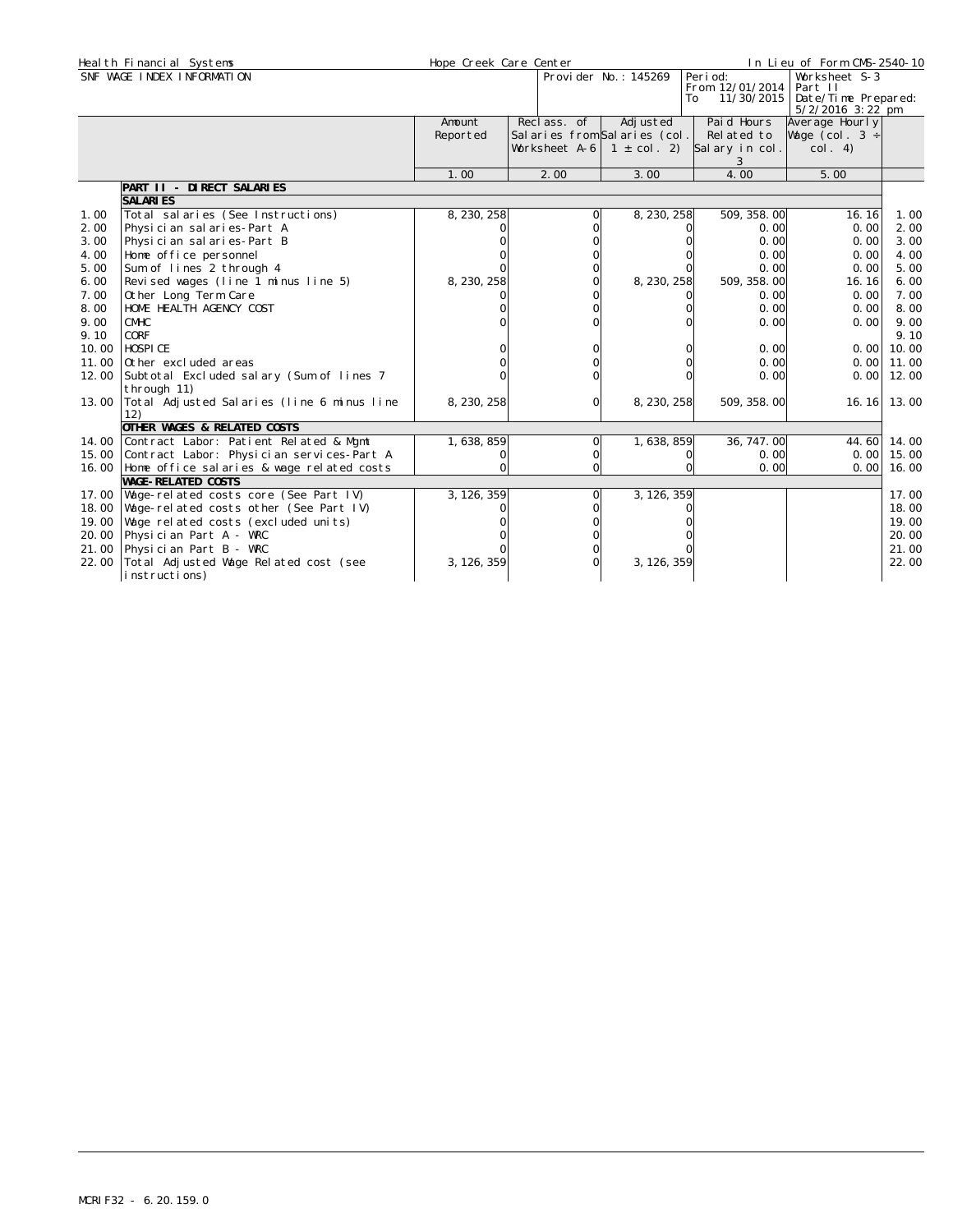| SNF WAGE INDEX INFORMATION<br>Peri od:<br>Provider No.: 145269<br>Worksheet S-3<br>From 12/01/2014<br>Part II<br>11/30/2015   Date/Time Prepared:<br>To<br>$5/2/2016$ 3:22 pm<br>Reclass. of<br>Adj usted<br>Paid Hours<br>Amount<br>Average Hourly<br>Salaries from Salaries (col.<br>Reported<br>Related to<br>Wage (col. $3 \div$<br>Worksheet A-6<br>Salary in col.<br>$1 \pm \text{col. 2}$<br>col. 4)<br>3<br>4.00<br>5.00<br>1.00<br>2.00<br>3.00<br>PART II - DIRECT SALARIES<br><b>SALARIES</b><br>Total salaries (See Instructions)<br>8, 230, 258<br>509, 358. 00<br>8, 230, 258<br>16.16<br>1.00<br>Physician salaries-Part A<br>0.00<br>2.00<br>2.00<br>0.00<br>Physician salaries-Part B<br>0.00<br>3.00<br>3.00<br>0.00<br>0.00<br>4.00<br>4.00<br>Home office personnel<br>0.00<br>Sum of lines 2 through 4<br>0.00<br>5.00<br>5.00<br>0.00<br>Revised wages (line 1 minus line 5)<br>8, 230, 258<br>8, 230, 258<br>6.00<br>6.00<br>509, 358.00<br>16.16<br>Other Long Term Care<br>7.00<br>7.00<br>0.00<br>0.00<br>HOME HEALTH AGENCY COST<br>8.00<br>0.00<br>8.00<br>0.00<br>9.00<br>9.00<br><b>CMHC</b><br>0.00<br>0.00<br>CORF<br>9.10<br>9.10<br>HOSPICE<br>10.00<br>10.00<br>0.00<br>0.001<br>0.00<br>11.00<br>11.00<br>Other excluded areas<br>0.001<br>12.00 Subtotal Excluded salary (Sum of lines 7<br>0.00<br>0.001<br>12.00<br>through 11)<br>13.00 Total Adjusted Salaries (line 6 minus line<br>8, 230, 258<br>8, 230, 258<br>509, 358, 00<br>$\Omega$<br>16.16<br>12)<br>OTHER WAGES & RELATED COSTS<br>1,638,859<br>36, 747. 00<br>14.00 Contract Labor: Patient Related & Mgmt<br>1, 638, 859<br>44.60<br>$\Omega$<br>15.00 Contract Labor: Physician services-Part A<br>0.00<br>0.00<br>0<br>Ω<br>16.00 Home office salaries & wage related costs<br>$\Omega$<br>0.00<br>0.00<br><b>WAGE-RELATED COSTS</b><br>17.00 Wage-related costs core (See Part IV)<br>3, 126, 359<br>3, 126, 359<br>18.00 Wage-related costs other (See Part IV)<br>Wage related costs (excluded units)<br>19.00<br>20.00 Physician Part A - WRC<br>21.00 Physician Part B - WRC<br>22.00 Total Adjusted Wage Related cost (see<br>3, 126, 359<br>3, 126, 359<br>instructions) | Heal th Financial Systems | Hope Creek Care Center |  | In Lieu of Form CMS-2540-10 |       |
|-----------------------------------------------------------------------------------------------------------------------------------------------------------------------------------------------------------------------------------------------------------------------------------------------------------------------------------------------------------------------------------------------------------------------------------------------------------------------------------------------------------------------------------------------------------------------------------------------------------------------------------------------------------------------------------------------------------------------------------------------------------------------------------------------------------------------------------------------------------------------------------------------------------------------------------------------------------------------------------------------------------------------------------------------------------------------------------------------------------------------------------------------------------------------------------------------------------------------------------------------------------------------------------------------------------------------------------------------------------------------------------------------------------------------------------------------------------------------------------------------------------------------------------------------------------------------------------------------------------------------------------------------------------------------------------------------------------------------------------------------------------------------------------------------------------------------------------------------------------------------------------------------------------------------------------------------------------------------------------------------------------------------------------------------------------------------------------------------------------------------------------------------------------------------------------------|---------------------------|------------------------|--|-----------------------------|-------|
|                                                                                                                                                                                                                                                                                                                                                                                                                                                                                                                                                                                                                                                                                                                                                                                                                                                                                                                                                                                                                                                                                                                                                                                                                                                                                                                                                                                                                                                                                                                                                                                                                                                                                                                                                                                                                                                                                                                                                                                                                                                                                                                                                                                         |                           |                        |  |                             |       |
|                                                                                                                                                                                                                                                                                                                                                                                                                                                                                                                                                                                                                                                                                                                                                                                                                                                                                                                                                                                                                                                                                                                                                                                                                                                                                                                                                                                                                                                                                                                                                                                                                                                                                                                                                                                                                                                                                                                                                                                                                                                                                                                                                                                         |                           |                        |  |                             |       |
|                                                                                                                                                                                                                                                                                                                                                                                                                                                                                                                                                                                                                                                                                                                                                                                                                                                                                                                                                                                                                                                                                                                                                                                                                                                                                                                                                                                                                                                                                                                                                                                                                                                                                                                                                                                                                                                                                                                                                                                                                                                                                                                                                                                         |                           |                        |  |                             |       |
|                                                                                                                                                                                                                                                                                                                                                                                                                                                                                                                                                                                                                                                                                                                                                                                                                                                                                                                                                                                                                                                                                                                                                                                                                                                                                                                                                                                                                                                                                                                                                                                                                                                                                                                                                                                                                                                                                                                                                                                                                                                                                                                                                                                         |                           |                        |  |                             |       |
|                                                                                                                                                                                                                                                                                                                                                                                                                                                                                                                                                                                                                                                                                                                                                                                                                                                                                                                                                                                                                                                                                                                                                                                                                                                                                                                                                                                                                                                                                                                                                                                                                                                                                                                                                                                                                                                                                                                                                                                                                                                                                                                                                                                         |                           |                        |  |                             |       |
|                                                                                                                                                                                                                                                                                                                                                                                                                                                                                                                                                                                                                                                                                                                                                                                                                                                                                                                                                                                                                                                                                                                                                                                                                                                                                                                                                                                                                                                                                                                                                                                                                                                                                                                                                                                                                                                                                                                                                                                                                                                                                                                                                                                         |                           |                        |  |                             | 1.00  |
|                                                                                                                                                                                                                                                                                                                                                                                                                                                                                                                                                                                                                                                                                                                                                                                                                                                                                                                                                                                                                                                                                                                                                                                                                                                                                                                                                                                                                                                                                                                                                                                                                                                                                                                                                                                                                                                                                                                                                                                                                                                                                                                                                                                         |                           |                        |  |                             |       |
|                                                                                                                                                                                                                                                                                                                                                                                                                                                                                                                                                                                                                                                                                                                                                                                                                                                                                                                                                                                                                                                                                                                                                                                                                                                                                                                                                                                                                                                                                                                                                                                                                                                                                                                                                                                                                                                                                                                                                                                                                                                                                                                                                                                         |                           |                        |  |                             |       |
|                                                                                                                                                                                                                                                                                                                                                                                                                                                                                                                                                                                                                                                                                                                                                                                                                                                                                                                                                                                                                                                                                                                                                                                                                                                                                                                                                                                                                                                                                                                                                                                                                                                                                                                                                                                                                                                                                                                                                                                                                                                                                                                                                                                         |                           |                        |  |                             |       |
|                                                                                                                                                                                                                                                                                                                                                                                                                                                                                                                                                                                                                                                                                                                                                                                                                                                                                                                                                                                                                                                                                                                                                                                                                                                                                                                                                                                                                                                                                                                                                                                                                                                                                                                                                                                                                                                                                                                                                                                                                                                                                                                                                                                         |                           |                        |  |                             |       |
|                                                                                                                                                                                                                                                                                                                                                                                                                                                                                                                                                                                                                                                                                                                                                                                                                                                                                                                                                                                                                                                                                                                                                                                                                                                                                                                                                                                                                                                                                                                                                                                                                                                                                                                                                                                                                                                                                                                                                                                                                                                                                                                                                                                         |                           |                        |  |                             |       |
|                                                                                                                                                                                                                                                                                                                                                                                                                                                                                                                                                                                                                                                                                                                                                                                                                                                                                                                                                                                                                                                                                                                                                                                                                                                                                                                                                                                                                                                                                                                                                                                                                                                                                                                                                                                                                                                                                                                                                                                                                                                                                                                                                                                         |                           |                        |  |                             |       |
|                                                                                                                                                                                                                                                                                                                                                                                                                                                                                                                                                                                                                                                                                                                                                                                                                                                                                                                                                                                                                                                                                                                                                                                                                                                                                                                                                                                                                                                                                                                                                                                                                                                                                                                                                                                                                                                                                                                                                                                                                                                                                                                                                                                         |                           |                        |  |                             |       |
|                                                                                                                                                                                                                                                                                                                                                                                                                                                                                                                                                                                                                                                                                                                                                                                                                                                                                                                                                                                                                                                                                                                                                                                                                                                                                                                                                                                                                                                                                                                                                                                                                                                                                                                                                                                                                                                                                                                                                                                                                                                                                                                                                                                         |                           |                        |  |                             |       |
|                                                                                                                                                                                                                                                                                                                                                                                                                                                                                                                                                                                                                                                                                                                                                                                                                                                                                                                                                                                                                                                                                                                                                                                                                                                                                                                                                                                                                                                                                                                                                                                                                                                                                                                                                                                                                                                                                                                                                                                                                                                                                                                                                                                         |                           |                        |  |                             |       |
|                                                                                                                                                                                                                                                                                                                                                                                                                                                                                                                                                                                                                                                                                                                                                                                                                                                                                                                                                                                                                                                                                                                                                                                                                                                                                                                                                                                                                                                                                                                                                                                                                                                                                                                                                                                                                                                                                                                                                                                                                                                                                                                                                                                         |                           |                        |  |                             |       |
|                                                                                                                                                                                                                                                                                                                                                                                                                                                                                                                                                                                                                                                                                                                                                                                                                                                                                                                                                                                                                                                                                                                                                                                                                                                                                                                                                                                                                                                                                                                                                                                                                                                                                                                                                                                                                                                                                                                                                                                                                                                                                                                                                                                         |                           |                        |  |                             |       |
|                                                                                                                                                                                                                                                                                                                                                                                                                                                                                                                                                                                                                                                                                                                                                                                                                                                                                                                                                                                                                                                                                                                                                                                                                                                                                                                                                                                                                                                                                                                                                                                                                                                                                                                                                                                                                                                                                                                                                                                                                                                                                                                                                                                         |                           |                        |  |                             |       |
|                                                                                                                                                                                                                                                                                                                                                                                                                                                                                                                                                                                                                                                                                                                                                                                                                                                                                                                                                                                                                                                                                                                                                                                                                                                                                                                                                                                                                                                                                                                                                                                                                                                                                                                                                                                                                                                                                                                                                                                                                                                                                                                                                                                         |                           |                        |  |                             | 13.00 |
|                                                                                                                                                                                                                                                                                                                                                                                                                                                                                                                                                                                                                                                                                                                                                                                                                                                                                                                                                                                                                                                                                                                                                                                                                                                                                                                                                                                                                                                                                                                                                                                                                                                                                                                                                                                                                                                                                                                                                                                                                                                                                                                                                                                         |                           |                        |  |                             |       |
|                                                                                                                                                                                                                                                                                                                                                                                                                                                                                                                                                                                                                                                                                                                                                                                                                                                                                                                                                                                                                                                                                                                                                                                                                                                                                                                                                                                                                                                                                                                                                                                                                                                                                                                                                                                                                                                                                                                                                                                                                                                                                                                                                                                         |                           |                        |  |                             | 14.00 |
|                                                                                                                                                                                                                                                                                                                                                                                                                                                                                                                                                                                                                                                                                                                                                                                                                                                                                                                                                                                                                                                                                                                                                                                                                                                                                                                                                                                                                                                                                                                                                                                                                                                                                                                                                                                                                                                                                                                                                                                                                                                                                                                                                                                         |                           |                        |  |                             | 15.00 |
|                                                                                                                                                                                                                                                                                                                                                                                                                                                                                                                                                                                                                                                                                                                                                                                                                                                                                                                                                                                                                                                                                                                                                                                                                                                                                                                                                                                                                                                                                                                                                                                                                                                                                                                                                                                                                                                                                                                                                                                                                                                                                                                                                                                         |                           |                        |  |                             | 16.00 |
|                                                                                                                                                                                                                                                                                                                                                                                                                                                                                                                                                                                                                                                                                                                                                                                                                                                                                                                                                                                                                                                                                                                                                                                                                                                                                                                                                                                                                                                                                                                                                                                                                                                                                                                                                                                                                                                                                                                                                                                                                                                                                                                                                                                         |                           |                        |  |                             |       |
|                                                                                                                                                                                                                                                                                                                                                                                                                                                                                                                                                                                                                                                                                                                                                                                                                                                                                                                                                                                                                                                                                                                                                                                                                                                                                                                                                                                                                                                                                                                                                                                                                                                                                                                                                                                                                                                                                                                                                                                                                                                                                                                                                                                         |                           |                        |  |                             | 17.00 |
|                                                                                                                                                                                                                                                                                                                                                                                                                                                                                                                                                                                                                                                                                                                                                                                                                                                                                                                                                                                                                                                                                                                                                                                                                                                                                                                                                                                                                                                                                                                                                                                                                                                                                                                                                                                                                                                                                                                                                                                                                                                                                                                                                                                         |                           |                        |  |                             | 18.00 |
|                                                                                                                                                                                                                                                                                                                                                                                                                                                                                                                                                                                                                                                                                                                                                                                                                                                                                                                                                                                                                                                                                                                                                                                                                                                                                                                                                                                                                                                                                                                                                                                                                                                                                                                                                                                                                                                                                                                                                                                                                                                                                                                                                                                         |                           |                        |  |                             | 19.00 |
|                                                                                                                                                                                                                                                                                                                                                                                                                                                                                                                                                                                                                                                                                                                                                                                                                                                                                                                                                                                                                                                                                                                                                                                                                                                                                                                                                                                                                                                                                                                                                                                                                                                                                                                                                                                                                                                                                                                                                                                                                                                                                                                                                                                         |                           |                        |  |                             | 20.00 |
|                                                                                                                                                                                                                                                                                                                                                                                                                                                                                                                                                                                                                                                                                                                                                                                                                                                                                                                                                                                                                                                                                                                                                                                                                                                                                                                                                                                                                                                                                                                                                                                                                                                                                                                                                                                                                                                                                                                                                                                                                                                                                                                                                                                         |                           |                        |  |                             | 21.00 |
|                                                                                                                                                                                                                                                                                                                                                                                                                                                                                                                                                                                                                                                                                                                                                                                                                                                                                                                                                                                                                                                                                                                                                                                                                                                                                                                                                                                                                                                                                                                                                                                                                                                                                                                                                                                                                                                                                                                                                                                                                                                                                                                                                                                         |                           |                        |  |                             | 22.00 |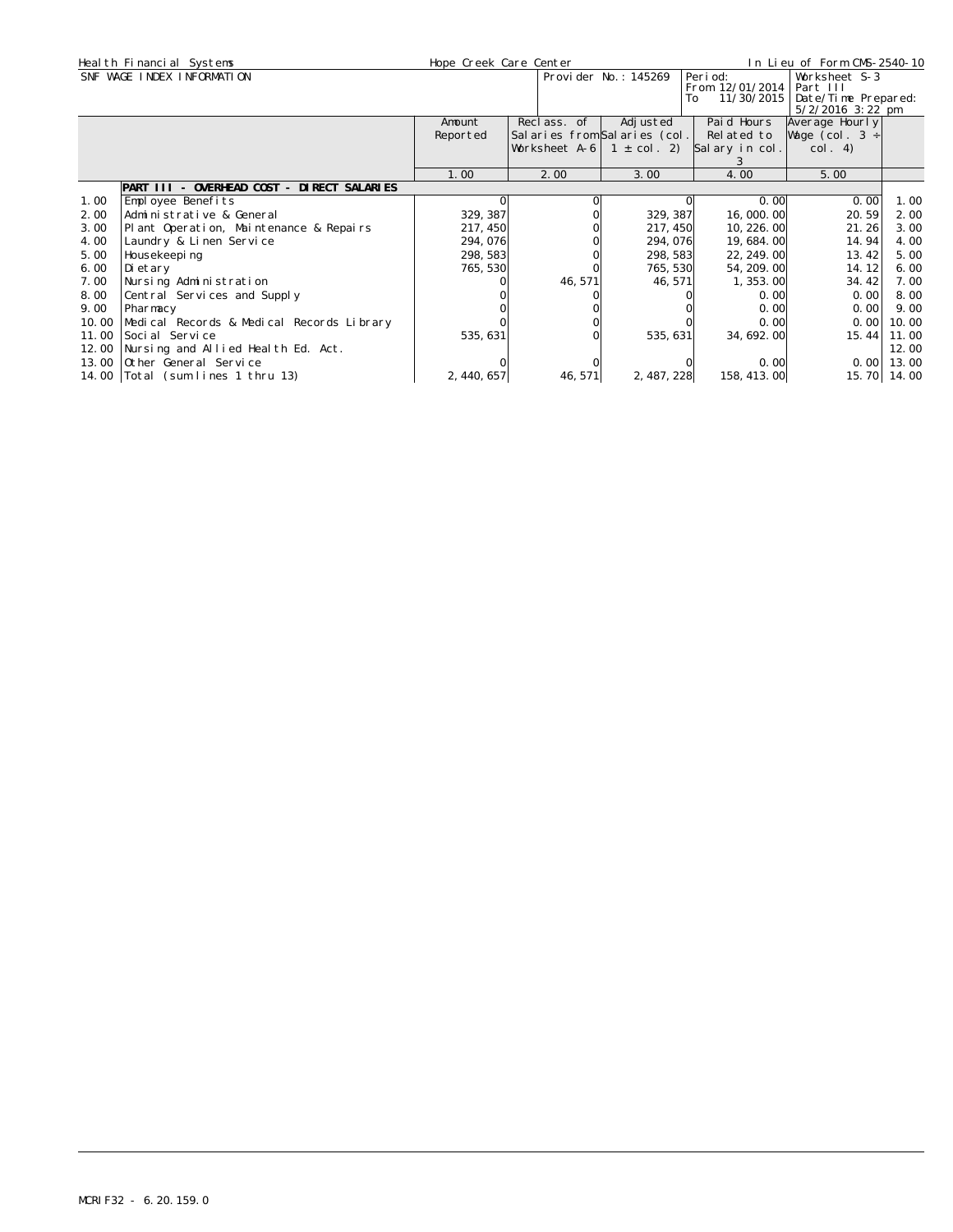|       | Heal th Financial Systems                  | Hope Creek Care Center |                                 |                      |                  | In Lieu of Form CMS-2540-10               |             |
|-------|--------------------------------------------|------------------------|---------------------------------|----------------------|------------------|-------------------------------------------|-------------|
|       | SNF WAGE INDEX INFORMATION                 |                        |                                 | Provider No.: 145269 | Peri od:         | Worksheet S-3                             |             |
|       |                                            |                        |                                 |                      | From 12/01/2014  | Part III                                  |             |
|       |                                            |                        |                                 |                      | 11/30/2015<br>To | Date/Time Prepared:<br>$5/2/2016$ 3:22 pm |             |
|       |                                            | Amount                 | Reclass. of                     | Adj usted            | Paid Hours       | Average Hourly                            |             |
|       |                                            | Reported               | Salaries from Salaries (col.    |                      | Related to       | Wage (col. $3 \div$                       |             |
|       |                                            |                        | Worksheet A-6   1 $\pm$ col. 2) |                      | Salary in col.   | col. 4)                                   |             |
|       |                                            |                        |                                 |                      |                  |                                           |             |
|       |                                            | 1.00                   | 2.00                            | 3.00                 | 4.00             | 5.00                                      |             |
|       | PART III - OVERHEAD COST - DIRECT SALARIES |                        |                                 |                      |                  |                                           |             |
| 1.00  | Employee Benefits                          |                        |                                 |                      | 0. OO            | 0.00                                      | 1.00        |
| 2.00  | Administrative & General                   | 329, 387               |                                 | 329, 387             | 16,000.00        | 20.59                                     | 2.00        |
| 3.00  | Plant Operation, Maintenance & Repairs     | 217, 450               |                                 | 217, 450             | 10, 226, 00      | 21.26                                     | 3.00        |
| 4.00  | Laundry & Linen Service                    | 294, 076               |                                 | 294,076              | 19,684.00        | 14.94                                     | 4.00        |
| 5.00  | Housekeepi ng                              | 298, 583               |                                 | 298, 583             | 22, 249. 00      | 13.42                                     | 5.00        |
| 6.00  | Di etary                                   | 765, 530               |                                 | 765, 530             | 54, 209. 00      | 14.12                                     | 6.00        |
| 7.00  | Nursing Administration                     |                        | 46, 571                         | 46, 571              | 1, 353, 00       | 34.42                                     | 7.00        |
| 8.00  | Central Services and Supply                |                        |                                 |                      | 0.00             | 0.001                                     | 8.00        |
| 9.00  | Pharmacy                                   |                        |                                 |                      | 0.00             | 0.00                                      | 9.00        |
| 10.00 | Medical Records & Medical Records Library  |                        |                                 |                      | 0.00             | 0.00                                      | 10.00       |
| 11.00 | Soci al Service                            | 535, 631               |                                 | 535, 631             | 34, 692, 00      | 15.44                                     | 11.00       |
| 12.00 | Nursing and Allied Health Ed. Act.         |                        |                                 |                      |                  |                                           | 12.00       |
| 13.00 | Other General Service                      |                        |                                 |                      | 0.00             | 0.00                                      | 13.00       |
|       | 14.00   Total (sum lines 1 thru 13)        | 2, 440, 657            | 46, 571                         | 2, 487, 228          | 158, 413. 00     |                                           | 15.70 14.00 |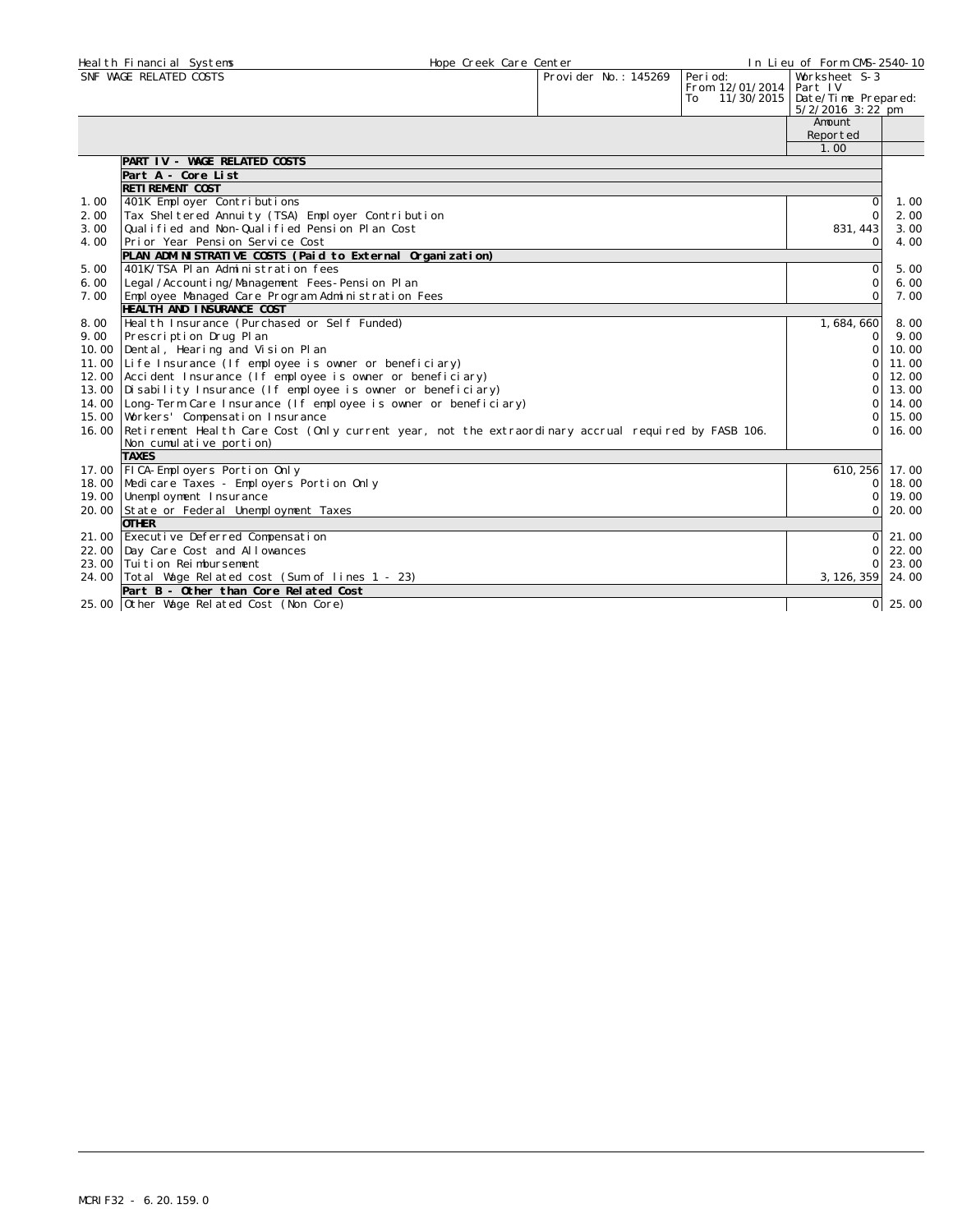|       | Heal th Financial Systems                                                                                 | Hope Creek Care Center |                      |                  | In Lieu of Form CMS-2540-10               |       |
|-------|-----------------------------------------------------------------------------------------------------------|------------------------|----------------------|------------------|-------------------------------------------|-------|
|       | SNF WAGE RELATED COSTS                                                                                    |                        | Provider No.: 145269 | Peri od:         | Worksheet S-3                             |       |
|       |                                                                                                           |                        |                      | From 12/01/2014  | Part IV                                   |       |
|       |                                                                                                           |                        |                      | 11/30/2015<br>To | Date/Time Prepared:<br>$5/2/2016$ 3:22 pm |       |
|       |                                                                                                           |                        |                      |                  | Amount                                    |       |
|       |                                                                                                           |                        |                      |                  | Reported                                  |       |
|       |                                                                                                           |                        |                      |                  | 1.00                                      |       |
|       | PART IV - WAGE RELATED COSTS                                                                              |                        |                      |                  |                                           |       |
|       | Part A - Core List                                                                                        |                        |                      |                  |                                           |       |
|       | <b>RETI REMENT COST</b>                                                                                   |                        |                      |                  |                                           |       |
| 1.00  | 401K Employer Contributions                                                                               |                        |                      |                  | $\Omega$                                  | 1.00  |
| 2.00  | Tax Shel tered Annuity (TSA) Employer Contribution                                                        |                        |                      |                  | $\mathbf{O}$                              | 2.00  |
| 3.00  | Qualified and Non-Qualified Pension Plan Cost                                                             |                        |                      |                  | 831, 443                                  | 3.00  |
| 4.00  | Prior Year Pension Service Cost                                                                           |                        |                      |                  | $\circ$                                   | 4.00  |
|       | PLAN ADMINISTRATIVE COSTS (Paid to External Organization)                                                 |                        |                      |                  |                                           |       |
| 5.00  | 401K/TSA Plan Administration fees                                                                         |                        |                      |                  | $\Omega$                                  | 5.00  |
| 6.00  | Legal /Accounting/Management Fees-Pension Plan                                                            |                        |                      |                  | $\mathbf 0$                               | 6.00  |
| 7.00  | Employee Managed Care Program Administration Fees                                                         |                        |                      |                  | $\Omega$                                  | 7.00  |
|       | HEALTH AND INSURANCE COST                                                                                 |                        |                      |                  |                                           |       |
| 8.00  | Heal th Insurance (Purchased or Self Funded)                                                              |                        |                      |                  | 1,684,660                                 | 8.00  |
| 9.00  | Prescription Drug Plan                                                                                    |                        |                      |                  | $\Omega$                                  | 9.00  |
| 10.00 | Dental, Hearing and Vision Plan                                                                           |                        |                      |                  | $\mathbf{O}$                              | 10.00 |
| 11.00 | Life Insurance (If employee is owner or beneficiary)                                                      |                        |                      |                  | $\circ$                                   | 11.00 |
| 12.00 | Accident Insurance (If employee is owner or beneficiary)                                                  |                        |                      |                  | $\Omega$                                  | 12.00 |
| 13.00 | Disability Insurance (If employee is owner or beneficiary)                                                |                        |                      |                  | $\Omega$                                  | 13.00 |
| 14.00 | Long-Term Care Insurance (If employee is owner or beneficiary)                                            |                        |                      |                  | $\Omega$                                  | 14.00 |
| 15.00 | Workers' Compensation Insurance                                                                           |                        |                      |                  | $\mathbf{O}$                              | 15.00 |
|       | 16.00 Retirement Health Care Cost (Only current year, not the extraordinary accrual required by FASB 106. |                        |                      |                  | $\Omega$                                  | 16.00 |
|       | Non cumulative portion)                                                                                   |                        |                      |                  |                                           |       |
|       | <b>TAXES</b>                                                                                              |                        |                      |                  |                                           |       |
|       | 17.00   FICA-Employers Portion Only                                                                       |                        |                      |                  | 610, 256                                  | 17.00 |
| 18.00 | Medicare Taxes - Employers Portion Only                                                                   |                        |                      |                  | $\mathbf 0$                               | 18.00 |
| 19.00 | Unemployment Insurance                                                                                    |                        |                      |                  | 0                                         | 19,00 |
| 20.00 | State or Federal Unemployment Taxes                                                                       |                        |                      |                  | $\Omega$                                  | 20.00 |
|       | <b>OTHER</b>                                                                                              |                        |                      |                  |                                           |       |
|       | 21.00 Executive Deferred Compensation                                                                     |                        |                      |                  | $\mathbf{O}$                              | 21.00 |
|       | 22.00 Day Care Cost and Allowances                                                                        |                        |                      |                  | $\Omega$                                  | 22.00 |
|       | 23.00 Tui ti on Rei mbursement                                                                            |                        |                      |                  | $\Omega$                                  | 23.00 |
|       | 24.00 Total Wage Related cost (Sum of lines 1 - 23)                                                       |                        |                      |                  | 3, 126, 359                               | 24.00 |
|       | Part B - Other than Core Related Cost                                                                     |                        |                      |                  |                                           |       |
|       | 25.00 Other Wage Related Cost (Non Core)                                                                  |                        |                      |                  | $\circ$                                   | 25.00 |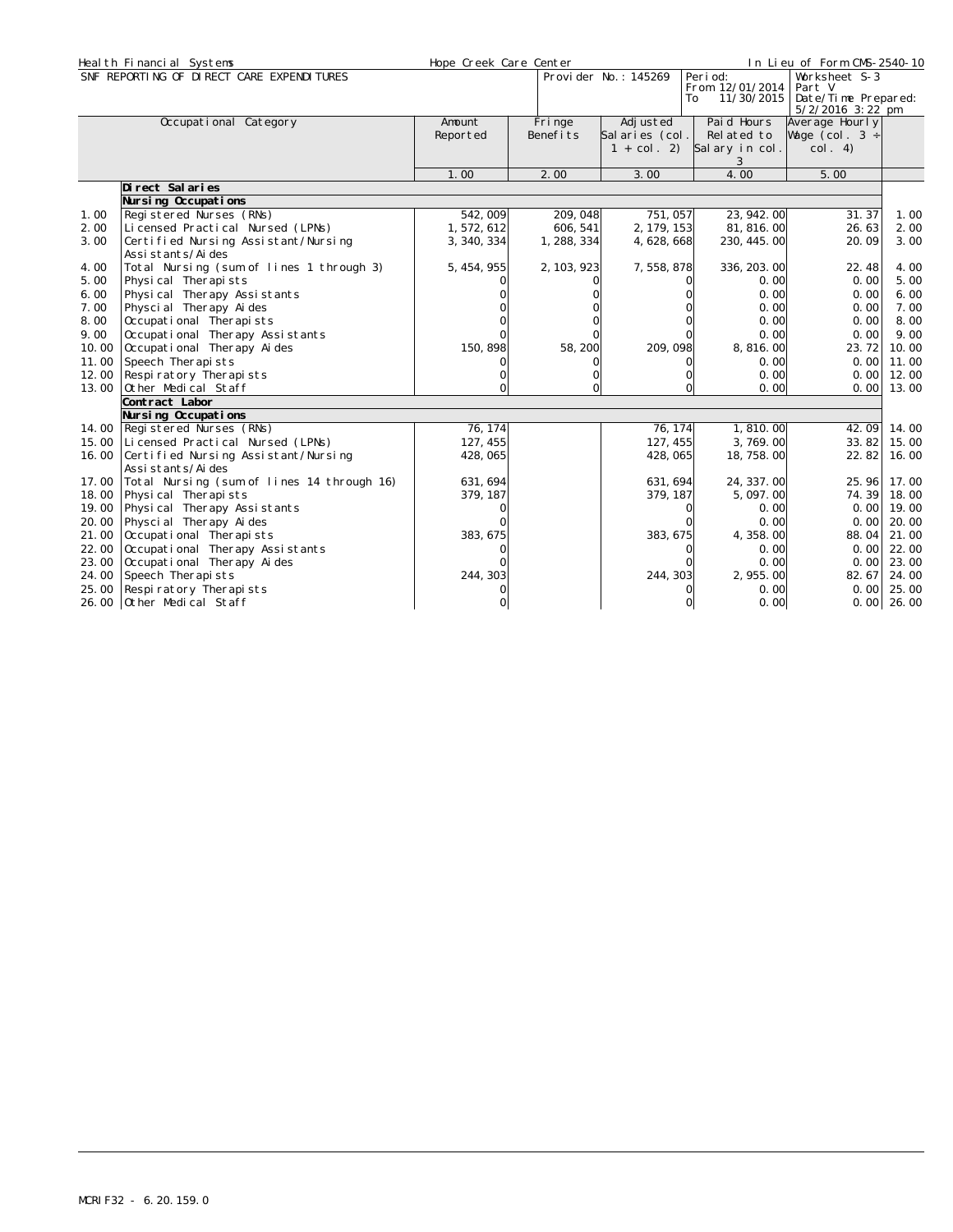|       | Heal th Financial Systems                                 | Hope Creek Care Center |                     |                                             |                                                  | In Lieu of Form CMS-2540-10                                          |              |
|-------|-----------------------------------------------------------|------------------------|---------------------|---------------------------------------------|--------------------------------------------------|----------------------------------------------------------------------|--------------|
|       | SNF REPORTING OF DIRECT CARE EXPENDITURES                 |                        |                     | Provi der No.: 145269                       | Peri od:<br>From 12/01/2014<br>11/30/2015<br>To: | Worksheet S-3<br>Part V<br>Date/Time Prepared:<br>$5/2/2016$ 3:22 pm |              |
|       | Occupational Category                                     | Amount<br>Reported     | Fri nge<br>Benefits | Adj usted<br>Salaries (col.<br>$1 + col. 2$ | Paid Hours<br>Related to<br>Salary in col.<br>3  | Average Hourly<br>Wage (col. $3 \div$<br>col. 4)                     |              |
|       |                                                           | 1.00                   | 2.00                | 3.00                                        | 4.00                                             | 5.00                                                                 |              |
|       | Di rect Sal ari es                                        |                        |                     |                                             |                                                  |                                                                      |              |
|       | Nursing Occupations                                       |                        |                     |                                             |                                                  |                                                                      |              |
| 1.00  | Registered Nurses (RNs)                                   | 542,009                | 209, 048            | 751,057                                     | 23, 942. 00                                      | 31.37                                                                | 1.00         |
| 2.00  | Licensed Practical Nursed (LPNs)                          | 1, 572, 612            | 606, 541            | 2, 179, 153                                 | 81, 816, 00                                      | 26.63                                                                | 2.00         |
| 3.00  | Certified Nursing Assistant/Nursing<br>Assi stants/Ai des | 3, 340, 334            | 1, 288, 334         | 4, 628, 668                                 | 230, 445.00                                      | 20.09                                                                | 3.00         |
| 4.00  | Total Nursing (sum of lines 1 through 3)                  | 5, 454, 955            | 2, 103, 923         | 7,558,878                                   | 336, 203. 00                                     | 22.48                                                                | 4.00         |
| 5.00  | Physical Therapists                                       |                        |                     |                                             | 0.00                                             | 0.00                                                                 | 5.00         |
| 6.00  | Physical Therapy Assistants                               |                        |                     |                                             | 0.00                                             | 0.00                                                                 | 6.00         |
| 7.00  | Physcial Therapy Aides                                    |                        |                     |                                             | 0.00                                             | 0.00                                                                 | 7.00         |
| 8.00  | Occupational Therapists                                   |                        |                     |                                             | 0.00                                             | 0.00                                                                 | 8.00         |
| 9.00  | Occupational Therapy Assistants                           |                        |                     |                                             | 0.00                                             | 0.00                                                                 | 9.00         |
| 10.00 | Occupational Therapy Aides                                | 150, 898               | 58, 200             | 209, 098                                    | 8,816.00                                         | 23.72                                                                | 10.00        |
| 11.00 | Speech Therapists                                         |                        |                     |                                             | 0.00                                             | 0.001                                                                | 11.00        |
| 12.00 | Respi ratory Therapi sts                                  |                        |                     | $\Omega$                                    | 0.00                                             | 0.00                                                                 | 12.00        |
| 13.00 | Other Medical Staff                                       |                        |                     | $\Omega$                                    | 0.00                                             | 0.001                                                                | 13.00        |
|       | Contract Labor                                            |                        |                     |                                             |                                                  |                                                                      |              |
|       | Nursing Occupations                                       |                        |                     |                                             |                                                  |                                                                      |              |
| 14.00 | Registered Nurses (RNs)                                   | 76, 174                |                     | 76, 174                                     | 1,810.00                                         | 42.09                                                                | 14.00        |
| 15.00 | Licensed Practical Nursed (LPNs)                          | 127, 455               |                     | 127, 455                                    | 3,769.00                                         | 33.82                                                                | 15.00        |
| 16.00 | Certified Nursing Assistant/Nursing                       | 428,065                |                     | 428, 065                                    | 18, 758. 00                                      | 22.82                                                                | 16.00        |
|       | Assi stants/Ai des                                        |                        |                     |                                             |                                                  |                                                                      |              |
| 17.00 | Total Nursing (sum of lines 14 through 16)                | 631, 694               |                     | 631, 694                                    | 24, 337.00                                       | 25.96                                                                | 17.00        |
| 18.00 | Physical Therapists                                       | 379, 187               |                     | 379, 187                                    | 5,097.00                                         | 74.39                                                                | 18.00        |
| 19.00 | Physical Therapy Assistants                               |                        |                     | 0                                           | 0.00                                             | 0.001                                                                | 19.00        |
| 20.00 | Physcial Therapy Aides                                    |                        |                     |                                             | 0.00                                             | 0.00                                                                 | 20.00        |
| 21.00 | Occupational Therapists                                   | 383, 675               |                     | 383, 675                                    | 4, 358, 00                                       | 88.04                                                                | 21.00        |
| 22.00 | Occupational Therapy Assistants                           |                        |                     |                                             | 0.00                                             | 0.00                                                                 | 22.00        |
| 23.00 | Occupational Therapy Aides                                |                        |                     |                                             | 0.00                                             | 0.00                                                                 | 23.00        |
| 24.00 | Speech Therapists                                         | 244, 303               |                     | 244, 303                                    | 2, 955.00                                        | 82.67                                                                | 24.00        |
| 25.00 | Respi ratory Therapi sts                                  |                        |                     | 0                                           | 0.00                                             | 0.00                                                                 | 25.00        |
|       | 26.00 Other Medical Staff                                 | 0                      |                     | $\Omega$                                    | 0.00                                             |                                                                      | $0.00$ 26.00 |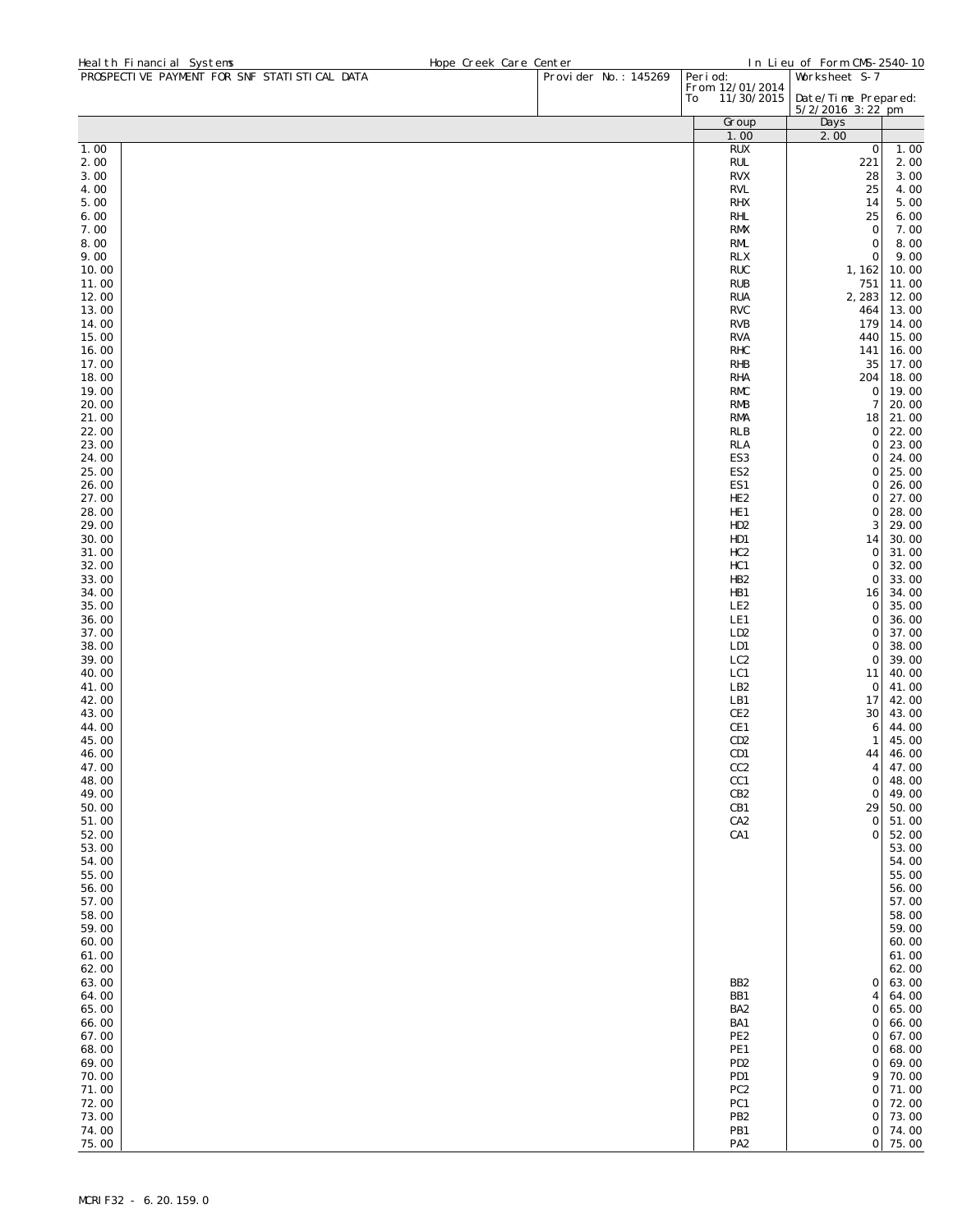| Heal th Financial Systems                    | Hope Creek Care Center |                       |                                    | In Lieu of Form CMS-2540-10 |                |
|----------------------------------------------|------------------------|-----------------------|------------------------------------|-----------------------------|----------------|
| PROSPECTIVE PAYMENT FOR SNF STATISTICAL DATA |                        | Provi der No.: 145269 | Peri od:<br>From 12/01/2014        | Worksheet S-7               |                |
|                                              |                        |                       | 11/30/2015<br>To                   | Date/Time Prepared:         |                |
|                                              |                        |                       | Group                              | $5/2/2016$ 3:22 pm<br>Days  |                |
|                                              |                        |                       | 1.00                               | 2.00                        |                |
| 1.00                                         |                        |                       | <b>RUX</b>                         | $\mathbf 0$                 | 1.00           |
| 2.00                                         |                        |                       | <b>RUL</b>                         | 221                         | 2.00           |
| 3.00<br>4.00                                 |                        |                       | <b>RVX</b><br><b>RVL</b>           | 28<br>25                    | 3.00<br>4.00   |
| 5.00                                         |                        |                       | <b>RHX</b>                         | 14                          | 5.00           |
| 6.00                                         |                        |                       | <b>RHL</b>                         | 25                          | 6.00           |
| 7.00                                         |                        |                       | <b>RMX</b>                         | $\mathbf 0$                 | 7.00           |
| 8.00                                         |                        |                       | RML                                | $\mathbf 0$                 | 8.00           |
| 9.00<br>10.00                                |                        |                       | <b>RLX</b><br><b>RUC</b>           | $\mathbf 0$<br>1, 162       | 9.00           |
| 11.00                                        |                        |                       | <b>RUB</b>                         | 751                         | 10.00<br>11.00 |
| 12.00                                        |                        |                       | <b>RUA</b>                         | 2,283                       | 12.00          |
| 13.00                                        |                        |                       | <b>RVC</b>                         | 464                         | 13.00          |
| 14.00                                        |                        |                       | <b>RVB</b>                         | 179                         | 14.00          |
| 15.00                                        |                        |                       | <b>RVA</b><br><b>RHC</b>           | 440                         | 15.00<br>16.00 |
| 16.00<br>17.00                               |                        |                       | <b>RHB</b>                         | 141<br>35                   | 17.00          |
| 18.00                                        |                        |                       | <b>RHA</b>                         | 204                         | 18.00          |
| 19.00                                        |                        |                       | <b>RMC</b>                         | 0                           | 19.00          |
| 20.00                                        |                        |                       | <b>RMB</b>                         | 7                           | 20.00          |
| 21.00                                        |                        |                       | <b>RMA</b>                         | 18<br>0                     | 21.00<br>22.00 |
| 22.00<br>23.00                               |                        |                       | <b>RLB</b><br><b>RLA</b>           | 0                           | 23.00          |
| 24.00                                        |                        |                       | ES <sub>3</sub>                    | 0                           | 24.00          |
| 25.00                                        |                        |                       | ES <sub>2</sub>                    | 0                           | 25.00          |
| 26.00                                        |                        |                       | ES1                                | 0                           | 26.00          |
| 27.00                                        |                        |                       | HE <sub>2</sub>                    | 0                           | 27.00<br>28.00 |
| 28.00<br>29.00                               |                        |                       | HE <sub>1</sub><br>HD <sub>2</sub> | 0<br>3                      | 29.00          |
| 30.00                                        |                        |                       | HD1                                | 14                          | 30.00          |
| 31.00                                        |                        |                       | HC <sub>2</sub>                    | 0                           | 31.00          |
| 32.00                                        |                        |                       | HC1                                | 0                           | 32.00          |
| 33.00<br>34.00                               |                        |                       | HB <sub>2</sub><br>HB1             | 0<br>16                     | 33.00<br>34.00 |
| 35.00                                        |                        |                       | LE <sub>2</sub>                    | 0                           | 35.00          |
| 36.00                                        |                        |                       | LE1                                | 0                           | 36.00          |
| 37.00                                        |                        |                       | LD <sub>2</sub>                    | 0                           | 37.00          |
| 38.00                                        |                        |                       | LD1                                | 0                           | 38.00          |
| 39.00<br>40.00                               |                        |                       | LC <sub>2</sub><br>LC1             | 0<br>11                     | 39.00<br>40.00 |
| 41.00                                        |                        |                       | LB <sub>2</sub>                    | 0                           | 41.00          |
| 42.00                                        |                        |                       | LB1                                | 17                          | 42.00          |
| 43.00                                        |                        |                       | CE <sub>2</sub>                    | 30                          | 43.00          |
| 44.00<br>45.00                               |                        |                       | CE1                                | 6                           | 44.00          |
| 46.00                                        |                        |                       | CD <sub>2</sub><br>CD1             | 1<br>44                     | 45.00<br>46.00 |
| 47.00                                        |                        |                       | CC <sub>2</sub>                    | 4                           | 47.00          |
| 48.00                                        |                        |                       | CC1                                | $\mathsf{O}\xspace$         | 48.00          |
| 49.00                                        |                        |                       | CB <sub>2</sub>                    | $\mathbf 0$                 | 49.00          |
| 50.00<br>51.00                               |                        |                       | CB1<br>CA <sub>2</sub>             | 29<br>$\mathbf 0$           | 50.00<br>51.00 |
| 52.00                                        |                        |                       | CA1                                | $\mathbf 0$                 | 52.00          |
| 53.00                                        |                        |                       |                                    |                             | 53.00          |
| 54.00                                        |                        |                       |                                    |                             | 54.00          |
| 55.00<br>56.00                               |                        |                       |                                    |                             | 55.00<br>56.00 |
| 57.00                                        |                        |                       |                                    |                             | 57.00          |
| 58.00                                        |                        |                       |                                    |                             | 58.00          |
| 59.00                                        |                        |                       |                                    |                             | 59.00          |
| 60.00                                        |                        |                       |                                    |                             | 60.00          |
| 61.00<br>62.00                               |                        |                       |                                    |                             | 61.00<br>62.00 |
| 63.00                                        |                        |                       | BB <sub>2</sub>                    | 0                           | 63.00          |
| 64.00                                        |                        |                       | BB1                                | 4                           | 64.00          |
| 65.00                                        |                        |                       | BA <sub>2</sub>                    | 0                           | 65.00          |
| 66.00                                        |                        |                       | BA1                                | 0                           | 66.00          |
| 67.00<br>68.00                               |                        |                       | PE <sub>2</sub><br>PE1             | 0<br>0                      | 67.00<br>68.00 |
| 69.00                                        |                        |                       | PD <sub>2</sub>                    | 0                           | 69.00          |
| 70.00                                        |                        |                       | PD1                                | 9                           | 70.00          |
| 71.00                                        |                        |                       | PC <sub>2</sub>                    | $\mathbf 0$                 | 71.00          |
| 72.00<br>73.00                               |                        |                       | PC1<br>PB <sub>2</sub>             | 0<br>$\mathsf{O}\xspace$    | 72.00<br>73.00 |
| 74.00                                        |                        |                       | PB1                                | $\mathsf{O}\xspace$         | 74.00          |
| 75.00                                        |                        |                       | PA <sub>2</sub>                    | $\circ$                     | 75.00          |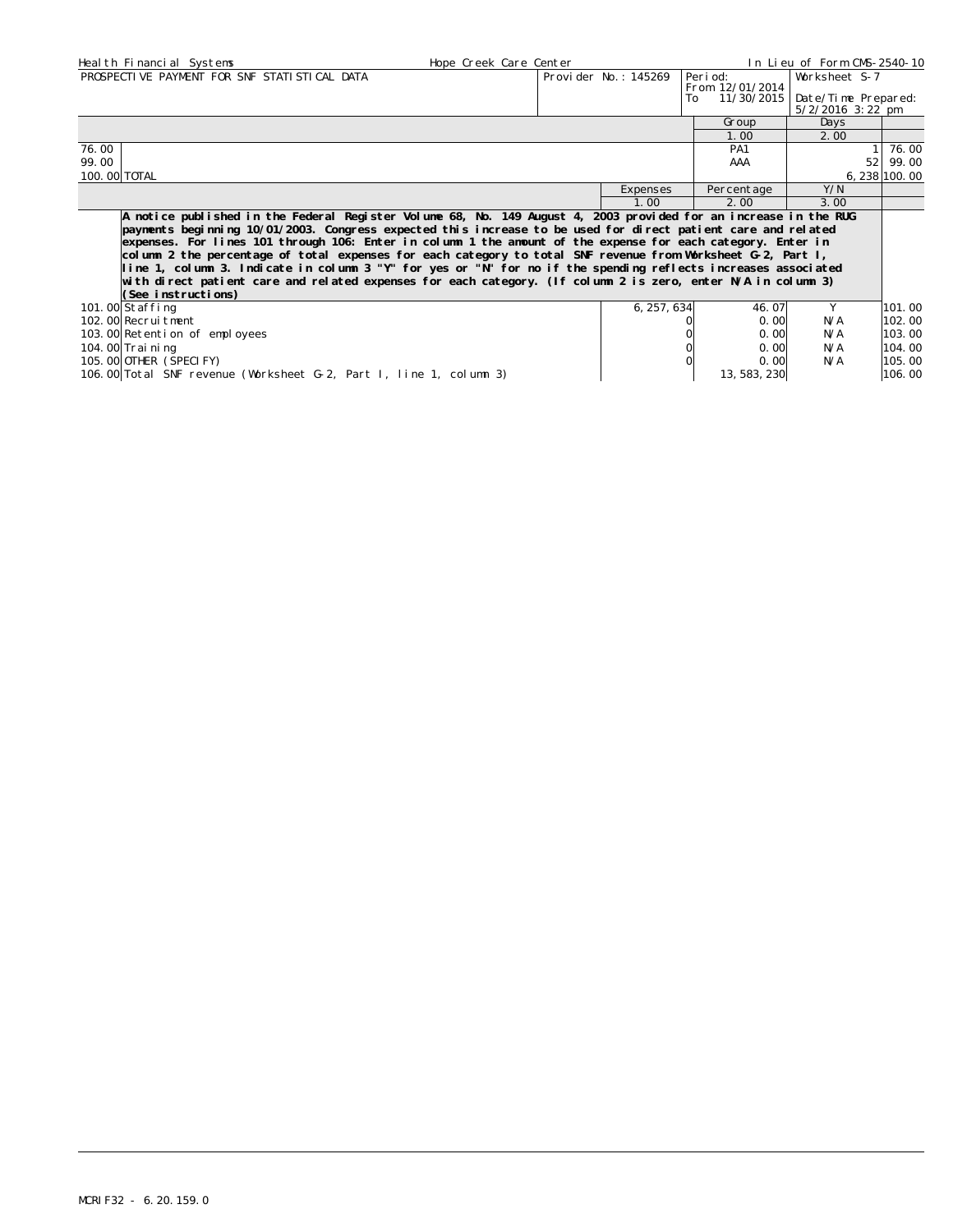| Heal th Financial Systems                                                                                                                                                                                                                                                                                                                                                                                                                                                                                                                                                                                                                                                                                                  | Hope Creek Care Center<br>In Lieu of Form CMS-2540-10 |                      |                             |                                           |                 |  |  |
|----------------------------------------------------------------------------------------------------------------------------------------------------------------------------------------------------------------------------------------------------------------------------------------------------------------------------------------------------------------------------------------------------------------------------------------------------------------------------------------------------------------------------------------------------------------------------------------------------------------------------------------------------------------------------------------------------------------------------|-------------------------------------------------------|----------------------|-----------------------------|-------------------------------------------|-----------------|--|--|
| PROSPECTIVE PAYMENT FOR SNF STATISTICAL DATA                                                                                                                                                                                                                                                                                                                                                                                                                                                                                                                                                                                                                                                                               |                                                       | Provider No.: 145269 | Peri od:<br>From 12/01/2014 | Worksheet S-7                             |                 |  |  |
|                                                                                                                                                                                                                                                                                                                                                                                                                                                                                                                                                                                                                                                                                                                            |                                                       |                      | 11/30/2015<br>To            | Date/Time Prepared:<br>$5/2/2016$ 3:22 pm |                 |  |  |
|                                                                                                                                                                                                                                                                                                                                                                                                                                                                                                                                                                                                                                                                                                                            |                                                       |                      | Group                       | Days                                      |                 |  |  |
|                                                                                                                                                                                                                                                                                                                                                                                                                                                                                                                                                                                                                                                                                                                            |                                                       |                      | 1.00                        | 2.00                                      |                 |  |  |
| 76.00                                                                                                                                                                                                                                                                                                                                                                                                                                                                                                                                                                                                                                                                                                                      |                                                       |                      | PA1                         |                                           | 76.00           |  |  |
| 99.00                                                                                                                                                                                                                                                                                                                                                                                                                                                                                                                                                                                                                                                                                                                      |                                                       |                      | AAA                         | 521                                       | 99.00           |  |  |
| 100. 00 TOTAL                                                                                                                                                                                                                                                                                                                                                                                                                                                                                                                                                                                                                                                                                                              |                                                       |                      |                             |                                           | $6, 238$ 100.00 |  |  |
|                                                                                                                                                                                                                                                                                                                                                                                                                                                                                                                                                                                                                                                                                                                            |                                                       | Expenses             | Percentage                  | Y/N                                       |                 |  |  |
|                                                                                                                                                                                                                                                                                                                                                                                                                                                                                                                                                                                                                                                                                                                            |                                                       | 1.00                 | 2.00                        | 3.00                                      |                 |  |  |
| A notice published in the Federal Register Volume 68, No. 149 August 4, 2003 provided for an increase in the RUG<br>payments beginning 10/01/2003. Congress expected this increase to be used for direct patient care and related<br>expenses. For lines 101 through 106: Enter in column 1 the amount of the expense for each category. Enter in<br>column 2 the percentage of total expenses for each category to total SNF revenue from Worksheet G-2, Part I,<br>line 1, column 3. Indicate in column 3 "Y" for yes or "N" for no if the spending reflects increases associated<br>with direct patient care and related expenses for each category. (If column 2 is zero, enter N/A in column 3)<br>(See instructions) |                                                       |                      |                             |                                           |                 |  |  |
| 101.00 Staffing                                                                                                                                                                                                                                                                                                                                                                                                                                                                                                                                                                                                                                                                                                            |                                                       | 6, 257, 634          | 46.07                       | Y                                         | 101.00          |  |  |
| 102.00 Recruitment                                                                                                                                                                                                                                                                                                                                                                                                                                                                                                                                                                                                                                                                                                         |                                                       |                      | 0.00                        | N/A                                       | 102.00          |  |  |
| 103.00 Retention of employees                                                                                                                                                                                                                                                                                                                                                                                                                                                                                                                                                                                                                                                                                              |                                                       |                      | 0.00                        | N/A                                       | 103.00          |  |  |
| 104. 00 Trai ni ng                                                                                                                                                                                                                                                                                                                                                                                                                                                                                                                                                                                                                                                                                                         |                                                       |                      | 0.00                        | N/A                                       | 104.00          |  |  |
| 105.00 OTHER (SPECIFY)                                                                                                                                                                                                                                                                                                                                                                                                                                                                                                                                                                                                                                                                                                     |                                                       |                      | 0.00                        | N/A                                       | 105.00          |  |  |

106.00 Total SNF revenue (Worksheet G-2, Part I, line 1, column 3) 13,583,230 106.00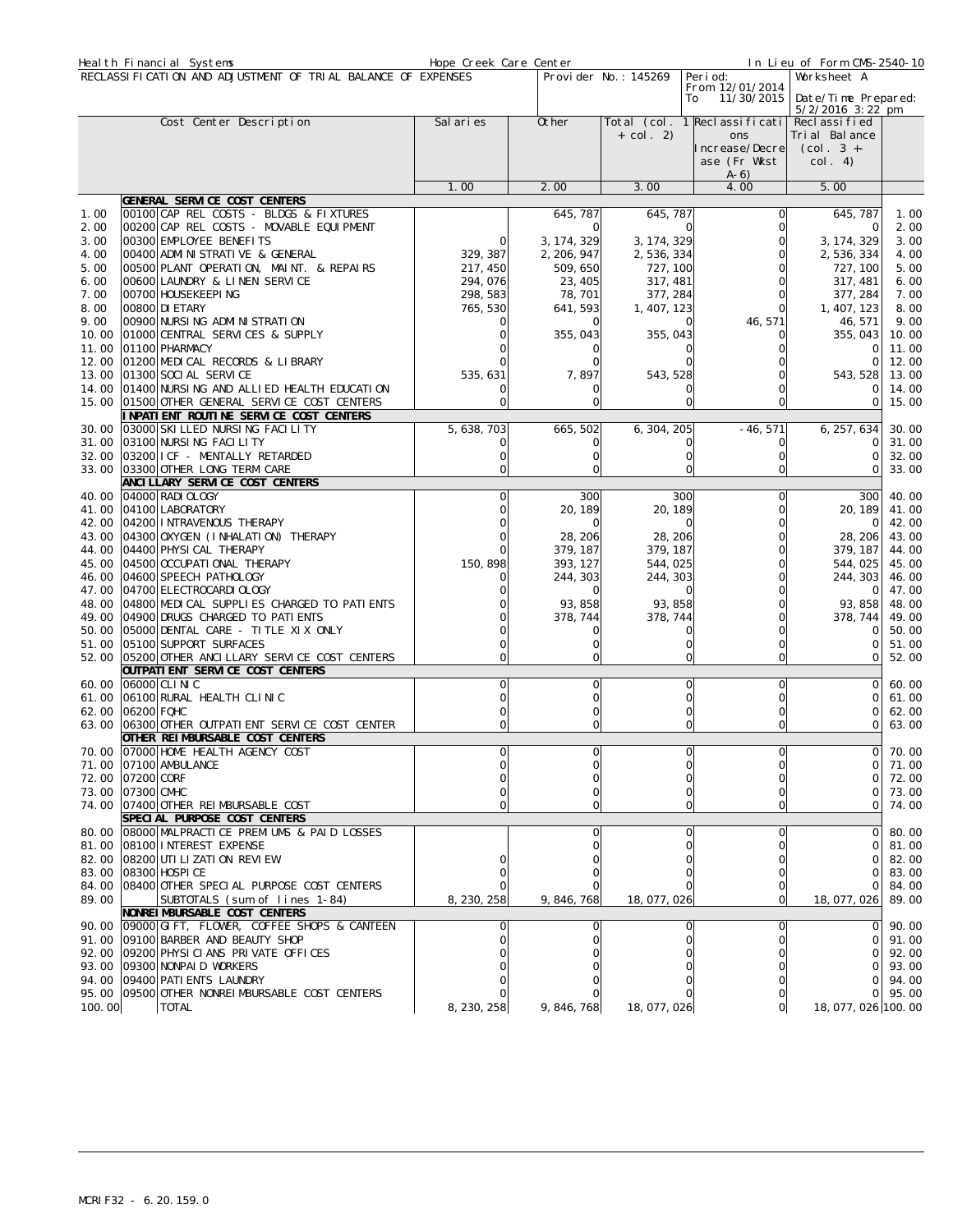|                | Heal th Financial Systems                                              | Hope Creek Care Center |                            |                            |                                     | In Lieu of Form CMS-2540-10 |                      |
|----------------|------------------------------------------------------------------------|------------------------|----------------------------|----------------------------|-------------------------------------|-----------------------------|----------------------|
|                | RECLASSIFICATION AND ADJUSTMENT OF TRIAL BALANCE OF EXPENSES           |                        |                            | Provider No.: 145269       | Peri od:                            | Worksheet A                 |                      |
|                |                                                                        |                        |                            |                            | From 12/01/2014<br>11/30/2015<br>To | Date/Time Prepared:         |                      |
|                |                                                                        |                        |                            |                            |                                     | $5/2/2016$ 3:22 pm          |                      |
|                | Cost Center Description                                                | Sal aries              | Other                      |                            | Total (col. 1 Reclassificati        | Recl assi fi ed             |                      |
|                |                                                                        |                        |                            | $+$ col. 2)                | ons<br>ncrease/Decre                | Tri al Bal ance             |                      |
|                |                                                                        |                        |                            |                            | ase (Fr Wkst                        | $(Col. 3 +=$<br>col. 4)     |                      |
|                |                                                                        |                        |                            |                            | $A-6)$                              |                             |                      |
|                |                                                                        | 1.00                   | 2.00                       | 3.00                       | 4.00                                | 5.00                        |                      |
|                | GENERAL SERVICE COST CENTERS                                           |                        |                            |                            |                                     |                             |                      |
| 1.00           | 00100 CAP REL COSTS - BLDGS & FIXTURES                                 |                        | 645, 787                   | 645, 787                   | Ω                                   | 645, 787                    | 1.00                 |
| 2.00           | 00200 CAP REL COSTS - MOVABLE EQUIPMENT                                |                        |                            | ∩                          |                                     | $\Omega$                    | 2.00                 |
| 3.00<br>4.00   | 00300 EMPLOYEE BENEFITS<br>00400 ADMI NI STRATI VE & GENERAL           | 0<br>329, 387          | 3, 174, 329<br>2, 206, 947 | 3, 174, 329<br>2, 536, 334 | Ω                                   | 3, 174, 329<br>2, 536, 334  | 3.00<br>4.00         |
| 5.00           | 00500 PLANT OPERATION, MAINT. & REPAIRS                                | 217, 450               | 509, 650                   | 727, 100                   |                                     | 727, 100                    | 5.00                 |
| 6.00           | 00600 LAUNDRY & LINEN SERVICE                                          | 294,076                | 23, 405                    | 317, 481                   |                                     | 317, 481                    | 6.00                 |
| 7.00           | 00700 HOUSEKEEPING                                                     | 298, 583               | 78, 701                    | 377, 284                   |                                     | 377, 284                    | 7.00                 |
| 8.00           | 00800 DI ETARY                                                         | 765, 530               | 641, 593                   | 1, 407, 123                |                                     | 1, 407, 123                 | 8.00                 |
| 9.00           | 00900 NURSING ADMINISTRATION                                           |                        |                            |                            | 46, 571                             | 46, 571                     | 9.00                 |
| 10.00          | 01000 CENTRAL SERVICES & SUPPLY                                        |                        | 355, 043                   | 355, 043                   |                                     | 355, 043                    | 10.00                |
| 11.00          | 01100 PHARMACY                                                         |                        |                            |                            |                                     | $\Omega$                    | 11.00                |
| 12.00<br>13.00 | 01200 MEDICAL RECORDS & LIBRARY<br>01300 SOCI AL SERVICE               |                        | 7,897                      |                            |                                     | $\Omega$                    | 12.00                |
| 14.00          | 01400 NURSING AND ALLIED HEALTH EDUCATION                              | 535, 631               |                            | 543, 528                   |                                     | 543, 528<br>0               | 13.00<br>14.00       |
| 15.00          | 01500 OTHER GENERAL SERVICE COST CENTERS                               |                        |                            |                            |                                     | $\circ$                     | 15.00                |
|                | INPATIENT ROUTINE SERVICE COST CENTERS                                 |                        |                            |                            |                                     |                             |                      |
| 30.00          | 03000 SKI LLED NURSING FACILITY                                        | 5, 638, 703            | 665, 502                   | 6, 304, 205                | $-46, 571$                          | 6, 257, 634                 | 30.00                |
| 31.00          | 03100 NURSING FACILITY                                                 |                        |                            |                            |                                     | 0                           | 31.00                |
| 32.00          | 03200 I CF - MENTALLY RETARDED                                         |                        |                            |                            |                                     | $\Omega$                    | 32.00                |
|                | 33.00 03300 OTHER LONG TERM CARE                                       |                        |                            |                            |                                     | $\Omega$                    | 33.00                |
|                | ANCI LLARY SERVICE COST CENTERS                                        |                        |                            |                            |                                     |                             |                      |
| 40.00<br>41.00 | 04000 RADI OLOGY<br>04100 LABORATORY                                   |                        | 300<br>20, 189             | 300<br>20, 189             | 0<br>0                              | 300<br>20, 189              | 40.00<br>41.00       |
| 42.00          | 04200 INTRAVENOUS THERAPY                                              |                        |                            |                            | Ω                                   | 0                           | 42.00                |
| 43.00          | 04300 OXYGEN (I NHALATI ON) THERAPY                                    |                        | 28, 206                    | 28, 206                    |                                     | 28, 206                     | 43.00                |
| 44.00          | 04400 PHYSI CAL THERAPY                                                |                        | 379, 187                   | 379, 187                   | 0                                   | 379, 187                    | 44.00                |
| 45.00          | 04500 OCCUPATI ONAL THERAPY                                            | 150, 898               | 393, 127                   | 544,025                    |                                     | 544, 025                    | 45.00                |
| 46.00          | 04600 SPEECH PATHOLOGY                                                 |                        | 244, 303                   | 244, 303                   | 0                                   | 244, 303                    | 46.00                |
| 47.00          | 04700 ELECTROCARDI OLOGY                                               |                        |                            |                            |                                     | $\Omega$                    | 47.00                |
| 48.00          | 04800 MEDICAL SUPPLIES CHARGED TO PATIENTS                             |                        | 93, 858                    | 93, 858                    |                                     | 93, 858                     | 48.00                |
| 49.00          | 04900 DRUGS CHARGED TO PATIENTS                                        |                        | 378, 744                   | 378, 744                   |                                     | 378, 744                    | 49.00                |
| 50.00<br>51.00 | 05000 DENTAL CARE - TITLE XIX ONLY<br>05100 SUPPORT SURFACES           |                        |                            |                            |                                     | 0<br>$\Omega$               | 50.00<br>51.00       |
| 52.00          | 05200 OTHER ANCILLARY SERVICE COST CENTERS                             |                        |                            |                            |                                     | $\Omega$                    | 52.00                |
|                | OUTPATI ENT SERVICE COST CENTERS                                       |                        |                            |                            |                                     |                             |                      |
| 60.00          | 06000 CLI NI C                                                         | 0                      | $\Omega$                   | 0                          | O                                   | $\Omega$                    | 60.00                |
| 61.00          | 06100 RURAL HEALTH CLINIC                                              |                        |                            | Ω                          | 0                                   | 0                           | 61.00                |
| 62.00          | 06200 FQHC                                                             |                        |                            |                            |                                     | $\Omega$                    | 62.00                |
|                | 63.00 06300 OTHER OUTPATIENT SERVICE COST CENTER                       |                        |                            |                            | 0                                   | $\mathbf 0$                 | 63.00                |
|                | OTHER REIMBURSABLE COST CENTERS<br>70.00 07000 HOME HEALTH AGENCY COST |                        |                            | ΩI                         | ∩l                                  |                             | $\overline{0}$ 70.00 |
|                | 71.00 07100 AMBULANCE                                                  |                        |                            |                            |                                     | $\Omega$                    | 71.00                |
|                | 72.00 07200 CORF                                                       |                        |                            |                            |                                     |                             | 72.00                |
|                | 73.00 07300 CMHC                                                       |                        |                            |                            |                                     | 0                           | 73.00                |
|                | 74.00 07400 OTHER REIMBURSABLE COST                                    |                        |                            |                            | O                                   | ΟI                          | 74.00                |
|                | SPECIAL PURPOSE COST CENTERS                                           |                        |                            |                            |                                     |                             |                      |
|                | 80.00 08000 MALPRACTICE PREMIUMS & PAID LOSSES                         |                        |                            |                            |                                     |                             | 80.00<br>81.00       |
|                | 81.00 08100 INTEREST EXPENSE<br>82.00 08200 UTI LIZATION REVIEW        |                        |                            |                            |                                     | $\Omega$<br>0               | 82.00                |
|                | 83.00 08300 HOSPI CE                                                   |                        |                            |                            |                                     | $\Omega$                    | 83.00                |
|                | 84.00 08400 OTHER SPECIAL PURPOSE COST CENTERS                         |                        |                            |                            |                                     | 0                           | 84.00                |
| 89.00          | SUBTOTALS (sum_of lines 1-84)                                          | 8, 230, 258            | 9, 846, 768                | 18, 077, 026               | Οl                                  | 18, 077, 026                | 89.00                |
|                | NONREI MBURSABLE COST CENTERS                                          |                        |                            |                            |                                     |                             |                      |
|                | 90.00 09000 GIFT, FLOWER, COFFEE SHOPS & CANTEEN                       |                        |                            |                            |                                     | $\Omega$                    | 90.00                |
|                | 91.00 09100 BARBER AND BEAUTY SHOP                                     |                        |                            |                            |                                     | $\Omega$                    | 91.00                |
|                | 92.00 09200 PHYSICIANS PRIVATE OFFICES<br>93.00 09300 NONPAID WORKERS  |                        |                            |                            |                                     | 0<br>0                      | 92.00<br>93.00       |
|                | 94.00 09400 PATI ENTS LAUNDRY                                          |                        |                            |                            |                                     | $\Omega$                    | 94.00                |
|                | 95.00 09500 OTHER NONREIMBURSABLE COST CENTERS                         |                        |                            |                            |                                     | $\Omega$                    | 95.00                |
| 100.00         | <b>TOTAL</b>                                                           | 8, 230, 258            | 9, 846, 768                | 18, 077, 026               |                                     | 18, 077, 026 100. 00        |                      |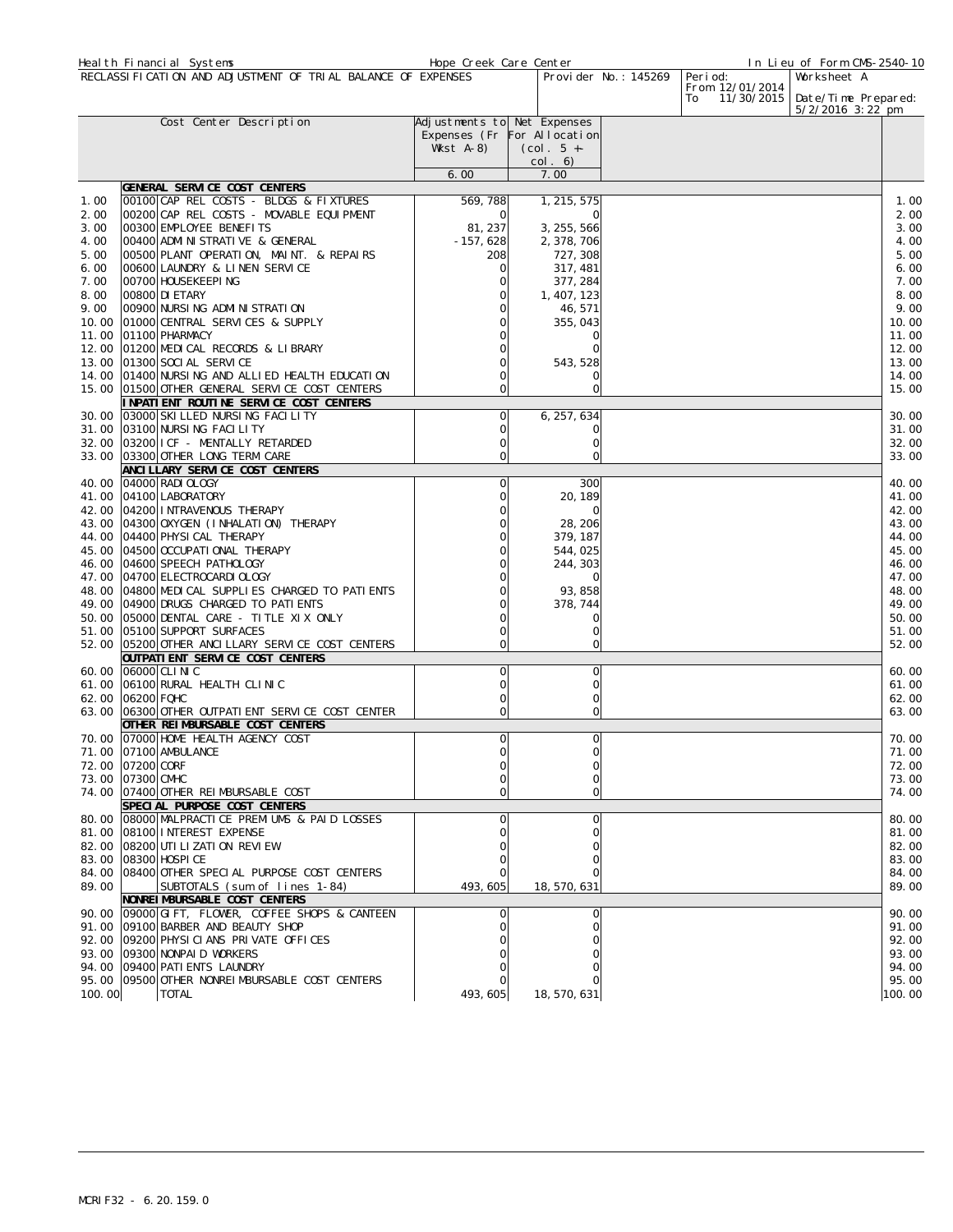|                | Heal th Financial Systems                                                       | Hope Creek Care Center      |              |                      |                      |                                     | In Lieu of Form CMS-2540-10 |                |
|----------------|---------------------------------------------------------------------------------|-----------------------------|--------------|----------------------|----------------------|-------------------------------------|-----------------------------|----------------|
|                | RECLASSIFICATION AND ADJUSTMENT OF TRIAL BALANCE OF EXPENSES                    |                             |              |                      | Provider No.: 145269 | Peri od:                            | Worksheet A                 |                |
|                |                                                                                 |                             |              |                      |                      | From 12/01/2014<br>11/30/2015<br>To | Date/Time Prepared:         |                |
|                |                                                                                 |                             |              |                      |                      |                                     | 5/2/2016 3:22 pm            |                |
|                | Cost Center Description                                                         | Adjustments to Net Expenses |              |                      |                      |                                     |                             |                |
|                |                                                                                 | Expenses (Fr For Allocation |              |                      |                      |                                     |                             |                |
|                |                                                                                 | Wkst A-8)                   | $(Col. 5 +=$ |                      |                      |                                     |                             |                |
|                |                                                                                 |                             | col. 6)      |                      |                      |                                     |                             |                |
|                | GENERAL SERVICE COST CENTERS                                                    | 6.00                        | 7.00         |                      |                      |                                     |                             |                |
| 1.00           | 00100 CAP REL COSTS - BLDGS & FIXTURES                                          | 569,788                     |              | 1, 215, 575          |                      |                                     |                             | 1.00           |
| 2.00           | OO2OO CAP REL COSTS - MOVABLE EQUIPMENT                                         |                             |              | $\Omega$             |                      |                                     |                             | 2.00           |
| 3.00           | 00300 EMPLOYEE BENEFITS                                                         | 81, 237                     |              | 3, 255, 566          |                      |                                     |                             | 3.00           |
| 4.00           | 00400 ADMINISTRATIVE & GENERAL                                                  | $-157,628$                  |              | 2, 378, 706          |                      |                                     |                             | 4.00           |
| 5.00           | 00500 PLANT OPERATION, MAINT. & REPAIRS                                         | 208                         |              | 727, 308             |                      |                                     |                             | 5.00           |
| 6.00           | 00600 LAUNDRY & LINEN SERVICE                                                   | C                           |              | 317, 481             |                      |                                     |                             | 6.00           |
| 7.00           | 00700 HOUSEKEEPING                                                              |                             |              | 377, 284             |                      |                                     |                             | 7.00           |
| 8.00           | 00800 DI ETARY                                                                  |                             |              | 1, 407, 123          |                      |                                     |                             | 8.00           |
| 9.00           | 00900 NURSING ADMINISTRATION                                                    |                             |              | 46, 571              |                      |                                     |                             | 9.00           |
| 10.00          | 01000 CENTRAL SERVICES & SUPPLY                                                 |                             |              | 355, 043<br>$\Omega$ |                      |                                     |                             | 10.00          |
| 11.00<br>12.00 | 01100 PHARMACY<br>01200 MEDICAL RECORDS & LIBRARY                               |                             |              |                      |                      |                                     |                             | 11.00<br>12.00 |
|                | 13.00 01300 SOCI AL SERVICE                                                     |                             |              | 543, 528             |                      |                                     |                             | 13.00          |
|                | 14.00 01400 NURSING AND ALLIED HEALTH EDUCATION                                 |                             |              |                      |                      |                                     |                             | 14.00          |
|                | 15.00 01500 OTHER GENERAL SERVICE COST CENTERS                                  | $\Omega$                    |              | 0                    |                      |                                     |                             | 15.00          |
|                | INPATIENT ROUTINE SERVICE COST CENTERS                                          |                             |              |                      |                      |                                     |                             |                |
|                | 30.00 03000 SKI LLED NURSING FACILITY                                           | C                           |              | 6, 257, 634          |                      |                                     |                             | 30.00          |
| 31.00          | 03100 NURSING FACILITY                                                          |                             |              | 0                    |                      |                                     |                             | 31.00          |
|                | 32.00 03200 I CF - MENTALLY RETARDED                                            |                             |              | 0                    |                      |                                     |                             | 32.00          |
|                | 33.00 03300 OTHER LONG TERM CARE                                                | C                           |              | $\Omega$             |                      |                                     |                             | 33.00          |
|                | ANCI LLARY SERVICE COST CENTERS                                                 |                             |              |                      |                      |                                     |                             |                |
|                | 40.00 04000 RADI OLOGY                                                          | 0                           |              | 300                  |                      |                                     |                             | 40.00          |
| 41.00          | 04100 LABORATORY                                                                |                             |              | 20, 189<br>$\Omega$  |                      |                                     |                             | 41.00          |
| 43.00          | 42.00 04200 INTRAVENOUS THERAPY<br>04300 OXYGEN (INHALATION) THERAPY            |                             |              | 28, 206              |                      |                                     |                             | 42.00<br>43.00 |
|                | 44.00 04400 PHYSICAL THERAPY                                                    |                             |              | 379, 187             |                      |                                     |                             | 44.00          |
| 45.00          | 04500 OCCUPATI ONAL THERAPY                                                     |                             |              | 544,025              |                      |                                     |                             | 45.00          |
|                | 46.00 04600 SPEECH PATHOLOGY                                                    |                             |              | 244, 303             |                      |                                     |                             | 46.00          |
|                | 47.00 04700 ELECTROCARDI OLOGY                                                  |                             |              | $\Omega$             |                      |                                     |                             | 47.00          |
|                | 48.00 04800 MEDICAL SUPPLIES CHARGED TO PATIENTS                                |                             |              | 93, 858              |                      |                                     |                             | 48.00          |
|                | 49.00 04900 DRUGS CHARGED TO PATIENTS                                           |                             |              | 378, 744             |                      |                                     |                             | 49.00          |
|                | 50.00 05000 DENTAL CARE - TITLE XIX ONLY                                        |                             |              | ∩                    |                      |                                     |                             | 50.00          |
|                | 51.00 05100 SUPPORT SURFACES                                                    |                             |              | 0                    |                      |                                     |                             | 51.00          |
|                | 52.00 05200 OTHER ANCILLARY SERVICE COST CENTERS                                |                             |              | 0                    |                      |                                     |                             | 52.00          |
|                | OUTPATI ENT SERVICE COST CENTERS<br>60.00 06000 CLINIC                          | 0                           |              | 0                    |                      |                                     |                             | 60.00          |
| 61.00          | 06100 RURAL HEALTH CLINIC                                                       | 0                           |              | 0                    |                      |                                     |                             | 61.00          |
|                | 62.00 06200 FQHC                                                                | 0                           |              | $\Omega$             |                      |                                     |                             | 62.00          |
|                | 63.00 06300 OTHER OUTPATI ENT SERVICE COST CENTER                               | $\Omega$                    |              | 0                    |                      |                                     |                             | 63.00          |
|                | OTHER REIMBURSABLE COST CENTERS                                                 |                             |              |                      |                      |                                     |                             |                |
|                | 70.00 07000 HOME HEALTH AGENCY COST                                             | 0                           |              | $\Omega$             |                      |                                     |                             | 70.00          |
|                | 71.00 07100 AMBULANCE                                                           |                             |              | $\cap$               |                      |                                     |                             | 71.00          |
|                | 72.00 07200 CORF                                                                |                             |              | 0                    |                      |                                     |                             | 72.00          |
|                | 73.00 07300 CMHC                                                                |                             |              |                      |                      |                                     |                             | 73.00          |
|                | 74.00 07400 OTHER REIMBURSABLE COST                                             |                             |              |                      |                      |                                     |                             | 74.00          |
|                | SPECIAL PURPOSE COST CENTERS                                                    |                             |              |                      |                      |                                     |                             |                |
|                | 80.00 08000 MALPRACTICE PREMIUMS & PAID LOSSES<br>81.00 08100 INTEREST EXPENSE  |                             |              | 0                    |                      |                                     |                             | 80.00<br>81.00 |
|                | 82.00 08200 UTI LI ZATI ON REVIEW                                               |                             |              |                      |                      |                                     |                             | 82.00          |
|                | 83.00 08300 HOSPI CE                                                            |                             |              |                      |                      |                                     |                             | 83.00          |
|                | 84.00 08400 OTHER SPECIAL PURPOSE COST CENTERS                                  |                             |              |                      |                      |                                     |                             | 84.00          |
| 89.00          | SUBTOTALS (sum of lines 1-84)                                                   | 493, 605                    |              | 18, 570, 631         |                      |                                     |                             | 89.00          |
|                | NONREIMBURSABLE COST CENTERS                                                    |                             |              |                      |                      |                                     |                             |                |
|                | 90.00 09000 GIFT, FLOWER, COFFEE SHOPS & CANTEEN                                |                             |              | 0                    |                      |                                     |                             | 90.00          |
|                | 91.00 09100 BARBER AND BEAUTY SHOP                                              |                             |              |                      |                      |                                     |                             | 91.00          |
|                | 92.00 09200 PHYSICIANS PRIVATE OFFICES                                          |                             |              |                      |                      |                                     |                             | 92.00          |
|                | 93.00 09300 NONPAID WORKERS                                                     |                             |              |                      |                      |                                     |                             | 93.00          |
|                | 94.00 09400 PATI ENTS LAUNDRY<br>95.00 09500 OTHER NONRELMBURSABLE COST CENTERS |                             |              |                      |                      |                                     |                             | 94.00<br>95.00 |
| 100.00         | <b>TOTAL</b>                                                                    | 493, 605                    |              | 18, 570, 631         |                      |                                     |                             | 100.00         |
|                |                                                                                 |                             |              |                      |                      |                                     |                             |                |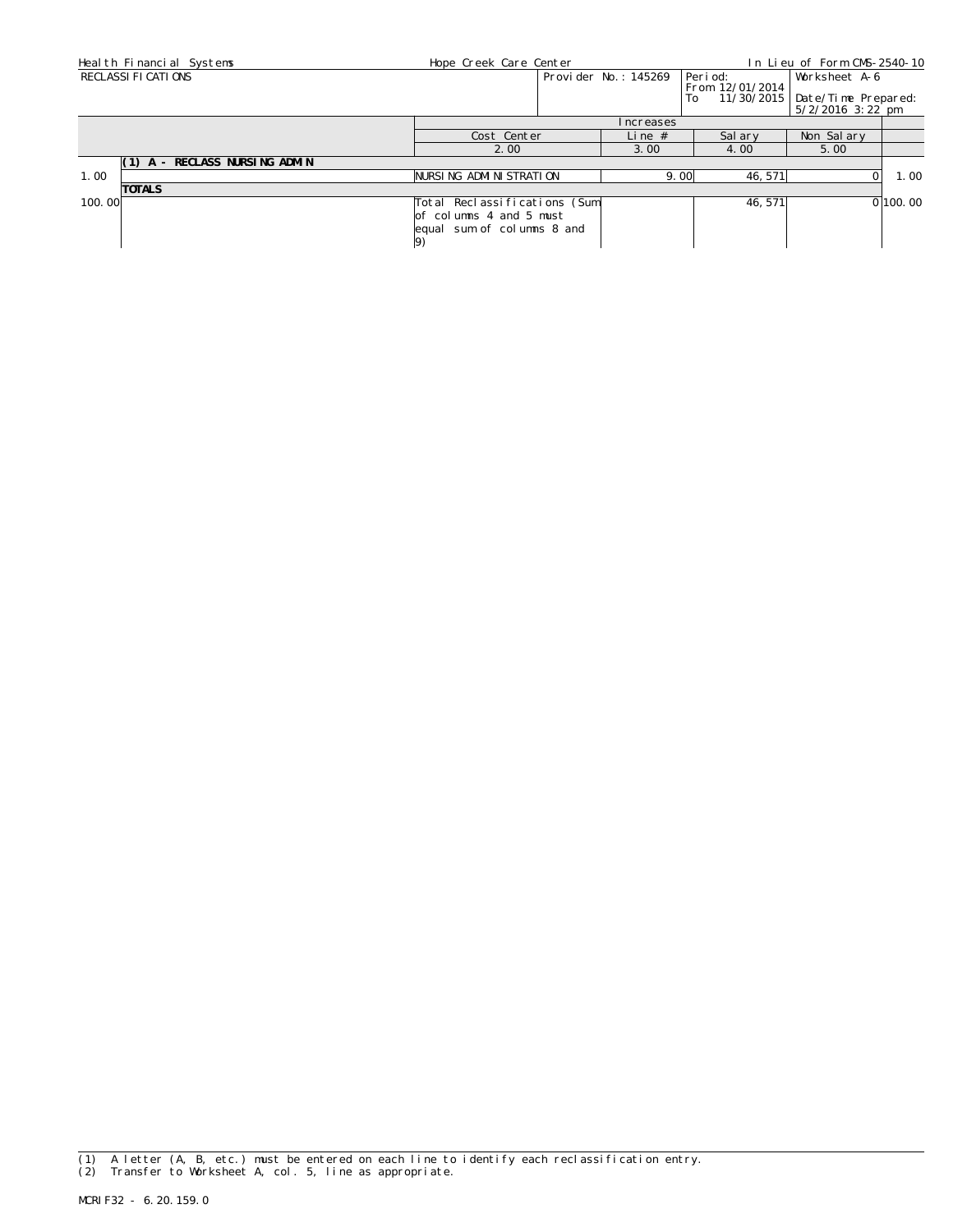| Heal th Financial Systems     | Hope Creek Care Center<br>In Lieu of Form CMS-2540-10                                         |  |                      |                             |                                            |          |
|-------------------------------|-----------------------------------------------------------------------------------------------|--|----------------------|-----------------------------|--------------------------------------------|----------|
| RECLASSI FI CATI ONS          |                                                                                               |  | Provider No.: 145269 | Peri od:<br>From 12/01/2014 | Worksheet A-6                              |          |
|                               |                                                                                               |  |                      | To<br>11/30/2015            | Date/Time Prepared:<br>$5/2/2016$ 3: 22 pm |          |
|                               |                                                                                               |  | <i>I</i> ncreases    |                             |                                            |          |
|                               | Cost Center                                                                                   |  | Line $#$             | Sal arv                     | Non Salary                                 |          |
|                               | 2.00                                                                                          |  | 3.00                 | 4.00                        | 5.00                                       |          |
| (1) A - RECLASS NURSING ADMIN |                                                                                               |  |                      |                             |                                            |          |
| 1.00                          | NURSING ADMINISTRATION                                                                        |  | 9.00                 | 46, 571                     |                                            | 1.00     |
| <b>TOTALS</b>                 |                                                                                               |  |                      |                             |                                            |          |
| 100.00                        | Total Reclassifications (Sum)<br>of columns 4 and 5 must<br>equal sum of columns 8 and<br> 9) |  |                      | 46.571                      |                                            | 0 100.00 |

(1) A letter (A, B, etc.) must be entered on each line to identify each reclassification entry. (2) Transfer to Worksheet A, col. 5, line as appropriate.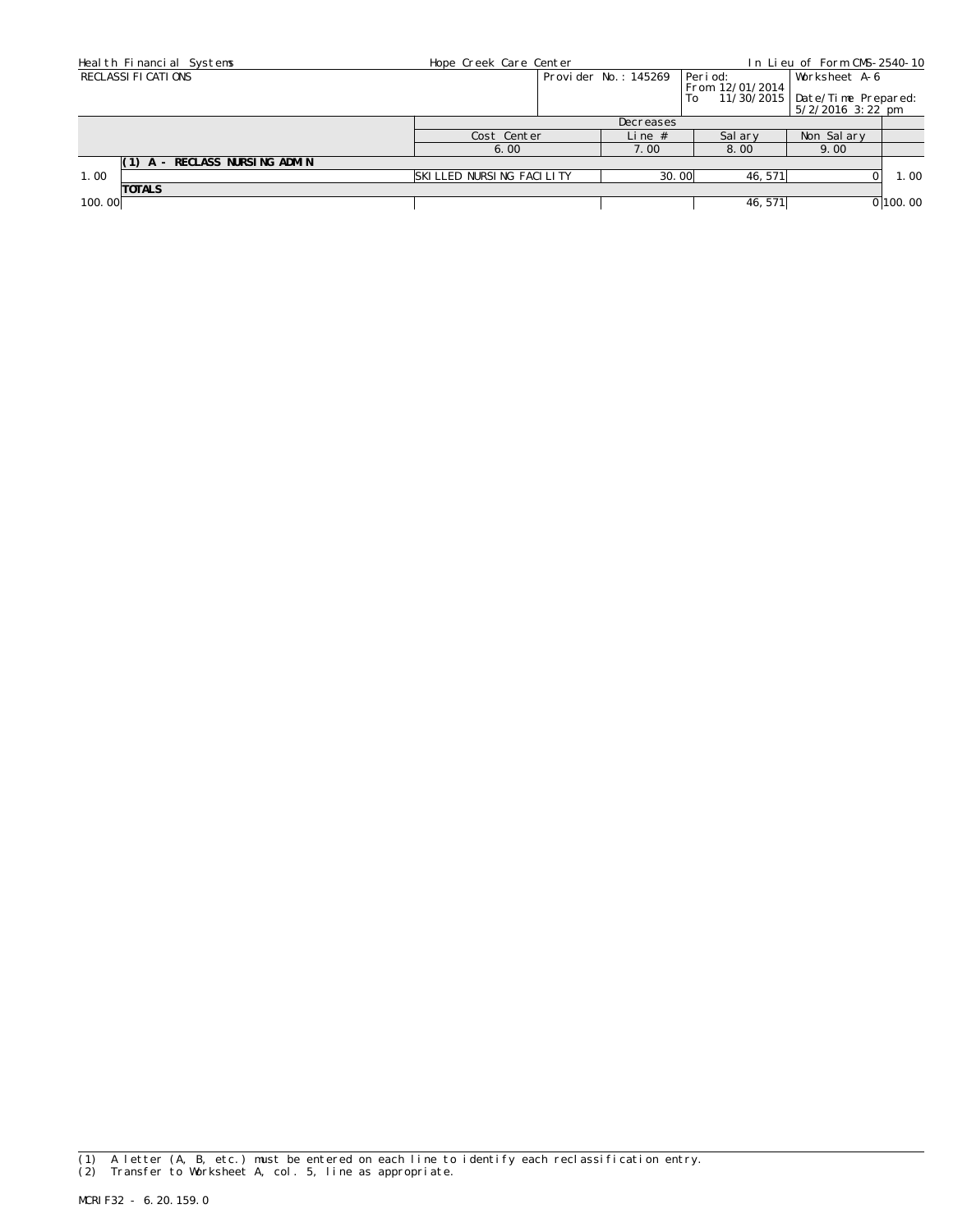| Heal th Financial Systems     | Hope Creek Care Center   |           |                      |                       | In Lieu of Form CMS-2540-10                             |          |
|-------------------------------|--------------------------|-----------|----------------------|-----------------------|---------------------------------------------------------|----------|
| RECLASSI FI CATI ONS          |                          |           | Provider No.: 145269 | Peri od:              | Worksheet A-6                                           |          |
|                               |                          |           |                      | From 12/01/2014<br>To | 11/30/2015   Date/Time Prepared:<br>$5/2/2016$ 3: 22 pm |          |
|                               |                          | Decreases |                      |                       |                                                         |          |
|                               | Cost Center              |           | Line $#$             | Sal ary               | Non Salary                                              |          |
|                               | 6.00                     |           | 7.00                 | 8.00                  | 9.00                                                    |          |
| (1) A - RECLASS NURSING ADMIN |                          |           |                      |                       |                                                         |          |
| 1.00                          | SKILLED NURSING FACILITY |           | 30.00                | 46, 571               |                                                         | 1.00     |
| <b>TOTALS</b>                 |                          |           |                      |                       |                                                         |          |
| 100.00                        |                          |           |                      | 46, 571               |                                                         | 0 100.00 |

<sup>(1)</sup> A letter (A, B, etc.) must be entered on each line to identify each reclassification entry. (2) Transfer to Worksheet A, col. 5, line as appropriate.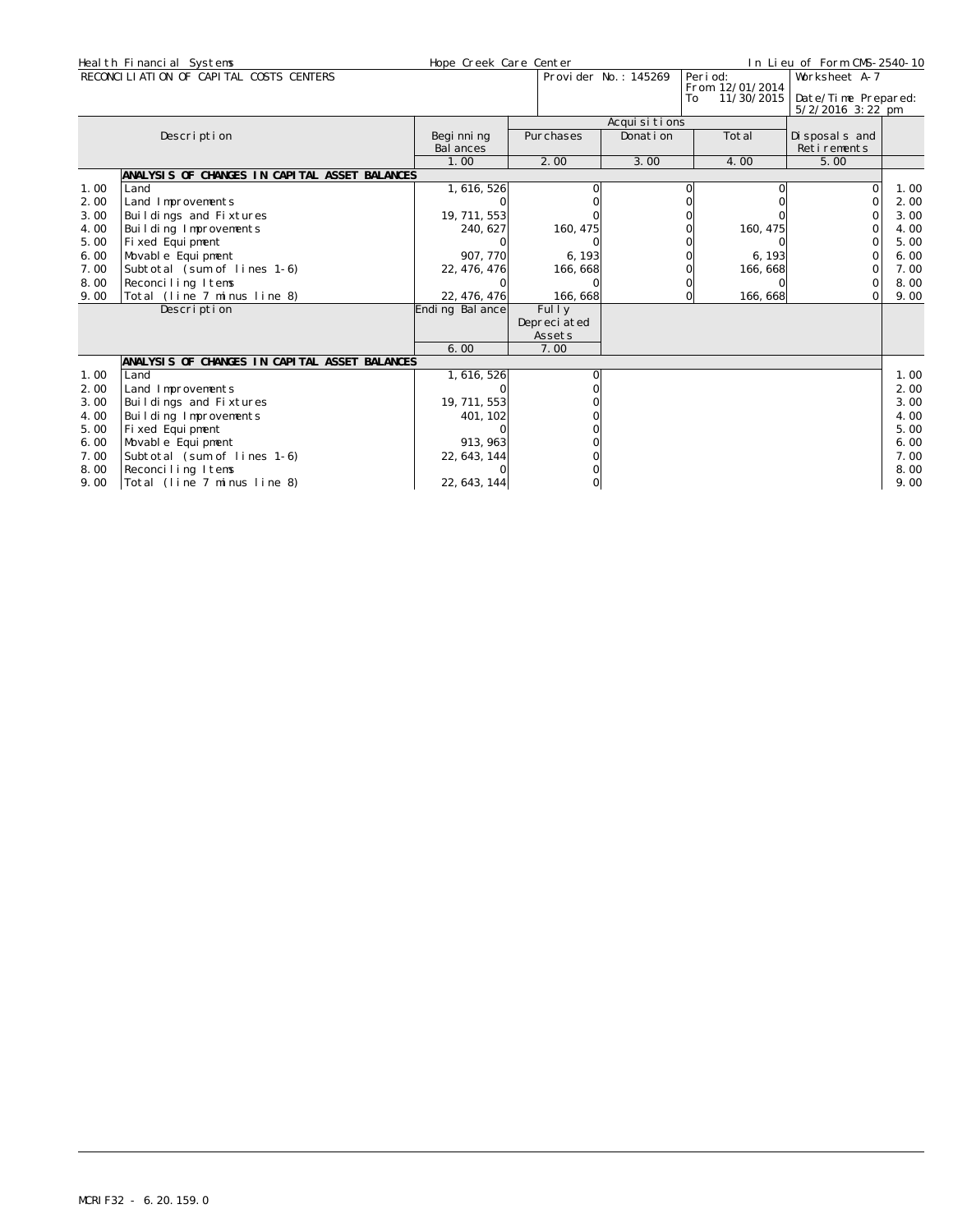|      | Heal th Financial Systems                     |                  | Hope Creek Care Center |                      |                      | In Lieu of Form CMS-2540-10               |      |  |  |
|------|-----------------------------------------------|------------------|------------------------|----------------------|----------------------|-------------------------------------------|------|--|--|
|      | RECONCILIATION OF CAPITAL COSTS CENTERS       |                  |                        | Provider No.: 145269 | Peri od:             | Worksheet A-7                             |      |  |  |
|      |                                               |                  |                        |                      | From 12/01/2014      |                                           |      |  |  |
|      |                                               |                  |                        |                      | 11/30/2015<br>To     | Date/Time Prepared:<br>$5/2/2016$ 3:22 pm |      |  |  |
|      |                                               |                  |                        | Acquisitions         |                      |                                           |      |  |  |
|      | Description                                   | Begi nni ng      | Purchases              | Donati on            | Total                | Di sposal s and                           |      |  |  |
|      |                                               | <b>Bal ances</b> |                        |                      |                      | Retirements                               |      |  |  |
|      |                                               | 1.00             | 2.00                   | 3.00                 | 4.00                 | 5.00                                      |      |  |  |
|      | ANALYSIS OF CHANGES IN CAPITAL ASSET BALANCES |                  |                        |                      |                      |                                           |      |  |  |
| 1.00 | Land                                          | 1, 616, 526      |                        |                      |                      | $\Omega$                                  | 1.00 |  |  |
| 2.00 | Land Improvements                             |                  |                        |                      |                      | $\Omega$                                  | 2.00 |  |  |
| 3.00 | Buildings and Fixtures                        | 19, 711, 553     |                        |                      |                      |                                           | 3.00 |  |  |
| 4.00 | Building Improvements                         | 240, 627         | 160, 475               |                      | 160, 475             |                                           | 4.00 |  |  |
| 5.00 | Fixed Equipment                               |                  |                        |                      |                      |                                           | 5.00 |  |  |
| 6.00 | Movable Equipment                             | 907, 770         | 6, 193                 |                      | 6, 193               |                                           | 6.00 |  |  |
| 7.00 | Subtotal (sum of lines 1-6)                   | 22, 476, 476     | 166, 668               |                      | 166, 668             | $\Omega$                                  | 7.00 |  |  |
| 8.00 | Reconciling Items                             |                  |                        |                      |                      | $\Omega$                                  | 8.00 |  |  |
| 9.00 | Total (line 7 minus line 8)                   | 22, 476, 476     | 166, 668               |                      | 166, 668<br>$\Omega$ | Οl                                        | 9.00 |  |  |
|      | Description                                   | Ending Bal ance  | Fully                  |                      |                      |                                           |      |  |  |
|      |                                               |                  | Depreciated            |                      |                      |                                           |      |  |  |
|      |                                               |                  | Assets                 |                      |                      |                                           |      |  |  |
|      |                                               | 6.00             | 7.00                   |                      |                      |                                           |      |  |  |
|      | ANALYSIS OF CHANGES IN CAPITAL ASSET BALANCES |                  |                        |                      |                      |                                           |      |  |  |
| 1.00 | Land                                          | 1, 616, 526      |                        |                      |                      |                                           | 1.00 |  |  |
| 2.00 | Land Improvements                             |                  |                        |                      |                      |                                           | 2.00 |  |  |
| 3.00 | Buildings and Fixtures                        | 19, 711, 553     |                        |                      |                      |                                           | 3.00 |  |  |
| 4.00 | Building Improvements                         | 401, 102         |                        |                      |                      |                                           | 4.00 |  |  |
| 5.00 | Fixed Equipment                               |                  |                        |                      |                      |                                           | 5.00 |  |  |
| 6.00 | Movable Equipment                             | 913, 963         |                        |                      |                      |                                           | 6.00 |  |  |
| 7.00 | Subtotal (sum of lines 1-6)                   | 22, 643, 144     |                        |                      |                      |                                           | 7.00 |  |  |
| 8.00 | Reconciling Items                             |                  |                        |                      |                      |                                           | 8.00 |  |  |
| 9.00 | Total (line 7 minus line 8)                   | 22, 643, 144     |                        |                      |                      |                                           | 9.00 |  |  |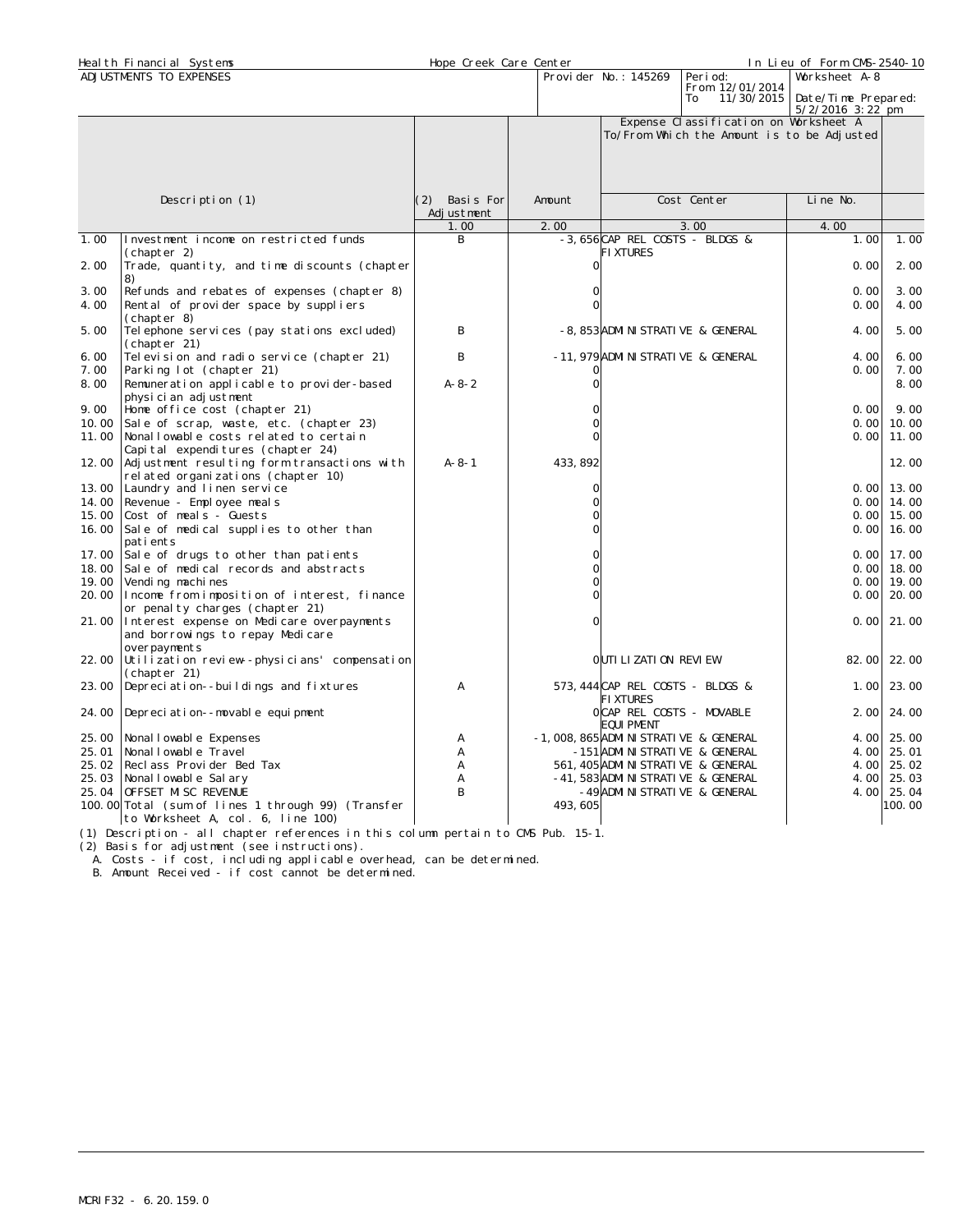|       | Health Financial Systems                                         | Hope Creek Care Center |                |                                          |                                            | In Lieu of Form CMS-2540-10                |        |
|-------|------------------------------------------------------------------|------------------------|----------------|------------------------------------------|--------------------------------------------|--------------------------------------------|--------|
|       | ADJUSTMENTS TO EXPENSES                                          |                        |                | Provi der No.: 145269                    | Peri od:                                   | Worksheet A-8                              |        |
|       |                                                                  |                        |                |                                          | From 12/01/2014                            |                                            |        |
|       |                                                                  |                        |                |                                          | 11/30/2015<br>To                           | Date/Time Prepared:<br>$5/2/2016$ 3: 22 pm |        |
|       |                                                                  |                        |                |                                          | Expense Classification on Worksheet A      |                                            |        |
|       |                                                                  |                        |                |                                          | To/From Which the Amount is to be Adjusted |                                            |        |
|       |                                                                  |                        |                |                                          |                                            |                                            |        |
|       |                                                                  |                        |                |                                          |                                            |                                            |        |
|       |                                                                  |                        |                |                                          |                                            |                                            |        |
|       |                                                                  |                        |                |                                          |                                            |                                            |        |
|       | Description (1)                                                  | (2) Basis For          | Amount         |                                          | Cost Center                                | Line No.                                   |        |
|       |                                                                  | Adjustment             |                |                                          |                                            |                                            |        |
|       |                                                                  | 1.00                   | 2.00           |                                          | 3.00                                       | 4.00                                       |        |
| 1.00  | Investment income on restricted funds                            | B                      |                | -3,656CAP REL COSTS - BLDGS &            |                                            | 1.00                                       | 1.00   |
| 2.00  | (chapter 2)<br>Trade, quantity, and time discounts (chapter      |                        | $\Omega$       | <b>FIXTURES</b>                          |                                            | 0.00                                       | 2.00   |
|       | 8)                                                               |                        |                |                                          |                                            |                                            |        |
| 3.00  | Refunds and rebates of expenses (chapter 8)                      |                        | O              |                                          |                                            | 0.00                                       | 3.00   |
| 4.00  | Rental of provider space by suppliers                            |                        | $\cap$         |                                          |                                            | 0.00                                       | 4.00   |
|       | (chapter 8)                                                      |                        |                |                                          |                                            |                                            |        |
| 5.00  | Telephone services (pay stations excluded)                       | B                      |                | -8, 853 ADMINISTRATIVE & GENERAL         |                                            | 4.00                                       | 5.00   |
|       | (chapter 21)                                                     |                        |                |                                          |                                            |                                            |        |
| 6.00  | Television and radio service (chapter 21)                        | B                      |                | -11, 979 ADMI NI STRATI VE & GENERAL     |                                            | 4.00                                       | 6.00   |
| 7.00  | Parking lot (chapter 21)                                         |                        |                |                                          |                                            | 0.00                                       | 7.00   |
| 8.00  | Remuneration applicable to provider-based                        | $A - 8 - 2$            | $\overline{O}$ |                                          |                                            |                                            | 8.00   |
|       | physician adjustment                                             |                        |                |                                          |                                            |                                            |        |
| 9.00  | Home office cost (chapter 21)                                    |                        |                |                                          |                                            | 0.00                                       | 9.00   |
| 10.00 | Sale of scrap, waste, etc. (chapter 23)                          |                        | 0              |                                          |                                            | 0.00                                       | 10.00  |
| 11.00 | Nonallowable costs related to certain                            |                        | $\Omega$       |                                          |                                            | 0.00                                       | 11.00  |
|       | Capital expenditures (chapter 24)                                |                        |                |                                          |                                            |                                            |        |
| 12.00 | Adjustment resulting form transactions with                      | $A - 8 - 1$            | 433, 892       |                                          |                                            |                                            | 12.00  |
| 13.00 | rel ated organizations (chapter 10)<br>Laundry and linen service |                        | 0              |                                          |                                            | 0.00                                       | 13.00  |
| 14.00 | Revenue - Employee meals                                         |                        | $\overline{O}$ |                                          |                                            | 0.00                                       | 14.00  |
| 15.00 | Cost of meals - Guests                                           |                        | $\overline{O}$ |                                          |                                            | 0.00                                       | 15.00  |
| 16.00 | Sale of medical supplies to other than                           |                        | $\Omega$       |                                          |                                            | 0.00                                       | 16.00  |
|       | patients                                                         |                        |                |                                          |                                            |                                            |        |
| 17.00 | Sale of drugs to other than patients                             |                        | $\Omega$       |                                          |                                            | 0.001                                      | 17.00  |
| 18.00 | Sale of medical records and abstracts                            |                        | $\cap$         |                                          |                                            | 0.00                                       | 18.00  |
| 19.00 | Vending machines                                                 |                        | $\Omega$       |                                          |                                            | 0.00                                       | 19.00  |
| 20.00 | Income from imposition of interest, finance                      |                        | 0              |                                          |                                            | 0.00                                       | 20.00  |
|       | or penality charges (chapter 21)                                 |                        |                |                                          |                                            |                                            |        |
| 21.00 | Interest expense on Medicare overpayments                        |                        | $\Omega$       |                                          |                                            | 0.00                                       | 21.00  |
|       | and borrowings to repay Medicare                                 |                        |                |                                          |                                            |                                            |        |
|       | overpayments                                                     |                        |                |                                          |                                            |                                            |        |
| 22.00 | Utilization review--physicians' compensation                     |                        |                | OUTILIZATION REVIEW                      |                                            | 82.00                                      | 22.00  |
| 23.00 | (chapter 21)<br>Depreciation--buildings and fixtures             | Α                      |                | 573, 444 CAP REL COSTS - BLDGS &         |                                            | 1.00                                       | 23.00  |
|       |                                                                  |                        |                | <b>FIXTURES</b>                          |                                            |                                            |        |
| 24.00 | Depreciation--movable equipment                                  |                        |                | OCAP REL COSTS - MOVABLE                 |                                            | 2.00                                       | 24.00  |
|       |                                                                  |                        |                | EQUI PMENT                               |                                            |                                            |        |
| 25.00 | Nonal I owabl e Expenses                                         | Α                      |                | -1, 008, 865 ADMI NI STRATI VE & GENERAL |                                            | 4.00                                       | 25.00  |
| 25.01 | Nonal I owable Travel                                            | A                      |                | -151 ADMI NI STRATI VE & GENERAL         |                                            | 4.00                                       | 25.01  |
| 25.02 | Reclass Provider Bed Tax                                         | Α                      |                | 561, 405 ADMI NI STRATI VE & GENERAL     |                                            | 4.00                                       | 25.02  |
| 25.03 | Nonal I owable Sal ary                                           | A                      |                | -41, 583 ADMINISTRATIVE & GENERAL        |                                            | 4.00                                       | 25.03  |
|       | 25.04 OFFSET MISC REVENUE                                        | B                      |                | -49 ADMINISTRATIVE & GENERAL             |                                            | 4.00                                       | 25.04  |
|       | 100.00 Total (sum of lines 1 through 99) (Transfer               |                        | 493, 605       |                                          |                                            |                                            | 100.00 |
|       | to Worksheet A, col. 6, line 100)                                |                        |                |                                          |                                            |                                            |        |

(1) Description - all chapter references in this column pertain to CMS Pub. 15-1.

(2) Basis for adjustment (see instructions).

A. Costs - if cost, including applicable overhead, can be determined.

B. Amount Received - if cost cannot be determined.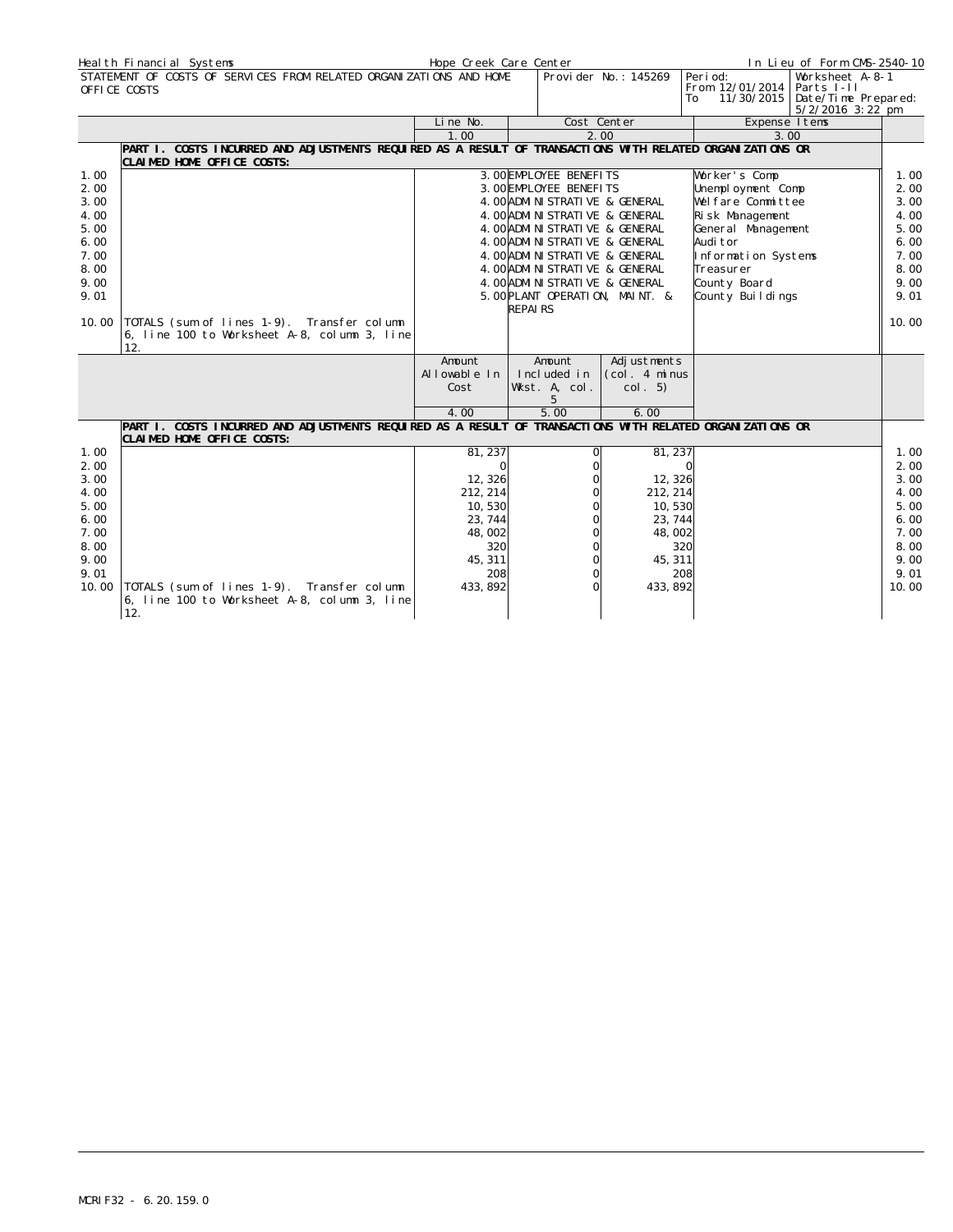|       | Heal th Financial Systems                                                                                                               | Hope Creek Care Center |                                   |                      |                                                 | In Lieu of Form CMS-2540-10                                                |       |
|-------|-----------------------------------------------------------------------------------------------------------------------------------------|------------------------|-----------------------------------|----------------------|-------------------------------------------------|----------------------------------------------------------------------------|-------|
|       | STATEMENT OF COSTS OF SERVICES FROM RELATED ORGANIZATIONS AND HOME<br>OFFICE COSTS                                                      |                        |                                   | Provider No.: 145269 | Peri od:<br>From 12/01/2014<br>11/30/2015<br>To | Worksheet A-8-1<br>Parts I-II<br>Date/Time Prepared:<br>$5/2/2016$ 3:22 pm |       |
|       |                                                                                                                                         | Line No.               |                                   | Cost Center          | Expense I tems                                  |                                                                            |       |
|       |                                                                                                                                         | 1.00                   |                                   | 2.00                 | 3.00                                            |                                                                            |       |
|       | PART I. COSTS INCURRED AND ADJUSTMENTS REQUIRED AS A RESULT OF TRANSACTIONS WITH RELATED ORGANIZATIONS OR<br>CLAIMED HOME OFFICE COSTS: |                        |                                   |                      |                                                 |                                                                            |       |
| 1.00  |                                                                                                                                         |                        | 3. OOEMPLOYEE BENEFITS            |                      | Worker's Comp                                   |                                                                            | 1.00  |
| 2.00  |                                                                                                                                         |                        | 3. OOEMPLOYEE BENEFITS            |                      | Unemployment Comp                               |                                                                            | 2.00  |
| 3.00  |                                                                                                                                         |                        | 4. OO ADMINISTRATIVE & GENERAL    |                      | Welfare Committee                               |                                                                            | 3.00  |
| 4.00  |                                                                                                                                         |                        | 4. OO ADMINISTRATIVE & GENERAL    |                      | Risk Management                                 |                                                                            | 4.00  |
| 5.00  |                                                                                                                                         |                        | 4. OO ADMINISTRATIVE & GENERAL    |                      | General Management                              |                                                                            | 5.00  |
| 6.00  |                                                                                                                                         |                        | 4. OO ADMINISTRATIVE & GENERAL    |                      | Audi tor                                        |                                                                            | 6.00  |
| 7.00  |                                                                                                                                         |                        | 4. OO ADMI NI STRATI VE & GENERAL |                      | Information Systems                             |                                                                            | 7.00  |
| 8.00  |                                                                                                                                         |                        | 4. OO ADMI NI STRATI VE & GENERAL |                      | Treasurer                                       |                                                                            | 8.00  |
| 9.00  |                                                                                                                                         |                        | 4. OO ADMI NI STRATI VE & GENERAL |                      | County Board                                    |                                                                            | 9.00  |
| 9.01  |                                                                                                                                         |                        | 5. OO PLANT OPERATION, MAINT. &   |                      | County Buildings                                |                                                                            | 9.01  |
|       |                                                                                                                                         |                        | <b>REPAIRS</b>                    |                      |                                                 |                                                                            |       |
| 10.00 | TOTALS (sum of lines 1-9). Transfer column<br>6, line 100 to Worksheet A-8, column 3, line                                              |                        |                                   |                      |                                                 |                                                                            | 10.00 |
|       | 12.                                                                                                                                     |                        |                                   |                      |                                                 |                                                                            |       |
|       |                                                                                                                                         | Amount                 | Amount                            | Adjustments          |                                                 |                                                                            |       |
|       |                                                                                                                                         | Allowable In           | Included in                       | (col. 4 minus        |                                                 |                                                                            |       |
|       |                                                                                                                                         | Cost                   | Wkst. A, col.                     | col. 5)              |                                                 |                                                                            |       |
|       |                                                                                                                                         |                        | 5                                 |                      |                                                 |                                                                            |       |
|       |                                                                                                                                         | 4.00                   | 5.00                              | 6.00                 |                                                 |                                                                            |       |
|       | PART 1. COSTS INCURRED AND ADJUSTMENTS REQUIRED AS A RESULT OF TRANSACTIONS WITH RELATED ORGANIZATIONS OR<br>CLAIMED HOME OFFICE COSTS: |                        |                                   |                      |                                                 |                                                                            |       |
| 1.00  |                                                                                                                                         | 81, 237                |                                   | 81, 237              |                                                 |                                                                            | 1.00  |
| 2.00  |                                                                                                                                         | $\Omega$               |                                   | $\Omega$             |                                                 |                                                                            | 2.00  |
| 3.00  |                                                                                                                                         | 12,326                 |                                   | 12, 326              |                                                 |                                                                            | 3.00  |
| 4.00  |                                                                                                                                         | 212, 214               |                                   | 212, 214             |                                                 |                                                                            | 4.00  |
| 5.00  |                                                                                                                                         | 10,530                 |                                   | 10,530               |                                                 |                                                                            | 5.00  |
| 6.00  |                                                                                                                                         | 23, 744                |                                   | 23, 744              |                                                 |                                                                            | 6.00  |
| 7.00  |                                                                                                                                         | 48,002                 |                                   | 48,002               |                                                 |                                                                            | 7.00  |
| 8.00  |                                                                                                                                         | 320                    |                                   | 320                  |                                                 |                                                                            | 8.00  |
| 9.00  |                                                                                                                                         | 45, 311                | $\Omega$                          | 45, 311              |                                                 |                                                                            | 9.00  |
| 9.01  |                                                                                                                                         | 208                    | $\Omega$                          | 208                  |                                                 |                                                                            | 9.01  |
| 10.00 | TOTALS (sum of lines 1-9). Transfer column<br>6, line 100 to Worksheet A-8, column 3, line<br>12.                                       | 433, 892               | $\Omega$                          | 433, 892             |                                                 |                                                                            | 10.00 |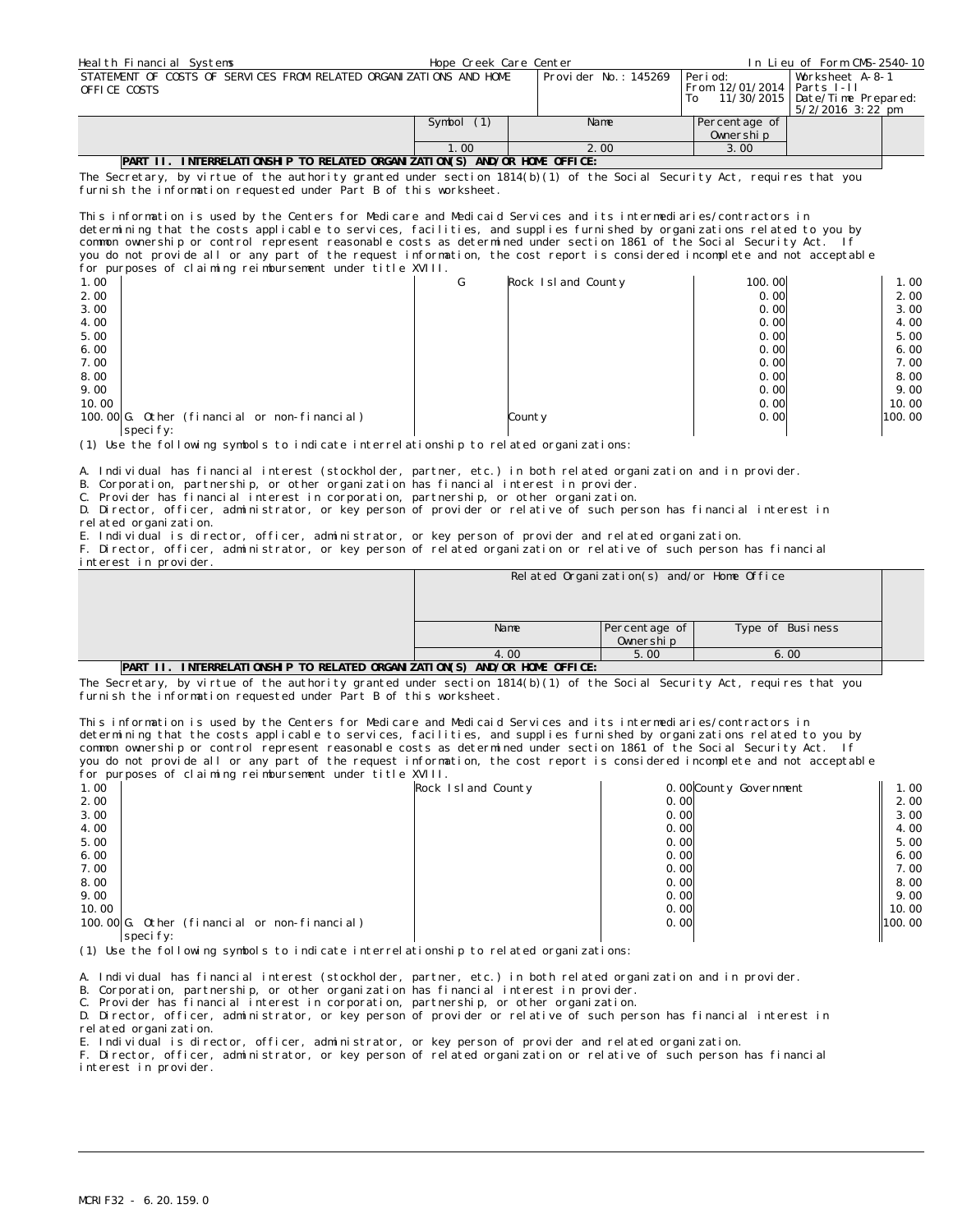| Health Financial Systems                                                           | Hope Creek Care Center |                      | In Lieu of Form CMS-2540-10                       |                                                     |  |
|------------------------------------------------------------------------------------|------------------------|----------------------|---------------------------------------------------|-----------------------------------------------------|--|
| STATEMENT OF COSTS OF SERVICES FROM RELATED ORGANIZATIONS AND HOME<br>OFFICE COSTS |                        | Provider No.: 145269 | l Peri od:<br>From 12/01/2014   Parts I-II<br>To. | Worksheet A-8-1<br>11/30/2015   Date/Time Prepared: |  |
|                                                                                    |                        |                      |                                                   | 5/2/2016 3:22 pm                                    |  |
|                                                                                    | Symbol (1)             | Name                 | Percentage of                                     |                                                     |  |
|                                                                                    |                        |                      | Ownership                                         |                                                     |  |
|                                                                                    | 1.00                   | 2.00                 | 3.00                                              |                                                     |  |
| $n \cdot n$ $\cdots$<br>$\overline{1}$                                             |                        |                      |                                                   |                                                     |  |

## **PART II. INTERRELATIONSHIP TO RELATED ORGANIZATION(S) AND/OR HOME OFFICE:**

The Secretary, by virtue of the authority granted under section 1814(b)(1) of the Social Security Act, requires that you furnish the information requested under Part B of this worksheet.

This information is used by the Centers for Medicare and Medicaid Services and its intermediaries/contractors in determining that the costs applicable to services, facilities, and supplies furnished by organizations related to you by common ownership or control represent reasonable costs as determined under section 1861 of the Social Security Act. If you do not provide all or any part of the request information, the cost report is considered incomplete and not acceptable for purposes of claiming reimbursement under title XVIII.

| ີ                                            |   |                    |        |        |
|----------------------------------------------|---|--------------------|--------|--------|
| 1.00                                         | G | Rock Island County | 100.00 | 1.00   |
| 2.00                                         |   |                    | 0.00   | 2.00   |
| 3.00                                         |   |                    | 0.00   | 3.00   |
| 4.00                                         |   |                    | 0.00   | 4.00   |
| 5.00                                         |   |                    | 0.00   | 5.00   |
| 6.00                                         |   |                    | 0.00   | 6.00   |
| 7.00                                         |   |                    | 0.00   | 7.00   |
| 8.00                                         |   |                    | 0.00   | 8.00   |
| 9.00                                         |   |                    | 0.00   | 9.00   |
| 10.00                                        |   |                    | 0.00   | 10.00  |
| 100.00 G. Other (financial or non-financial) |   | County             | 0.00   | 100.00 |
| specify:                                     |   |                    |        |        |

(1) Use the following symbols to indicate interrelationship to related organizations:

A. Individual has financial interest (stockholder, partner, etc.) in both related organization and in provider.

B. Corporation, partnership, or other organization has financial interest in provider.

C. Provider has financial interest in corporation, partnership, or other organization.

D. Director, officer, administrator, or key person of provider or relative of such person has financial interest in related organization.

E. Individual is director, officer, administrator, or key person of provider and related organization.

F. Director, officer, administrator, or key person of related organization or relative of such person has financial

|                                                                              |      | Related Organization(s) and/or Home Office |                  |  |  |  |  |  |  |
|------------------------------------------------------------------------------|------|--------------------------------------------|------------------|--|--|--|--|--|--|
|                                                                              |      |                                            |                  |  |  |  |  |  |  |
|                                                                              |      |                                            |                  |  |  |  |  |  |  |
|                                                                              | Name | Percentage of                              | Type of Business |  |  |  |  |  |  |
|                                                                              |      | Ownership                                  |                  |  |  |  |  |  |  |
|                                                                              | 4.00 | 5.00                                       | 6.00             |  |  |  |  |  |  |
| INTERRELATIONSHIP TO RELATED ORGANIZATION(S) AND/OR HOME OFFICE:<br>PART II. |      |                                            |                  |  |  |  |  |  |  |

The Secretary, by virtue of the authority granted under section  $1814(b)(1)$  of the Social Security Act, requires that you furnish the information requested under Part B of this worksheet.

This information is used by the Centers for Medicare and Medicaid Services and its intermediaries/contractors in determining that the costs applicable to services, facilities, and supplies furnished by organizations related to you by common ownership or control represent reasonable costs as determined under section 1861 of the Social Security Act. If you do not provide all or any part of the request information, the cost report is considered incomplete and not acceptable for purposes of claiming reimbursement under title XVIII.

| Rock Island County | 0.00 County Government                       | 1.00   |
|--------------------|----------------------------------------------|--------|
|                    | 0.00                                         | 2.00   |
|                    | 0.00                                         | 3.00   |
|                    | 0.00                                         | 4.00   |
|                    | 0.00                                         | 5.00   |
|                    | 0.00                                         | 6.00   |
|                    | 0.00                                         | 7.00   |
|                    | 0.00                                         | 8.00   |
|                    | 0.00                                         | 9.00   |
|                    | 0.00                                         | 10.00  |
|                    | 0.00                                         | 100.00 |
|                    |                                              |        |
|                    | 100.00 G. Other (financial or non-financial) |        |

(1) Use the following symbols to indicate interrelationship to related organizations:

A. Individual has financial interest (stockholder, partner, etc.) in both related organization and in provider.

B. Corporation, partnership, or other organization has financial interest in provider.

C. Provider has financial interest in corporation, partnership, or other organization.

D. Director, officer, administrator, or key person of provider or relative of such person has financial interest in related organization.

E. Individual is director, officer, administrator, or key person of provider and related organization.

F. Director, officer, administrator, or key person of related organization or relative of such person has financial interest in provider.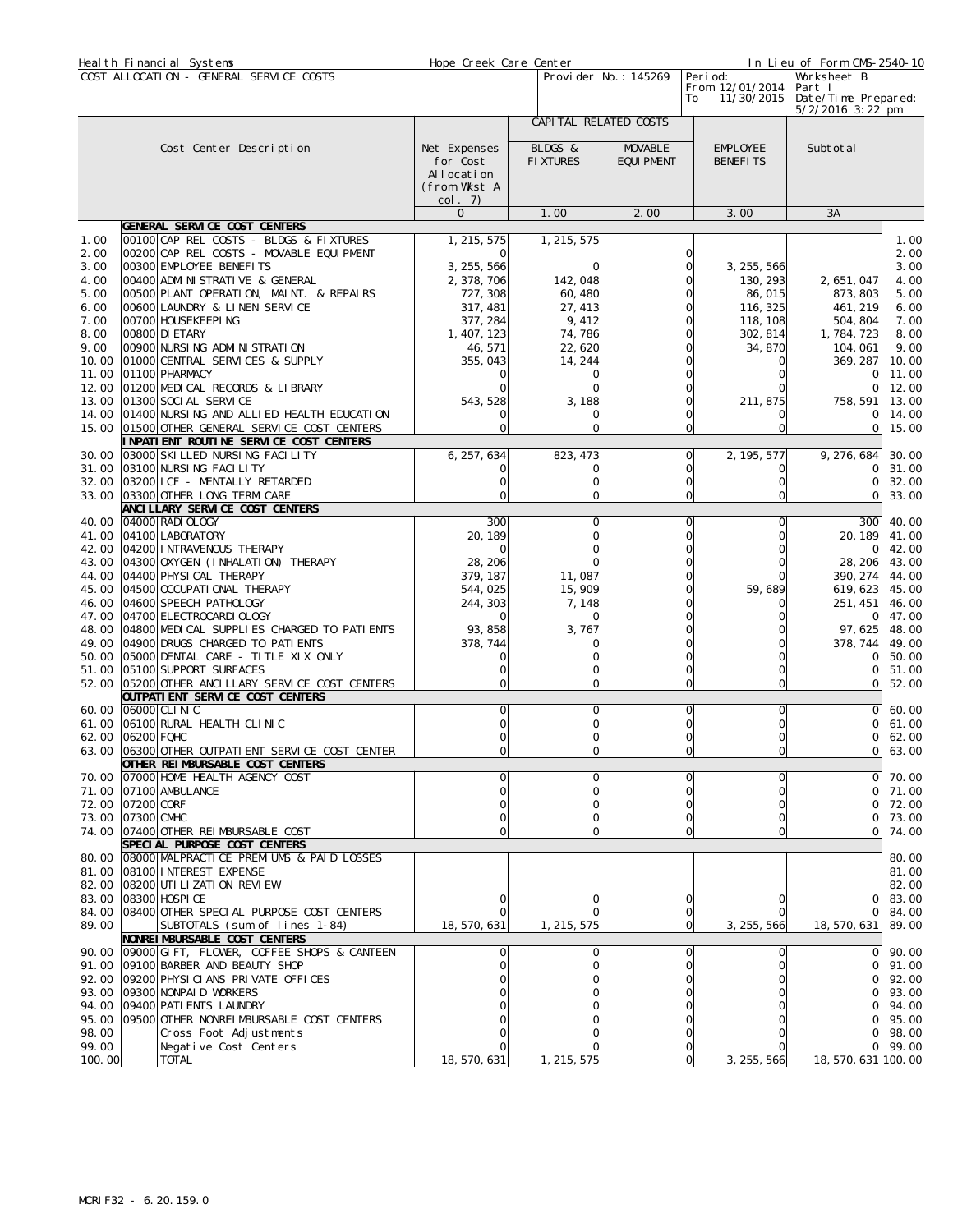| Heal th Financial Systems                                            |                                                                                                                                                                                                                                                                                                                                                     | Hope Creek Care Center                                                                                  |                                                                             | In Lieu of Form CMS-2540-10         |                                                                                 |                                                                                            |                                                                                        |
|----------------------------------------------------------------------|-----------------------------------------------------------------------------------------------------------------------------------------------------------------------------------------------------------------------------------------------------------------------------------------------------------------------------------------------------|---------------------------------------------------------------------------------------------------------|-----------------------------------------------------------------------------|-------------------------------------|---------------------------------------------------------------------------------|--------------------------------------------------------------------------------------------|----------------------------------------------------------------------------------------|
| COST ALLOCATION - GENERAL SERVICE COSTS                              |                                                                                                                                                                                                                                                                                                                                                     |                                                                                                         |                                                                             | Provider No.: 145269                | Peri od:<br>From 12/01/2014<br>11/30/2015<br>To                                 | Worksheet B<br>Part I<br>Date/Time Prepared:<br>$5/2/2016$ 3:22 pm                         |                                                                                        |
|                                                                      |                                                                                                                                                                                                                                                                                                                                                     |                                                                                                         | CAPI TAL RELATED COSTS                                                      |                                     |                                                                                 |                                                                                            |                                                                                        |
|                                                                      | Cost Center Description                                                                                                                                                                                                                                                                                                                             | Net Expenses<br>for Cost<br>Allocation<br>(from Wkst A<br>col. 7)                                       | BLDGS &<br><b>FIXTURES</b>                                                  | <b>MOVABLE</b><br><b>EQUI PMENT</b> | EMPLOYEE<br><b>BENEFITS</b>                                                     | Subtotal                                                                                   |                                                                                        |
|                                                                      |                                                                                                                                                                                                                                                                                                                                                     | $\mathbf 0$                                                                                             | 1.00                                                                        | 2.00                                | 3.00                                                                            | 3A                                                                                         |                                                                                        |
|                                                                      | GENERAL SERVICE COST CENTERS                                                                                                                                                                                                                                                                                                                        |                                                                                                         |                                                                             |                                     |                                                                                 |                                                                                            |                                                                                        |
| 1.00<br>2.00<br>3.00<br>4.00<br>5.00<br>6.00<br>7.00<br>8.00<br>9.00 | 00100 CAP REL COSTS - BLDGS & FIXTURES<br>00200 CAP REL COSTS - MOVABLE EQUIPMENT<br>00300 EMPLOYEE BENEFITS<br>00400 ADMINISTRATIVE & GENERAL<br>00500 PLANT OPERATION, MAINT. & REPAIRS<br>00600 LAUNDRY & LINEN SERVICE<br>00700 HOUSEKEEPING<br>00800 DI ETARY<br>00900 NURSING ADMINISTRATION                                                  | 1, 215, 575<br>3, 255, 566<br>2, 378, 706<br>727, 308<br>317, 481<br>377, 284<br>1, 407, 123<br>46, 571 | 1, 215, 575<br>142, 048<br>60, 480<br>27, 413<br>9,412<br>74, 786<br>22,620 | U<br>Ω                              | 3, 255, 566<br>130, 293<br>86,015<br>116, 325<br>118, 108<br>302, 814<br>34,870 | 2, 651, 047<br>873, 803<br>461, 219<br>504, 804<br>1, 784, 723<br>104, 061                 | 1.00<br>2.00<br>3.00<br>4.00<br>5.00<br>6.00<br>7.00<br>8.00<br>9.00                   |
| 10.00                                                                | 01000 CENTRAL SERVICES & SUPPLY                                                                                                                                                                                                                                                                                                                     | 355,043                                                                                                 | 14, 244                                                                     |                                     |                                                                                 | 369, 287                                                                                   | 10.00                                                                                  |
| 11.00<br>12.00<br>13.00                                              | 01100 PHARMACY<br>01200 MEDICAL RECORDS & LIBRARY<br>01300 SOCI AL SERVICE<br>14.00 01400 NURSING AND ALLIED HEALTH EDUCATION<br>15.00 01500 OTHER GENERAL SERVICE COST CENTERS                                                                                                                                                                     | 543, 528<br>0                                                                                           | 3,188<br>$\Omega$                                                           | 0                                   | 211, 875                                                                        | 0<br>$\Omega$<br>758, 591<br>$\Omega$<br>0                                                 | 11.00<br>12.00<br>13.00<br>14.00<br>15.00                                              |
|                                                                      | INPATIENT ROUTINE SERVICE COST CENTERS                                                                                                                                                                                                                                                                                                              |                                                                                                         |                                                                             |                                     |                                                                                 |                                                                                            |                                                                                        |
| 31.00                                                                | 30.00 03000 SKI LLED NURSING FACILITY<br>03100 NURSING FACILITY<br>32.00 03200 I CF - MENTALLY RETARDED<br>33.00 03300 OTHER LONG TERM CARE                                                                                                                                                                                                         | 6, 257, 634                                                                                             | 823, 473<br>$\Omega$<br>$\Omega$                                            | 0<br>0<br>$\Omega$                  | 2, 195, 577<br>O                                                                | 9, 276, 684<br>$\Omega$<br>$\Omega$<br>0                                                   | 30.00<br>31.00<br>32.00<br>33.00                                                       |
| 40.00                                                                | ANCI LLARY SERVICE COST CENTERS<br>04000 RADI OLOGY                                                                                                                                                                                                                                                                                                 | 300                                                                                                     | $\Omega$                                                                    | $\Omega$                            |                                                                                 | 300                                                                                        | 40.00                                                                                  |
| 41.00<br>43.00<br>45.00<br>46.00<br>47.00<br>50.00                   | 04100 LABORATORY<br>42.00 04200 INTRAVENOUS THERAPY<br>04300 OXYGEN (I NHALATI ON) THERAPY<br>44.00 04400 PHYSI CAL THERAPY<br>04500 OCCUPATI ONAL THERAPY<br>04600 SPEECH PATHOLOGY<br>04700 ELECTROCARDI OLOGY<br>48.00 04800 MEDICAL SUPPLIES CHARGED TO PATIENTS<br>49.00 04900 DRUGS CHARGED TO PATIENTS<br>05000 DENTAL CARE - TITLE XIX ONLY | 20, 189<br>28, 206<br>379, 187<br>544,025<br>244, 303<br>93, 858<br>378, 744                            | 11,087<br>15, 909<br>7, 148<br>3,767                                        | 0<br>0                              | 59,689                                                                          | 20, 189<br>0<br>28, 206<br>390, 274<br>619,623<br>251, 451<br>0<br>97,625<br>378, 744<br>0 | 41.00<br>42.00<br>43.00<br>44.00<br>45.00<br>46.00<br>47.00<br>48.00<br>49.00<br>50.00 |
|                                                                      | 51.00 05100 SUPPORT SURFACES                                                                                                                                                                                                                                                                                                                        | $\mathbf 0$                                                                                             | $\Omega$                                                                    | 0                                   | 0                                                                               | 0                                                                                          | 51.00                                                                                  |
|                                                                      | 52.00 05200 OTHER ANCILLARY SERVICE COST CENTERS<br>OUTPATI ENT SERVICE COST CENTERS                                                                                                                                                                                                                                                                |                                                                                                         |                                                                             | 0                                   | 0                                                                               | $\Omega$                                                                                   | 52.00                                                                                  |
|                                                                      | 60.00 06000 CLINIC<br>61.00 06100 RURAL HEALTH CLINIC<br>62.00 06200 FQHC<br>63.00 06300 OTHER OUTPATIENT SERVICE COST CENTER<br>OTHER REIMBURSABLE COST CENTERS                                                                                                                                                                                    | 0                                                                                                       | 0                                                                           | $\Omega$                            | Ω                                                                               | 0<br>$\Omega$<br>0                                                                         | 60.00<br>61.00<br>62.00<br>01,63,00                                                    |
| 70.00                                                                | 07000 HOME HEALTH AGENCY COST                                                                                                                                                                                                                                                                                                                       |                                                                                                         |                                                                             |                                     |                                                                                 | $\Omega$                                                                                   | 70.00                                                                                  |
| 72.00                                                                | 71.00 07100 AMBULANCE<br>07200 CORF<br>73.00 07300 CMHC<br>74.00 07400 OTHER REIMBURSABLE COST                                                                                                                                                                                                                                                      |                                                                                                         | $\Omega$                                                                    | 0                                   | 0                                                                               | $\Omega$<br>$\Omega$<br>0<br>$\mathbf 0$                                                   | 71.00<br>72.00<br>73.00<br>74.00                                                       |
| 80.00                                                                | SPECIAL PURPOSE COST CENTERS<br>08000 MALPRACTICE PREMIUMS & PAID LOSSES<br>81.00 08100 INTEREST EXPENSE<br>82.00 08200 UTI LI ZATI ON REVI EW                                                                                                                                                                                                      |                                                                                                         |                                                                             |                                     |                                                                                 |                                                                                            | 80.00<br>81.00<br>82.00                                                                |
| 83.00<br>89.00                                                       | 08300 HOSPI CE<br>84.00 08400 OTHER SPECIAL PURPOSE COST CENTERS<br>SUBTOTALS (sum of lines 1-84)                                                                                                                                                                                                                                                   | 18, 570, 631                                                                                            | 1, 215, 575                                                                 | 0<br>0<br>$\Omega$                  | 3, 255, 566                                                                     | 0<br>$\mathbf 0$<br>18, 570, 631                                                           | 83.00<br>84.00<br>89.00                                                                |
| 93.00<br>98.00<br>99.00                                              | NONREI MBURSABLE COST CENTERS<br>90.00 09000 GIFT, FLOWER, COFFEE SHOPS & CANTEEN<br>91.00 09100 BARBER AND BEAUTY SHOP<br>92.00 09200 PHYSICIANS PRIVATE OFFICES<br>09300 NONPAID WORKERS<br>94.00 09400 PATI ENTS LAUNDRY<br>95.00 09500 OTHER NONREIMBURSABLE COST CENTERS<br>Cross Foot Adjustments<br>Negative Cost Centers                    |                                                                                                         | 0                                                                           | U                                   |                                                                                 | $\mathbf 0$<br>$\Omega$<br>$\Omega$<br>$\Omega$<br>$\Omega$<br>$\Omega$<br>$\Omega$        | 90.00<br>91.00<br>92.00<br>93.00<br>94.00<br>95.00<br>98.00<br>99.00                   |
| 100.00                                                               | <b>TOTAL</b>                                                                                                                                                                                                                                                                                                                                        | 18, 570, 631                                                                                            | 1, 215, 575                                                                 |                                     | 3, 255, 566                                                                     | 18, 570, 631 100.00                                                                        |                                                                                        |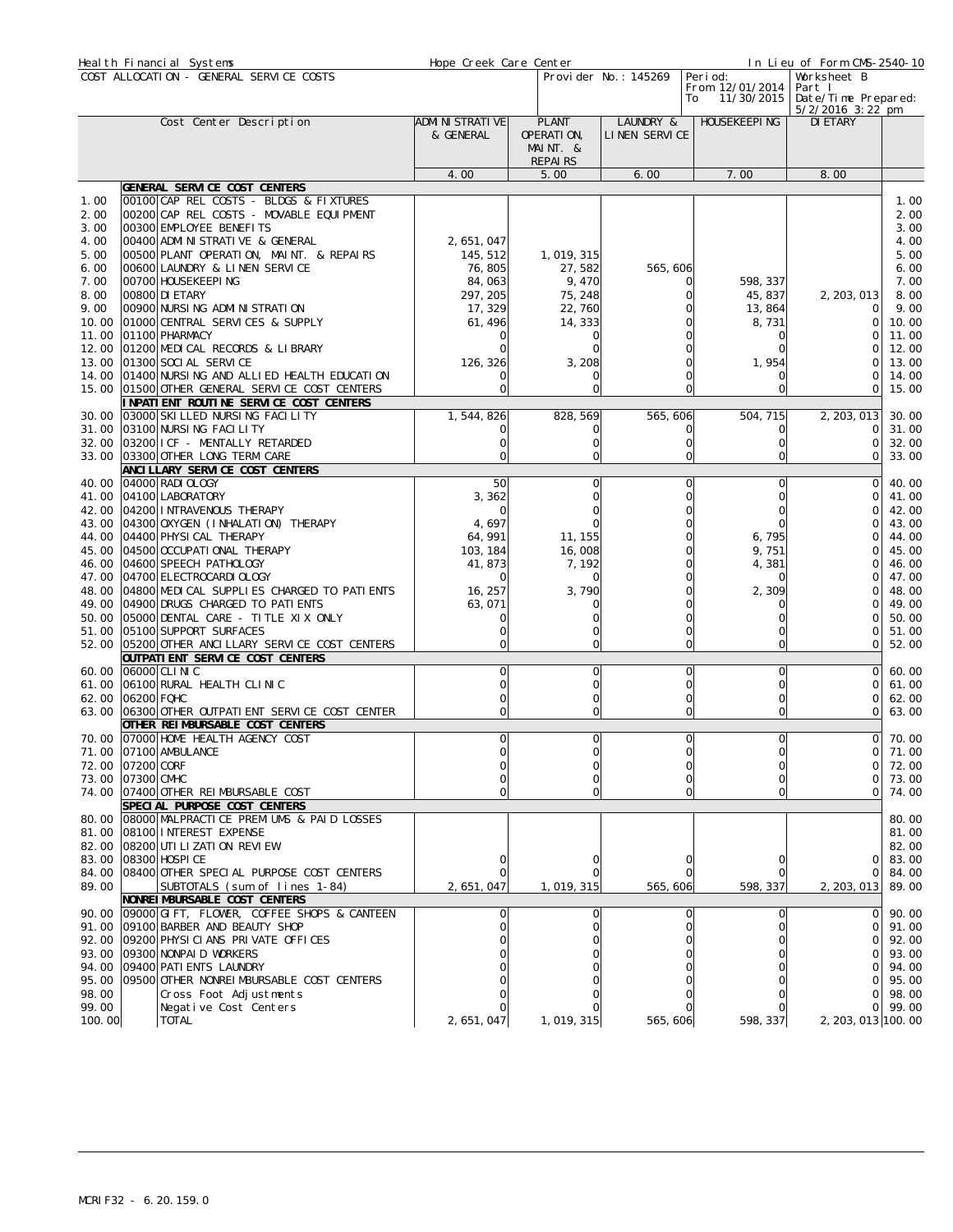|                 | Heal th Financial Systems                                                    | Hope Creek Care Center         |                            |                            |                                     | In Lieu of Form CMS-2540-10   |                |
|-----------------|------------------------------------------------------------------------------|--------------------------------|----------------------------|----------------------------|-------------------------------------|-------------------------------|----------------|
|                 | COST ALLOCATION - GENERAL SERVICE COSTS                                      | Provider No.: 145269           |                            |                            | Peri od:<br>Worksheet B             |                               |                |
|                 |                                                                              |                                |                            |                            | From 12/01/2014<br>11/30/2015<br>To | Part I<br>Date/Time Prepared: |                |
|                 |                                                                              |                                |                            |                            |                                     | $5/2/2016$ 3:22 pm            |                |
|                 | Cost Center Description                                                      | ADMI NI STRATI VE<br>& GENERAL | <b>PLANT</b><br>OPERATION, | LAUNDRY &<br>LINEN SERVICE | HOUSEKEEPI NG                       | DI ETARY                      |                |
|                 |                                                                              |                                | MAINT. &                   |                            |                                     |                               |                |
|                 |                                                                              |                                | REPAIRS                    |                            |                                     |                               |                |
|                 |                                                                              | 4.00                           | 5.00                       | 6.00                       | 7.00                                | 8.00                          |                |
| 1.00            | GENERAL SERVICE COST CENTERS<br>00100 CAP REL COSTS - BLDGS & FIXTURES       |                                |                            |                            |                                     |                               | 1.00           |
| 2.00            | 00200 CAP REL COSTS - MOVABLE EQUIPMENT                                      |                                |                            |                            |                                     |                               | 2.00           |
| 3.00            | 00300 EMPLOYEE BENEFITS                                                      |                                |                            |                            |                                     |                               | 3.00           |
| 4.00            | 00400 ADMI NI STRATI VE & GENERAL                                            | 2, 651, 047                    |                            |                            |                                     |                               | 4.00           |
| 5.00            | 00500 PLANT OPERATION, MAINT. & REPAIRS                                      | 145, 512                       | 1, 019, 315                |                            |                                     |                               | 5.00           |
| 6.00<br>7.00    | 00600 LAUNDRY & LINEN SERVICE<br>00700 HOUSEKEEPING                          | 76,805<br>84,063               | 27,582<br>9,470            | 565, 606<br>0              | 598, 337                            |                               | 6.00<br>7.00   |
| 8.00            | 00800 DI ETARY                                                               | 297, 205                       | 75, 248                    | Ω                          | 45, 837                             | 2, 203, 013                   | 8.00           |
| 9.00            | 00900 NURSING ADMINISTRATION                                                 | 17, 329                        | 22, 760                    |                            | 13,864                              | 0                             | 9.00           |
| 10.00           | 01000 CENTRAL SERVICES & SUPPLY                                              | 61, 496                        | 14, 333                    |                            | 8,731                               | 0                             | 10.00          |
| 11.00           | 01100 PHARMACY                                                               |                                |                            |                            |                                     |                               | 11.00          |
| 12.00<br>13.00  | 01200 MEDICAL RECORDS & LIBRARY<br>01300 SOCI AL SERVICE                     |                                |                            |                            |                                     |                               | 12.00<br>13.00 |
|                 | 14.00 01400 NURSING AND ALLIED HEALTH EDUCATION                              | 126, 326                       | 3, 208                     |                            | 1,954                               | $\cap$                        | 14.00          |
| 15.00           | 01500 OTHER GENERAL SERVICE COST CENTERS                                     | O                              | ∩                          | 0                          | $\Omega$                            | 0                             | 15.00          |
|                 | INPATIENT ROUTINE SERVICE COST CENTERS                                       |                                |                            |                            |                                     |                               |                |
| 30.00           | 03000 SKI LLED NURSING FACILITY                                              | 1,544,826                      | 828, 569                   | 565,606                    | 504, 715                            | 2, 203, 013                   | 30.00          |
| 31.00           | 03100 NURSING FACILITY                                                       |                                |                            | 0                          | 0                                   | 0                             | 31.00          |
|                 | 32.00 03200 I CF - MENTALLY RETARDED<br>33.00 03300 OTHER LONG TERM CARE     | O                              | $\Omega$                   | $\mathbf 0$                | 0                                   | 0<br>0                        | 32.00<br>33.00 |
|                 | ANCI LLARY SERVICE COST CENTERS                                              |                                |                            |                            |                                     |                               |                |
|                 | 40.00 04000 RADI OLOGY                                                       | 50                             | 0                          | 0                          | O                                   | 0                             | 40.00          |
| 41.00           | 04100 LABORATORY                                                             | 3,362                          |                            |                            |                                     | ∩                             | 41.00          |
| 42.00           | 04200 INTRAVENOUS THERAPY                                                    |                                |                            |                            |                                     | ∩                             | 42.00          |
|                 | 43.00 04300 OXYGEN (INHALATION) THERAPY<br>44.00 04400 PHYSI CAL THERAPY     | 4,697<br>64, 991               | 11, 155                    |                            | 6,795                               | ∩<br>$\Omega$                 | 43.00<br>44.00 |
| 45.00           | 04500 OCCUPATI ONAL THERAPY                                                  | 103, 184                       | 16,008                     |                            | 9,751                               |                               | 45.00          |
|                 | 46.00 04600 SPEECH PATHOLOGY                                                 | 41, 873                        | 7, 192                     |                            | 4,381                               | O                             | 46.00          |
| 47.00           | 04700 ELECTROCARDI OLOGY                                                     |                                |                            |                            |                                     | ∩                             | 47.00          |
|                 | 48.00 04800 MEDICAL SUPPLIES CHARGED TO PATIENTS                             | 16, 257                        | 3,790                      |                            | 2,309                               |                               | 48.00          |
| 49.00           | 04900 DRUGS CHARGED TO PATIENTS<br>50.00 05000 DENTAL CARE - TITLE XIX ONLY  | 63,071<br>0                    |                            |                            |                                     | ∩                             | 49.00<br>50.00 |
|                 | 51.00 05100 SUPPORT SURFACES                                                 |                                |                            |                            |                                     | 0                             | 51.00          |
|                 | 52.00 05200 OTHER ANCILLARY SERVICE COST CENTERS                             | O                              | $\Omega$                   | 0                          | O                                   | $\Omega$                      | 52.00          |
|                 | OUTPATI ENT SERVICE COST CENTERS                                             |                                |                            |                            |                                     |                               |                |
| 60.00           | 06000 CLI NI C<br>61.00 06100 RURAL HEALTH CLINIC                            | Ω                              | $\Omega$                   | 0                          | 0                                   | 0                             | 60.00          |
| 62.00           | 06200 FQHC                                                                   |                                |                            |                            | 0                                   | 0<br>∩                        | 61.00<br>62.00 |
|                 | 63.00 06300 OTHER OUTPATI ENT SERVICE COST CENTER                            |                                |                            | 0                          | 0                                   | 0                             | 63.00          |
|                 | OTHER REIMBURSABLE COST CENTERS                                              |                                |                            |                            |                                     |                               |                |
|                 | 70.00 07000 HOME HEALTH AGENCY COST                                          | 0                              | $\Omega$                   | $\mathbf 0$                | 0                                   | Οl                            | 70.00          |
|                 | 71.00 07100 AMBULANCE<br>72.00 07200 CORF                                    |                                |                            |                            |                                     | ΩI                            | 71.00          |
|                 | 73.00 07300 CMHC                                                             |                                |                            |                            |                                     | ΩI                            | 72.00<br>73.00 |
|                 | 74.00 07400 OTHER REIMBURSABLE COST                                          |                                |                            | 0                          | 0                                   | $\Omega$                      | 74.00          |
|                 | SPECIAL PURPOSE COST CENTERS                                                 |                                |                            |                            |                                     |                               |                |
| 80.00           | 08000 MALPRACTICE PREMIUMS & PAID LOSSES                                     |                                |                            |                            |                                     |                               | 80.00          |
|                 | 81.00 08100 INTEREST EXPENSE                                                 |                                |                            |                            |                                     |                               | 81.00          |
|                 | 82.00 08200 UTI LI ZATI ON REVI EW<br>83.00 08300 HOSPI CE                   |                                |                            |                            |                                     | 0                             | 82.00<br>83.00 |
|                 | 84.00 08400 OTHER SPECIAL PURPOSE COST CENTERS                               |                                |                            |                            |                                     | $\Omega$                      | 84.00          |
| 89.00           | SUBTOTALS (sum of lines 1-84)                                                | 2,651,047                      | 1, 019, 315                | 565, 606                   | 598, 337                            | 2, 203, 013                   | 89.00          |
|                 | NONREI MBURSABLE COST CENTERS                                                |                                |                            |                            |                                     |                               |                |
| 90.00           | 09000 GIFT, FLOWER, COFFEE SHOPS & CANTEEN                                   |                                |                            |                            |                                     | $\circ$                       | 90.00          |
|                 | 91.00 09100 BARBER AND BEAUTY SHOP<br>92.00 09200 PHYSICIANS PRIVATE OFFICES |                                |                            |                            |                                     | 0<br>$\Omega$                 | 91.00<br>92.00 |
|                 | 93.00 09300 NONPAID WORKERS                                                  |                                |                            |                            |                                     | 0                             | 93.00          |
|                 | 94.00 09400 PATI ENTS LAUNDRY                                                |                                |                            |                            |                                     | 01                            | 94.00          |
|                 | 95.00 09500 OTHER NONREIMBURSABLE COST CENTERS                               |                                |                            |                            |                                     | ΩI                            | 95.00          |
| 98.00           | Cross Foot Adjustments                                                       |                                |                            |                            |                                     | ΩI                            | 98.00          |
| 99.00<br>100.00 | Negative Cost Centers<br><b>TOTAL</b>                                        | 2, 651, 047                    | 1, 019, 315                | 565, 606                   | 598, 337                            | ΩI<br>2, 203, 013 100. 00     | 99.00          |
|                 |                                                                              |                                |                            |                            |                                     |                               |                |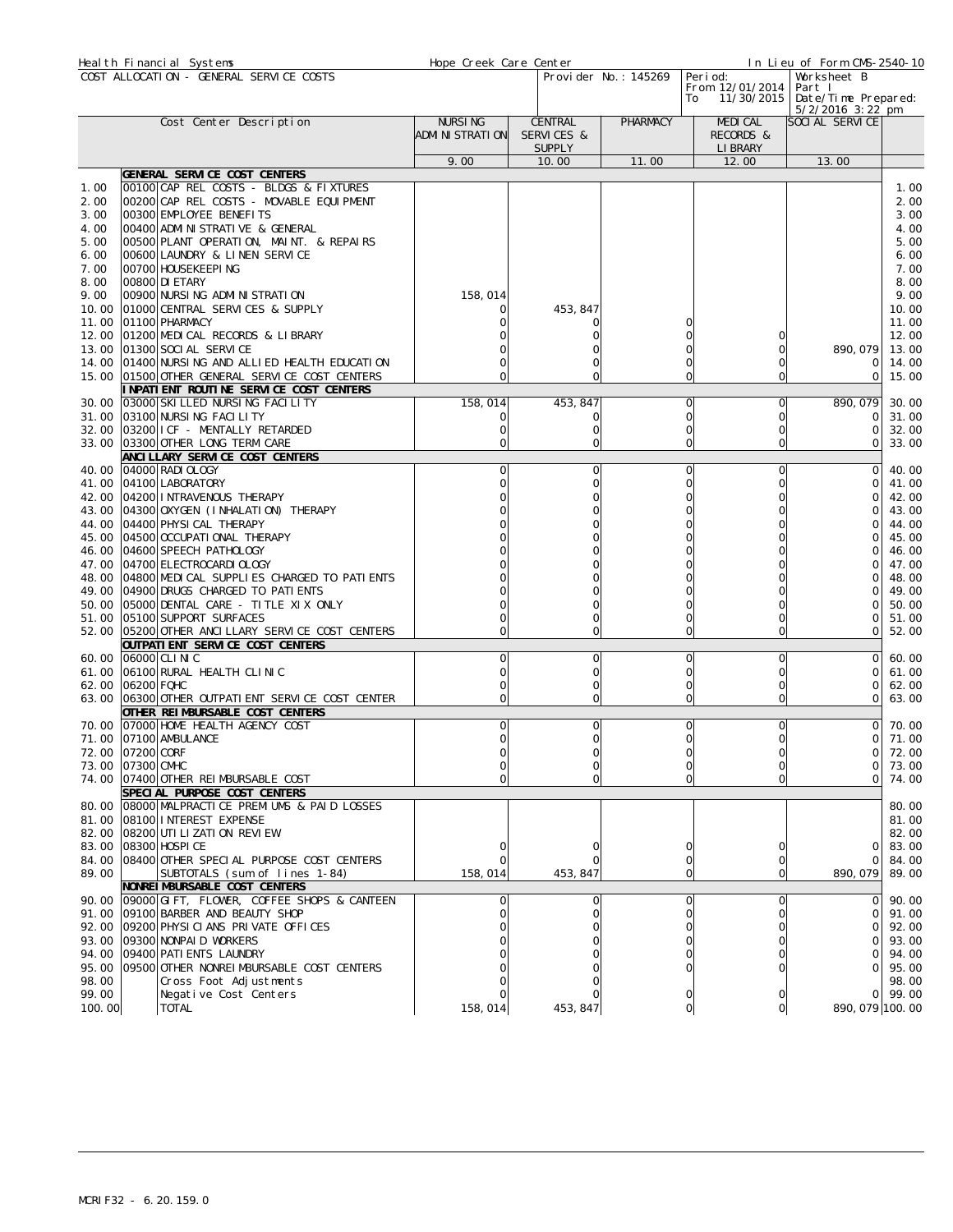|                | Heal th Financial Systems                                                      | Hope Creek Care Center |  |               |                                     |                |                               | In Lieu of Form CMS-2540-10 |                |
|----------------|--------------------------------------------------------------------------------|------------------------|--|---------------|-------------------------------------|----------------|-------------------------------|-----------------------------|----------------|
|                | COST ALLOCATION - GENERAL SERVICE COSTS                                        | Provider No.: 145269   |  |               | Peri od:<br>Worksheet B             |                |                               |                             |                |
|                |                                                                                |                        |  |               | From 12/01/2014<br>11/30/2015<br>To |                | Part I<br>Date/Time Prepared: |                             |                |
|                |                                                                                |                        |  |               |                                     |                |                               | $5/2/2016$ 3:22 pm          |                |
|                | Cost Center Description                                                        | <b>NURSING</b>         |  | CENTRAL       | PHARMACY                            |                | <b>MEDICAL</b>                | SOCI AL SERVICE             |                |
|                |                                                                                | ADMI NI STRATI ON      |  | SERVICES &    |                                     |                | RECORDS &                     |                             |                |
|                |                                                                                |                        |  | <b>SUPPLY</b> |                                     |                | LI BRARY                      |                             |                |
|                |                                                                                | 9.00                   |  | 10.00         | 11.00                               |                | 12.00                         | 13.00                       |                |
| 1.00           | GENERAL SERVICE COST CENTERS<br>00100 CAP REL COSTS - BLDGS & FIXTURES         |                        |  |               |                                     |                |                               |                             | 1.00           |
| 2.00           | 00200 CAP REL COSTS - MOVABLE EQUIPMENT                                        |                        |  |               |                                     |                |                               |                             | 2.00           |
| 3.00           | 00300 EMPLOYEE BENEFITS                                                        |                        |  |               |                                     |                |                               |                             | 3.00           |
| 4.00           | 00400 ADMI NI STRATI VE & GENERAL                                              |                        |  |               |                                     |                |                               |                             | 4.00           |
| 5.00           | 00500 PLANT OPERATION, MAINT. & REPAIRS                                        |                        |  |               |                                     |                |                               |                             | 5.00           |
| 6.00           | 00600 LAUNDRY & LINEN SERVICE                                                  |                        |  |               |                                     |                |                               |                             | 6.00           |
| 7.00           | 00700 HOUSEKEEPING                                                             |                        |  |               |                                     |                |                               |                             | 7.00           |
| 8.00           | 00800 DI ETARY                                                                 |                        |  |               |                                     |                |                               |                             | 8.00           |
| 9.00<br>10.00  | 00900 NURSING ADMINISTRATION<br>01000 CENTRAL SERVICES & SUPPLY                | 158,014                |  | 453, 847      |                                     |                |                               |                             | 9.00<br>10.00  |
| 11.00          | 01100 PHARMACY                                                                 |                        |  | O             |                                     |                |                               |                             | 11.00          |
| 12.00          | 01200 MEDICAL RECORDS & LIBRARY                                                |                        |  |               |                                     |                |                               |                             | 12.00          |
| 13.00          | 01300 SOCI AL SERVICE                                                          |                        |  |               |                                     |                |                               | 890, 079                    | 13.00          |
| 14.00          | 01400 NURSING AND ALLIED HEALTH EDUCATION                                      |                        |  |               |                                     |                | 0                             | 0                           | 14.00          |
| 15.00          | 01500 OTHER GENERAL SERVICE COST CENTERS                                       |                        |  | $\Omega$      |                                     |                | 0                             | $\circ$                     | 15.00          |
|                | I NPATI ENT ROUTI NE SERVI CE COST CENTERS                                     |                        |  |               |                                     |                |                               |                             |                |
| 30.00          | 03000 SKI LLED NURSING FACILITY                                                | 158,014                |  | 453, 847      |                                     | 0              | $\Omega$                      | 890, 079                    | 30.00          |
| 31.00          | 03100 NURSING FACILITY<br>03200 ICF - MENTALLY RETARDED                        | O                      |  | 0             |                                     | 0              | 0                             | 0                           | 31.00          |
| 32.00<br>33.00 | 03300 OTHER LONG TERM CARE                                                     | 0<br>0                 |  | 0<br>$\Omega$ |                                     |                | 0<br>0                        | $\Omega$<br>0               | 32.00<br>33.00 |
|                | ANCI LLARY SERVICE COST CENTERS                                                |                        |  |               |                                     |                |                               |                             |                |
| 40.00          | 04000 RADI OLOGY                                                               | 0                      |  | 0             |                                     | 0              | 0                             | $\Omega$                    | 40.00          |
| 41.00          | 04100 LABORATORY                                                               |                        |  | $\Omega$      |                                     | 0              | 0                             | ∩                           | 41.00          |
| 42.00          | 04200 INTRAVENOUS THERAPY                                                      |                        |  |               |                                     |                |                               |                             | 42.00          |
| 43.00          | 04300 OXYGEN (I NHALATION) THERAPY                                             |                        |  |               |                                     |                |                               | 0                           | 43.00          |
| 44.00          | 04400 PHYSI CAL THERAPY                                                        |                        |  |               |                                     |                |                               | ∩                           | 44.00          |
| 45.00          | 04500 OCCUPATI ONAL THERAPY                                                    |                        |  |               |                                     |                |                               | $\cap$                      | 45.00          |
| 46.00          | 04600 SPEECH PATHOLOGY                                                         |                        |  |               |                                     |                |                               |                             | 46.00          |
| 47.00<br>48.00 | 04700 ELECTROCARDI OLOGY<br>04800 MEDICAL SUPPLIES CHARGED TO PATIENTS         |                        |  |               |                                     |                |                               |                             | 47.00<br>48.00 |
| 49.00          | 04900 DRUGS CHARGED TO PATIENTS                                                |                        |  |               |                                     |                |                               | $\cap$                      | 49.00          |
| 50.00          | 05000 DENTAL CARE - TITLE XIX ONLY                                             |                        |  |               |                                     |                | O                             | ∩                           | 50.00          |
| 51.00          | 05100 SUPPORT SURFACES                                                         |                        |  | $\Omega$      |                                     |                | 0                             | 0                           | 51.00          |
| 52.00          | 05200 OTHER ANCILLARY SERVICE COST CENTERS                                     | $\Omega$               |  | $\mathbf 0$   |                                     | Ω              | $\overline{0}$                | $\Omega$                    | 52.00          |
|                | OUTPATI ENT SERVICE COST CENTERS                                               |                        |  |               |                                     |                |                               |                             |                |
| 60.00          | 06000 CLINIC                                                                   | 0                      |  | 0             |                                     | $\Omega$       | 0                             | $\Omega$                    | 60.00          |
| 61.00          | 06100 RURAL HEALTH CLINIC                                                      |                        |  | $\Omega$      |                                     | $\Omega$       | 0                             |                             | 61.00          |
| 63.00          | 62.00 06200 FQHC<br>06300 OTHER OUTPATI ENT SERVICE COST CENTER                | O                      |  | 0<br>$\Omega$ |                                     |                | O<br>0                        | 0<br>0                      | 62.00<br>63.00 |
|                | OTHER REIMBURSABLE COST CENTERS                                                |                        |  |               |                                     |                |                               |                             |                |
| 70.00          | 07000 HOME HEALTH AGENCY COST                                                  | 0                      |  | 0             |                                     | $\Omega$       | 0                             | 0                           | 70.00          |
| 71.00          | 07100 AMBULANCE                                                                | O                      |  | $\Omega$      |                                     | 0              | 0                             | Οl                          | 71.00          |
|                | 72.00 07200 CORF                                                               |                        |  |               |                                     |                |                               |                             | 72.00          |
|                | 73.00 07300 CMHC                                                               | 0                      |  | $\Omega$      |                                     | Ω              | 0                             | 01                          | 73.00          |
| 74.00          | 07400 OTHER REIMBURSABLE COST                                                  |                        |  | $\Omega$      |                                     |                | 0                             | Οl                          | 74.00          |
|                | SPECIAL PURPOSE COST CENTERS                                                   |                        |  |               |                                     |                |                               |                             |                |
|                | 80.00 08000 MALPRACTICE PREMIUMS & PAID LOSSES<br>81.00 08100 INTEREST EXPENSE |                        |  |               |                                     |                |                               |                             | 80.00<br>81.00 |
|                | 82.00 08200 UTI LI ZATI ON REVI EW                                             |                        |  |               |                                     |                |                               |                             | 82.00          |
|                | 83.00 08300 HOSPI CE                                                           |                        |  | 0             |                                     | 0              |                               | <sup>O</sup>                | 83.00          |
|                | 84.00 08400 OTHER SPECIAL PURPOSE COST CENTERS                                 |                        |  | $\Omega$      |                                     | 0              | 0                             | $\Omega$                    | 84.00          |
| 89.00          | SUBTOTALS (sum_of lines 1-84)                                                  | 158,014                |  | 453, 847      |                                     | $\overline{O}$ | 0                             | 890, 079                    | 89.00          |
|                | NONREI MBURSABLE COST CENTERS                                                  |                        |  |               |                                     |                |                               |                             |                |
| 90.00          | 09000 GIFT, FLOWER, COFFEE SHOPS & CANTEEN                                     |                        |  | 0             |                                     | $\Omega$       | 0                             | $\Omega$                    | 90.00          |
| 91.00          | 09100 BARBER AND BEAUTY SHOP                                                   |                        |  | $\Omega$      |                                     | 0              | 0                             | $\Omega$                    | 91.00          |
|                | 92.00 09200 PHYSICIANS PRIVATE OFFICES                                         |                        |  |               |                                     |                |                               | 0                           | 92.00          |
|                | 93.00 09300 NONPAID WORKERS<br>94.00 09400 PATI ENTS LAUNDRY                   |                        |  |               |                                     |                | 0                             | $\Omega$<br>ΩI              | 93.00<br>94.00 |
|                | 95.00 09500 OTHER NONREIMBURSABLE COST CENTERS                                 |                        |  | $\Omega$      |                                     |                | 0                             | ΩI                          | 95.00          |
| 98.00          | Cross Foot Adjustments                                                         |                        |  |               |                                     |                |                               |                             | 98.00          |
| 99.00          | Negative Cost Centers                                                          |                        |  |               |                                     |                | 0                             | ΩI                          | 99.00          |
| 100.00         | <b>TOTAL</b>                                                                   | 158, 014               |  | 453, 847      |                                     | 0              | 이                             | 890, 079 100.00             |                |
|                |                                                                                |                        |  |               |                                     |                |                               |                             |                |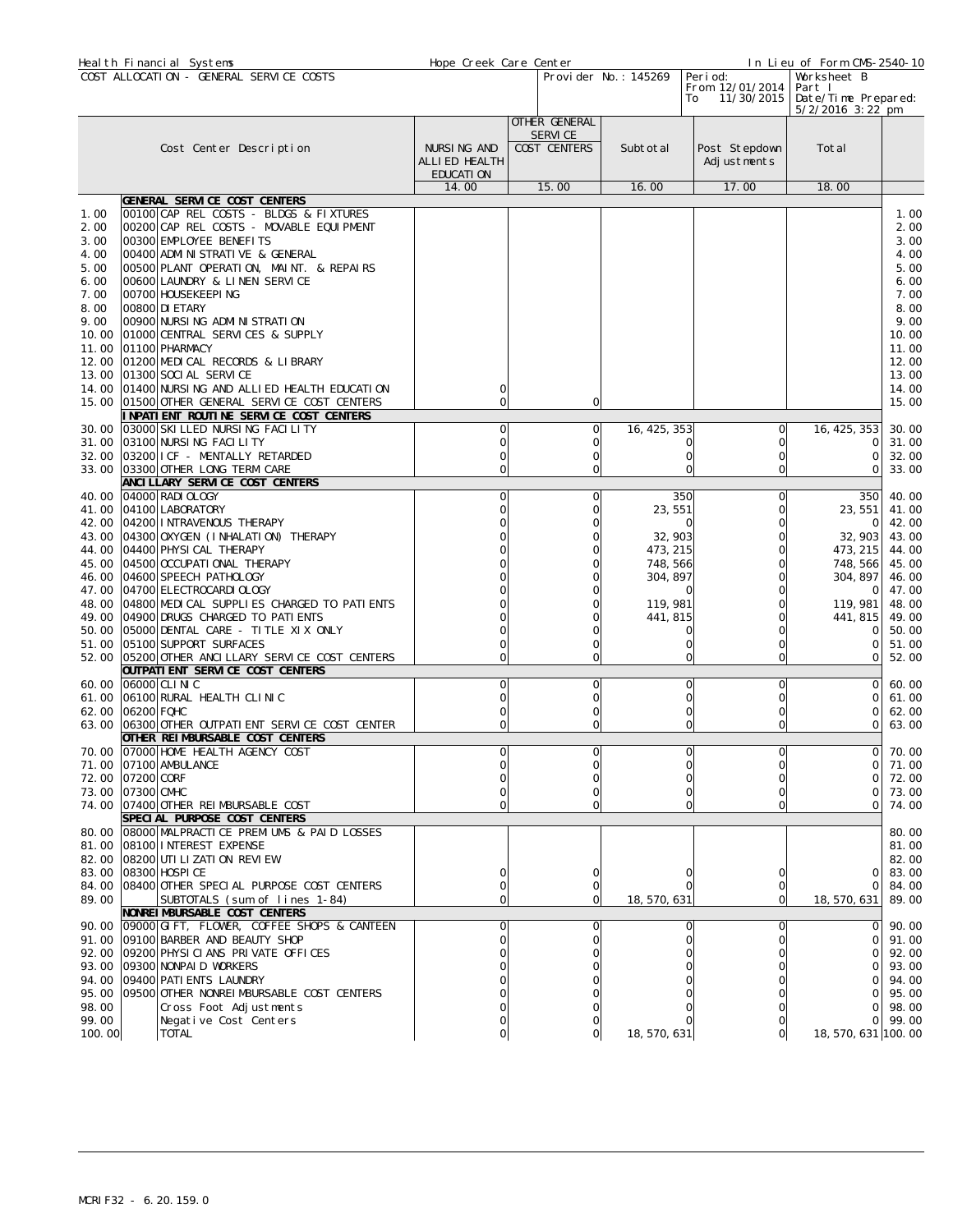|              |                  | Heal th Financial Systems                                                                         | Hope Creek Care Center |                          |                      |                                     | In Lieu of Form CMS-2540-10   |                |
|--------------|------------------|---------------------------------------------------------------------------------------------------|------------------------|--------------------------|----------------------|-------------------------------------|-------------------------------|----------------|
|              |                  | COST ALLOCATION - GENERAL SERVICE COSTS                                                           |                        |                          | Provider No.: 145269 | Peri od:                            | Worksheet B                   |                |
|              |                  |                                                                                                   |                        |                          |                      | From 12/01/2014<br>11/30/2015<br>To | Part I<br>Date/Time Prepared: |                |
|              |                  |                                                                                                   |                        |                          |                      |                                     | $5/2/2016$ 3:22 pm            |                |
|              |                  |                                                                                                   |                        | OTHER GENERAL            |                      |                                     |                               |                |
|              |                  | Cost Center Description                                                                           | NURSING AND            | SERVI CE<br>COST CENTERS | Subtotal             | Post Stepdown                       | Total                         |                |
|              |                  |                                                                                                   | ALLIED HEALTH          |                          |                      | Adjustments                         |                               |                |
|              |                  |                                                                                                   | EDUCATI ON             |                          |                      |                                     |                               |                |
|              |                  |                                                                                                   | 14.00                  | 15.00                    | 16.00                | 17.00                               | 18.00                         |                |
|              |                  | GENERAL SERVICE COST CENTERS<br>00100 CAP REL COSTS - BLDGS & FIXTURES                            |                        |                          |                      |                                     |                               |                |
| 1.00<br>2.00 |                  | 00200 CAP REL COSTS - MOVABLE EQUIPMENT                                                           |                        |                          |                      |                                     |                               | 1.00<br>2.00   |
| 3.00         |                  | 00300 EMPLOYEE BENEFITS                                                                           |                        |                          |                      |                                     |                               | 3.00           |
| 4.00         |                  | 00400 ADMI NI STRATI VE & GENERAL                                                                 |                        |                          |                      |                                     |                               | 4.00           |
| 5.00         |                  | 00500 PLANT OPERATION, MAINT. & REPAIRS                                                           |                        |                          |                      |                                     |                               | 5.00           |
| 6.00         |                  | 00600 LAUNDRY & LINEN SERVICE                                                                     |                        |                          |                      |                                     |                               | 6.00           |
| 7.00<br>8.00 |                  | 00700  HOUSEKEEPI NG<br>00800 DI ETARY                                                            |                        |                          |                      |                                     |                               | 7.00<br>8.00   |
| 9.00         |                  | 00900 NURSING ADMINISTRATION                                                                      |                        |                          |                      |                                     |                               | 9.00           |
| 10.00        |                  | 01000 CENTRAL SERVICES & SUPPLY                                                                   |                        |                          |                      |                                     |                               | 10.00          |
| 11.00        |                  | 01100 PHARMACY                                                                                    |                        |                          |                      |                                     |                               | 11.00          |
|              |                  | 12.00 01200 MEDICAL RECORDS & LIBRARY                                                             |                        |                          |                      |                                     |                               | 12.00          |
| 13.00        |                  | 01300 SOCI AL SERVICE                                                                             |                        |                          |                      |                                     |                               | 13.00          |
|              |                  | 14.00 01400 NURSING AND ALLIED HEALTH EDUCATION<br>15.00 01500 OTHER GENERAL SERVICE COST CENTERS | 0                      | 0                        |                      |                                     |                               | 14.00<br>15.00 |
|              |                  | INPATIENT ROUTINE SERVICE COST CENTERS                                                            |                        |                          |                      |                                     |                               |                |
|              |                  | 30.00 03000 SKI LLED NURSING FACILITY                                                             | 0                      | O                        | 16, 425, 353         | 0l                                  | 16, 425, 353                  | 30.00          |
|              |                  | 31.00 03100 NURSING FACILITY                                                                      | 0                      | 0                        |                      | $\Omega$<br>Ω                       | 0                             | 31.00          |
|              |                  | 32.00 03200 I CF - MENTALLY RETARDED                                                              | 0                      | $\circ$                  |                      | $\circ$<br>0                        | $\Omega$                      | 32.00          |
|              |                  | 33.00 03300 OTHER LONG TERM CARE                                                                  | O                      | $\Omega$                 |                      | 0<br>U                              | 0                             | 33.00          |
| 40.00        |                  | ANCI LLARY SERVICE COST CENTERS<br>04000 RADI OLOGY                                               | 0                      | 0                        |                      | 350<br>$\circ$                      | 350                           | 40.00          |
|              |                  | 41.00 04100 LABORATORY                                                                            |                        |                          | 23, 551              | O                                   | 23,551                        | 41.00          |
|              |                  | 42.00 04200 INTRAVENOUS THERAPY                                                                   |                        |                          |                      | O                                   | 0                             | 42.00          |
|              |                  | 43.00 04300 OXYGEN (INHALATION) THERAPY                                                           |                        |                          | 32, 903              | O                                   | 32,903                        | 43.00          |
|              |                  | 44.00 04400 PHYSICAL THERAPY                                                                      |                        |                          | 473, 215             | $\Omega$                            | 473, 215                      | 44.00          |
| 45.00        |                  | 04500 OCCUPATI ONAL THERAPY<br>46.00 04600 SPEECH PATHOLOGY                                       |                        |                          | 748, 566<br>304, 897 | 0<br>O                              | 748, 566<br>304, 897          | 45.00<br>46.00 |
| 47.00        |                  | 04700 ELECTROCARDI OLOGY                                                                          |                        |                          |                      | 0                                   | 0                             | 47.00          |
|              |                  | 48.00 04800 MEDICAL SUPPLIES CHARGED TO PATIENTS                                                  |                        |                          | 119, 981             | 0                                   | 119, 981                      | 48.00          |
| 49.00        |                  | 04900 DRUGS CHARGED TO PATI ENTS                                                                  |                        |                          | 441, 815             |                                     | 441, 815                      | 49.00          |
|              |                  | 50.00 05000 DENTAL CARE - TITLE XIX ONLY                                                          |                        |                          |                      | 0<br>0                              | 0                             | 50.00          |
| 51.00        |                  | 05100 SUPPORT SURFACES                                                                            |                        | $\Omega$                 |                      | O<br>0<br>0<br>O                    | 0<br>$\Omega$                 | 51.00          |
| 52.00        |                  | 05200 OTHER ANCILLARY SERVICE COST CENTERS<br>OUTPATI ENT SERVICE COST CENTERS                    |                        |                          |                      |                                     |                               | 52.00          |
|              |                  | 60.00 06000 CLINIC                                                                                | 0                      | $\circ$                  |                      | O<br>$\circ$                        | Οl                            | 60.00          |
|              |                  | 61.00 06100 RURAL HEALTH CLINIC                                                                   |                        | 0                        |                      | O<br>0                              | $\Omega$                      | 61.00          |
| 62.00        | 06200 FQHC       |                                                                                                   |                        | 0                        |                      | $\Omega$<br>0                       | 0                             | 62.00          |
|              |                  | 63.00 06300 OTHER OUTPATIENT SERVICE COST CENTER                                                  | 0                      | $\mathbf 0$              |                      | $\circ$<br>U                        | $\circ$                       | 63.00          |
|              |                  | OTHER REIMBURSABLE COST CENTERS<br>70.00 07000 HOME HEALTH AGENCY COST                            | പ                      | ΩI                       |                      | ΩI<br>ΩL                            |                               | $0$ 70.00      |
|              |                  | 71.00 07100 AMBULANCE                                                                             |                        |                          |                      |                                     | $\Omega$                      | 71.00          |
|              | 72.00 07200 CORF |                                                                                                   |                        |                          |                      |                                     | $\Omega$                      | 72.00          |
|              | 73.00 07300 CMHC |                                                                                                   |                        |                          |                      |                                     | $\Omega$                      | 73.00          |
|              |                  | 74.00 07400 OTHER REIMBURSABLE COST                                                               |                        |                          |                      | O                                   | Οl                            | 74.00          |
|              |                  | SPECIAL PURPOSE COST CENTERS<br>80.00 08000 MALPRACTICE PREMIUMS & PAID LOSSES                    |                        |                          |                      |                                     |                               | 80.00          |
|              |                  | 81.00 08100 INTEREST EXPENSE                                                                      |                        |                          |                      |                                     |                               | 81.00          |
|              |                  | 82.00 08200 UTI LI ZATI ON REVI EW                                                                |                        |                          |                      |                                     |                               | 82.00          |
|              |                  | 83.00 08300 HOSPI CE                                                                              |                        |                          |                      |                                     | 0                             | 83.00          |
|              |                  | 84.00 08400 OTHER SPECIAL PURPOSE COST CENTERS                                                    |                        |                          |                      |                                     | $\Omega$                      | 84.00          |
| 89.00        |                  | SUBTOTALS (sum of lines 1-84)                                                                     |                        | 0                        | 18, 570, 631         | Οl                                  | 18, 570, 631                  | 89.00          |
|              |                  | NONREI MBURSABLE COST CENTERS<br>90.00 09000 GIFT, FLOWER, COFFEE SHOPS & CANTEEN                 |                        |                          |                      | $\Omega$                            | ΟI                            | 90.00          |
|              |                  | 91.00 09100 BARBER AND BEAUTY SHOP                                                                |                        |                          |                      | 0                                   | 0                             | 91.00          |
|              |                  | 92.00 09200 PHYSICIANS PRIVATE OFFICES                                                            |                        |                          |                      |                                     | 0                             | 92.00          |
|              |                  | 93.00 09300 NONPAID WORKERS                                                                       |                        |                          |                      |                                     | 0                             | 93.00          |
|              |                  | 94.00 09400 PATI ENTS LAUNDRY                                                                     |                        |                          |                      |                                     | $\Omega$                      | 94.00          |
| 98.00        |                  | 95.00 09500 OTHER NONREIMBURSABLE COST CENTERS<br>Cross Foot Adjustments                          |                        |                          |                      |                                     | ΩI<br>$\Omega$                | 95.00<br>98.00 |
| 99.00        |                  | Negative Cost Centers                                                                             |                        |                          |                      |                                     | ΟI                            | 99.00          |
| 100.00       |                  | <b>TOTAL</b>                                                                                      |                        |                          | 18, 570, 631         | 0l                                  | 18, 570, 631 100. 00          |                |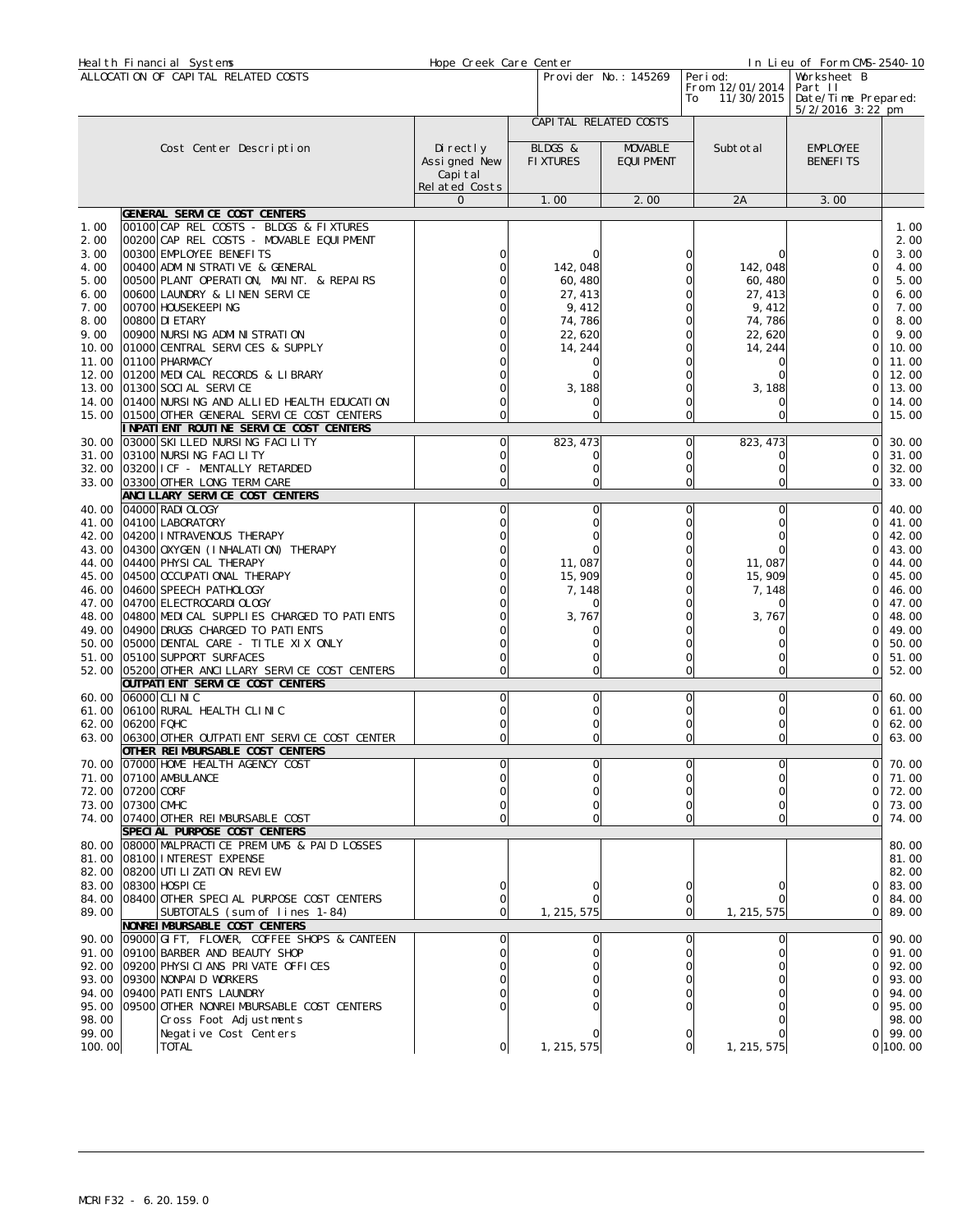|                                      | Heal th Financial Systems                                                                                                                                                                                                 | Hope Creek Care Center                    |                                | In Lieu of Form CMS-2540-10                     |                                                                     |                                          |                                              |
|--------------------------------------|---------------------------------------------------------------------------------------------------------------------------------------------------------------------------------------------------------------------------|-------------------------------------------|--------------------------------|-------------------------------------------------|---------------------------------------------------------------------|------------------------------------------|----------------------------------------------|
|                                      | ALLOCATION OF CAPITAL RELATED COSTS                                                                                                                                                                                       |                                           | Provider No.: 145269           | Peri od:<br>From 12/01/2014<br>11/30/2015<br>To | Worksheet B<br>Part II<br>Date/Time Prepared:<br>$5/2/2016$ 3:22 pm |                                          |                                              |
|                                      | Cost Center Description                                                                                                                                                                                                   | Di rectly                                 | BLDGS &                        | CAPI TAL RELATED COSTS<br>MOVABLE               | Subtotal                                                            | <b>EMPLOYEE</b>                          |                                              |
|                                      |                                                                                                                                                                                                                           | Assigned New<br>Capi tal<br>Related Costs | <b>FIXTURES</b>                | <b>EQUI PMENT</b>                               |                                                                     | <b>BENEFITS</b>                          |                                              |
|                                      |                                                                                                                                                                                                                           | $\mathsf{O}$                              | 1.00                           | 2.00                                            | 2A                                                                  | 3.00                                     |                                              |
| 1.00<br>2.00<br>3.00<br>4.00<br>5.00 | GENERAL SERVICE COST CENTERS<br>00100 CAP REL COSTS - BLDGS & FIXTURES<br>00200 CAP REL COSTS - MOVABLE EQUIPMENT<br>00300 EMPLOYEE BENEFITS<br>00400 ADMINISTRATIVE & GENERAL<br>00500 PLANT OPERATION, MAINT. & REPAIRS |                                           | 142,048<br>60, 480             | U                                               | 142, 048<br>60, 480                                                 | C<br>$\Omega$<br>$\Omega$                | 1.00<br>2.00<br>3.00<br>4.00<br>5.00         |
| 6.00<br>7.00<br>8.00                 | 00600 LAUNDRY & LINEN SERVICE<br>00700 HOUSEKEEPING<br>00800 DI ETARY                                                                                                                                                     |                                           | 27, 413<br>9,412<br>74, 786    | Ω<br>Ω                                          | 27, 413<br>9,412<br>74,786                                          | $\Omega$<br>$\mathbf 0$                  | 6.00<br>7.00<br>8.00                         |
| 9.00<br>10.00<br>11.00<br>12.00      | 00900 NURSING ADMINISTRATION<br>01000 CENTRAL SERVICES & SUPPLY<br>01100 PHARMACY<br>01200 MEDICAL RECORDS & LIBRARY                                                                                                      |                                           | 22, 620<br>14, 244             | 0                                               | 22,620<br>14, 244                                                   | 0                                        | 9.00<br>10.00<br>11.00<br>12.00              |
| 13.00<br>14.00<br>15.00              | 01300 SOCI AL SERVICE<br>01400 NURSING AND ALLIED HEALTH EDUCATION<br>01500 OTHER GENERAL SERVICE COST CENTERS<br>I NPATI ENT ROUTI NE SERVI CE COST CENTERS                                                              |                                           | 3,188<br>$\Omega$              | U<br>0                                          | 3, 188                                                              | 0<br>$\Omega$                            | 13.00<br>14.00<br>15.00                      |
| 30.00                                | 03000 SKI LLED NURSING FACILITY<br>31.00 03100 NURSI NG FACILITY<br>32.00 03200 I CF - MENTALLY RETARDED<br>33.00 03300 OTHER LONG TERM CARE                                                                              | 0                                         | 823, 473<br>O<br>O<br>$\Omega$ | 0<br>0<br>0                                     | 823, 473<br>0<br>Ω                                                  | $\Omega$<br>0<br>$\Omega$<br>$\mathbf 0$ | 30.00<br>31.00<br>32.00<br>33.00             |
|                                      | ANCI LLARY SERVICE COST CENTERS<br>40.00 04000 RADI OLOGY                                                                                                                                                                 |                                           | 0                              | U                                               |                                                                     | $\Omega$                                 | 40.00                                        |
| 41.00<br>44.00                       | 04100 LABORATORY<br>42.00 04200 INTRAVENOUS THERAPY<br>43.00 04300 0XYGEN (INHALATION) THERAPY<br>04400 PHYSI CAL THERAPY                                                                                                 |                                           | 11,087                         | Ω                                               | 11,087                                                              | $\Omega$<br>$\Omega$<br>0                | 41.00<br>42.00<br>43.00<br>44.00             |
| 46.00<br>48.00                       | 45.00 04500 OCCUPATI ONAL THERAPY<br>04600 SPEECH PATHOLOGY<br>47.00 04700 ELECTROCARDI OLOGY<br>04800 MEDICAL SUPPLIES CHARGED TO PATIENTS                                                                               |                                           | 15, 909<br>7, 148<br>3,767     | Ω                                               | 15, 909<br>7, 148<br>3,767                                          |                                          | 45.00<br>46.00<br>47.00<br>48.00             |
| 51.00<br>52.00                       | 49.00 04900 DRUGS CHARGED TO PATIENTS<br>50.00 05000 DENTAL CARE - TITLE XIX ONLY<br>05100 SUPPORT SURFACES<br>05200 OTHER ANCILLARY SERVICE COST CENTERS                                                                 | 0                                         | $\Omega$                       | 0                                               | 0                                                                   | 0<br>$\Omega$<br>$\mathbf 0$             | 49.00<br>50.00<br>51.00<br>52.00             |
|                                      | OUTPATI ENT SERVICE COST CENTERS                                                                                                                                                                                          |                                           |                                |                                                 |                                                                     |                                          |                                              |
| 61.00                                | 60.00 06000 CLINIC<br>06100 RURAL HEALTH CLINIC<br>62.00 06200 FQHC<br>63.00 06300 OTHER OUTPATI ENT SERVICE COST CENTER                                                                                                  | 0                                         | 0<br>$\Omega$                  | 0<br>0<br>$\Omega$                              | 0<br>0<br>0<br>0                                                    | 0<br>$\Omega$<br>$\Omega$<br>0           | 60.00<br>61.00<br>62.00<br>63.00             |
|                                      | OTHER REIMBURSABLE COST CENTERS<br>70.00 07000 HOME HEALTH AGENCY COST                                                                                                                                                    |                                           | 0                              | 0                                               |                                                                     | 0                                        | 70.00                                        |
|                                      | 71.00 07100 AMBULANCE<br>72.00 07200 CORF<br>73.00 07300 CMHC<br>74.00 07400 OTHER REIMBURSABLE COST                                                                                                                      |                                           |                                | Ω<br>Ω<br>U<br>Ω                                |                                                                     | ∩<br>0<br>$\Omega$<br>$\mathbf 0$        | 71.00<br>72.00<br>73.00<br>74.00             |
|                                      | SPECIAL PURPOSE COST CENTERS<br>80.00 08000 MALPRACTICE PREMIUMS & PAID LOSSES<br>81.00 08100 INTEREST EXPENSE<br>82.00 08200 UTI LI ZATI ON REVI EW                                                                      |                                           |                                |                                                 |                                                                     |                                          | 80.00<br>81.00<br>82.00                      |
| 89.00                                | 83.00 08300 HOSPI CE<br>84.00 08400 OTHER SPECIAL PURPOSE COST CENTERS<br>SUBTOTALS (sum of lines 1-84)<br>NONREI MBURSABLE COST CENTERS                                                                                  |                                           | 1, 215, 575                    | O<br>0<br>0                                     | 1, 215, 575                                                         | 0<br>$\Omega$<br>0                       | 83.00<br>84.00<br>89.00                      |
|                                      | 90.00 09000 GIFT, FLOWER, COFFEE SHOPS & CANTEEN<br>91.00 09100 BARBER AND BEAUTY SHOP<br>92.00 09200 PHYSICIANS PRIVATE OFFICES<br>93.00 09300 NONPAID WORKERS                                                           |                                           |                                |                                                 |                                                                     | $\mathbf 0$<br>0<br>$\Omega$<br>0        | 90.00<br>91.00<br>92.00<br>93.00             |
| 98.00<br>99.00<br>100.00             | 94.00 09400 PATI ENTS LAUNDRY<br>95.00 09500 OTHER NONREIMBURSABLE COST CENTERS<br>Cross Foot Adjustments<br>Negative Cost Centers<br><b>TOTAL</b>                                                                        |                                           | 1, 215, 575                    |                                                 | 1, 215, 575                                                         | $\Omega$<br>$\Omega$<br>$\circ$          | 94.00<br>95.00<br>98.00<br>99.00<br>0 100.00 |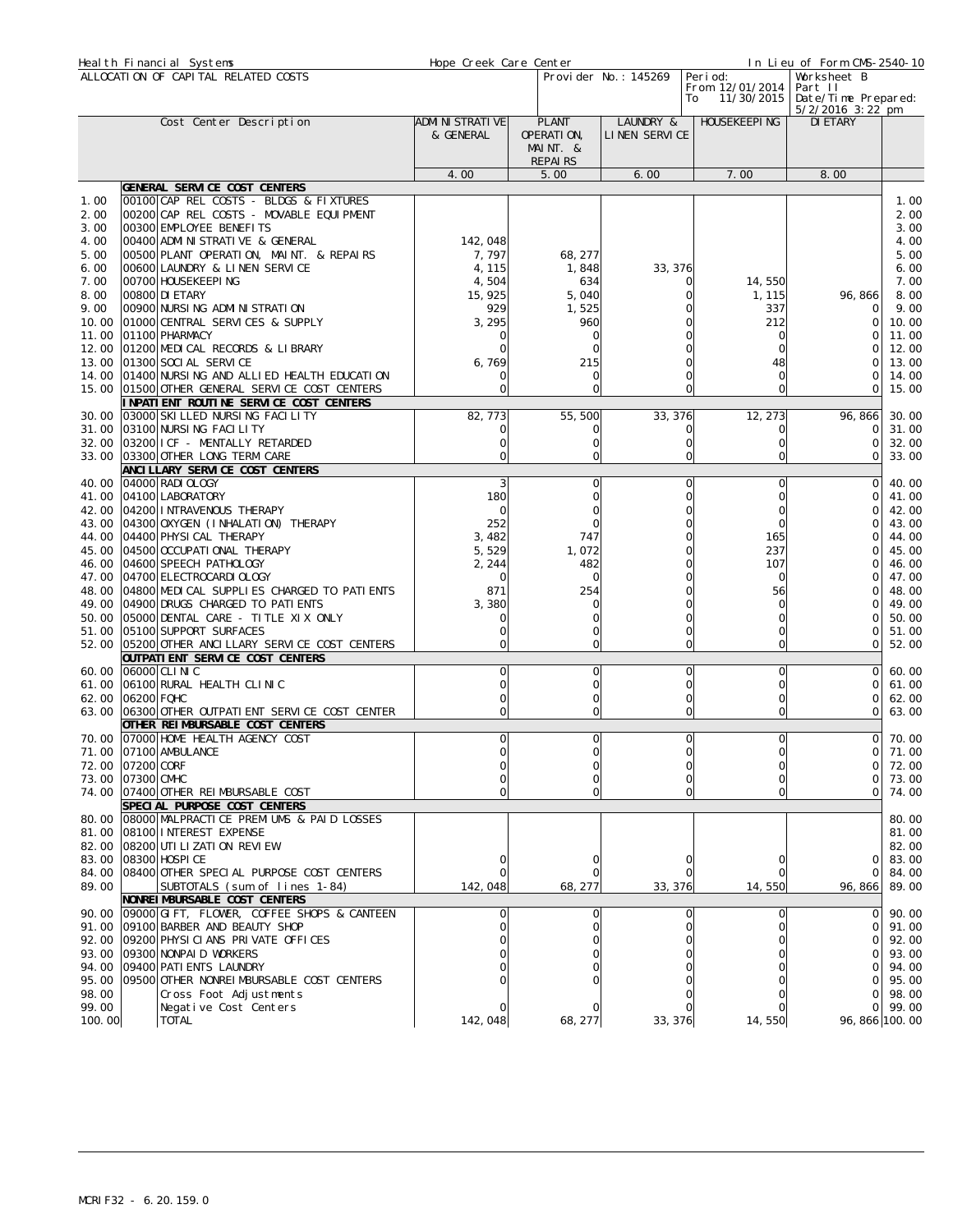| Heal th Financial Systems                                            |                                                                                                                                                                                                                                                                                                    | Hope Creek Care Center                                          |                                                   | In Lieu of Form CMS-2540-10 |                                           |                                                                     |                                                                      |
|----------------------------------------------------------------------|----------------------------------------------------------------------------------------------------------------------------------------------------------------------------------------------------------------------------------------------------------------------------------------------------|-----------------------------------------------------------------|---------------------------------------------------|-----------------------------|-------------------------------------------|---------------------------------------------------------------------|----------------------------------------------------------------------|
|                                                                      | ALLOCATION OF CAPITAL RELATED COSTS                                                                                                                                                                                                                                                                |                                                                 |                                                   | Provi der No.: 145269<br>To | Peri od:<br>From 12/01/2014<br>11/30/2015 | Worksheet B<br>Part II<br>Date/Time Prepared:<br>$5/2/2016$ 3:22 pm |                                                                      |
|                                                                      | Cost Center Description                                                                                                                                                                                                                                                                            | ADMI NI STRATI VE<br>& GENERAL                                  | <b>PLANT</b><br>OPERATION,<br>MAINT. &<br>REPAIRS | LAUNDRY &<br>LINEN SERVICE  | HOUSEKEEPI NG                             | DI ETARY                                                            |                                                                      |
|                                                                      |                                                                                                                                                                                                                                                                                                    | 4.00                                                            | 5.00                                              | 6.00                        | 7.00                                      | 8.00                                                                |                                                                      |
| 1.00<br>2.00                                                         | GENERAL SERVICE COST CENTERS<br>00100 CAP REL COSTS - BLDGS & FIXTURES<br>00200 CAP REL COSTS - MOVABLE EQUIPMENT                                                                                                                                                                                  |                                                                 |                                                   |                             |                                           |                                                                     | 1.00<br>2.00                                                         |
| 3.00<br>4.00<br>5.00<br>6.00<br>7.00<br>8.00<br>9.00<br>10.00        | 00300 EMPLOYEE BENEFITS<br>00400 ADMI NI STRATI VE & GENERAL<br>00500 PLANT OPERATION, MAINT. & REPAIRS<br>00600 LAUNDRY & LINEN SERVICE<br>00700 HOUSEKEEPING<br>00800 DI ETARY<br>00900 NURSING ADMINISTRATION<br>01000 CENTRAL SERVICES & SUPPLY                                                | 142,048<br>7,797<br>4, 115<br>4,504<br>15, 925<br>929<br>3, 295 | 68, 277<br>1,848<br>634<br>5,040<br>1,525<br>960  | 33, 376                     | 14,550<br>1, 115<br>337<br>212            | 96, 866<br>$\Omega$<br>Ω                                            | 3.00<br>4.00<br>5.00<br>6.00<br>7.00<br>8.00<br>9.00<br>10.00        |
| 11.00<br>12.00<br>13.00<br>14.00                                     | 01100 PHARMACY<br>01200 MEDICAL RECORDS & LIBRARY<br>01300 SOCI AL SERVI CE<br>01400 NURSING AND ALLIED HEALTH EDUCATION                                                                                                                                                                           | 6,769<br>0                                                      | 0<br>$\Omega$<br>215<br>$\Omega$                  |                             | 0<br>Ω<br>48<br>0                         | $\cap$<br>0                                                         | 11.00<br>12.00<br>13.00<br>14.00                                     |
| 15.00                                                                | 01500 OTHER GENERAL SERVICE COST CENTERS<br>INPATIENT ROUTINE SERVICE COST CENTERS                                                                                                                                                                                                                 | 0                                                               | $\mathbf 0$                                       | Ω                           | 0                                         | $\Omega$                                                            | 15.00                                                                |
| 30.00<br>31.00<br>32.00                                              | 03000 SKI LLED NURSING FACILITY<br>03100 NURSING FACILITY<br>03200 ICF - MENTALLY RETARDED<br>33.00 03300 OTHER LONG TERM CARE                                                                                                                                                                     | 82, 773                                                         | 55, 500<br>C<br>0<br>$\Omega$                     | 33, 376<br>$\Omega$         | 12, 273<br>0<br>0                         | 96, 866<br>0<br>$\Omega$<br>$\Omega$                                | 30.00<br>31.00<br>32.00<br>33.00                                     |
|                                                                      | ANCI LLARY SERVICE COST CENTERS                                                                                                                                                                                                                                                                    |                                                                 |                                                   |                             |                                           |                                                                     |                                                                      |
| 40.00<br>41.00<br>42.00<br>43.00<br>44.00                            | 04000 RADI OLOGY<br>04100 LABORATORY<br>04200 INTRAVENOUS THERAPY<br>04300 OXYGEN (I NHALATION) THERAPY<br>04400 PHYSI CAL THERAPY                                                                                                                                                                 | 3<br>180<br>$\Omega$<br>252<br>3,482                            | $\mathbf 0$<br>$\mathbf 0$<br>0<br>747            | $\Omega$<br>$\Omega$<br>0   | 0<br>0<br>0<br>0<br>165                   | $\Omega$<br>0<br>0<br>$\cap$                                        | 40.00<br>41.00<br>42.00<br>43.00<br>44.00                            |
| 45.00<br>46.00<br>47.00<br>48.00                                     | 04500 OCCUPATI ONAL THERAPY<br>04600 SPEECH PATHOLOGY<br>04700 ELECTROCARDI OLOGY<br>04800 MEDICAL SUPPLIES CHARGED TO PATIENTS                                                                                                                                                                    | 5,529<br>2, 244<br>871                                          | 1,072<br>482<br>$\Omega$<br>254                   |                             | 237<br>107<br>0<br>56                     | O<br>∩                                                              | 45.00<br>46.00<br>47.00<br>48.00                                     |
| 49.00<br>50.00<br>51.00<br>52.00                                     | 04900 DRUGS CHARGED TO PATI ENTS<br>05000 DENTAL CARE - TITLE XIX ONLY<br>05100 SUPPORT SURFACES<br>05200 OTHER ANCILLARY SERVICE COST CENTERS                                                                                                                                                     | 3,380<br>0                                                      | $\Omega$<br>0<br>$\Omega$                         |                             | 0<br>0<br>0<br>0                          | 0<br>$\cap$<br>O<br>ΟI                                              | 49.00<br>50.00<br>51.00<br>52.00                                     |
| 60.00<br>61.00<br>62.00                                              | OUTPATI ENT SERVICE COST CENTERS<br>06000 CLI NI C<br>06100 RURAL HEALTH CLINIC<br>06200 FQHC                                                                                                                                                                                                      | 0                                                               | 0<br>$\Omega$<br>$\Omega$                         | O<br>$\Omega$<br>$\Omega$   | 0<br>0<br>0                               | 0<br>∩<br>$\Omega$                                                  | 60.00<br>61.00<br>62.00                                              |
| 63.00<br>70.00                                                       | 06300 OTHER OUTPATI ENT SERVICE COST CENTER<br>OTHER REIMBURSABLE COST CENTERS<br>07000 HOME HEALTH AGENCY COST                                                                                                                                                                                    | 0                                                               | $\Omega$<br>$\mathbf 0$                           | O                           | 0<br>0l                                   | Οl<br>οI                                                            | 63.00<br>70.00                                                       |
| 72.00<br>73.00                                                       | 71.00 07100 AMBULANCE<br>07200 CORF<br>07300 CMHC<br>74.00 07400 OTHER REIMBURSABLE COST                                                                                                                                                                                                           |                                                                 | $\Omega$                                          |                             | $\bigcap$<br>0                            | $\circ$<br>01<br>ΟI<br>ΟI                                           | 71.00<br>72.00<br>73.00<br>74.00                                     |
| 80.00<br>82.00<br>83.00<br>84.00<br>89.00                            | SPECIAL PURPOSE COST CENTERS<br>08000 MALPRACTICE PREMIUMS & PAID LOSSES<br>81.00 08100 INTEREST EXPENSE<br>08200 UTI LI ZATI ON REVI EW<br>08300 HOSPI CE<br>08400 OTHER SPECIAL PURPOSE COST CENTERS<br>SUBTOTALS (sum of lines 1-84)                                                            | 142,048                                                         | 68, 277                                           | 33, 376                     | 14,550                                    | $\Omega$<br>ΟI<br>96, 866                                           | 80.00<br>81.00<br>82.00<br>83.00<br>84.00<br>89.00                   |
| 90.00<br>91.00<br>92.00<br>93.00<br>94.00<br>95.00<br>98.00<br>99.00 | NONREI MBURSABLE COST CENTERS<br>09000 GIFT, FLOWER, COFFEE SHOPS & CANTEEN<br>09100 BARBER AND BEAUTY SHOP<br>09200 PHYSICIANS PRIVATE OFFICES<br>09300 NONPAID WORKERS<br>09400 PATI ENTS LAUNDRY<br>09500 OTHER NONREIMBURSABLE COST CENTERS<br>Cross Foot Adjustments<br>Negative Cost Centers |                                                                 | 0                                                 | $\Omega$                    | 0                                         | $\circ$<br>$\Omega$<br>$\Omega$<br>∩<br>ΩI<br>ΟI<br>Οl              | 90.00<br>91.00<br>92.00<br>93.00<br>94.00<br>95.00<br>98.00<br>99.00 |
| 100.00                                                               | <b>TOTAL</b>                                                                                                                                                                                                                                                                                       | 142,048                                                         | 68, 277                                           | 33, 376                     | 14, 550                                   | 96, 866 100.00                                                      |                                                                      |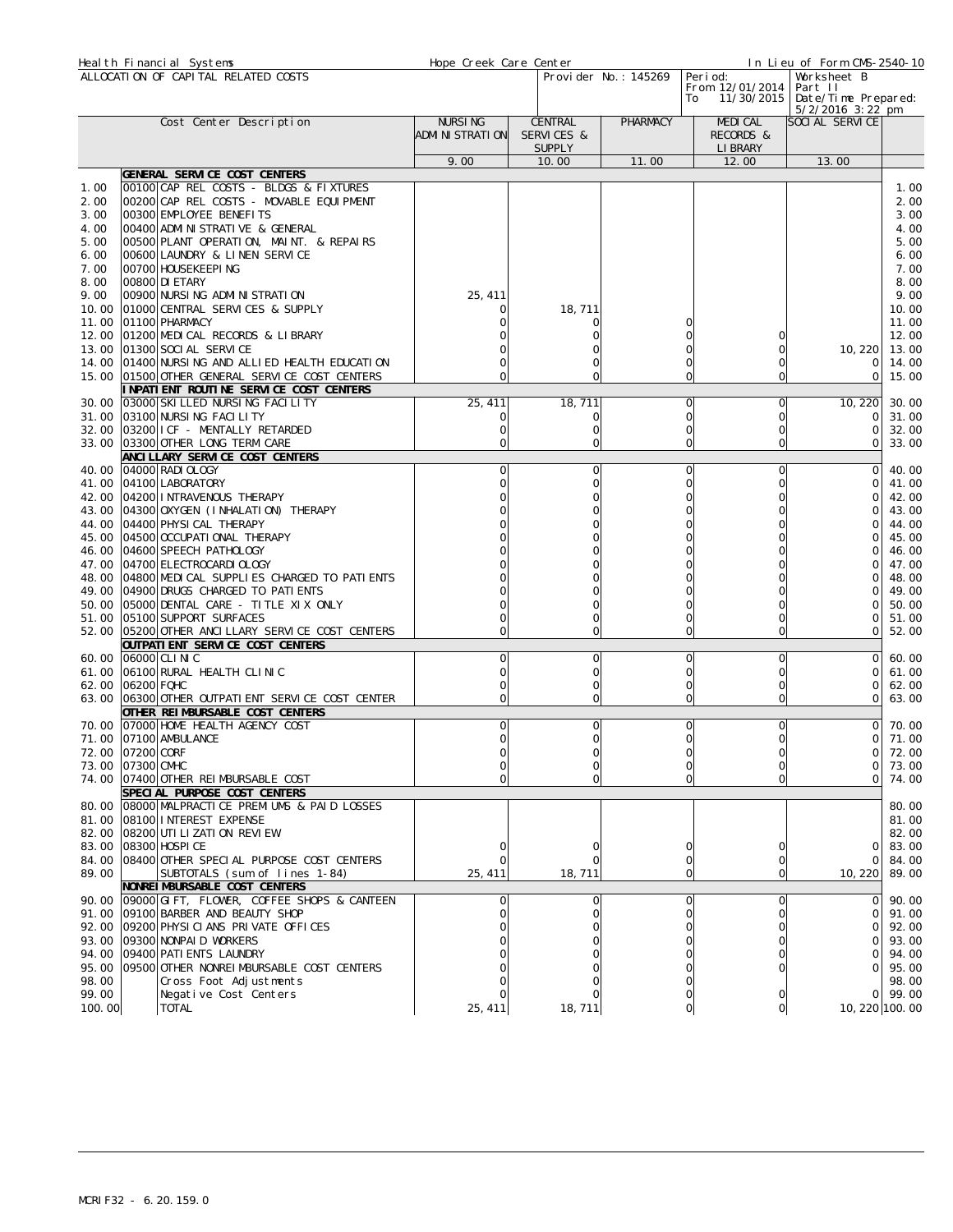|                              | Heal th Financial Systems                                                                                                                         | Hope Creek Care Center              |                                        |                            | In Lieu of Form CMS-2540-10                                                                                             |                                 |                              |  |
|------------------------------|---------------------------------------------------------------------------------------------------------------------------------------------------|-------------------------------------|----------------------------------------|----------------------------|-------------------------------------------------------------------------------------------------------------------------|---------------------------------|------------------------------|--|
|                              | ALLOCATION OF CAPITAL RELATED COSTS                                                                                                               |                                     | Provi der No.: 145269                  |                            | Peri od:<br>Worksheet B<br>From 12/01/2014<br>Part II<br>Date/Time Prepared:<br>11/30/2015<br>To<br>$5/2/2016$ 3: 22 pm |                                 |                              |  |
|                              | Cost Center Description                                                                                                                           | <b>NURSING</b><br>ADMI NI STRATI ON | CENTRAL<br>SERVICES &<br><b>SUPPLY</b> | PHARMACY                   | MEDI CAL<br>RECORDS &<br>LI BRARY                                                                                       | SOCIAL SERVICE                  |                              |  |
|                              |                                                                                                                                                   | 9.00                                | 10.00                                  | 11.00                      | 12.00                                                                                                                   | 13.00                           |                              |  |
|                              | GENERAL SERVICE COST CENTERS                                                                                                                      |                                     |                                        |                            |                                                                                                                         |                                 |                              |  |
| 1.00<br>2.00<br>3.00<br>4.00 | 00100 CAP REL COSTS - BLDGS & FIXTURES<br>00200 CAP REL COSTS - MOVABLE EQUIPMENT<br>00300 EMPLOYEE BENEFITS<br>00400 ADMI NI STRATI VE & GENERAL |                                     |                                        |                            |                                                                                                                         |                                 | 1.00<br>2.00<br>3.00<br>4.00 |  |
| 5.00<br>6.00<br>7.00         | 00500 PLANT OPERATION, MAINT. & REPAIRS<br>00600 LAUNDRY & LINEN SERVICE<br>00700 HOUSEKEEPING                                                    |                                     |                                        |                            |                                                                                                                         |                                 | 5.00<br>6.00<br>7.00         |  |
| 8.00<br>9.00<br>10.00        | 00800 DI ETARY<br>00900 NURSING ADMINISTRATION<br>01000 CENTRAL SERVICES & SUPPLY                                                                 | 25, 411                             | 18, 711                                |                            |                                                                                                                         |                                 | 8.00<br>9.00<br>10.00        |  |
| 11.00<br>12.00<br>13.00      | 01100 PHARMACY<br>01200 MEDICAL RECORDS & LIBRARY<br>01300 SOCI AL SERVICE                                                                        |                                     |                                        |                            | 0<br>0                                                                                                                  | 10, 220                         | 11.00<br>12.00<br>13.00      |  |
| 14.00<br>15.00               | 01400 NURSING AND ALLIED HEALTH EDUCATION<br>01500 OTHER GENERAL SERVICE COST CENTERS<br>I NPATI ENT ROUTI NE SERVI CE COST CENTERS               |                                     | Ω<br>$\Omega$                          |                            | 0<br>0                                                                                                                  | ΟI<br>ΟI                        | 14.00<br>15.00               |  |
| 30.00                        | 03000 SKI LLED NURSING FACILITY                                                                                                                   | 25, 411                             | 18, 711                                | O                          | 0                                                                                                                       | 10, 220                         | 30.00                        |  |
| 31.00                        | 03100 NURSING FACILITY                                                                                                                            |                                     | 0                                      | 0                          | 0                                                                                                                       | <sup>O</sup>                    | 31.00                        |  |
| 32.00<br>33.00               | 03200 I CF - MENTALLY RETARDED<br>03300 OTHER LONG TERM CARE                                                                                      | 0                                   | 0<br>0                                 | 0<br>$\Omega$              | 0<br>0                                                                                                                  | 0<br>$\Omega$                   | 32.00<br>33.00               |  |
| 40.00                        | ANCI LLARY SERVICE COST CENTERS<br>04000 RADI OLOGY                                                                                               | 0                                   | $\mathbf 0$                            | $\Omega$                   | 0l                                                                                                                      | $\Omega$                        | 40.00                        |  |
| 41.00                        | 04100 LABORATORY                                                                                                                                  |                                     | 0                                      | O                          | 0                                                                                                                       | $\Omega$                        | 41.00                        |  |
| 42.00                        | 04200 INTRAVENOUS THERAPY                                                                                                                         |                                     |                                        |                            | 0                                                                                                                       | ∩                               | 42.00                        |  |
| 43.00                        | 04300 OXYGEN (I NHALATION) THERAPY                                                                                                                |                                     |                                        |                            | Ω                                                                                                                       | O                               | 43.00                        |  |
| 44.00<br>45.00               | 04400 PHYSI CAL THERAPY<br>04500 OCCUPATI ONAL THERAPY                                                                                            |                                     |                                        |                            |                                                                                                                         |                                 | 44.00<br>45.00               |  |
| 46.00                        | 04600 SPEECH PATHOLOGY                                                                                                                            |                                     |                                        |                            |                                                                                                                         | 0                               | 46.00                        |  |
|                              | 47.00 04700 ELECTROCARDI OLOGY                                                                                                                    |                                     |                                        |                            |                                                                                                                         | $\cap$                          | 47.00                        |  |
| 48.00                        | 04800 MEDICAL SUPPLIES CHARGED TO PATIENTS                                                                                                        |                                     |                                        |                            |                                                                                                                         | $\cap$                          | 48.00                        |  |
| 49.00                        | 04900 DRUGS CHARGED TO PATIENTS                                                                                                                   |                                     |                                        |                            |                                                                                                                         | ∩                               | 49.00                        |  |
| 50.00                        | 05000 DENTAL CARE - TITLE XIX ONLY                                                                                                                |                                     |                                        |                            | Ω                                                                                                                       | 0                               | 50.00                        |  |
| 51.00                        | 05100 SUPPORT SURFACES                                                                                                                            |                                     | 0                                      |                            | 0                                                                                                                       | $\Omega$                        | 51.00                        |  |
| 52.00                        | 05200 OTHER ANCILLARY SERVICE COST CENTERS<br>OUTPATI ENT SERVICE COST CENTERS                                                                    |                                     | 0                                      |                            | 0<br>O                                                                                                                  | 0                               | 52.00                        |  |
| 60.00                        | 06000 CLINIC                                                                                                                                      | Ω                                   | 0                                      |                            | 0                                                                                                                       | $\circ$                         | 60.00                        |  |
| 61.00                        | 06100 RURAL HEALTH CLINIC                                                                                                                         |                                     | 0                                      | 0                          | 0                                                                                                                       | 0                               | 61.00                        |  |
|                              | 62.00 06200 FQHC                                                                                                                                  |                                     | 0                                      | $\Omega$                   | 0                                                                                                                       | $\Omega$                        | 62.00                        |  |
|                              | 63.00 06300 OTHER OUTPATI ENT SERVICE COST CENTER<br>OTHER REIMBURSABLE COST CENTERS                                                              |                                     | $\Omega$                               |                            | 0<br>O                                                                                                                  | $\Omega$                        | 63.00                        |  |
| 70.00                        | 07000 HOME HEALTH AGENCY COST                                                                                                                     | 0                                   | 0                                      | 0                          | <sup>o</sup>                                                                                                            | $\circ$                         | 70.00                        |  |
| 71.00                        | 07100 AMBULANCE                                                                                                                                   | 0                                   | 0                                      | O                          | 0                                                                                                                       | ΟI                              | 71.00                        |  |
|                              | 72.00 07200 CORF                                                                                                                                  |                                     |                                        |                            | $\Omega$                                                                                                                | $\overline{O}$                  | 72.00                        |  |
|                              | 73.00 07300 CMHC                                                                                                                                  | 0                                   | $\mathbf 0$                            | 0                          | 0                                                                                                                       | ΟI                              | 73.00                        |  |
| 74.00                        | 07400 OTHER REIMBURSABLE COST<br>SPECIAL PURPOSE COST CENTERS                                                                                     |                                     | $\Omega$                               | $\Omega$                   | 0                                                                                                                       | $\circ$                         | 74.00                        |  |
|                              | 80.00   08000   MALPRACTI CE PREMIUMS & PAID LOSSES                                                                                               |                                     |                                        |                            |                                                                                                                         |                                 | 80.00                        |  |
|                              | 81.00 08100 INTEREST EXPENSE                                                                                                                      |                                     |                                        |                            |                                                                                                                         |                                 | 81.00                        |  |
|                              | 82.00 08200 UTI LI ZATI ON REVI EW                                                                                                                |                                     |                                        |                            |                                                                                                                         |                                 | 82.00                        |  |
|                              | 83.00 08300 HOSPI CE                                                                                                                              |                                     |                                        |                            | 0                                                                                                                       | ΟI                              | 83.00                        |  |
| 84.00<br>89.00               | 08400 OTHER SPECIAL PURPOSE COST CENTERS<br>SUBTOTALS (sum of lines 1-84)                                                                         | 25, 411                             | 18, 711                                | $\Omega$<br>$\overline{O}$ | 0<br>0                                                                                                                  | $\overline{O}$<br>10, 220 89.00 | 84.00                        |  |
|                              | NONREI MBURSABLE COST CENTERS                                                                                                                     |                                     |                                        |                            |                                                                                                                         |                                 |                              |  |
|                              | 90.00 09000 GIFT, FLOWER, COFFEE SHOPS & CANTEEN                                                                                                  |                                     |                                        | 0                          | 0                                                                                                                       | $\circ$                         | 90.00                        |  |
| 91.00                        | 09100 BARBER AND BEAUTY SHOP                                                                                                                      |                                     |                                        | $\Omega$                   | 0                                                                                                                       | $\Omega$                        | 91.00                        |  |
|                              | 92.00 09200 PHYSICIANS PRIVATE OFFICES                                                                                                            |                                     |                                        |                            |                                                                                                                         | $\Omega$                        | 92.00                        |  |
|                              | 93.00 09300 NONPAID WORKERS                                                                                                                       |                                     |                                        |                            | 0                                                                                                                       | $\Omega$                        | 93.00                        |  |
|                              | 94.00 09400 PATI ENTS LAUNDRY<br>95.00 09500 OTHER NONREIMBURSABLE COST CENTERS                                                                   |                                     |                                        |                            | O                                                                                                                       | ΩI<br>ΩI                        | 94.00<br>95.00               |  |
| 98.00                        | Cross Foot Adjustments                                                                                                                            |                                     |                                        |                            |                                                                                                                         |                                 | 98.00                        |  |
| 99.00                        | Negative Cost Centers                                                                                                                             |                                     |                                        |                            |                                                                                                                         |                                 | 0 99.00                      |  |
| 100.00                       | <b>TOTAL</b>                                                                                                                                      | 25, 411                             | 18, 711                                | O                          | 0l                                                                                                                      | 10, 220 100.00                  |                              |  |
|                              |                                                                                                                                                   |                                     |                                        |                            |                                                                                                                         |                                 |                              |  |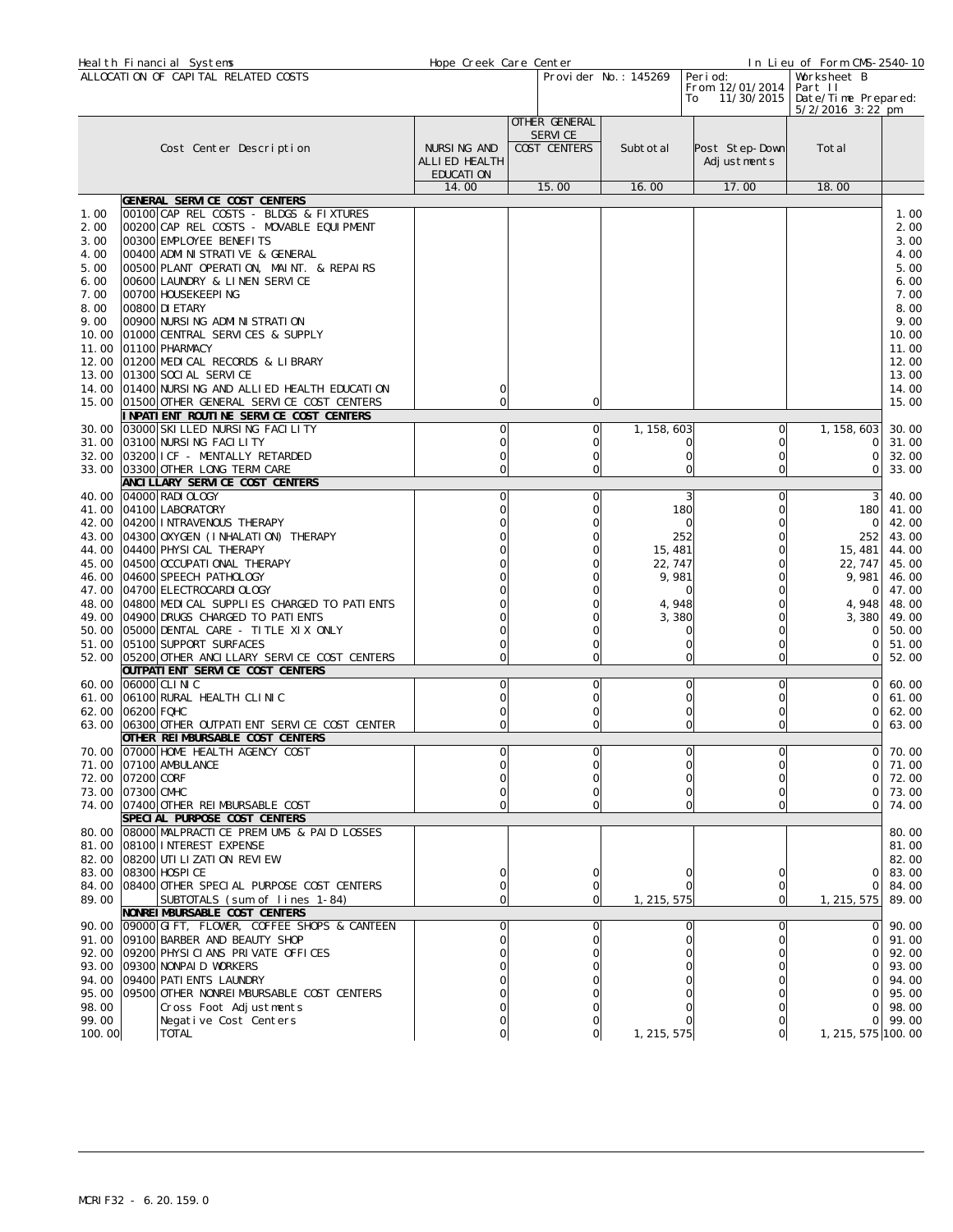| Heal th Financial Systems                                                               |                                                                                                                                                                                                                                                                                                 | Hope Creek Care Center                                                                                                                                                                  |                                             |    |                          |                      | In Lieu of Form CMS-2540-10 |                                       |                                                                     |                                                                                                                    |
|-----------------------------------------------------------------------------------------|-------------------------------------------------------------------------------------------------------------------------------------------------------------------------------------------------------------------------------------------------------------------------------------------------|-----------------------------------------------------------------------------------------------------------------------------------------------------------------------------------------|---------------------------------------------|----|--------------------------|----------------------|-----------------------------|---------------------------------------|---------------------------------------------------------------------|--------------------------------------------------------------------------------------------------------------------|
|                                                                                         | ALLOCATION OF CAPITAL RELATED COSTS                                                                                                                                                                                                                                                             |                                                                                                                                                                                         |                                             |    |                          | Provider No.: 145269 | Peri od:<br>To              | From 12/01/2014<br>11/30/2015         | Worksheet B<br>Part II<br>Date/Time Prepared:<br>$5/2/2016$ 3:22 pm |                                                                                                                    |
|                                                                                         |                                                                                                                                                                                                                                                                                                 |                                                                                                                                                                                         |                                             |    | OTHER GENERAL            |                      |                             |                                       |                                                                     |                                                                                                                    |
|                                                                                         | Cost Center Description                                                                                                                                                                                                                                                                         |                                                                                                                                                                                         | NURSING AND<br>ALLI ED HEALTH<br>EDUCATI ON |    | SERVI CE<br>COST CENTERS | Subtotal             |                             | Post Step-Down<br>Adjustments         | Total                                                               |                                                                                                                    |
|                                                                                         |                                                                                                                                                                                                                                                                                                 |                                                                                                                                                                                         | 14.00                                       |    | 15.00                    | 16.00                |                             | 17.00                                 | 18.00                                                               |                                                                                                                    |
| 1.00                                                                                    | GENERAL SERVICE COST CENTERS                                                                                                                                                                                                                                                                    | 00100 CAP REL COSTS - BLDGS & FIXTURES                                                                                                                                                  |                                             |    |                          |                      |                             |                                       |                                                                     | 1.00                                                                                                               |
| 2.00<br>3.00<br>4.00<br>5.00<br>6.00<br>7.00<br>8.00<br>9.00<br>10.00<br>11.00<br>13.00 | 00300 EMPLOYEE BENEFITS<br>00400 ADMI NI STRATI VE & GENERAL<br>00600 LAUNDRY & LINEN SERVICE<br> 00700  HOUSEKEEPI NG<br>00800 DI ETARY<br>00900 NURSING ADMINISTRATION<br>01000 CENTRAL SERVICES & SUPPLY<br>01100 PHARMACY<br>12.00 01200 MEDICAL RECORDS & LIBRARY<br>01300 SOCI AL SERVICE | 00200 CAP REL COSTS - MOVABLE EQUIPMENT<br>00500 PLANT OPERATION, MAINT. & REPAIRS<br>14.00 01400 NURSING AND ALLIED HEALTH EDUCATION<br>15.00 01500 OTHER GENERAL SERVICE COST CENTERS | 0                                           |    | $\Omega$                 |                      |                             |                                       |                                                                     | 2.00<br>3.00<br>4.00<br>5.00<br>6.00<br>7.00<br>8.00<br>9.00<br>10.00<br>11.00<br>12.00<br>13.00<br>14.00<br>15.00 |
|                                                                                         |                                                                                                                                                                                                                                                                                                 | INPATIENT ROUTINE SERVICE COST CENTERS                                                                                                                                                  |                                             |    |                          |                      |                             |                                       |                                                                     |                                                                                                                    |
|                                                                                         | 30.00 03000 SKI LLED NURSING FACILITY<br>31.00 03100 NURSING FACILITY<br>32.00 03200 I CF - MENTALLY RETARDED<br>33.00 03300 OTHER LONG TERM CARE                                                                                                                                               |                                                                                                                                                                                         | 0<br>0<br>Ω                                 |    | O<br>0<br>0<br>C         | 1, 158, 603          | U<br>0                      | $\Omega$<br>$\Omega$<br>$\circ$<br>O  | 1, 158, 603<br>$\Omega$<br>$\Omega$<br>0                            | 30.00<br>31.00<br>32.00<br>33.00                                                                                   |
| 40.00                                                                                   | ANCI LLARY SERVICE COST CENTERS<br>04000 RADI OLOGY                                                                                                                                                                                                                                             |                                                                                                                                                                                         | 0                                           |    | $\mathbf 0$              |                      | 3                           | O                                     | 3                                                                   | 40.00                                                                                                              |
| 45.00                                                                                   | 41.00 04100 LABORATORY<br>42.00 04200 INTRAVENOUS THERAPY<br>43.00 04300 OXYGEN (INHALATION) THERAPY<br>44.00 04400 PHYSICAL THERAPY<br>04500 OCCUPATI ONAL THERAPY                                                                                                                             |                                                                                                                                                                                         |                                             |    |                          | 15, 481<br>22, 747   | 180<br>$\Omega$<br>252      | 0<br>$\Omega$<br>$\Omega$<br>$\Omega$ | 180<br>0<br>252<br>15, 481<br>22, 747                               | 41.00<br>42.00<br>43.00<br>44.00<br>45.00                                                                          |
| 47.00                                                                                   | 46.00 04600 SPEECH PATHOLOGY<br>04700 ELECTROCARDI OLOGY                                                                                                                                                                                                                                        |                                                                                                                                                                                         |                                             |    |                          |                      | 9,981                       | O                                     | 9,981<br>0                                                          | 46.00<br>47.00                                                                                                     |
|                                                                                         | 49.00 04900 DRUGS CHARGED TO PATIENTS<br>50.00 05000 DENTAL CARE - TITLE XIX ONLY                                                                                                                                                                                                               | 48.00 04800 MEDICAL SUPPLIES CHARGED TO PATIENTS                                                                                                                                        |                                             |    |                          |                      | 4,948<br>3,380<br>0         | Ω<br>0                                | 4,948<br>3,380<br>0                                                 | 48.00<br>49.00<br>50.00                                                                                            |
|                                                                                         | 51.00 05100 SUPPORT SURFACES<br>OUTPATI ENT SERVICE COST CENTERS                                                                                                                                                                                                                                | 52.00 05200 OTHER ANCILLARY SERVICE COST CENTERS                                                                                                                                        |                                             |    | 0<br>$\mathbf 0$         |                      | 0<br>0                      | O<br>$\circ$                          | $\Omega$<br>Οl                                                      | 51.00<br>52.00                                                                                                     |
|                                                                                         | 60.00 06000 CLINIC                                                                                                                                                                                                                                                                              |                                                                                                                                                                                         | 0                                           |    | 0                        |                      | 0                           | $\circ$                               | $\Omega$                                                            | 60.00                                                                                                              |
|                                                                                         | 61.00 06100 RURAL HEALTH CLINIC<br>62.00 06200 FQHC                                                                                                                                                                                                                                             |                                                                                                                                                                                         | 0                                           |    | 0<br>0<br>$\mathbf 0$    |                      | 0<br>0                      | O<br>$\Omega$                         | $\Omega$<br>0                                                       | 61.00<br>62.00                                                                                                     |
|                                                                                         | OTHER REIMBURSABLE COST CENTERS<br>70.00 07000 HOME HEALTH AGENCY COST                                                                                                                                                                                                                          | 63.00 06300 OTHER OUTPATI ENT SERVICE COST CENTER                                                                                                                                       |                                             | nΙ |                          | ΩL                   | ΩL                          | $\circ$<br>ΩL                         | $\circ$                                                             | 63.00<br>$\overline{0}$ 70.00                                                                                      |
|                                                                                         | 71.00 07100 AMBULANCE                                                                                                                                                                                                                                                                           |                                                                                                                                                                                         |                                             |    |                          |                      |                             |                                       | $\Omega$                                                            | 71.00                                                                                                              |
|                                                                                         | 72.00 07200 CORF<br>73.00 07300 CMHC                                                                                                                                                                                                                                                            |                                                                                                                                                                                         |                                             |    |                          |                      |                             |                                       | ΩI<br>0                                                             | 72.00<br>73.00                                                                                                     |
|                                                                                         | 74.00 07400 OTHER REIMBURSABLE COST                                                                                                                                                                                                                                                             |                                                                                                                                                                                         |                                             |    |                          |                      |                             | $\Omega$                              | 0                                                                   | 74.00                                                                                                              |
|                                                                                         | SPECIAL PURPOSE COST CENTERS<br>81.00 08100 INTEREST EXPENSE<br>82.00 08200 UTI LI ZATI ON REVI EW                                                                                                                                                                                              | 80.00 08000 MALPRACTICE PREMIUMS & PAID LOSSES                                                                                                                                          |                                             |    |                          |                      |                             |                                       |                                                                     | 80.00<br>81.00<br>82.00                                                                                            |
|                                                                                         | 83.00 08300 HOSPI CE                                                                                                                                                                                                                                                                            |                                                                                                                                                                                         |                                             |    |                          |                      |                             |                                       | $\Omega$                                                            | 83.00                                                                                                              |
| 89.00                                                                                   | NONREI MBURSABLE COST CENTERS                                                                                                                                                                                                                                                                   | 84.00 08400 OTHER SPECIAL PURPOSE COST CENTERS<br>SUBTOTALS (sum of lines 1-84)                                                                                                         | 0                                           |    | 0                        | 1, 215, 575          |                             | $\circ$                               | ΟI<br>1, 215, 575                                                   | 84.00<br>89.00                                                                                                     |
|                                                                                         |                                                                                                                                                                                                                                                                                                 | 90.00 09000 GIFT, FLOWER, COFFEE SHOPS & CANTEEN                                                                                                                                        |                                             |    |                          |                      |                             | O                                     | 0                                                                   | 90.00                                                                                                              |
|                                                                                         | 91.00 09100 BARBER AND BEAUTY SHOP<br>92.00 09200 PHYSICIANS PRIVATE OFFICES                                                                                                                                                                                                                    |                                                                                                                                                                                         |                                             |    |                          |                      |                             |                                       | Οl<br>$\Omega$                                                      | 91.00<br>92.00                                                                                                     |
|                                                                                         | 93.00 09300 NONPAID WORKERS                                                                                                                                                                                                                                                                     |                                                                                                                                                                                         |                                             |    |                          |                      |                             |                                       | $\Omega$                                                            | 93.00                                                                                                              |
|                                                                                         | 94.00 09400 PATI ENTS LAUNDRY                                                                                                                                                                                                                                                                   | 95.00 09500 OTHER NONREIMBURSABLE COST CENTERS                                                                                                                                          |                                             |    |                          |                      |                             |                                       | $\Omega$<br>ΩI                                                      | 94.00<br>95.00                                                                                                     |
| 98.00                                                                                   | Cross Foot Adjustments                                                                                                                                                                                                                                                                          |                                                                                                                                                                                         |                                             |    |                          |                      |                             |                                       | $\Omega$                                                            | 98.00                                                                                                              |
| 99.00<br>100.00                                                                         | Negative Cost Centers<br><b>TOTAL</b>                                                                                                                                                                                                                                                           |                                                                                                                                                                                         |                                             |    |                          | 1, 215, 575          |                             | Ol                                    | ΩI<br>1, 215, 575 100.00                                            | 99.00                                                                                                              |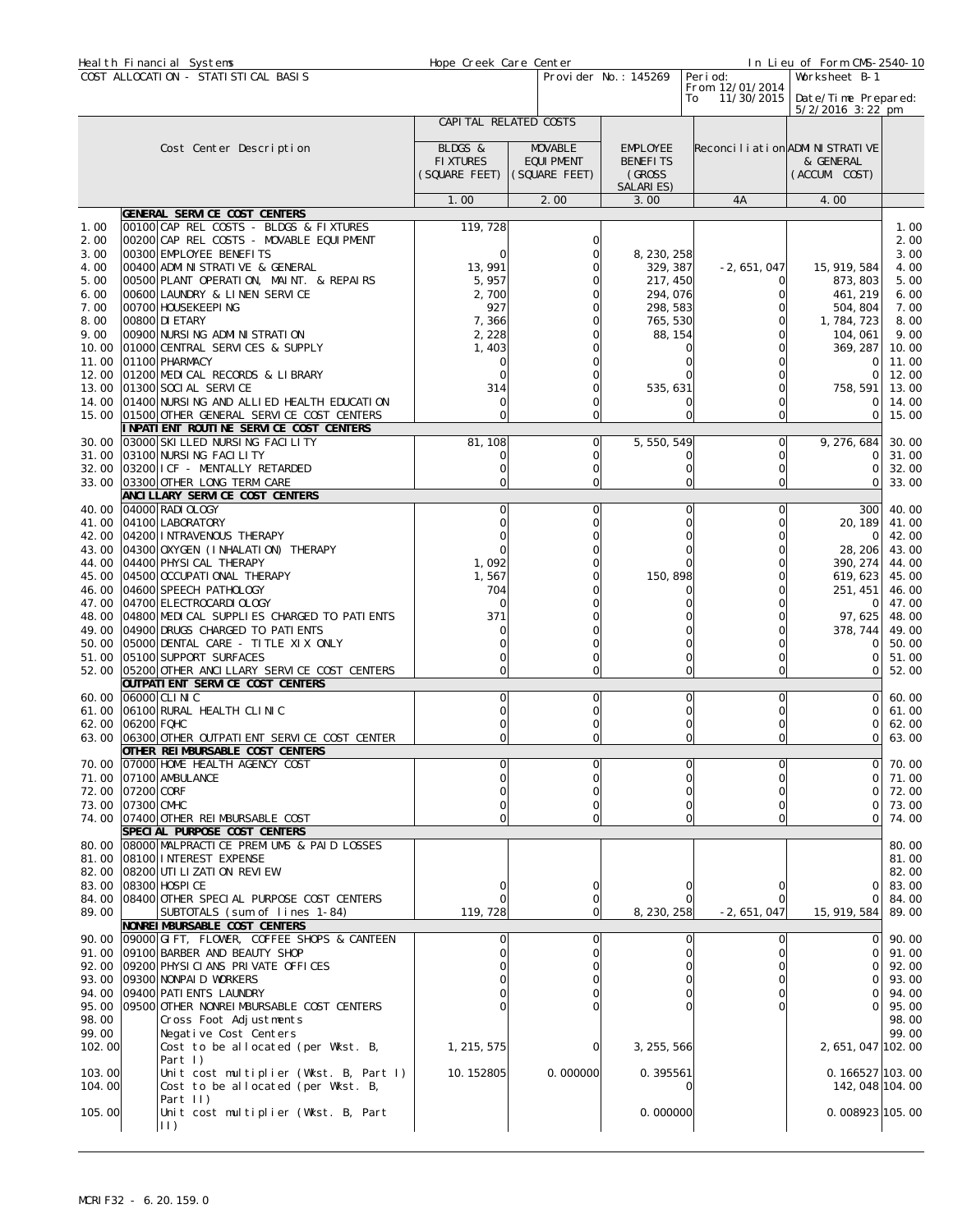| Heal th Financial Systems |                                                   | Hope Creek Care Center |                   |          |                       |                                      | In Lieu of Form CMS-2540-10               |       |
|---------------------------|---------------------------------------------------|------------------------|-------------------|----------|-----------------------|--------------------------------------|-------------------------------------------|-------|
|                           | COST ALLOCATION - STATISTICAL BASIS               |                        |                   |          | Provi der No.: 145269 | Peri od:                             | Worksheet B-1                             |       |
|                           |                                                   |                        |                   |          |                       | From 12/01/2014                      |                                           |       |
|                           |                                                   |                        |                   |          |                       | 11/30/2015<br>To                     | Date/Time Prepared:<br>$5/2/2016$ 3:22 pm |       |
|                           |                                                   | CAPITAL RELATED COSTS  |                   |          |                       |                                      |                                           |       |
|                           |                                                   |                        |                   |          |                       |                                      |                                           |       |
|                           | Cost Center Description                           | BLDGS &                | <b>MOVABLE</b>    |          | <b>EMPLOYEE</b>       | Reconci I i ati on ADMI NI STRATI VE |                                           |       |
|                           |                                                   | <b>FIXTURES</b>        | <b>EQUI PMENT</b> |          | <b>BENEFITS</b>       |                                      | & GENERAL                                 |       |
|                           |                                                   | (SQUARE FEET)          | (SQUARE FEET)     |          | (GROSS)               |                                      | (ACCUM. COST)                             |       |
|                           |                                                   |                        |                   |          | SALARIES)             |                                      |                                           |       |
|                           |                                                   | 1.00                   | 2.00              |          | 3.00                  | 4A                                   | 4.00                                      |       |
|                           | GENERAL SERVICE COST CENTERS                      |                        |                   |          |                       |                                      |                                           |       |
| 1.00                      | 00100 CAP REL COSTS - BLDGS & FIXTURES            | 119, 728               |                   |          |                       |                                      |                                           | 1.00  |
| 2.00                      | 00200 CAP REL COSTS - MOVABLE EQUIPMENT           |                        |                   |          |                       |                                      |                                           | 2.00  |
| 3.00                      | 00300 EMPLOYEE BENEFITS                           |                        |                   |          | 8, 230, 258           |                                      |                                           | 3.00  |
| 4.00                      | 00400 ADMI NI STRATI VE & GENERAL                 | 13, 991                |                   |          | 329, 387              | $-2,651,047$                         | 15, 919, 584                              | 4.00  |
| 5.00                      | 00500 PLANT OPERATION, MAINT. & REPAIRS           | 5,957                  |                   |          | 217, 450              |                                      | 873, 803                                  | 5.00  |
| 6.00                      | 00600 LAUNDRY & LINEN SERVICE                     | 2,700                  |                   |          | 294,076               |                                      | 461, 219                                  | 6.00  |
| 7.00                      | 00700 HOUSEKEEPING                                | 927                    |                   |          | 298, 583              |                                      | 504, 804                                  | 7.00  |
| 8.00                      | 00800 DI ETARY                                    | 7,366                  |                   |          | 765, 530              |                                      | 1, 784, 723                               | 8.00  |
| 9.00                      | 00900 NURSING ADMINISTRATION                      | 2, 228                 |                   |          | 88, 154               |                                      | 104, 061                                  | 9.00  |
| 10.00                     | 01000 CENTRAL SERVICES & SUPPLY                   | 1,403                  |                   |          | 0                     |                                      | 369, 287                                  | 10.00 |
| 11.00                     | 01100 PHARMACY                                    |                        |                   |          | 0                     |                                      | 0                                         | 11.00 |
| 12.00                     | 01200 MEDICAL RECORDS & LIBRARY                   |                        |                   |          |                       |                                      | 0                                         | 12.00 |
| 13.00                     | 01300 SOCI AL SERVICE                             | 314                    |                   |          | 535, 631              |                                      | 758, 591                                  | 13.00 |
|                           | 14.00 01400 NURSING AND ALLIED HEALTH EDUCATION   |                        |                   |          | 0                     |                                      | 0                                         | 14.00 |
|                           | 15.00 01500 OTHER GENERAL SERVICE COST CENTERS    |                        |                   |          | 0                     | $\Omega$                             | 0                                         | 15.00 |
|                           | INPATIENT ROUTINE SERVICE COST CENTERS            |                        |                   |          |                       |                                      |                                           |       |
| 30.00                     | 03000 SKI LLED NURSING FACILITY                   | 81, 108                |                   | 0        | 5, 550, 549           | 0                                    | 9, 276, 684                               | 30.00 |
| 31.00                     | 03100 NURSING FACILITY                            |                        |                   |          | 0                     |                                      | 0                                         | 31.00 |
|                           | 32.00 03200 I CF - MENTALLY RETARDED              |                        |                   | 0        | 0                     | 0                                    | 0                                         | 32.00 |
|                           | 33.00 03300 OTHER LONG TERM CARE                  | O                      |                   | ΩI       |                       | $\overline{0}$<br>0                  | 0                                         | 33.00 |
|                           | ANCI LLARY SERVICE COST CENTERS                   |                        |                   |          |                       |                                      |                                           |       |
|                           | 40.00 04000 RADI OLOGY                            |                        |                   | $\Omega$ | 0                     | $\Omega$                             | 300                                       | 40.00 |
|                           | 41.00 04100 LABORATORY                            |                        |                   |          | 0                     |                                      | 20, 189                                   | 41.00 |
| 42.00                     | 04200 INTRAVENOUS THERAPY                         |                        |                   |          | $\Omega$              |                                      |                                           | 42.00 |
|                           | 43.00 04300 OXYGEN (INHALATION) THERAPY           |                        |                   |          | 0                     |                                      | 28, 206                                   | 43.00 |
| 44.00                     | 04400 PHYSI CAL THERAPY                           | 1,092                  |                   |          | 0                     | O                                    | 390, 274                                  | 44.00 |
| 45.00                     | 04500 OCCUPATI ONAL THERAPY                       | 1,567                  |                   |          | 150, 898              |                                      | 619,623                                   | 45.00 |
| 46.00                     | 04600 SPEECH PATHOLOGY                            | 704                    |                   |          | 0                     |                                      | 251, 451                                  | 46.00 |
| 47.00                     | 04700 ELECTROCARDI OLOGY                          |                        |                   |          | 0                     |                                      | 0                                         | 47.00 |
|                           | 48.00 04800 MEDICAL SUPPLIES CHARGED TO PATIENTS  | 371                    |                   |          | 0                     |                                      | 97,625                                    | 48.00 |
| 49.00                     | 04900 DRUGS CHARGED TO PATI ENTS                  |                        |                   |          | $\Omega$              |                                      | 378, 744                                  | 49.00 |
|                           | 50.00 05000 DENTAL CARE - TITLE XIX ONLY          |                        |                   |          | 0                     |                                      | 0                                         | 50.00 |
| 51.00                     | 05100 SUPPORT SURFACES                            |                        |                   |          | 0                     | 0                                    | 0                                         | 51.00 |
|                           | 52.00 05200 OTHER ANCILLARY SERVICE COST CENTERS  | 0                      |                   | $\Omega$ |                       | $\overline{O}$<br>$\circ$            | 0                                         | 52.00 |
|                           | OUTPATI ENT SERVICE COST CENTERS                  |                        |                   |          |                       |                                      |                                           |       |
| 60.00                     | 06000 CLI NI C                                    | 0                      |                   | $\Omega$ | 0                     | 0                                    | 0                                         | 60.00 |
| 61.00                     | 06100 RURAL HEALTH CLINIC                         |                        |                   | 0        | $\mathbf 0$           | 0                                    | 0                                         | 61.00 |
| 62.00                     | 06200 FQHC                                        |                        |                   |          | $\mathbf 0$           | 0                                    | 0                                         | 62.00 |
|                           | 63.00 06300 OTHER OUTPATI ENT SERVICE COST CENTER |                        |                   |          |                       | 0<br>0                               | 0                                         | 63.00 |
|                           | OTHER REIMBURSABLE COST CENTERS                   |                        |                   |          |                       |                                      |                                           |       |
|                           | 70.00 07000 HOME HEALTH AGENCY COST               |                        |                   |          | 0                     |                                      | 0                                         | 70.00 |
| 71.00                     | 07100 AMBULANCE                                   |                        |                   |          | 0                     |                                      | 0                                         | 71.00 |
| 72.00                     | 07200 CORF                                        |                        |                   |          | 0                     |                                      | 0                                         | 72.00 |
|                           | 73.00 07300 CMHC                                  |                        |                   | 0        | 0                     |                                      | 0                                         | 73.00 |
|                           | 74.00 07400 OTHER REIMBURSABLE COST               |                        |                   | 0l       |                       | $\overline{0}$<br>0                  | 0                                         | 74.00 |
|                           | SPECIAL PURPOSE COST CENTERS                      |                        |                   |          |                       |                                      |                                           |       |
|                           | 80.00 08000 MALPRACTICE PREMIUMS & PAID LOSSES    |                        |                   |          |                       |                                      |                                           | 80.00 |
|                           | 81.00 08100 INTEREST EXPENSE                      |                        |                   |          |                       |                                      |                                           | 81.00 |
|                           | 82.00 08200 UTI LI ZATI ON REVIEW                 |                        |                   |          |                       |                                      |                                           | 82.00 |
|                           | 83.00 08300 HOSPI CE                              |                        |                   |          |                       |                                      | 0                                         | 83.00 |
| 84.00                     | 08400 OTHER SPECIAL PURPOSE COST CENTERS          |                        |                   | 0        |                       |                                      | 0                                         | 84.00 |
| 89.00                     | SUBTOTALS (sum of lines 1-84)                     | 119, 728               |                   | ΩI       | 8, 230, 258           | $-2,651,047$                         | 15, 919, 584                              | 89.00 |
|                           | NONREI MBURSABLE COST CENTERS                     |                        |                   |          |                       |                                      |                                           |       |
|                           | 90.00 09000 GIFT, FLOWER, COFFEE SHOPS & CANTEEN  | 0                      |                   | $\Omega$ |                       | $\circ$<br>0                         | 0                                         | 90.00 |
|                           | 91.00 09100 BARBER AND BEAUTY SHOP                |                        |                   | Ωl       |                       | $\circ$                              | 0                                         | 91.00 |
| 92.00                     | 09200 PHYSICIANS PRIVATE OFFICES                  |                        |                   |          | 0                     |                                      | 0                                         | 92.00 |
|                           | 93.00 09300 NONPAID WORKERS                       |                        |                   |          | 0                     |                                      | 0                                         | 93.00 |
| 94.00                     | 09400 PATI ENTS LAUNDRY                           |                        |                   |          | 0                     |                                      | 0                                         | 94.00 |
| 95.00                     | 09500 OTHER NONREIMBURSABLE COST CENTERS          |                        |                   |          | 0                     |                                      | 0                                         | 95.00 |
| 98.00                     | Cross Foot Adjustments                            |                        |                   |          |                       |                                      |                                           | 98.00 |
| 99.00                     | Negative Cost Centers                             |                        |                   |          |                       |                                      |                                           | 99.00 |
| 102.00                    | Cost to be allocated (per Wkst. B,                | 1, 215, 575            |                   | 0        | 3, 255, 566           |                                      | 2, 651, 047 102. 00                       |       |
|                           | Part $\vert$ )                                    |                        |                   |          |                       |                                      |                                           |       |
| 103.00                    | Unit cost multiplier (Wkst. B, Part I)            | 10.152805              |                   | 0.000000 | 0.395561              |                                      | $0.166527$ 103.00                         |       |
| 104.00                    | Cost to be allocated (per Wkst. B,                |                        |                   |          | 0                     |                                      | 142, 048 104. 00                          |       |
|                           | Part II)                                          |                        |                   |          |                       |                                      |                                           |       |
| 105.00                    | Unit cost multiplier (Wkst. B, Part               |                        |                   |          | 0.000000              |                                      | $0.008923$ 105.00                         |       |
|                           | 11)                                               |                        |                   |          |                       |                                      |                                           |       |
|                           |                                                   |                        |                   |          |                       |                                      |                                           |       |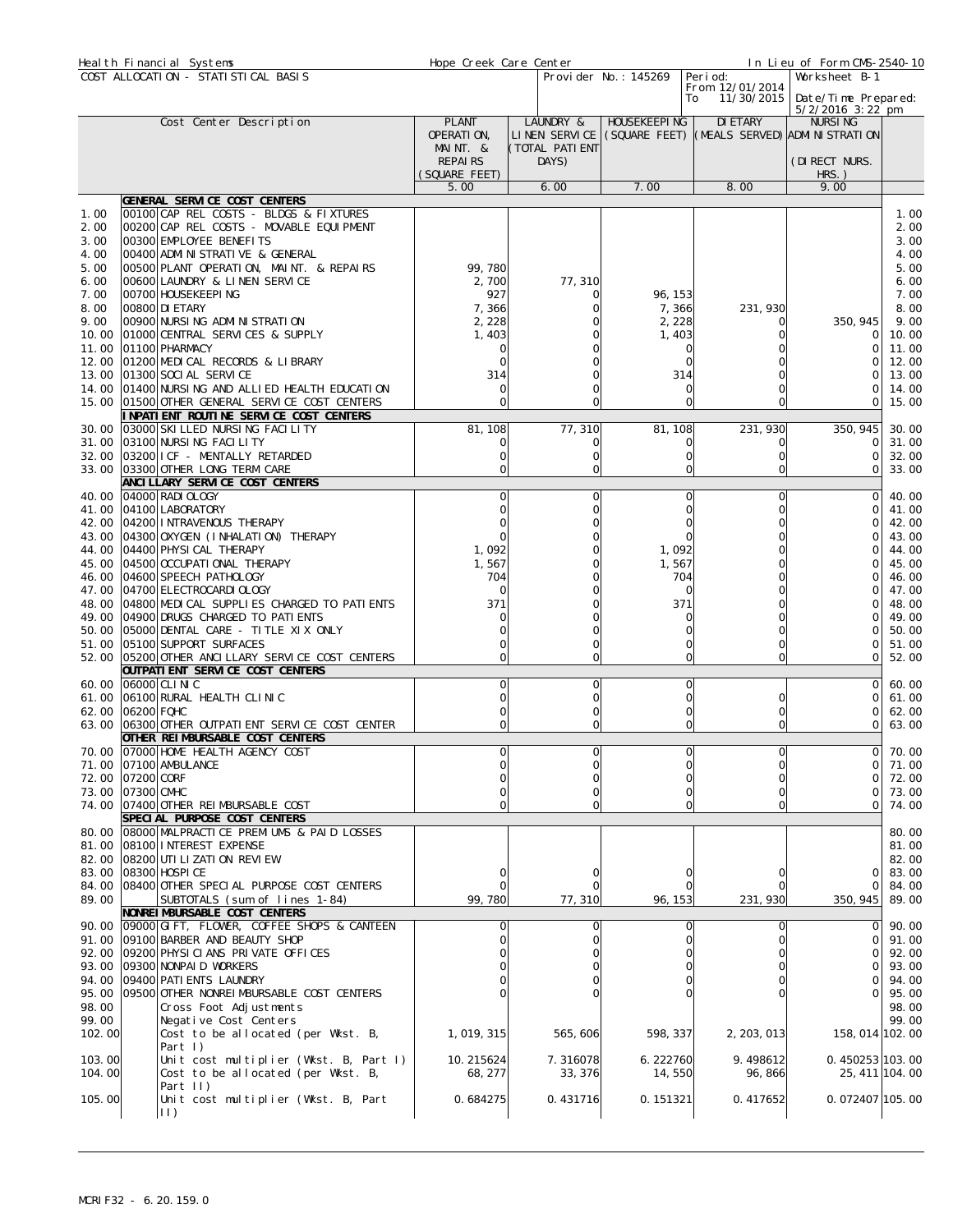|                      | Heal th Financial Systems                                                                                    | Hope Creek Care Center                 |                                              |                      |                                                         | In Lieu of Form CMS-2540-10                                |                               |
|----------------------|--------------------------------------------------------------------------------------------------------------|----------------------------------------|----------------------------------------------|----------------------|---------------------------------------------------------|------------------------------------------------------------|-------------------------------|
|                      | COST ALLOCATION - STATISTICAL BASIS                                                                          |                                        |                                              | Provider No.: 145269 | Peri od:<br>From 12/01/2014<br>11/30/2015<br>To         | Worksheet B-1<br>Date/Time Prepared:<br>$5/2/2016$ 3:22 pm |                               |
|                      | Cost Center Description                                                                                      | <b>PLANT</b><br>OPERATION,<br>MAINT. & | LAUNDRY &<br>LINEN SERVICE<br>(TOTAL PATIENT | HOUSEKEEPI NG        | DI ETARY<br>(SQUARE FEET) (MEALS SERVED) ADMINISTRATION | <b>NURSING</b>                                             |                               |
|                      |                                                                                                              | <b>REPAIRS</b><br>(SQUARE FEET)        | DAYS)                                        |                      |                                                         | (DI RECT NURS.<br>$HRS.$ )                                 |                               |
|                      |                                                                                                              | 5.00                                   | 6.00                                         | 7.00                 | 8.00                                                    | 9.00                                                       |                               |
|                      | GENERAL SERVICE COST CENTERS                                                                                 |                                        |                                              |                      |                                                         |                                                            |                               |
| 1.00<br>2.00<br>3.00 | 00100 CAP REL COSTS - BLDGS & FIXTURES<br>00200 CAP REL COSTS - MOVABLE EQUIPMENT<br>00300 EMPLOYEE BENEFITS |                                        |                                              |                      |                                                         |                                                            | 1.00<br>2.00<br>3.00          |
| 4.00<br>5.00         | 00400 ADMINISTRATIVE & GENERAL<br>00500 PLANT OPERATION, MAINT. & REPAIRS                                    | 99,780                                 |                                              |                      |                                                         |                                                            | 4.00<br>5.00                  |
| 6.00                 | 00600 LAUNDRY & LINEN SERVICE                                                                                | 2,700                                  | 77, 310                                      |                      |                                                         |                                                            | 6.00                          |
| 7.00                 | 00700 HOUSEKEEPING<br>00800 DI ETARY                                                                         | 927                                    | O<br>O                                       | 96, 153              |                                                         |                                                            | 7.00<br>8.00                  |
| 8.00<br>9.00         | 00900 NURSING ADMINISTRATION                                                                                 | 7,366<br>2,228                         |                                              | 7,366<br>2, 228      | 231, 930                                                | 350, 945                                                   | 9.00                          |
| 10.00                | 01000 CENTRAL SERVICES & SUPPLY                                                                              | 1,403                                  |                                              | 1,403                |                                                         | 01                                                         | 10.00                         |
| 11.00<br>12.00       | 01100 PHARMACY<br>01200 MEDICAL RECORDS & LIBRARY                                                            |                                        |                                              |                      |                                                         | ∩                                                          | 11.00<br>12.00                |
| 13.00                | 01300 SOCI AL SERVICE                                                                                        | 314                                    |                                              | 314                  |                                                         |                                                            | 13.00                         |
|                      | 14.00 01400 NURSING AND ALLIED HEALTH EDUCATION<br>15.00 01500 OTHER GENERAL SERVICE COST CENTERS            | 0<br>O                                 |                                              | 0                    | 0                                                       | $\cap$<br>$\Omega$                                         | 14.00<br>15.00                |
|                      | INPATIENT ROUTINE SERVICE COST CENTERS                                                                       |                                        |                                              |                      |                                                         |                                                            |                               |
| 30.00<br>31.00       | 03000 SKI LLED NURSING FACILITY<br>03100 NURSING FACILITY                                                    | 81, 108<br>ი                           | 77,310                                       | 81, 108              | 231, 930                                                | 350, 945                                                   | 30.00                         |
|                      | 32.00 03200 I CF - MENTALLY RETARDED                                                                         |                                        | O                                            | 0<br>0               | 0                                                       | 0<br>0                                                     | 31.00<br>32.00                |
|                      | 33.00 03300 OTHER LONG TERM CARE                                                                             |                                        |                                              |                      | 0                                                       | 0                                                          | 33.00                         |
|                      | ANCI LLARY SERVI CE COST CENTERS<br>40.00 04000 RADI OLOGY                                                   | Ω                                      | 0                                            | 0                    | 0                                                       | $\Omega$                                                   | 40.00                         |
|                      | 41.00 04100 LABORATORY                                                                                       |                                        |                                              |                      |                                                         | ∩                                                          | 41.00                         |
|                      | 42.00 04200 INTRAVENOUS THERAPY<br>43.00 04300 OXYGEN (INHALATION) THERAPY                                   |                                        |                                              |                      |                                                         | ∩<br>∩                                                     | 42.00<br>43.00                |
|                      | 44.00 04400 PHYSICAL THERAPY                                                                                 | 1,092                                  |                                              | 1,092                |                                                         | $\Omega$                                                   | 44.00                         |
|                      | 45.00 04500 OCCUPATIONAL THERAPY                                                                             | 1,567                                  |                                              | 1,567                |                                                         |                                                            | 45.00                         |
|                      | 46.00 04600 SPEECH PATHOLOGY<br>47.00 04700 ELECTROCARDI OLOGY                                               | 704                                    |                                              | 704<br>$\Omega$      |                                                         |                                                            | 46.00<br>47.00                |
|                      | 48.00 04800 MEDICAL SUPPLIES CHARGED TO PATIENTS                                                             | 371                                    |                                              | 371                  |                                                         |                                                            | 48.00                         |
| 49.00                | 04900 DRUGS CHARGED TO PATIENTS<br>50.00 05000 DENTAL CARE - TITLE XIX ONLY                                  |                                        |                                              |                      |                                                         | $\cap$<br>∩                                                | 49.00<br>50.00                |
|                      | 51.00 05100 SUPPORT SURFACES                                                                                 |                                        |                                              | 0                    | 0                                                       | 0                                                          | 51.00                         |
|                      | 52.00 05200 OTHER ANCILLARY SERVICE COST CENTERS<br>OUTPATI ENT SERVICE COST CENTERS                         |                                        | $\Omega$                                     |                      | 0<br>O                                                  | $\Omega$                                                   | 52.00                         |
|                      | 60.00 06000 CLINIC                                                                                           | 0                                      | $\Omega$                                     | 0                    |                                                         | 0                                                          | 60.00                         |
|                      | 61.00 06100 RURAL HEALTH CLINIC                                                                              |                                        |                                              |                      | 0                                                       | 0                                                          | 61.00                         |
| 62.00 06200 FQHC     | 63.00 06300 OTHER OUTPATIENT SERVICE COST CENTER                                                             |                                        | $\Omega$                                     | 0                    | 0<br>$\overline{0}$                                     | 0<br>01                                                    | 62.00<br>63.00                |
|                      | OTHER REIMBURSABLE COST CENTERS                                                                              |                                        |                                              |                      |                                                         |                                                            |                               |
|                      | 70.00 07000 HOME HEALTH AGENCY COST<br>71.00 07100 AMBULANCE                                                 | Ωl                                     | ΩI                                           |                      | ΩI<br>$\Omega$                                          | ΩI                                                         | $\overline{0}$ 70.00<br>71.00 |
| 72.00 07200 CORF     |                                                                                                              |                                        |                                              |                      |                                                         | ∩                                                          | 72.00                         |
| 73.00 07300 CMHC     | 74.00 07400 OTHER REIMBURSABLE COST                                                                          |                                        |                                              |                      | O                                                       | 01<br>$\Omega$                                             | 73.00<br>74.00                |
|                      | SPECIAL PURPOSE COST CENTERS                                                                                 |                                        |                                              |                      |                                                         |                                                            |                               |
|                      | 80.00 08000 MALPRACTICE PREMIUMS & PAID LOSSES                                                               |                                        |                                              |                      |                                                         |                                                            | 80.00                         |
|                      | 81.00 08100 INTEREST EXPENSE<br>82.00 08200 UTI LI ZATI ON REVI EW                                           |                                        |                                              |                      |                                                         |                                                            | 81.00<br>82.00                |
|                      | 83.00 08300 HOSPI CE                                                                                         |                                        |                                              |                      |                                                         | 01                                                         | 83.00                         |
| 89.00                | 84.00 08400 OTHER SPECIAL PURPOSE COST CENTERS<br>SUBTOTALS (sum of lines 1-84)                              | 99,780                                 | 77, 310                                      | 96, 153              | 231, 930                                                | 0<br>350, 945                                              | 84.00<br>89.00                |
|                      | NONREI MBURSABLE COST CENTERS                                                                                |                                        |                                              |                      |                                                         |                                                            |                               |
|                      | 90.00 09000 GIFT, FLOWER, COFFEE SHOPS & CANTEEN<br>91.00 09100 BARBER AND BEAUTY SHOP                       | 0                                      |                                              | 0                    |                                                         | Οl<br>$\Omega$                                             | 90.00<br>91.00                |
|                      | 92.00 09200 PHYSICIANS PRIVATE OFFICES                                                                       |                                        |                                              |                      | O                                                       | $\Omega$                                                   | 92.00                         |
|                      | 93.00 09300 NONPAID WORKERS                                                                                  |                                        |                                              |                      |                                                         | 01                                                         | 93.00                         |
|                      | 94.00 09400 PATI ENTS LAUNDRY<br>95.00 09500 OTHER NONREIMBURSABLE COST CENTERS                              |                                        |                                              |                      |                                                         | ΩI<br>ΩI                                                   | 94.00<br>95.00                |
| 98.00                | Cross Foot Adjustments                                                                                       |                                        |                                              |                      |                                                         |                                                            | 98.00                         |
| 99.00<br>102.00      | Negative Cost Centers<br>Cost to be allocated (per Wkst. B,                                                  | 1, 019, 315                            | 565, 606                                     | 598, 337             | 2, 203, 013                                             | 158, 014 102. 00                                           | 99.00                         |
|                      | Part I)                                                                                                      |                                        |                                              |                      |                                                         |                                                            |                               |
| 103.00<br>104.00     | Unit cost multiplier (Wkst. B, Part I)<br>Cost to be allocated (per Wkst. B,                                 | 10.215624<br>68, 277                   | 7.316078<br>33, 376                          | 6.222760<br>14,550   | 9.498612<br>96, 866                                     | 0.450253 103.00                                            | 25, 411 104.00                |
| 105.00               | Part II)<br>Unit cost multiplier (Wkst. B, Part<br>$  \cdot  $                                               | 0.684275                               | 0.431716                                     | 0.151321             | 0.417652                                                | $0.072407$ 105.00                                          |                               |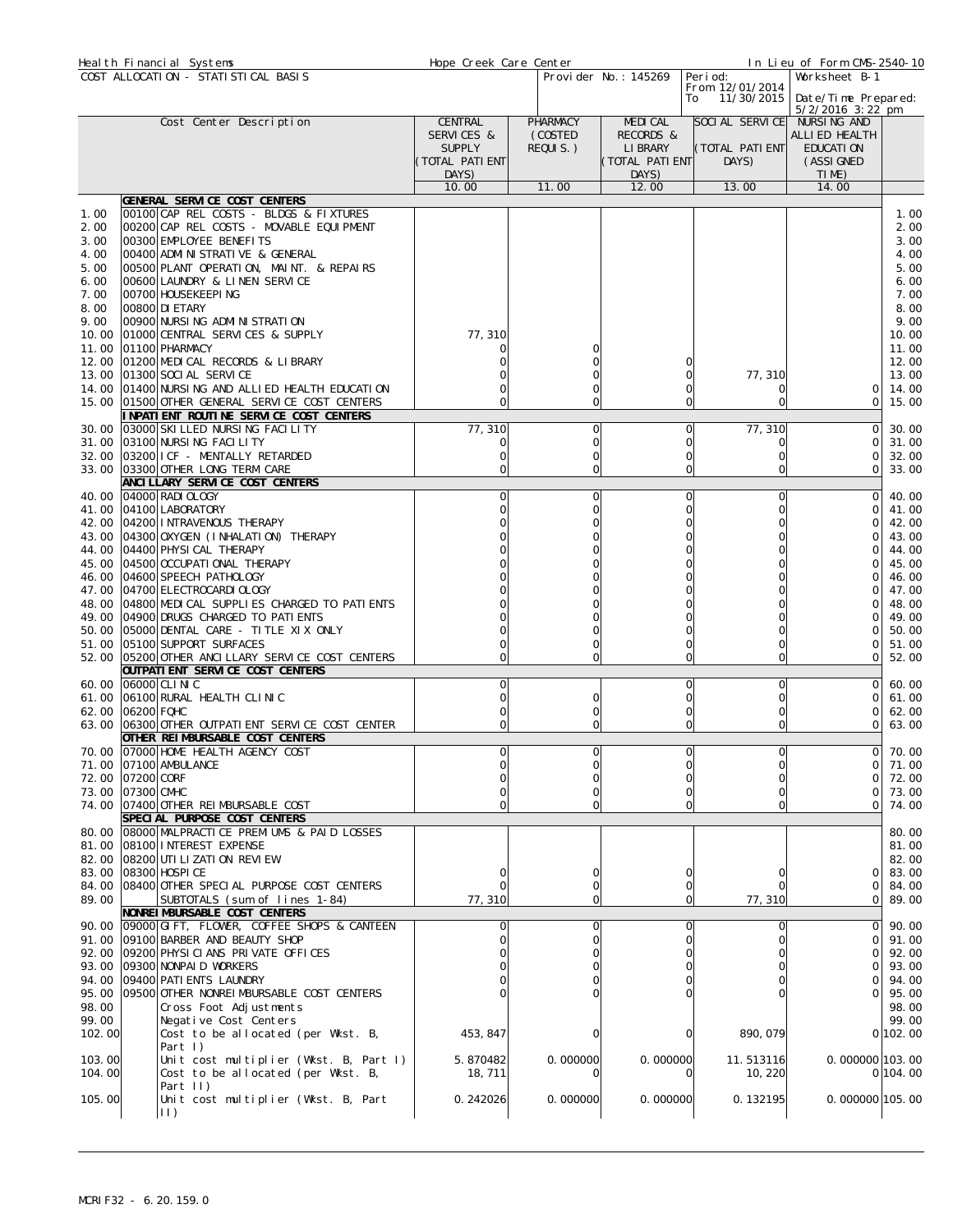|                  | Heal th Financial Systems                                                         | Hope Creek Care Center      |                     |                       |                                     | In Lieu of Form CMS-2540-10  |                |
|------------------|-----------------------------------------------------------------------------------|-----------------------------|---------------------|-----------------------|-------------------------------------|------------------------------|----------------|
|                  | COST ALLOCATION - STATISTICAL BASIS                                               |                             |                     | Provider No.: 145269  | Peri od:                            | Worksheet B-1                |                |
|                  |                                                                                   |                             |                     |                       | From 12/01/2014<br>11/30/2015<br>To | Date/Time Prepared:          |                |
|                  |                                                                                   |                             |                     |                       |                                     | $5/2/2016$ 3:22 pm           |                |
|                  | Cost Center Description                                                           | CENTRAL                     | PHARMACY            | <b>MEDICAL</b>        | SOCIAL SERVICE NURSING AND          |                              |                |
|                  |                                                                                   | SERVICES &<br><b>SUPPLY</b> | (COSTED<br>REQUIS.) | RECORDS &<br>LI BRARY | (TOTAL PATI ENT                     | ALLI ED HEALTH<br>EDUCATI ON |                |
|                  |                                                                                   | (TOTAL PATIENT              |                     | (TOTAL PATIENT        | DAYS)                               | (ASSI GNED                   |                |
|                  |                                                                                   | DAYS)                       |                     | DAYS)                 |                                     | TIME)                        |                |
|                  |                                                                                   | 10.00                       | 11.00               | 12.00                 | 13.00                               | 14.00                        |                |
|                  | GENERAL SERVICE COST CENTERS                                                      |                             |                     |                       |                                     |                              |                |
| 1.00             | 00100 CAP REL COSTS - BLDGS & FIXTURES                                            |                             |                     |                       |                                     |                              | 1.00           |
| 2.00<br>3.00     | 00200 CAP REL COSTS - MOVABLE EQUIPMENT<br>00300 EMPLOYEE BENEFITS                |                             |                     |                       |                                     |                              | 2.00<br>3.00   |
| 4.00             | 00400 ADMI NI STRATI VE & GENERAL                                                 |                             |                     |                       |                                     |                              | 4.00           |
| 5.00             | 00500 PLANT OPERATION, MAINT. & REPAIRS                                           |                             |                     |                       |                                     |                              | 5.00           |
| 6.00             | 00600 LAUNDRY & LINEN SERVICE                                                     |                             |                     |                       |                                     |                              | 6.00           |
| 7.00             | 00700 HOUSEKEEPING                                                                |                             |                     |                       |                                     |                              | 7.00           |
| 8.00             | 00800 DI ETARY                                                                    |                             |                     |                       |                                     |                              | 8.00           |
| 9.00<br>10.00    | 00900 NURSING ADMINISTRATION<br>01000 CENTRAL SERVICES & SUPPLY                   | 77, 310                     |                     |                       |                                     |                              | 9.00<br>10.00  |
| 11.00            | 01100 PHARMACY                                                                    |                             |                     |                       |                                     |                              | 11.00          |
|                  | 12.00 01200 MEDICAL RECORDS & LIBRARY                                             |                             |                     |                       |                                     |                              | 12.00          |
| 13.00            | 01300 SOCI AL SERVICE                                                             |                             |                     |                       | 0<br>77, 310                        |                              | 13.00          |
|                  | 14.00 01400 NURSING AND ALLIED HEALTH EDUCATION                                   |                             |                     |                       | 0<br>C                              | 0                            | 14.00          |
|                  | 15.00 01500 OTHER GENERAL SERVICE COST CENTERS                                    | $\Omega$                    |                     | Ω                     | 0<br>0                              | 0                            | 15.00          |
|                  | INPATIENT ROUTINE SERVICE COST CENTERS<br>30.00 03000 SKI LLED NURSING FACILITY   |                             |                     |                       |                                     | 0                            |                |
|                  | 31.00 03100 NURSI NG FACILITY                                                     | 77,310<br>0                 |                     | 0<br>Ω                | 0<br>77, 310<br>0<br>0              | 0                            | 30.00<br>31.00 |
|                  | 32.00 03200 I CF - MENTALLY RETARDED                                              | 0                           |                     | 0                     | 0<br>0                              | 0                            | 32.00          |
|                  | 33.00 03300 OTHER LONG TERM CARE                                                  |                             |                     |                       | 0<br>0                              | 0                            | 33.00          |
|                  | ANCI LLARY SERVICE COST CENTERS                                                   |                             |                     |                       |                                     |                              |                |
|                  | 40.00 04000 RADI OLOGY                                                            |                             |                     |                       | O<br>0                              | 0                            | 40.00          |
|                  | 41.00 04100 LABORATORY<br>42.00 04200 INTRAVENOUS THERAPY                         |                             |                     |                       | 0<br>0<br>0                         | 0<br>0                       | 41.00<br>42.00 |
|                  | 43.00 04300 OXYGEN (INHALATION) THERAPY                                           |                             |                     |                       | 0                                   | 0                            | 43.00          |
|                  | 44.00 04400 PHYSICAL THERAPY                                                      |                             |                     |                       | O                                   | 0                            | 44.00          |
|                  | 45.00 04500 0CCUPATI ONAL THERAPY                                                 |                             |                     |                       | O                                   | 0                            | 45.00          |
|                  | 46.00 04600 SPEECH PATHOLOGY                                                      |                             |                     |                       | 0                                   | 0                            | 46.00          |
|                  | 47.00 04700 ELECTROCARDI OLOGY                                                    |                             |                     |                       | $\Omega$                            | 0                            | 47.00          |
|                  | 48.00 04800 MEDICAL SUPPLIES CHARGED TO PATIENTS                                  |                             |                     |                       | 0<br>0                              |                              | 48.00<br>49.00 |
|                  | 49.00 04900 DRUGS CHARGED TO PATIENTS<br>50.00 05000 DENTAL CARE - TITLE XIX ONLY |                             |                     |                       | 0                                   | ∩                            | 50.00          |
|                  | 51.00 05100 SUPPORT SURFACES                                                      |                             |                     |                       | 0<br>0                              | 0                            | 51.00          |
|                  | 52.00 05200 OTHER ANCILLARY SERVICE COST CENTERS                                  | O                           |                     |                       | 0<br>0                              | $\Omega$                     | 52.00          |
|                  | OUTPATI ENT SERVICE COST CENTERS                                                  |                             |                     |                       |                                     |                              |                |
|                  | 60.00 06000 CLINIC<br>61.00 06100 RURAL HEALTH CLINIC                             | 0                           |                     | 0                     | 0<br>0<br>0<br>0                    | $\Omega$<br>0                | 60.00<br>61.00 |
| 62.00 06200 FQHC |                                                                                   |                             |                     |                       | 0<br>0                              | 0                            | 62.00          |
|                  | 63.00 06300 OTHER OUTPATI ENT SERVICE COST CENTER                                 | O                           |                     | Ω                     | 0<br>0                              | 0                            | 63.00          |
|                  | OTHER REIMBURSABLE COST CENTERS                                                   |                             |                     |                       |                                     |                              |                |
|                  | 70.00 07000 HOME HEALTH AGENCY COST                                               | ΩI                          |                     | ΩI                    | ΩI<br>ΩI                            | ΩL                           | 70.00          |
| 72.00 07200 CORF | 71.00 07100 AMBULANCE                                                             |                             |                     |                       | 0<br>$\Omega$                       | 0<br>0                       | 71.00<br>72.00 |
| 73.00 07300 CMHC |                                                                                   |                             |                     |                       | 0                                   | 0                            | 73.00          |
|                  | 74.00 07400 OTHER REIMBURSABLE COST                                               |                             |                     |                       | 0                                   | 0                            | 74.00          |
|                  | SPECIAL PURPOSE COST CENTERS                                                      |                             |                     |                       |                                     |                              |                |
|                  | 80.00 08000 MALPRACTICE PREMIUMS & PAID LOSSES<br>81.00 08100 INTEREST EXPENSE    |                             |                     |                       |                                     |                              | 80.00<br>81.00 |
|                  | 82.00 08200 UTI LI ZATI ON REVI EW                                                |                             |                     |                       |                                     |                              | 82.00          |
|                  | 83.00 08300 HOSPI CE                                                              |                             |                     |                       | 0                                   | 0                            | 83.00          |
|                  | 84.00 08400 OTHER SPECIAL PURPOSE COST CENTERS                                    |                             |                     |                       | 0                                   | 0                            | 84.00          |
| 89.00            | SUBTOTALS (sum of lines 1-84)                                                     | 77,310                      |                     | 0                     | $\overline{O}$<br>77, 310           | $\Omega$                     | 89.00          |
|                  | NONREI MBURSABLE COST CENTERS<br>90.00 09000 GIFT, FLOWER, COFFEE SHOPS & CANTEEN |                             |                     | Ω                     | O<br>0                              | $\Omega$                     | 90.00          |
|                  | 91.00 09100 BARBER AND BEAUTY SHOP                                                |                             |                     |                       | O                                   | 0                            | 91.00          |
|                  | 92.00 09200 PHYSICIANS PRIVATE OFFICES                                            |                             |                     |                       | 0                                   | 0                            | 92.00          |
|                  | 93.00 09300 NONPAID WORKERS                                                       |                             |                     |                       | 0                                   | 0                            | 93.00          |
|                  | 94.00 09400 PATI ENTS LAUNDRY                                                     |                             |                     |                       | 0                                   | 0                            | 94.00          |
|                  | 95.00 09500 OTHER NONREIMBURSABLE COST CENTERS                                    |                             |                     |                       |                                     | $\Omega$                     | 95.00          |
| 98.00<br>99.00   | Cross Foot Adjustments<br>Negative Cost Centers                                   |                             |                     |                       |                                     |                              | 98.00<br>99.00 |
| 102.00           | Cost to be allocated (per Wkst. B,                                                | 453, 847                    |                     |                       | 890, 079<br>0                       |                              | 0 102.00       |
|                  | Part I)                                                                           |                             |                     |                       |                                     |                              |                |
| 103.00           | Unit cost multiplier (Wkst. B, Part I)                                            | 5.870482                    | 0.000000            | 0.000000              | 11.513116                           | 0.000000103.00               |                |
| 104.00           | Cost to be allocated (per Wkst. B,<br>Part II)                                    | 18, 711                     |                     |                       | 10, 220<br>0                        |                              | 0 104.00       |
| 105.00           | Unit cost multiplier (Wkst. B, Part                                               | 0.242026                    | 0.000000            | 0.000000              | 0.132195                            | 0.000000105.00               |                |
|                  | $\vert \vert$ )                                                                   |                             |                     |                       |                                     |                              |                |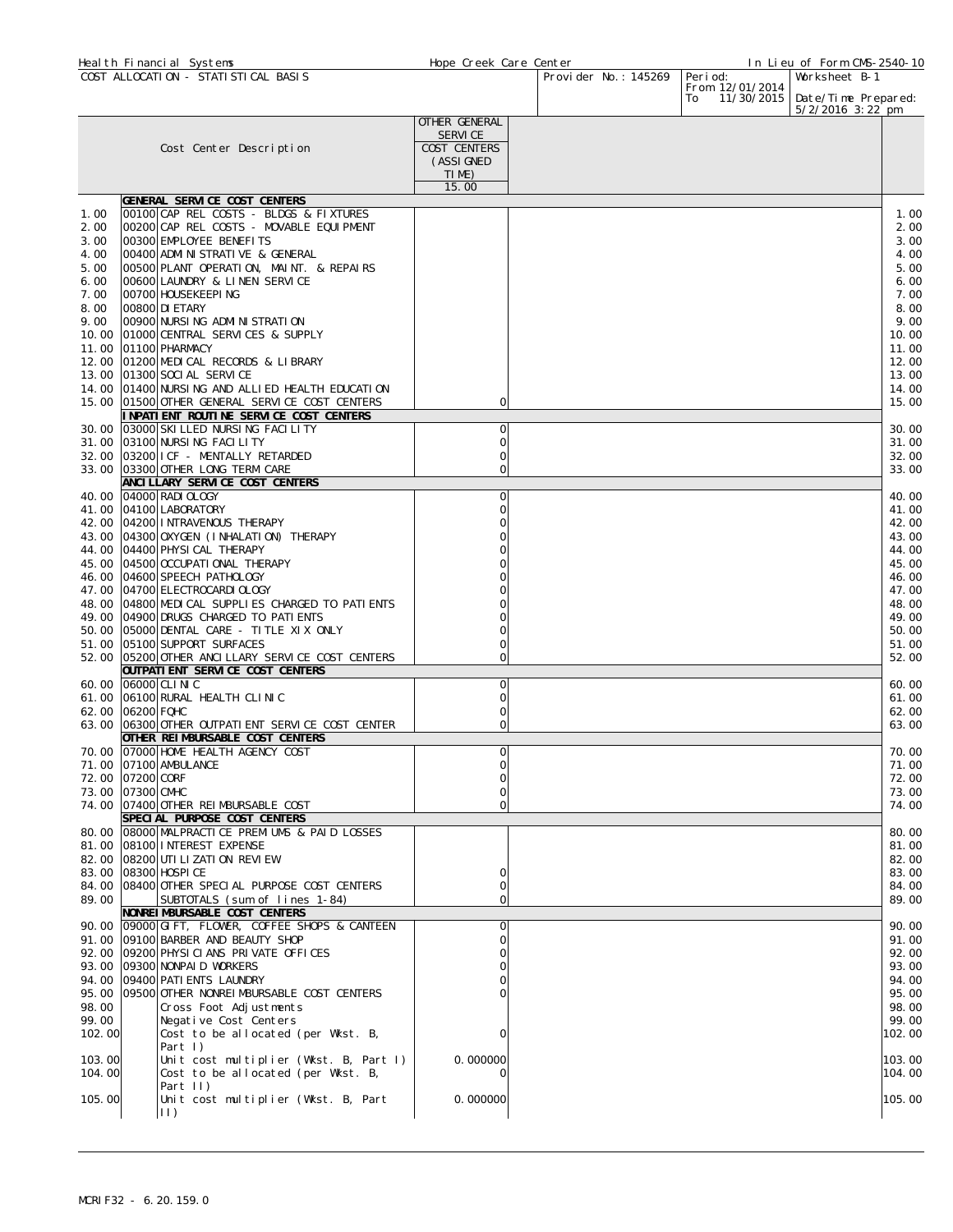|                | Heal th Financial Systems |                                                                                   | Hope Creek Care Center |                      |                                      | In Lieu of Form CMS-2540-10 |                |
|----------------|---------------------------|-----------------------------------------------------------------------------------|------------------------|----------------------|--------------------------------------|-----------------------------|----------------|
|                |                           | COST ALLOCATION - STATISTICAL BASIS                                               |                        | Provider No.: 145269 | Peri od:                             | Worksheet B-1               |                |
|                |                           |                                                                                   |                        |                      | From 12/01/2014<br>11/30/2015<br>To: | Date/Time Prepared:         |                |
|                |                           |                                                                                   | OTHER GENERAL          |                      |                                      | $5/2/2016$ 3:22 pm          |                |
|                |                           |                                                                                   | <b>SERVICE</b>         |                      |                                      |                             |                |
|                |                           | Cost Center Description                                                           | COST CENTERS           |                      |                                      |                             |                |
|                |                           |                                                                                   | (ASSI GNED             |                      |                                      |                             |                |
|                |                           |                                                                                   | TIME)                  |                      |                                      |                             |                |
|                |                           |                                                                                   | 15.00                  |                      |                                      |                             |                |
|                |                           | GENERAL SERVICE COST CENTERS                                                      |                        |                      |                                      |                             |                |
| 1.00<br>2.00   |                           | 00100 CAP REL COSTS - BLDGS & FIXTURES<br>00200 CAP REL COSTS - MOVABLE EQUIPMENT |                        |                      |                                      |                             | 1.00<br>2.00   |
| 3.00           |                           | 00300 EMPLOYEE BENEFITS                                                           |                        |                      |                                      |                             | 3.00           |
| 4.00           |                           | 00400 ADMINISTRATIVE & GENERAL                                                    |                        |                      |                                      |                             | 4.00           |
| 5.00           |                           | 00500 PLANT OPERATION, MAINT. & REPAIRS                                           |                        |                      |                                      |                             | 5.00           |
| 6.00           |                           | 00600 LAUNDRY & LINEN SERVICE                                                     |                        |                      |                                      |                             | 6.00           |
| 7.00           | 00700 HOUSEKEEPING        |                                                                                   |                        |                      |                                      |                             | 7.00           |
| 8.00           | 00800 DI ETARY            |                                                                                   |                        |                      |                                      |                             | 8.00           |
| 9.00           |                           | 00900 NURSING ADMINISTRATION                                                      |                        |                      |                                      |                             | 9.00           |
| 10.00<br>11.00 | 01100 PHARMACY            | 01000 CENTRAL SERVICES & SUPPLY                                                   |                        |                      |                                      |                             | 10.00<br>11.00 |
|                |                           | 12.00 01200 MEDICAL RECORDS & LIBRARY                                             |                        |                      |                                      |                             | 12.00          |
| 13.00          |                           | 01300 SOCI AL SERVICE                                                             |                        |                      |                                      |                             | 13.00          |
|                |                           | 14.00 01400 NURSING AND ALLIED HEALTH EDUCATION                                   |                        |                      |                                      |                             | 14.00          |
|                |                           | 15.00 01500 OTHER GENERAL SERVICE COST CENTERS                                    | 0                      |                      |                                      |                             | 15.00          |
|                |                           | INPATIENT ROUTINE SERVICE COST CENTERS                                            |                        |                      |                                      |                             |                |
| 30.00          |                           | 03000 SKI LLED NURSING FACILITY                                                   | 0                      |                      |                                      |                             | 30.00          |
| 31.00          |                           | 03100 NURSING FACILITY                                                            | 0                      |                      |                                      |                             | 31.00          |
|                |                           | 32.00 03200 I CF - MENTALLY RETARDED<br>33.00 03300 OTHER LONG TERM CARE          | 0<br>0                 |                      |                                      |                             | 32.00<br>33.00 |
|                |                           | ANCILLARY SERVICE COST CENTERS                                                    |                        |                      |                                      |                             |                |
|                | 40.00 04000 RADI OLOGY    |                                                                                   | O                      |                      |                                      |                             | 40.00          |
|                | 41.00 04100 LABORATORY    |                                                                                   | O                      |                      |                                      |                             | 41.00          |
| 42.00          |                           | 04200 INTRAVENOUS THERAPY                                                         |                        |                      |                                      |                             | 42.00          |
| 43.00          |                           | 04300 OXYGEN (I NHALATI ON) THERAPY                                               |                        |                      |                                      |                             | 43.00          |
| 44.00          |                           | 04400 PHYSI CAL THERAPY                                                           |                        |                      |                                      |                             | 44.00          |
| 45.00          |                           | 04500 OCCUPATI ONAL THERAPY                                                       |                        |                      |                                      |                             | 45.00          |
| 47.00          |                           | 46.00 04600 SPEECH PATHOLOGY<br>04700 ELECTROCARDI OLOGY                          |                        |                      |                                      |                             | 46.00<br>47.00 |
|                |                           | 48.00 04800 MEDICAL SUPPLIES CHARGED TO PATIENTS                                  |                        |                      |                                      |                             | 48.00          |
| 49.00          |                           | 04900 DRUGS CHARGED TO PATIENTS                                                   |                        |                      |                                      |                             | 49.00          |
| 50.00          |                           | 05000 DENTAL CARE - TITLE XIX ONLY                                                |                        |                      |                                      |                             | 50.00          |
| 51.00          |                           | 05100 SUPPORT SURFACES                                                            | 0                      |                      |                                      |                             | 51.00          |
| 52.00          |                           | 05200 OTHER ANCILLARY SERVICE COST CENTERS                                        | 0                      |                      |                                      |                             | 52.00          |
| 60.00          | 06000 CLI NI C            | OUTPATI ENT SERVICE COST CENTERS                                                  | $\overline{0}$         |                      |                                      |                             | 60.00          |
|                |                           | 61.00 06100 RURAL HEALTH CLINIC                                                   | 0                      |                      |                                      |                             | 61.00          |
|                | 62.00 06200 FQHC          |                                                                                   | 0                      |                      |                                      |                             | 62.00          |
|                |                           | 63.00 06300 OTHER OUTPATIENT SERVICE COST CENTER                                  | 0                      |                      |                                      |                             | 63.00          |
|                |                           | OTHER REIMBURSABLE COST CENTERS                                                   |                        |                      |                                      |                             |                |
|                |                           | 70.00 07000 HOME HEALTH AGENCY COST                                               | ΩI                     |                      |                                      |                             | 70.00          |
|                | 71.00 07100 AMBULANCE     |                                                                                   | 0                      |                      |                                      |                             | 71.00          |
|                | 72.00 07200 CORF          |                                                                                   | 0<br>0                 |                      |                                      |                             | 72.00          |
|                | 73.00 07300 CMHC          | 74.00 07400 OTHER REIMBURSABLE COST                                               | 0                      |                      |                                      |                             | 73.00<br>74.00 |
|                |                           | SPECIAL PURPOSE COST CENTERS                                                      |                        |                      |                                      |                             |                |
|                |                           | 80.00 08000 MALPRACTICE PREMIUMS & PAID LOSSES                                    |                        |                      |                                      |                             | 80.00          |
|                |                           | 81.00 08100 INTEREST EXPENSE                                                      |                        |                      |                                      |                             | 81.00          |
|                |                           | 82.00 08200 UTI LI ZATI ON REVIEW                                                 |                        |                      |                                      |                             | 82.00          |
|                | 83.00 08300 HOSPI CE      |                                                                                   | 0                      |                      |                                      |                             | 83.00          |
| 89.00          |                           | 84.00 08400 OTHER SPECIAL PURPOSE COST CENTERS                                    | 0<br>0                 |                      |                                      |                             | 84.00<br>89.00 |
|                |                           | SUBTOTALS (sum of lines 1-84)<br>NONREI MBURSABLE COST CENTERS                    |                        |                      |                                      |                             |                |
|                |                           | 90.00 09000 GIFT, FLOWER, COFFEE SHOPS & CANTEEN                                  | 0                      |                      |                                      |                             | 90.00          |
|                |                           | 91.00 09100 BARBER AND BEAUTY SHOP                                                | O                      |                      |                                      |                             | 91.00          |
|                |                           | 92.00 09200 PHYSICIANS PRIVATE OFFICES                                            |                        |                      |                                      |                             | 92.00          |
|                |                           | 93.00 09300 NONPAID WORKERS                                                       |                        |                      |                                      |                             | 93.00          |
|                |                           | 94.00 09400 PATI ENTS LAUNDRY                                                     |                        |                      |                                      |                             | 94.00          |
|                |                           | 95.00 09500 OTHER NONRELMBURSABLE COST CENTERS                                    |                        |                      |                                      |                             | 95.00          |
| 98.00<br>99.00 |                           | Cross Foot Adjustments<br>Negative Cost Centers                                   |                        |                      |                                      |                             | 98.00<br>99.00 |
| 102.00         |                           | Cost to be allocated (per Wkst. B,                                                | n                      |                      |                                      |                             | 102.00         |
|                |                           | Part $\vert$ )                                                                    |                        |                      |                                      |                             |                |
| 103.00         |                           | Unit cost multiplier (Wkst. B, Part I)                                            | 0.000000               |                      |                                      |                             | 103.00         |
| 104.00         |                           | Cost to be allocated (per Wkst. B,                                                | O                      |                      |                                      |                             | 104.00         |
|                |                           | Part II)                                                                          |                        |                      |                                      |                             |                |
| 105.00         | $\vert \vert$ )           | Unit cost multiplier (Wkst. B, Part                                               | 0.000000               |                      |                                      |                             | 105.00         |
|                |                           |                                                                                   |                        |                      |                                      |                             |                |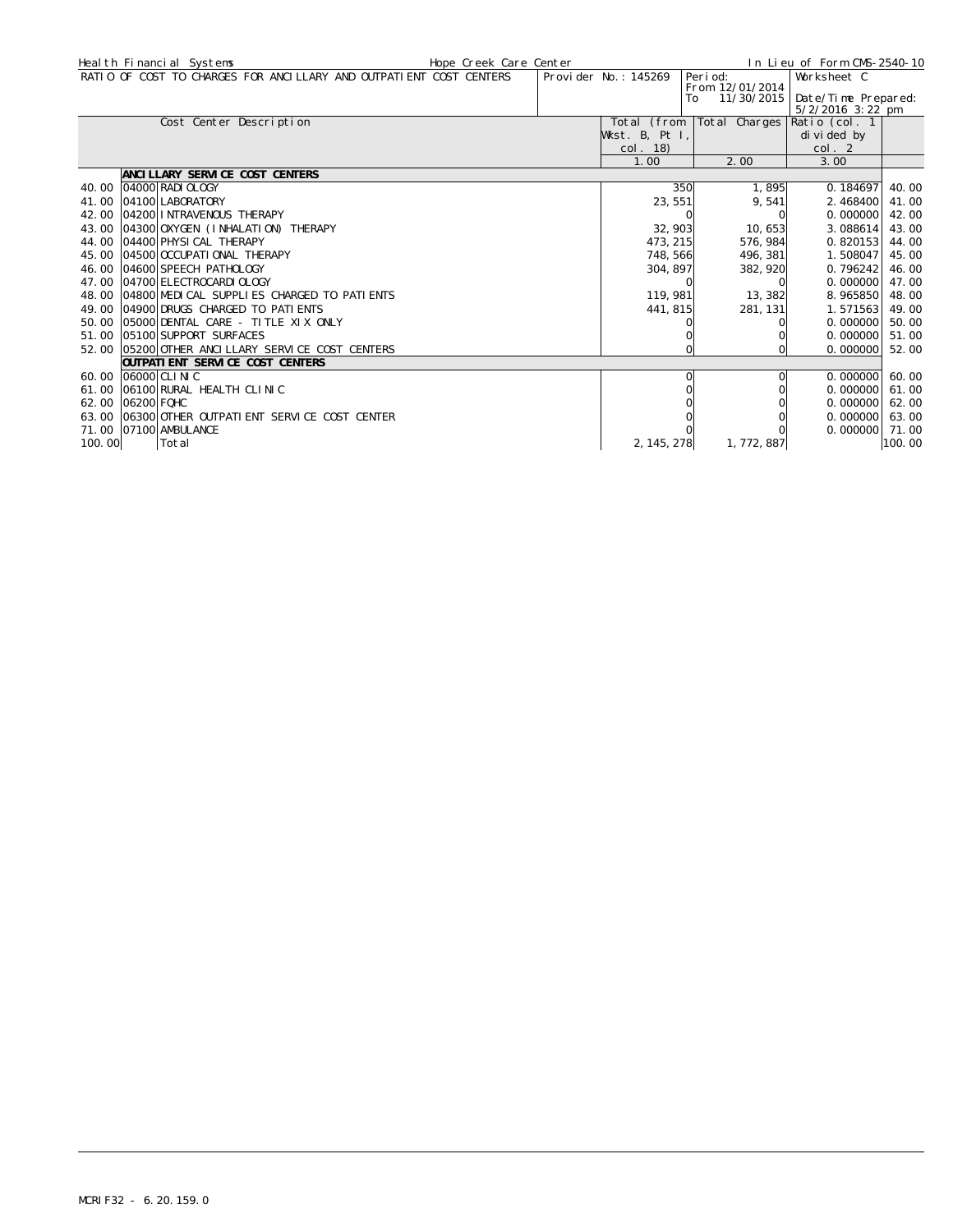|        | Heal th Financial Systems                                          | Hope Creek Care Center |                      |                                     | In Lieu of Form CMS-2540-10 |        |
|--------|--------------------------------------------------------------------|------------------------|----------------------|-------------------------------------|-----------------------------|--------|
|        | RATIO OF COST TO CHARGES FOR ANCILLARY AND OUTPATIENT COST CENTERS |                        | Provider No.: 145269 | Peri od:                            | Worksheet C                 |        |
|        |                                                                    |                        |                      | From 12/01/2014<br>11/30/2015<br>To | Date/Time Prepared:         |        |
|        |                                                                    |                        |                      |                                     | 5/2/2016 3:22 pm            |        |
|        | Cost Center Description                                            |                        | Total (from          | Total Charges                       | Ratio (col. 1               |        |
|        |                                                                    |                        | Wkst. B, Pt I,       |                                     | di vi ded by                |        |
|        |                                                                    |                        | col. 18)             |                                     | col. 2                      |        |
|        |                                                                    |                        | 1.00                 | 2.00                                | 3.00                        |        |
|        | ANCILLARY SERVICE COST CENTERS                                     |                        |                      |                                     |                             |        |
| 40.00  | 04000 RADI OLOGY                                                   |                        | 350                  | 1,895                               | 0.184697                    | 40.00  |
| 41.00  | 04100 LABORATORY                                                   |                        | 23, 551              | 9,541                               | 2.468400                    | 41.00  |
| 42.00  | 04200 INTRAVENOUS THERAPY                                          |                        |                      |                                     | 0.000000                    | 42.00  |
| 43.00  | 04300 OXYGEN (INHALATION) THERAPY                                  |                        | 32, 903              | 10,653                              | 3.088614                    | 43.00  |
|        | 44.00 04400 PHYSICAL THERAPY                                       |                        | 473, 215             | 576, 984                            | 0.820153                    | 44.00  |
|        | 45.00 04500 0CCUPATIONAL THERAPY                                   |                        | 748, 566             | 496, 381                            | 1.508047                    | 45.00  |
| 46.00  | 04600 SPEECH PATHOLOGY                                             |                        | 304, 897             | 382, 920                            | 0.796242                    | 46.00  |
|        | 47.00 04700 ELECTROCARDI OLOGY                                     |                        |                      |                                     | 0.000000                    | 47.00  |
|        | 48.00 04800 MEDICAL SUPPLIES CHARGED TO PATIENTS                   |                        | 119, 981             | 13, 382                             | 8.965850                    | 48.00  |
|        | 49.00 04900 DRUGS CHARGED TO PATIENTS                              |                        | 441, 815             | 281, 131                            | 1.571563                    | 49.00  |
|        | 50.00 05000 DENTAL CARE - TITLE XIX ONLY                           |                        |                      |                                     | 0.000000                    | 50.00  |
|        | 51.00 05100 SUPPORT SURFACES                                       |                        |                      |                                     | 0.000000                    | 51.00  |
|        | 52.00 05200 OTHER ANCLLLARY SERVICE COST CENTERS                   |                        |                      |                                     | 0.000000                    | 52.00  |
|        | <b>OUTPATI ENT SERVICE COST CENTERS</b>                            |                        |                      |                                     |                             |        |
|        | 60.00 06000 CLINIC                                                 |                        |                      |                                     | 0.000000160.00              |        |
| 61.00  | 06100 RURAL HEALTH CLINIC                                          |                        |                      |                                     | 0.000000                    | 61.00  |
|        | 62.00 06200 FOHC                                                   |                        |                      |                                     | $0.000000$ 62.00            |        |
|        | 63.00 06300 OTHER OUTPATI ENT SERVICE COST CENTER                  |                        |                      |                                     | 0.000000                    | 63.00  |
|        | 71.00 07100 AMBULANCE                                              |                        |                      |                                     | $0.000000$ 71.00            |        |
| 100.00 | Total                                                              |                        | 2, 145, 278          | 1, 772, 887                         |                             | 100.00 |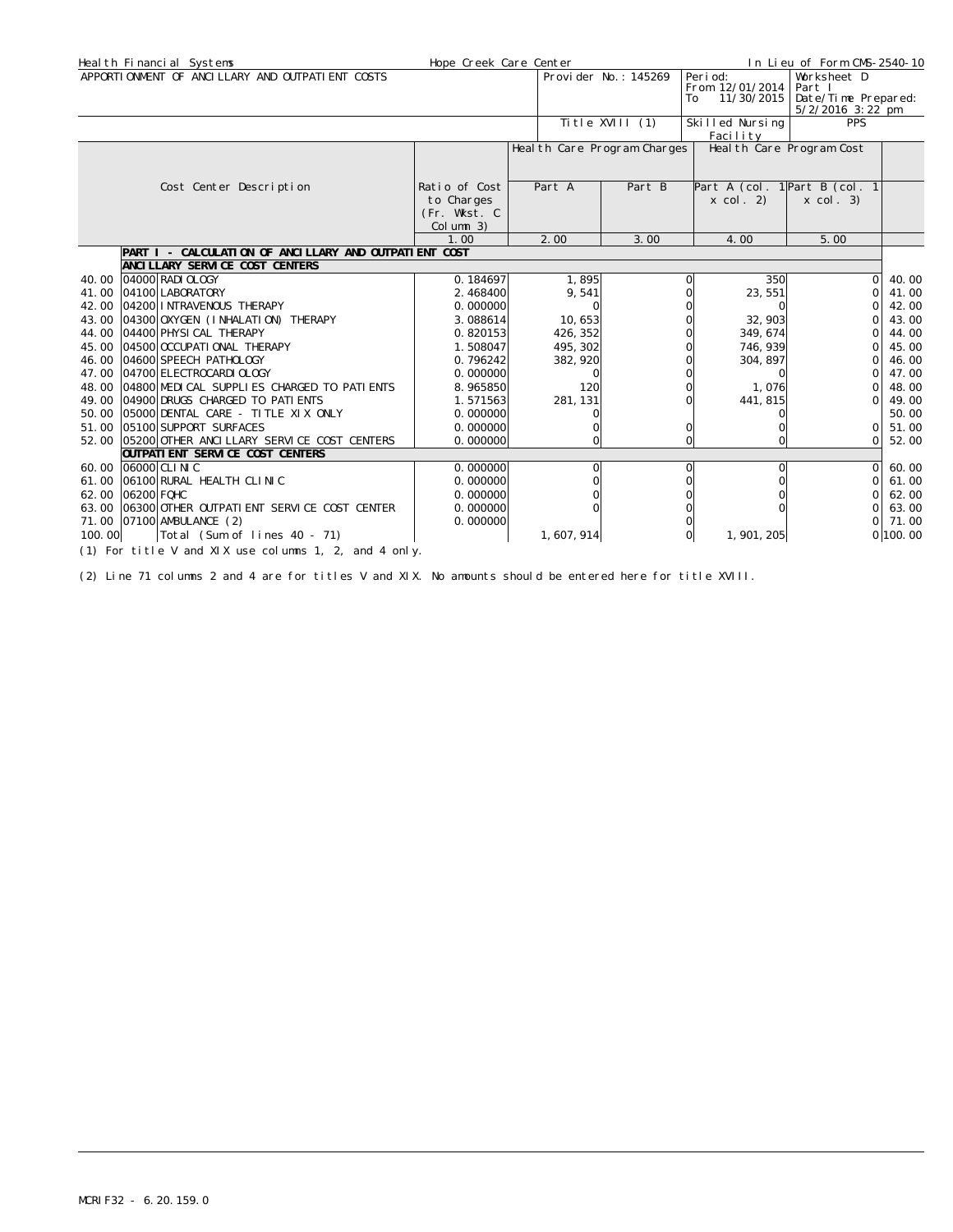|                  | Heal th Financial Systems                                                            | Hope Creek Care Center                  |                              |                      |                                   | In Lieu of Form CMS-2540-10                                                      |          |
|------------------|--------------------------------------------------------------------------------------|-----------------------------------------|------------------------------|----------------------|-----------------------------------|----------------------------------------------------------------------------------|----------|
|                  | APPORTIONMENT OF ANCILLARY AND OUTPATIENT COSTS                                      |                                         |                              | Provider No.: 145269 | Peri od:<br>From 12/01/2014<br>To | Worksheet D<br>Part I<br>11/30/2015   Date/Time Prepared:<br>$5/2/2016$ 3: 22 pm |          |
|                  |                                                                                      |                                         |                              | Title XVIII (1)      | Skilled Nursing<br>Facility       | <b>PPS</b>                                                                       |          |
|                  |                                                                                      |                                         | Heal th Care Program Charges |                      |                                   | Heal th Care Program Cost                                                        |          |
|                  | Cost Center Description                                                              | Ratio of Cost                           | Part A                       | Part B               |                                   | Part A (col. $1$ Part B (col. $1$                                                |          |
|                  |                                                                                      | to Charges<br>(Fr. Wkst. C<br>Column 3) |                              |                      | $x \text{ col. } 2)$              | $x \text{ col. } 3)$                                                             |          |
|                  |                                                                                      | 1.00                                    | 2.00                         | 3.00                 | 4.00                              | 5.00                                                                             |          |
|                  | PART I - CALCULATION OF ANCILLARY AND OUTPATIENT COST                                |                                         |                              |                      |                                   |                                                                                  |          |
|                  | ANCI LLARY SERVICE COST CENTERS                                                      |                                         |                              |                      |                                   |                                                                                  |          |
| 40.00            | 04000 RADI OLOGY                                                                     | 0.184697                                | 1,895                        |                      | 350                               | $\Omega$                                                                         | 40.00    |
| 41.00            | 04100 LABORATORY                                                                     | 2.468400                                | 9,541                        |                      | 23, 551                           | $\Omega$                                                                         | 41.00    |
| 42.00            | 04200 INTRAVENOUS THERAPY                                                            | 0.000000                                |                              |                      |                                   | $\Omega$                                                                         | 42.00    |
| 43.00            | 04300 OXYGEN (INHALATION) THERAPY                                                    | 3.088614                                | 10,653                       |                      | 32, 903                           | $\Omega$                                                                         | 43.00    |
| 44.00            | 04400 PHYSI CAL THERAPY                                                              | 0.820153                                | 426, 352                     |                      | 349, 674                          | $\Omega$                                                                         | 44.00    |
| 45.00            | 04500 OCCUPATI ONAL THERAPY                                                          | 1.508047                                | 495, 302                     |                      | 746, 939                          | $\Omega$                                                                         | 45.00    |
| 46.00            | 04600 SPEECH PATHOLOGY                                                               | 0.796242                                | 382, 920                     |                      | 304, 897                          | $\Omega$                                                                         | 46.00    |
|                  | 47.00 04700 ELECTROCARDI OLOGY                                                       | 0.000000                                |                              |                      | 0                                 | $\Omega$                                                                         | 47.00    |
|                  | 48.00 04800 MEDICAL SUPPLIES CHARGED TO PATIENTS                                     | 8.965850                                | 120                          |                      | 1,076                             | $\Omega$                                                                         | 48.00    |
|                  | 49.00 04900 DRUGS CHARGED TO PATIENTS                                                | 1.571563                                | 281, 131                     |                      | 441, 815                          | $\Omega$                                                                         | 49.00    |
|                  | 50.00 05000 DENTAL CARE - TITLE XIX ONLY                                             | 0.000000                                |                              |                      |                                   |                                                                                  | 50.00    |
|                  | 51.00 05100 SUPPORT SURFACES                                                         | 0.000000                                |                              |                      |                                   | $\Omega$                                                                         | 51.00    |
|                  | 52.00 05200 OTHER ANCILLARY SERVICE COST CENTERS<br>OUTPATI ENT SERVICE COST CENTERS | 0.000000                                | $\Omega$                     |                      | 0                                 | $\Omega$                                                                         | 52.00    |
|                  | 60.00 06000 CLINIC                                                                   | 0.000000                                | O                            |                      | 0                                 | $\Omega$                                                                         | 60.00    |
| 61.00            | 06100 RURAL HEALTH CLINIC                                                            | 0.000000                                |                              |                      |                                   | $\Omega$                                                                         | 61.00    |
| 62.00 06200 FQHC |                                                                                      | 0.000000                                |                              |                      |                                   | $\Omega$                                                                         | 62.00    |
|                  | 63.00 06300 OTHER OUTPATIENT SERVICE COST CENTER                                     | 0.000000                                |                              |                      |                                   | $\Omega$                                                                         | 63.00    |
|                  | 71.00 07100 AMBULANCE (2)                                                            | 0.000000                                |                              |                      |                                   | $\Omega$                                                                         | 71.00    |
| 100.00           | Total (Sum of lines 40 - 71)                                                         |                                         | 1, 607, 914                  |                      | 1, 901, 205                       |                                                                                  | 0 100.00 |
|                  | (1) For title V and XIX use columns 1, 2, and 4 only.                                |                                         |                              |                      |                                   |                                                                                  |          |

(2) Line 71 columns 2 and 4 are for titles V and XIX. No amounts should be entered here for title XVIII.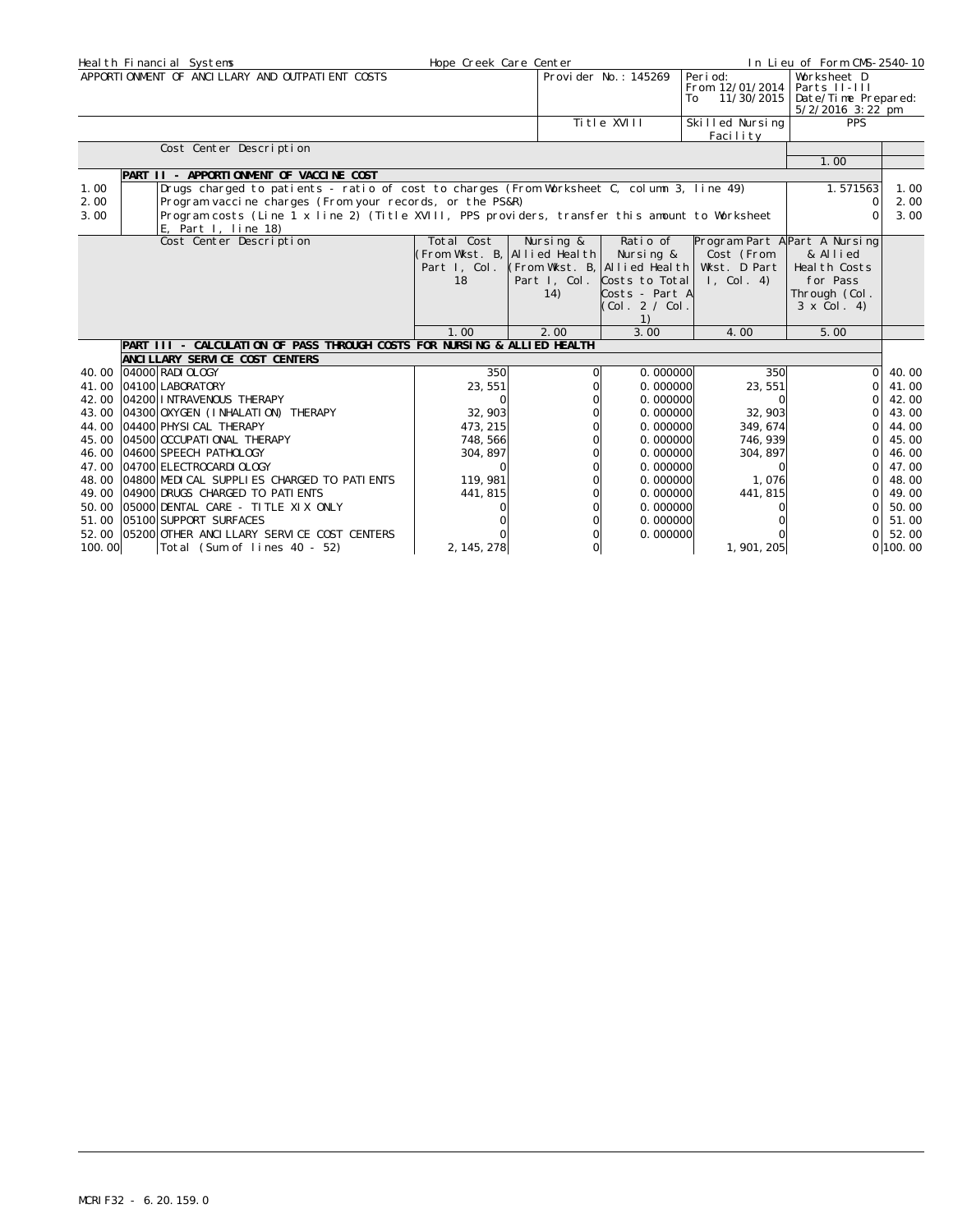|        | Heal th Financial Systems                                                                                                | Hope Creek Care Center |                                   |                             |                                                  | In Lieu of Form CMS-2540-10                                               |          |
|--------|--------------------------------------------------------------------------------------------------------------------------|------------------------|-----------------------------------|-----------------------------|--------------------------------------------------|---------------------------------------------------------------------------|----------|
|        | APPORTIONMENT OF ANCILLARY AND OUTPATIENT COSTS                                                                          |                        |                                   | Provider No.: 145269        | Peri od:<br>From 12/01/2014<br>11/30/2015<br>To. | Worksheet D<br>Parts II-III<br>Date/Time Prepared:<br>$5/2/2016$ 3: 22 pm |          |
|        |                                                                                                                          |                        |                                   | Ti tle XVIII                | Skilled Nursing<br>Facility                      | <b>PPS</b>                                                                |          |
|        | Cost Center Description                                                                                                  |                        |                                   |                             |                                                  |                                                                           |          |
|        |                                                                                                                          |                        |                                   |                             |                                                  | 1.00                                                                      |          |
|        | PART II - APPORTIONMENT OF VACCINE COST                                                                                  |                        |                                   |                             |                                                  |                                                                           |          |
| 1.00   | Drugs charged to patients - ratio of cost to charges (From Worksheet C, column 3, line 49)                               |                        |                                   |                             |                                                  | 1.571563                                                                  | 1.00     |
| 2.00   | Program vaccine charges (From your records, or the PS&R)                                                                 |                        |                                   |                             |                                                  | $\Omega$                                                                  | 2.00     |
| 3.00   | Program costs (Line 1 x line 2) (Title XVIII, PPS providers, transfer this amount to Worksheet<br>E. Part I. line $18$ ) |                        |                                   |                             |                                                  | $\cap$                                                                    | 3.00     |
|        | Cost Center Description                                                                                                  | Total Cost             | Nursing &                         | Ratio of                    | Program Part A Part A Nursing                    |                                                                           |          |
|        |                                                                                                                          |                        | (From Wkst. B, Allied Health      | Nursing &                   | Cost (From                                       | & Allied                                                                  |          |
|        |                                                                                                                          | Part I, Col.           | $ $ (From Wkst. B, Allied Health) |                             | Wkst. D Part                                     | Heal th Costs                                                             |          |
|        |                                                                                                                          | 18                     |                                   | Part I, Col. Costs to Total | $1,$ Col. 4)                                     | for Pass                                                                  |          |
|        |                                                                                                                          |                        | 14)                               | Costs - Part A              |                                                  | Through (Col.                                                             |          |
|        |                                                                                                                          |                        |                                   | COI. 2 / COI.               |                                                  | $3 \times$ Col. 4)                                                        |          |
|        |                                                                                                                          |                        |                                   | 1)                          |                                                  |                                                                           |          |
|        |                                                                                                                          | 1.00                   | 2.00                              | 3.00                        | 4.00                                             | 5.00                                                                      |          |
|        | PART III - CALCULATION OF PASS THROUGH COSTS FOR NURSING & ALLIED HEALTH                                                 |                        |                                   |                             |                                                  |                                                                           |          |
|        | ANCI LLARY SERVICE COST CENTERS                                                                                          |                        |                                   |                             |                                                  |                                                                           |          |
|        | 40.00 04000 RADI OLOGY                                                                                                   | 350                    |                                   | 0.000000                    | 350                                              | $\circ$                                                                   | 40.00    |
|        | 41.00 04100 LABORATORY                                                                                                   | 23,551                 |                                   | 0.000000                    | 23, 551                                          | Οl                                                                        | 41.00    |
|        | 42.00 04200 INTRAVENOUS THERAPY                                                                                          |                        |                                   | 0.000000                    |                                                  | $\Omega$                                                                  | 42.00    |
| 43.00  | 04300 OXYGEN (I NHALATI ON) THERAPY                                                                                      | 32, 903                |                                   | 0.000000                    | 32, 903                                          | $\Omega$                                                                  | 43.00    |
|        | 44.00 04400 PHYSI CAL THERAPY                                                                                            | 473, 215               |                                   | 0.000000                    | 349, 674                                         | $\Omega$                                                                  | 44.00    |
| 45.00  | 04500 OCCUPATI ONAL THERAPY                                                                                              | 748, 566               |                                   | 0.000000                    | 746, 939                                         | $\Omega$                                                                  | 45.00    |
|        | 46.00 04600 SPEECH PATHOLOGY                                                                                             | 304, 897               |                                   | 0.000000                    | 304, 897                                         | 0                                                                         | 46.00    |
|        | 47.00 04700 ELECTROCARDI OLOGY                                                                                           |                        |                                   | 0.000000                    |                                                  | ΩI                                                                        | 47.00    |
|        | 48.00 04800 MEDICAL SUPPLIES CHARGED TO PATIENTS                                                                         | 119, 981               |                                   | 0.000000                    | 1.076                                            | $\Omega$                                                                  | 48.00    |
|        | 49.00 04900 DRUGS CHARGED TO PATIENTS                                                                                    | 441, 815               |                                   | 0.000000                    | 441, 815                                         | $\Omega$                                                                  | 49.00    |
|        | 50.00 05000 DENTAL CARE - TITLE XIX ONLY                                                                                 |                        |                                   | 0.000000                    |                                                  | $\Omega$                                                                  | 50.00    |
|        | 51.00 05100 SUPPORT SURFACES                                                                                             |                        |                                   | 0.000000                    |                                                  | ΩI                                                                        | 51.00    |
|        | 52.00 05200 OTHER ANCILLARY SERVICE COST CENTERS                                                                         |                        |                                   | 0.000000                    |                                                  | ΩI                                                                        | 52.00    |
| 100.00 | Total (Sum of lines 40 - 52)                                                                                             | 2, 145, 278            | $\Omega$                          |                             | 1, 901, 205                                      |                                                                           | 0 100.00 |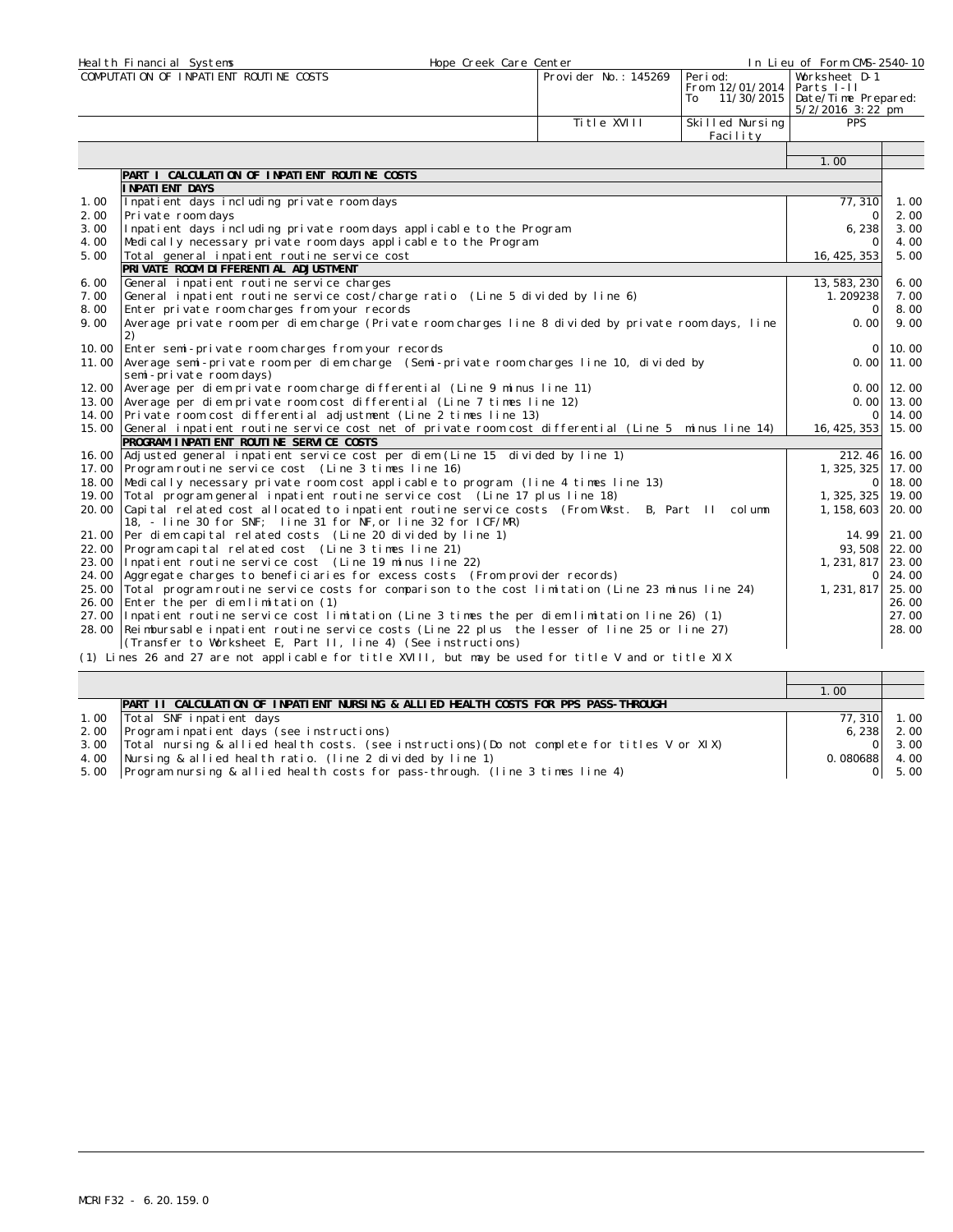|                | Heal th Financial Systems<br>Hope Creek Care Center                                                                                            |                       |                                                 | In Lieu of Form CMS-2540-10                                            |                   |  |
|----------------|------------------------------------------------------------------------------------------------------------------------------------------------|-----------------------|-------------------------------------------------|------------------------------------------------------------------------|-------------------|--|
|                | COMPUTATION OF INPATIENT ROUTINE COSTS                                                                                                         | Provi der No.: 145269 | Peri od:<br>From 12/01/2014<br>11/30/2015<br>To | Worksheet D-1<br>Parts I-II<br>Date/Time Prepared:<br>5/2/2016 3:22 pm |                   |  |
|                |                                                                                                                                                | Title XVIII           | Skilled Nursing<br>Facility                     | <b>PPS</b>                                                             |                   |  |
|                |                                                                                                                                                |                       |                                                 | 1.00                                                                   |                   |  |
|                | PART I CALCULATION OF INPATIENT ROUTINE COSTS                                                                                                  |                       |                                                 |                                                                        |                   |  |
|                | I NPATI ENT DAYS                                                                                                                               |                       |                                                 |                                                                        |                   |  |
| 1.00           | Inpatient days including private room days                                                                                                     |                       |                                                 | 77, 310                                                                | 1.00              |  |
| 2.00           | Private room days                                                                                                                              |                       | $\Omega$                                        | 2.00                                                                   |                   |  |
| 3.00           | Inpatient days including private room days applicable to the Program                                                                           |                       |                                                 | 6,238                                                                  | 3.00              |  |
| 4.00           | Medically necessary private room days applicable to the Program                                                                                |                       |                                                 | $\Omega$                                                               | 4.00              |  |
| 5.00           | Total general inpatient routine service cost                                                                                                   |                       |                                                 | 16, 425, 353                                                           | 5.00              |  |
|                | PRIVATE ROOM DI FFERENTI AL ADJUSTMENT                                                                                                         |                       |                                                 |                                                                        |                   |  |
| 6.00           | General inpatient routine service charges                                                                                                      |                       |                                                 | 13, 583, 230                                                           | 6.00              |  |
| 7.00           | General inpatient routine service cost/charge ratio (Line 5 divided by line 6)                                                                 |                       |                                                 | 1.209238                                                               | 7.00              |  |
| 8.00           | Enter private room charges from your records                                                                                                   |                       |                                                 | $\Omega$                                                               | 8.00<br>9.00      |  |
| 9.00           | Average private room per diem charge (Private room charges line 8 divided by private room days, line<br>0.00<br>2)                             |                       |                                                 |                                                                        |                   |  |
| 10.00          | Enter semi-private room charges from your records                                                                                              |                       |                                                 |                                                                        | 10.00<br>$\Omega$ |  |
| 11.00          | Average semi-private room per diem charge (Semi-private room charges line 10, divided by<br>semi-private room days)                            | 0.001                 | 11.00                                           |                                                                        |                   |  |
| 12.00          | Average per diem private room charge differential (Line 9 minus line 11)                                                                       |                       |                                                 |                                                                        | $0.00$ 12.00      |  |
| 13.00          | Average per diem private room cost differential (Line 7 times line 12)                                                                         |                       |                                                 |                                                                        | $0.001$ 13.00     |  |
| 14.00          | Private room cost differential adjustment (Line 2 times line 13)                                                                               |                       |                                                 | $\Omega$                                                               | 14.00             |  |
| 15.00          | General inpatient routine service cost net of private room cost differential (Line 5 minus line 14)<br>PROGRAM INPATIENT ROUTINE SERVICE COSTS |                       |                                                 | 16, 425, 353                                                           | 15.00             |  |
| 16.00          | Adjusted general inpatient service cost per diem (Line 15 divided by line 1)                                                                   |                       |                                                 | 212.46                                                                 | 16.00             |  |
| 17.00          | Program routine service cost (Line 3 times line 16)                                                                                            |                       |                                                 | 1, 325, 325                                                            | 17.00             |  |
| 18.00          | Medically necessary private room cost applicable to program (line 4 times line 13)                                                             |                       |                                                 | Οl                                                                     | 18.00             |  |
| 19.00          | Total program general inpatient routine service cost (Line 17 plus line 18)                                                                    |                       |                                                 | 1, 325, 325                                                            | 19.00             |  |
| 20.00          | Capital related cost allocated to inpatient routine service costs (From Wkst. B, Part II column                                                |                       |                                                 | 1, 158, 603                                                            | 20.00             |  |
|                | 18, - line 30 for SNF; line 31 for NF, or line 32 for ICF/MR)                                                                                  |                       |                                                 |                                                                        |                   |  |
| 21.00          | Per diem capital related costs (Line 20 divided by line 1)                                                                                     |                       |                                                 | 14.99                                                                  | 21.00             |  |
| 22.00          | Program capital related cost (Line 3 times line 21)                                                                                            |                       |                                                 | 93, 508                                                                | 22.00             |  |
| 23.00          | Inpatient routine service cost (Line 19 minus line 22)                                                                                         |                       |                                                 | 1, 231, 817                                                            | 23.00             |  |
| 24.00<br>25,00 | Aggregate charges to beneficiaries for excess costs (From provider records)                                                                    |                       |                                                 | $\circ$<br>1, 231, 817                                                 | 24.00<br>25.00    |  |
| 26.00          | Total program routine service costs for comparison to the cost limitation (Line 23 minus line 24)<br>Enter the per diem limitation (1)         |                       |                                                 |                                                                        | 26.00             |  |
|                | 27.00 Inpatient routine service cost limitation (Line 3 times the per diem limitation line 26) (1)                                             |                       |                                                 |                                                                        | 27.00             |  |
|                | 28.00 Reimbursable inpatient routine service costs (Line 22 plus the lesser of line 25 or line 27)                                             |                       |                                                 |                                                                        | 28.00             |  |
|                | (Transfer to Worksheet E, Part II, line 4) (See instructions)                                                                                  |                       |                                                 |                                                                        |                   |  |
|                | (1) Lines 26 and 27 are not applicable for title XVIII, but may be used for title V and or title XIX                                           |                       |                                                 |                                                                        |                   |  |

|                                                                                               | $1.00^\circ$    |               |
|-----------------------------------------------------------------------------------------------|-----------------|---------------|
| PART II CALCULATION OF INPATIENT NURSING & ALLIED HEALTH COSTS FOR PPS PASS-THROUGH           |                 |               |
| Total SNF inpatient days                                                                      | 77, 310         | 1.00          |
| Program inpatient days (see instructions)                                                     |                 | $6, 238$ 2.00 |
| Total nursing & allied health costs. (see instructions) (Do not complete for titles V or XIX) |                 | 3.00          |
| Nursing & allied health ratio. (line 2 divided by line 1)                                     | $0.080688$ 4.00 |               |
| [Program nursing & allied health costs for pass-through. (line 3 times line 4)                | ΩL              | 5.00          |
|                                                                                               |                 |               |

⊤

⊤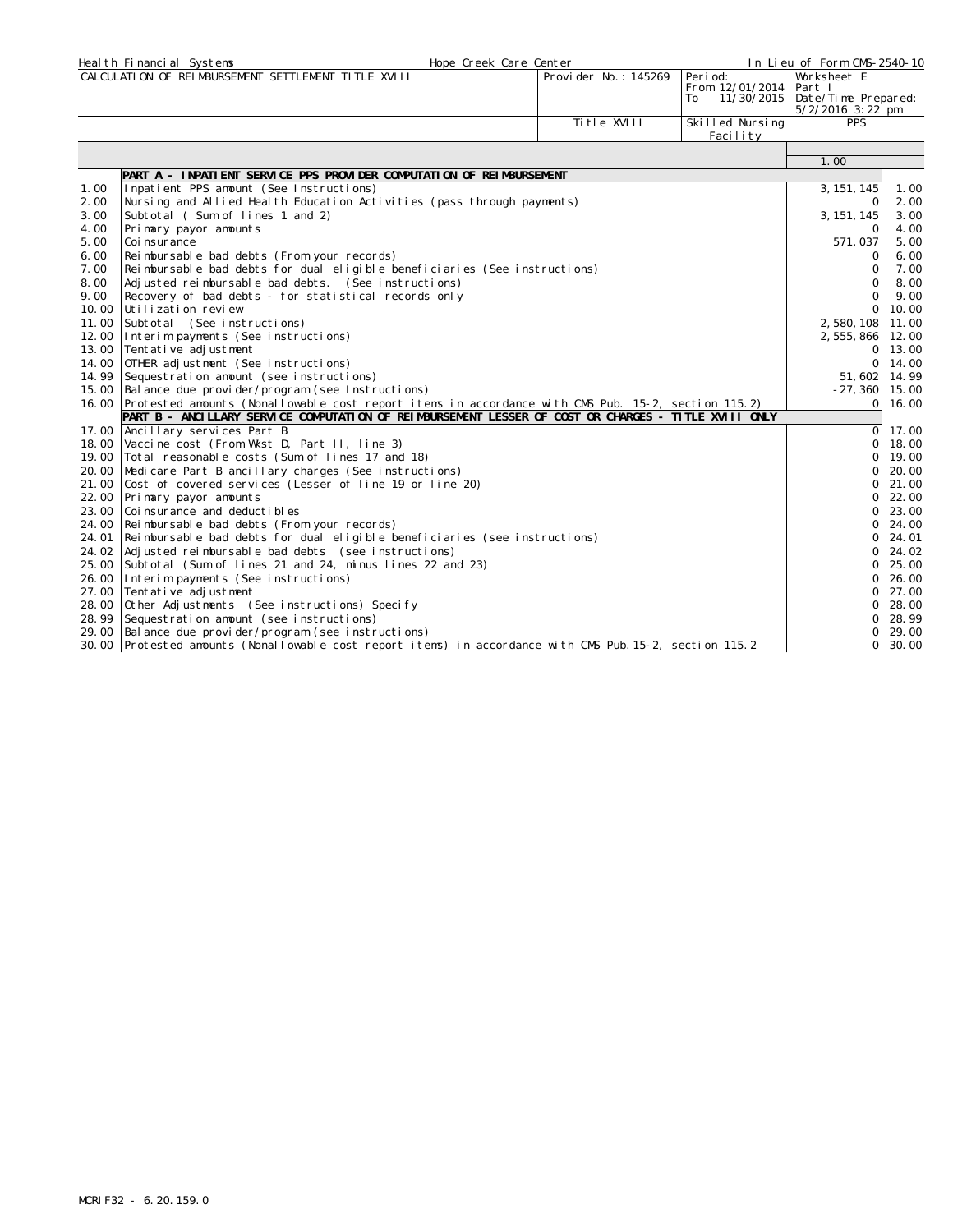|              | Heal th Financial Systems                                                                                | Hope Creek Care Center |                                                 | In Lieu of Form CMS-2540-10                                        |              |
|--------------|----------------------------------------------------------------------------------------------------------|------------------------|-------------------------------------------------|--------------------------------------------------------------------|--------------|
|              | CALCULATION OF REIMBURSEMENT SETTLEMENT TITLE XVIII                                                      | Provider No.: 145269   | Peri od:<br>From 12/01/2014<br>11/30/2015<br>To | Worksheet E<br>Part I<br>Date/Time Prepared:<br>$5/2/2016$ 3:22 pm |              |
|              |                                                                                                          | Ti tle XVIII           | Skilled Nursing<br>Facility                     | <b>PPS</b>                                                         |              |
|              |                                                                                                          |                        |                                                 |                                                                    |              |
|              |                                                                                                          |                        |                                                 | 1.00                                                               |              |
|              | PART A - INPATIENT SERVICE PPS PROVIDER COMPUTATION OF REIMBURSEMENT                                     |                        |                                                 |                                                                    |              |
| 1.00         | Inpatient PPS amount (See Instructions)                                                                  |                        |                                                 | 3, 151, 145                                                        | 1.00         |
| 2.00<br>3.00 | Nursing and Allied Health Education Activities (pass through payments)                                   |                        |                                                 | $\Omega$                                                           | 2.00<br>3.00 |
| 4.00         | Subtotal (Sum of lines 1 and 2)<br>Primary payor amounts                                                 |                        |                                                 | 3, 151, 145<br>$\Omega$                                            | 4.00         |
| 5.00         | Coi nsurance                                                                                             |                        |                                                 | 571,037                                                            | 5.00         |
| 6.00         | Reimbursable bad debts (From your records)                                                               |                        |                                                 | $\circ$                                                            | 6.00         |
| 7.00         | Reimbursable bad debts for dual eligible beneficiaries (See instructions)                                |                        |                                                 | $\mathbf{O}$                                                       | 7.00         |
| 8.00         | Adjusted reimbursable bad debts. (See instructions)                                                      |                        |                                                 | $\Omega$                                                           | 8.00         |
| 9.00         | Recovery of bad debts - for statistical records only                                                     |                        |                                                 | $\Omega$                                                           | 9.00         |
| 10.00        | Utilization review                                                                                       |                        |                                                 | $\Omega$                                                           | 10.00        |
| 11.00        | Subtotal (See instructions)                                                                              |                        |                                                 | 2,580,108                                                          | 11.00        |
| 12.00        | Interim payments (See instructions)                                                                      |                        |                                                 | 2, 555, 866                                                        | 12.00        |
| 13.00        | Tentative adjustment                                                                                     |                        |                                                 | $\circ$                                                            | 13.00        |
| 14.00        | OTHER adjustment (See instructions)                                                                      |                        |                                                 | 0                                                                  | 14.00        |
| 14.99        | Sequestration amount (see instructions)                                                                  |                        |                                                 | 51,602                                                             | 14.99        |
| 15.00        | Balance due provider/program (see Instructions)                                                          |                        |                                                 | $-27, 360$                                                         | 15.00        |
|              | 16.00 Protested amounts (Nonallowable cost report items in accordance with CMS Pub. 15-2, section 115.2) |                        |                                                 | Οl                                                                 | 16.00        |
|              | PART B - ANCILLARY SERVICE COMPUTATION OF REIMBURSEMENT LESSER OF COST OR CHARGES - TITLE XVIII ONLY     |                        |                                                 |                                                                    |              |
| 17.00        | Ancillary services Part B                                                                                |                        |                                                 | ΟI                                                                 | 17.00        |
| 18.00        | Vaccine cost (From Wkst D, Part II, line 3)                                                              |                        |                                                 | $\circ$                                                            | 18.00        |
| 19.00        | Total reasonable costs (Sum of lines 17 and 18)                                                          |                        |                                                 | $\Omega$                                                           | 19.00        |
| 20.00        | Medicare Part B ancillary charges (See instructions)                                                     |                        |                                                 | $\Omega$                                                           | 20.00        |
| 21.00        | Cost of covered services (Lesser of line 19 or line 20)                                                  |                        |                                                 | $\Omega$                                                           | 21.00        |
| 22.00        | Primary payor amounts                                                                                    |                        |                                                 | $\Omega$                                                           | 22.00        |
| 23.00        | Coinsurance and deductibles                                                                              |                        |                                                 | $\Omega$                                                           | 23.00        |
| 24.00        | Reimbursable bad debts (From your records)                                                               |                        |                                                 | Οl                                                                 | 24.00        |
| 24.01        | Reimbursable bad debts for dual eligible beneficiaries (see instructions)                                |                        |                                                 | 0                                                                  | 24.01        |
| 24.02        | Adjusted reimbursable bad debts (see instructions)                                                       |                        |                                                 | $\Omega$                                                           | 24.02        |
| 25.00        | Subtotal (Sum of lines 21 and 24, minus lines 22 and 23)                                                 |                        |                                                 | $\Omega$                                                           | 25.00        |
| 26.00        | Interim payments (See instructions)                                                                      |                        |                                                 | $\Omega$                                                           | 26.00        |
| 27.00        | Tentative adjustment                                                                                     |                        |                                                 | $\Omega$                                                           | 27.00        |
| 28.00        | Other Adjustments (See instructions) Specify                                                             |                        |                                                 | $\Omega$                                                           | 28.00        |
| 28.99        | Sequestration amount (see instructions)                                                                  |                        |                                                 | Οl                                                                 | 28.99        |
| 29.00        | Balance due provider/program (see instructions)                                                          |                        |                                                 | $\Omega$                                                           | 29.00        |
|              | 30.00 Protested amounts (Nonallowable cost report items) in accordance with CMS Pub. 15-2, section 115.2 |                        |                                                 | $\Omega$                                                           | 30.00        |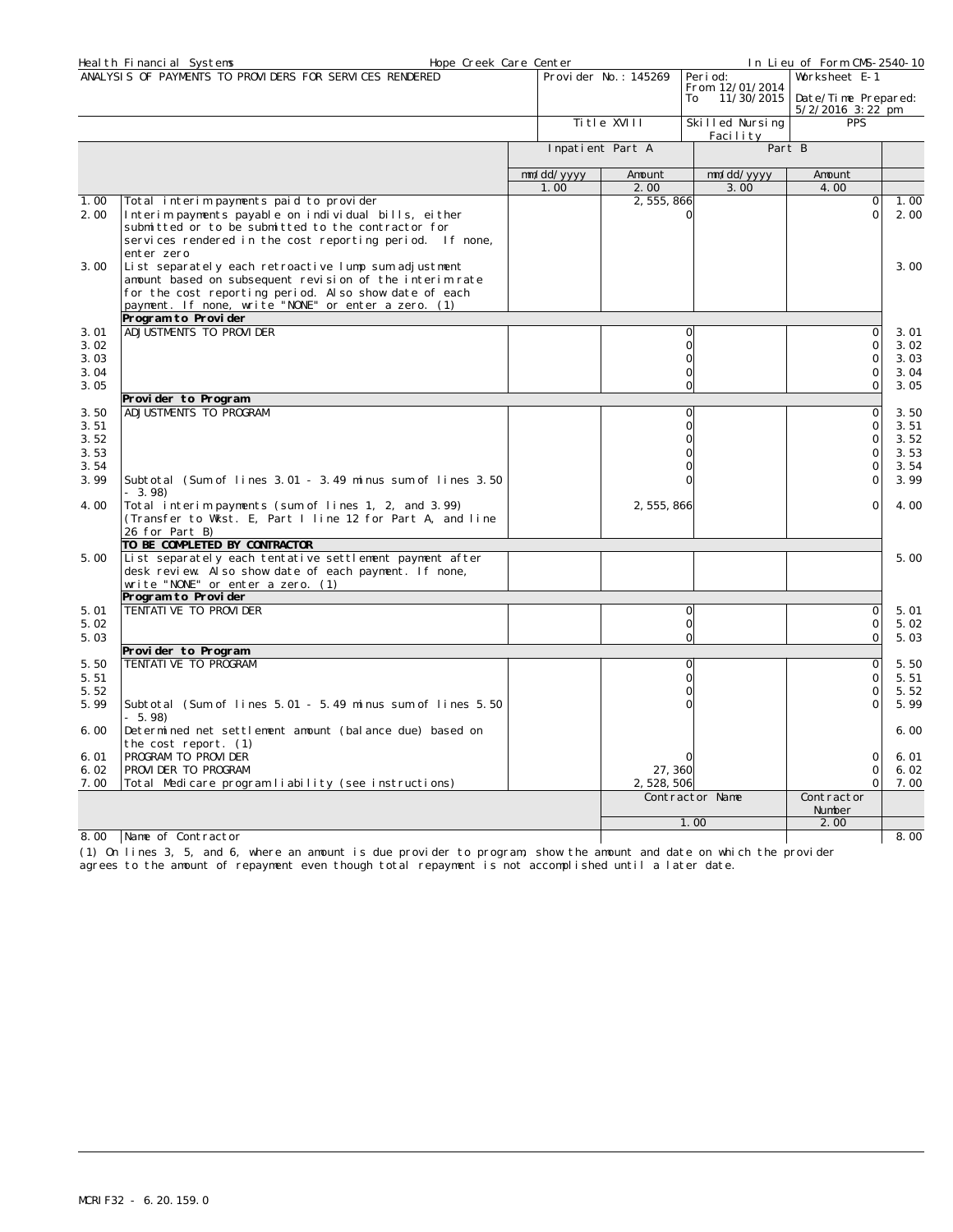|              | Hope Creek Care Center<br>Heal th Financial Systems                                                            |            |                      |                                     | In Lieu of Form CMS-2540-10 |              |
|--------------|----------------------------------------------------------------------------------------------------------------|------------|----------------------|-------------------------------------|-----------------------------|--------------|
|              | ANALYSIS OF PAYMENTS TO PROVIDERS FOR SERVICES RENDERED                                                        |            | Provider No.: 145269 | Peri od:                            | Worksheet E-1               |              |
|              |                                                                                                                |            |                      | From 12/01/2014<br>11/30/2015<br>To | Date/Time Prepared:         |              |
|              |                                                                                                                |            |                      |                                     | $5/2/2016$ 3:22 pm          |              |
|              |                                                                                                                |            | Title XVIII          | Skilled Nursing                     | <b>PPS</b>                  |              |
|              |                                                                                                                |            |                      | Facility                            |                             |              |
|              |                                                                                                                |            | Inpatient Part A     |                                     | Part B                      |              |
|              |                                                                                                                | mm/dd/yyyy | Amount               | mm/dd/yyyy                          | Amount                      |              |
|              |                                                                                                                | 1.00       | 2.00                 | 3.00                                | 4.00                        |              |
| 1.00         | Total interim payments paid to provider                                                                        |            | 2, 555, 866          |                                     | $\Omega$                    | 1.00         |
| 2.00         | Interim payments payable on individual bills, either                                                           |            |                      | $\Omega$                            | $\Omega$                    | 2.00         |
|              | submitted or to be submitted to the contractor for<br>services rendered in the cost reporting period. If none, |            |                      |                                     |                             |              |
|              | enter zero                                                                                                     |            |                      |                                     |                             |              |
| 3.00         | List separately each retroactive lump sum adjustment                                                           |            |                      |                                     |                             | 3.00         |
|              | amount based on subsequent revision of the interim rate                                                        |            |                      |                                     |                             |              |
|              | for the cost reporting period. Also show date of each                                                          |            |                      |                                     |                             |              |
|              | payment. If none, write "NONE" or enter a zero. (1)                                                            |            |                      |                                     |                             |              |
|              | Program to Provider                                                                                            |            |                      |                                     |                             |              |
| 3.01         | ADJUSTMENTS TO PROVIDER                                                                                        |            |                      | $\Omega$                            | 0                           | 3.01         |
| 3.02         |                                                                                                                |            |                      | $\mathbf{O}$                        | $\overline{0}$              | 3.02         |
| 3.03         |                                                                                                                |            |                      | $\mathbf 0$<br>$\Omega$             | $\mathbf 0$<br>$\Omega$     | 3.03<br>3.04 |
| 3.04<br>3.05 |                                                                                                                |            |                      | $\circ$                             | $\Omega$                    | 3.05         |
|              | Provider to Program                                                                                            |            |                      |                                     |                             |              |
| 3.50         | ADJUSTMENTS TO PROGRAM                                                                                         |            |                      | $\Omega$                            | $\Omega$                    | 3.50         |
| 3.51         |                                                                                                                |            |                      | $\Omega$                            | $\Omega$                    | 3.51         |
| 3.52         |                                                                                                                |            |                      | $\Omega$                            | $\Omega$                    | 3.52         |
| 3.53         |                                                                                                                |            |                      | $\Omega$                            | $\Omega$                    | 3.53         |
| 3.54         |                                                                                                                |            |                      | $\Omega$                            | $\Omega$                    | 3.54         |
| 3.99         | Subtotal (Sum of lines 3.01 - 3.49 minus sum of lines 3.50                                                     |            |                      | $\Omega$                            | $\circ$                     | 3.99         |
| 4.00         | $-3.98$<br>Total interim payments (sum of lines 1, 2, and 3.99)                                                |            |                      |                                     | $\Omega$                    | 4.00         |
|              | (Transfer to Wkst. E, Part I line 12 for Part A, and line                                                      |            | 2, 555, 866          |                                     |                             |              |
|              | 26 for Part B)                                                                                                 |            |                      |                                     |                             |              |
|              | TO BE COMPLETED BY CONTRACTOR                                                                                  |            |                      |                                     |                             |              |
| 5.00         | List separately each tentative settlement payment after                                                        |            |                      |                                     |                             | 5.00         |
|              | desk review. Also show date of each payment. If none,                                                          |            |                      |                                     |                             |              |
|              | write "NONE" or enter a zero. (1)                                                                              |            |                      |                                     |                             |              |
| 5.01         | Program to Provider<br>TENTATI VE TO PROVI DER                                                                 |            |                      | $\circ$                             | $\circ$                     | 5.01         |
| 5.02         |                                                                                                                |            |                      | $\circ$                             | $\circ$                     | 5.02         |
| 5.03         |                                                                                                                |            |                      | $\Omega$                            | $\Omega$                    | 5.03         |
|              | Provider to Program                                                                                            |            |                      |                                     |                             |              |
| 5.50         | TENTATIVE TO PROGRAM                                                                                           |            |                      | $\mathbf{O}$                        | 0                           | 5.50         |
| 5.51         |                                                                                                                |            |                      | $\Omega$                            | 0                           | 5.51         |
| 5.52         |                                                                                                                |            |                      | $\Omega$                            | $\mathbf 0$                 | 5.52         |
| 5.99         | Subtotal (Sum of lines 5.01 - 5.49 minus sum of lines 5.50<br>$-5.98$                                          |            |                      | 0                                   | $\mathbf 0$                 | 5.99         |
| 6.00         | Determined net settlement amount (balance due) based on                                                        |            |                      |                                     |                             | 6.00         |
| 6.01         | the cost report. (1)<br>PROGRAM TO PROVIDER                                                                    |            |                      | ∩                                   | $\Omega$                    | 6.01         |
| 6.02         | PROVIDER TO PROGRAM                                                                                            |            | 27,360               |                                     | 0                           | 6.02         |
| 7.00         | Total Medicare program liability (see instructions)                                                            |            | 2, 528, 506          |                                     | $\Omega$                    | 7.00         |
|              |                                                                                                                |            |                      | Contractor Name                     | Contractor                  |              |
|              |                                                                                                                |            |                      |                                     | Number                      |              |
|              |                                                                                                                |            |                      | 1.00                                | 2.00                        |              |
| 8.00         | Name of Contractor                                                                                             |            |                      |                                     |                             | 8.00         |

(1) On lines 3, 5, and 6, where an amount is due provider to program, show the amount and date on which the provider

agrees to the amount of repayment even though total repayment is not accomplished until a later date.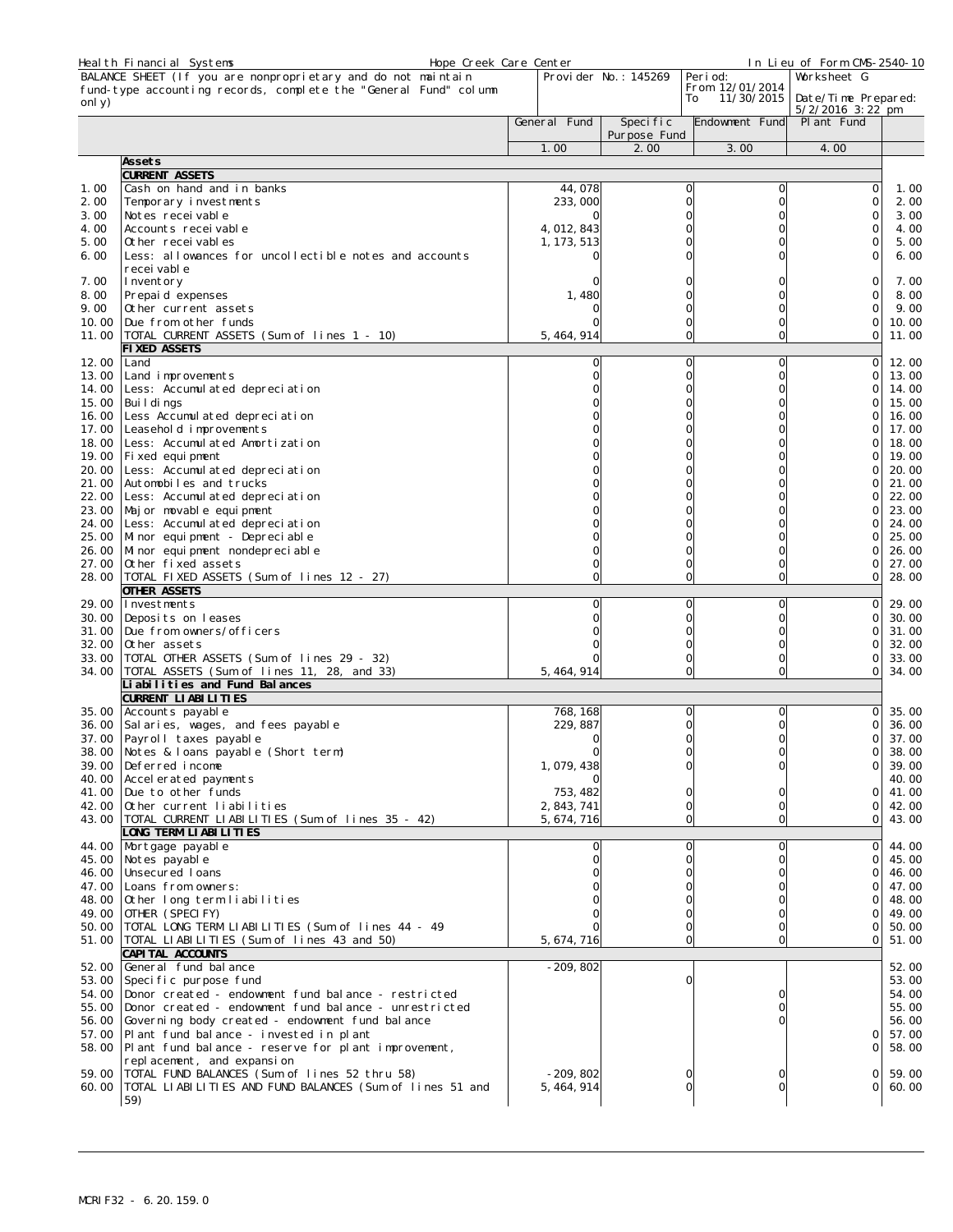|                | Heal th Financial Systems                                                                               | Hope Creek Care Center |              |                      |                                     | In Lieu of Form CMS-2540-10 |                |
|----------------|---------------------------------------------------------------------------------------------------------|------------------------|--------------|----------------------|-------------------------------------|-----------------------------|----------------|
|                | BALANCE SHEET (If you are nonproprietary and do not maintain                                            |                        |              | Provider No.: 145269 | Peri od:                            | Worksheet G                 |                |
|                | fund-type accounting records, complete the "General Fund" column                                        |                        |              |                      | From 12/01/2014<br>11/30/2015<br>To | Date/Time Prepared:         |                |
| only)          |                                                                                                         |                        |              |                      |                                     | $5/2/2016$ 3:22 pm          |                |
|                |                                                                                                         |                        | General Fund | Specific             | Endowment Fund                      | Pl ant Fund                 |                |
|                |                                                                                                         |                        | 1.00         | Purpose Fund<br>2.00 | 3.00                                | 4.00                        |                |
|                | Assets                                                                                                  |                        |              |                      |                                     |                             |                |
|                | CURRENT ASSETS                                                                                          |                        |              |                      |                                     |                             |                |
| 1.00           | Cash on hand and in banks                                                                               |                        | 44,078       |                      | O<br>0                              | 0                           | 1.00           |
| 2.00           | Temporary investments                                                                                   |                        | 233,000      |                      | 0<br>0                              | 0                           | 2.00           |
| 3.00           | Notes recei vable                                                                                       |                        |              |                      | 0<br>0                              | 0                           | 3.00           |
| 4.00           | Accounts receivable                                                                                     |                        | 4, 012, 843  |                      | O                                   | $\Omega$                    | 4.00           |
| 5.00           | Other recei vables                                                                                      |                        | 1, 173, 513  |                      | O<br>0                              | 0                           | 5.00           |
| 6.00           | Less: allowances for uncollectible notes and accounts<br>recei vabl e                                   |                        |              |                      | O                                   | $\Omega$                    | 6.00           |
| 7.00           | Inventory                                                                                               |                        |              |                      | 0                                   | 0                           | 7.00           |
| 8.00           | Prepaid expenses                                                                                        |                        | 1,480        |                      | 0                                   | 0                           | 8.00           |
| 9.00           | Other current assets                                                                                    |                        |              |                      | 0<br>0                              | $\Omega$                    | 9.00           |
| 10.00          | Due from other funds                                                                                    |                        |              |                      | $\mathbf 0$<br>0                    | 0                           | 10.00          |
| 11.00          | TOTAL CURRENT ASSETS (Sum of lines 1 - 10)                                                              |                        | 5, 464, 914  |                      | $\overline{O}$<br>$\circ$           | 0                           | 11.00          |
|                | FIXED ASSETS                                                                                            |                        |              |                      |                                     |                             |                |
| 12.00          | Land                                                                                                    |                        | O            |                      | $\circ$<br>0<br>$\mathbf 0$         | 0                           | 12.00          |
| 13.00<br>14.00 | Land improvements<br>Less: Accumulated depreciation                                                     |                        |              |                      | O<br>O<br>0                         | 0<br>0                      | 13.00<br>14.00 |
| 15.00          | Bui I di ngs                                                                                            |                        |              |                      | $\Omega$<br>0                       | 0                           | 15.00          |
| 16.00          | Less Accumulated depreciation                                                                           |                        |              |                      | O                                   | 0                           | 16.00          |
| 17.00          | Leasehold improvements                                                                                  |                        |              |                      | O<br>0                              | 0                           | 17.00          |
| 18.00          | Less: Accumulated Amortization                                                                          |                        |              |                      | O                                   | 0                           | 18.00          |
|                | 19.00   Fi xed equi pment                                                                               |                        |              |                      | 0<br>0                              | 0                           | 19.00          |
| 20.00          | Less: Accumulated depreciation                                                                          |                        |              |                      | $\circ$                             | 0                           | 20.00          |
| 21.00          | Automobiles and trucks                                                                                  |                        |              |                      | O                                   | 0                           | 21.00          |
| 22.00          | Less: Accumulated depreciation                                                                          |                        |              |                      | O                                   | 0                           | 22.00          |
|                | 23.00 Major movable equipment<br>24.00 Less: Accumulated depreciation                                   |                        |              |                      | O<br>0                              | 0<br>0                      | 23.00<br>24.00 |
|                | 25.00 Minor equipment - Depreciable                                                                     |                        |              |                      | O                                   | 0                           | 25.00          |
| 26.00          | Mi nor equipment nondepreciable                                                                         |                        |              |                      | $\mathbf 0$<br>0                    | 0                           | 26.00          |
|                | 27.00 Other fixed assets                                                                                |                        |              |                      | $\mathbf 0$<br>0                    | 0                           | 27.00          |
|                | 28.00   TOTAL FIXED ASSETS (Sum of lines 12 - 27)                                                       |                        | 0            |                      | 0<br>$\circ$                        | 0                           | 28.00          |
|                | OTHER ASSETS                                                                                            |                        |              |                      |                                     |                             |                |
| 29.00          | Investments                                                                                             |                        |              |                      | 0<br>O                              | 0                           | 29.00          |
| 30.00          | Deposits on leases                                                                                      |                        |              |                      | 0<br>0                              | 0                           | 30.00          |
|                | 31.00   Due from owners/officers                                                                        |                        |              |                      | 0<br>C                              | 0                           | 31.00          |
|                | 32.00 Other assets<br>33.00   TOTAL OTHER ASSETS (Sum of lines 29 - 32)                                 |                        |              |                      | 0<br>0<br>$\circ$<br>0              | 0<br>0                      | 32.00<br>33.00 |
|                | 34.00   TOTAL ASSETS (Sum of lines 11, 28, and 33)                                                      |                        | 5, 464, 914  |                      | $\circ$<br>$\circ$                  | 0                           | 34.00          |
|                | Liabilities and Fund Balances                                                                           |                        |              |                      |                                     |                             |                |
|                | CURRENT LI ABI LI TI ES                                                                                 |                        |              |                      |                                     |                             |                |
|                | 35.00 Accounts payable                                                                                  |                        | 768, 168     |                      | 0<br>C                              | 0                           | 35.00          |
|                | 36.00 Sal aries, wages, and fees payable                                                                |                        | 229, 887     |                      | 0<br>0                              | 0                           | 36.00          |
|                | 37.00 Payroll taxes payable                                                                             |                        | 0            |                      | 0<br>0                              | 0                           | 37.00          |
|                | 38.00 Notes & Ioans payable (Short term)                                                                |                        | $\Omega$     |                      | $\Omega$<br>$\Omega$                |                             | $0$   38.00    |
|                | 39.00 Deferred income<br>40.00 Accelerated payments                                                     |                        | 1, 079, 438  |                      | O                                   | 0                           | 39.00<br>40.00 |
|                | 41.00 Due to other funds                                                                                |                        | 753, 482     |                      | 0                                   | 0                           | 41.00          |
|                | 42.00 Other current liabilities                                                                         |                        | 2, 843, 741  |                      | $\mathbf 0$<br>0                    | 0                           | 42.00          |
|                | 43.00   TOTAL CURRENT LIABILITIES (Sum of lines 35 - 42)                                                |                        | 5, 674, 716  |                      | $\overline{0}$<br>$\overline{0}$    | $\circ$                     | 43.00          |
|                | LONG TERM LIABILITIES                                                                                   |                        |              |                      |                                     |                             |                |
|                | 44.00 Mortgage payable                                                                                  |                        |              |                      | 0<br>0                              | 0                           | 44.00          |
| 45.00          | Notes payable                                                                                           |                        |              |                      | 0<br>0                              | 0                           | 45.00          |
|                | 46.00 Unsecured I oans                                                                                  |                        |              |                      | O                                   | 0                           | 46.00          |
| 47.00          | Loans from owners:                                                                                      |                        |              |                      | 0<br>O                              | 0                           | 47.00          |
|                | 48.00 Other long term liabilities<br>49.00 OTHER (SPECIFY)                                              |                        |              |                      | 0                                   | 0<br>0                      | 48.00<br>49.00 |
|                | 50.00   TOTAL LONG TERM LIABILITIES (Sum of lines 44 - 49                                               |                        |              |                      | $\circ$                             | 0                           | 50.00          |
|                | 51.00   TOTAL LIABILITIES (Sum of lines 43 and 50)                                                      |                        | 5, 674, 716  |                      | $\overline{0}$<br>0                 | 0                           | 51.00          |
|                | CAPI TAL ACCOUNTS                                                                                       |                        |              |                      |                                     |                             |                |
|                | 52.00 General fund balance                                                                              |                        | $-209, 802$  |                      |                                     |                             | 52.00          |
| 53.00          | Specific purpose fund                                                                                   |                        |              |                      | 0                                   |                             | 53.00          |
|                | 54.00   Donor created - endowment fund balance - restricted                                             |                        |              |                      |                                     |                             | 54.00          |
|                | 55.00 Donor created - endowment fund balance - unrestricted                                             |                        |              |                      |                                     |                             | 55.00          |
|                | 56.00 Governing body created - endowment fund balance<br>57.00   Plant fund balance - invested in plant |                        |              |                      |                                     | 0                           | 56.00<br>57.00 |
|                | 58.00 Plant fund balance - reserve for plant improvement,                                               |                        |              |                      |                                     | 0                           | 58.00          |
|                | replacement, and expansion                                                                              |                        |              |                      |                                     |                             |                |
|                | 59.00   TOTAL FUND BALANCES (Sum of lines 52 thru 58)                                                   |                        | $-209,802$   |                      |                                     | 0                           | 59.00          |
|                | 60.00   TOTAL LIABILITIES AND FUND BALANCES (Sum of lines 51 and                                        |                        | 5, 464, 914  |                      | O<br>0                              | 0                           | 60.00          |
|                | 59)                                                                                                     |                        |              |                      |                                     |                             |                |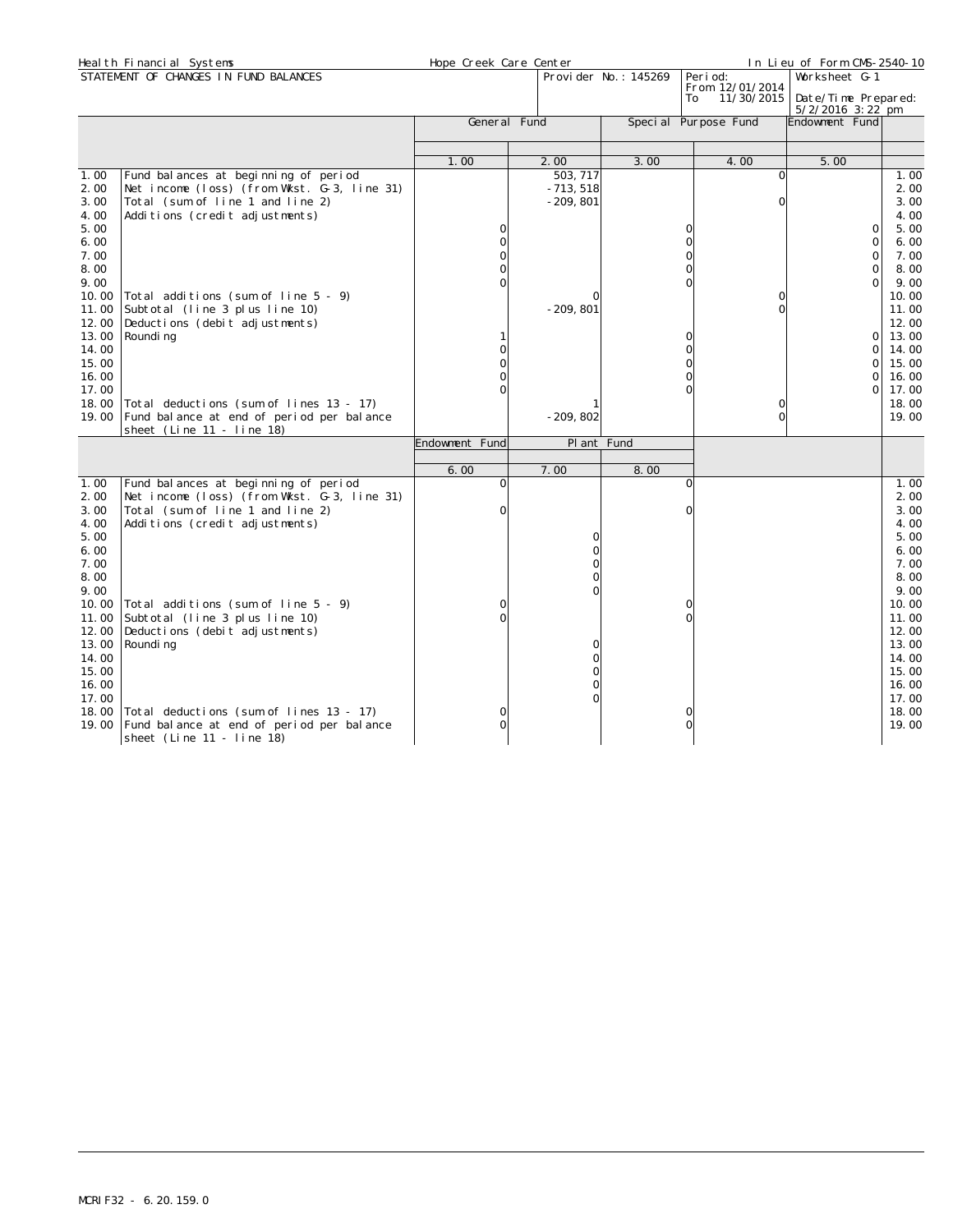|                                                                                                                                                                | Heal th Financial Systems                                                                                                                                                                                                                                                                                                                                                  | Hope Creek Care Center |                                                                                  |                       |                                                                | In Lieu of Form CMS-2540-10                                                                                             |                                                                                                                                                                |
|----------------------------------------------------------------------------------------------------------------------------------------------------------------|----------------------------------------------------------------------------------------------------------------------------------------------------------------------------------------------------------------------------------------------------------------------------------------------------------------------------------------------------------------------------|------------------------|----------------------------------------------------------------------------------|-----------------------|----------------------------------------------------------------|-------------------------------------------------------------------------------------------------------------------------|----------------------------------------------------------------------------------------------------------------------------------------------------------------|
|                                                                                                                                                                | STATEMENT OF CHANGES IN FUND BALANCES                                                                                                                                                                                                                                                                                                                                      |                        |                                                                                  | Provi der No.: 145269 | Peri od:<br>From 12/01/2014<br>11/30/2015<br>To                | Worksheet G-1<br>Date/Time Prepared:<br>$5/2/2016$ 3: 22 pm                                                             |                                                                                                                                                                |
|                                                                                                                                                                |                                                                                                                                                                                                                                                                                                                                                                            | General Fund           |                                                                                  |                       | Special Purpose Fund                                           | Endowment Fund                                                                                                          |                                                                                                                                                                |
|                                                                                                                                                                |                                                                                                                                                                                                                                                                                                                                                                            | 1.00                   | 2.00                                                                             | 3.00                  | 4.00                                                           | 5.00                                                                                                                    |                                                                                                                                                                |
| 1.00<br>2.00<br>3.00<br>4.00<br>5.00<br>6.00<br>7.00<br>8.00<br>9.00<br>10.00<br>11.00<br>12.00<br>13.00<br>14.00<br>15.00<br>16.00<br>17.00<br>18.00<br>19.00 | Fund bal ances at beginning of period<br>Net income (loss) (from Wkst. G-3, line 31)<br>Total (sum of line 1 and line 2)<br>Additions (credit adjustments)<br>Total additions (sum of line 5 - 9)<br>Subtotal (line 3 plus line 10)<br>Deductions (debit adjustments)<br>Roundi ng<br>Total deductions (sum of lines 13 - 17)<br>Fund balance at end of period per balance | 0                      | 503, 717<br>$-713,518$<br>$-209, 801$<br>$-209, 801$<br>$-209, 802$              |                       | 0<br>O<br>$\Omega$<br>0<br>$\Omega$<br>0<br>0<br>0<br>$\Omega$ | $\mathbf 0$<br>$\Omega$<br>$\Omega$<br>$\Omega$<br>$\Omega$<br>$\Omega$<br>$\Omega$<br>$\Omega$<br>$\Omega$<br>$\Omega$ | 1.00<br>2.00<br>3.00<br>4.00<br>5.00<br>6.00<br>7.00<br>8.00<br>9.00<br>10.00<br>11.00<br>12.00<br>13.00<br>14.00<br>15.00<br>16.00<br>17.00<br>18.00<br>19.00 |
|                                                                                                                                                                | sheet (Line 11 - line 18)                                                                                                                                                                                                                                                                                                                                                  | Endowment Fund         | Pl ant Fund                                                                      |                       |                                                                |                                                                                                                         |                                                                                                                                                                |
|                                                                                                                                                                |                                                                                                                                                                                                                                                                                                                                                                            | 6.00                   | 7.00                                                                             | 8.00                  |                                                                |                                                                                                                         |                                                                                                                                                                |
| 1.00<br>2.00<br>3.00<br>4.00<br>5.00<br>6.00<br>7.00<br>8.00<br>9.00<br>10.00<br>11.00<br>12.00<br>13.00<br>14.00<br>15.00<br>16.00<br>17.00                   | Fund balances at beginning of period<br>Net income (loss) (from Wkst. G-3, line 31)<br>Total (sum of line 1 and line 2)<br>Additions (credit adjustments)<br>Total additions (sum of line 5 - 9)<br>Subtotal (line 3 plus line 10)<br>Deductions (debit adjustments)<br>Roundi ng                                                                                          | $\Omega$<br>$\Omega$   | $\Omega$<br>$\Omega$<br>$\Omega$<br>$\Omega$<br>$\Omega$<br>$\Omega$<br>$\Omega$ |                       | $\Omega$<br>0                                                  |                                                                                                                         | 1.00<br>2.00<br>3.00<br>4.00<br>5.00<br>6.00<br>7.00<br>8.00<br>9.00<br>10.00<br>11.00<br>12.00<br>13.00<br>14.00<br>15.00<br>16.00<br>17.00                   |
| 18.00<br>19.00                                                                                                                                                 | Total deductions (sum of lines 13 - 17)<br>Fund balance at end of period per balance<br>sheet (Line 11 - line 18)                                                                                                                                                                                                                                                          | 0                      |                                                                                  |                       | Ω                                                              |                                                                                                                         | 18.00<br>19.00                                                                                                                                                 |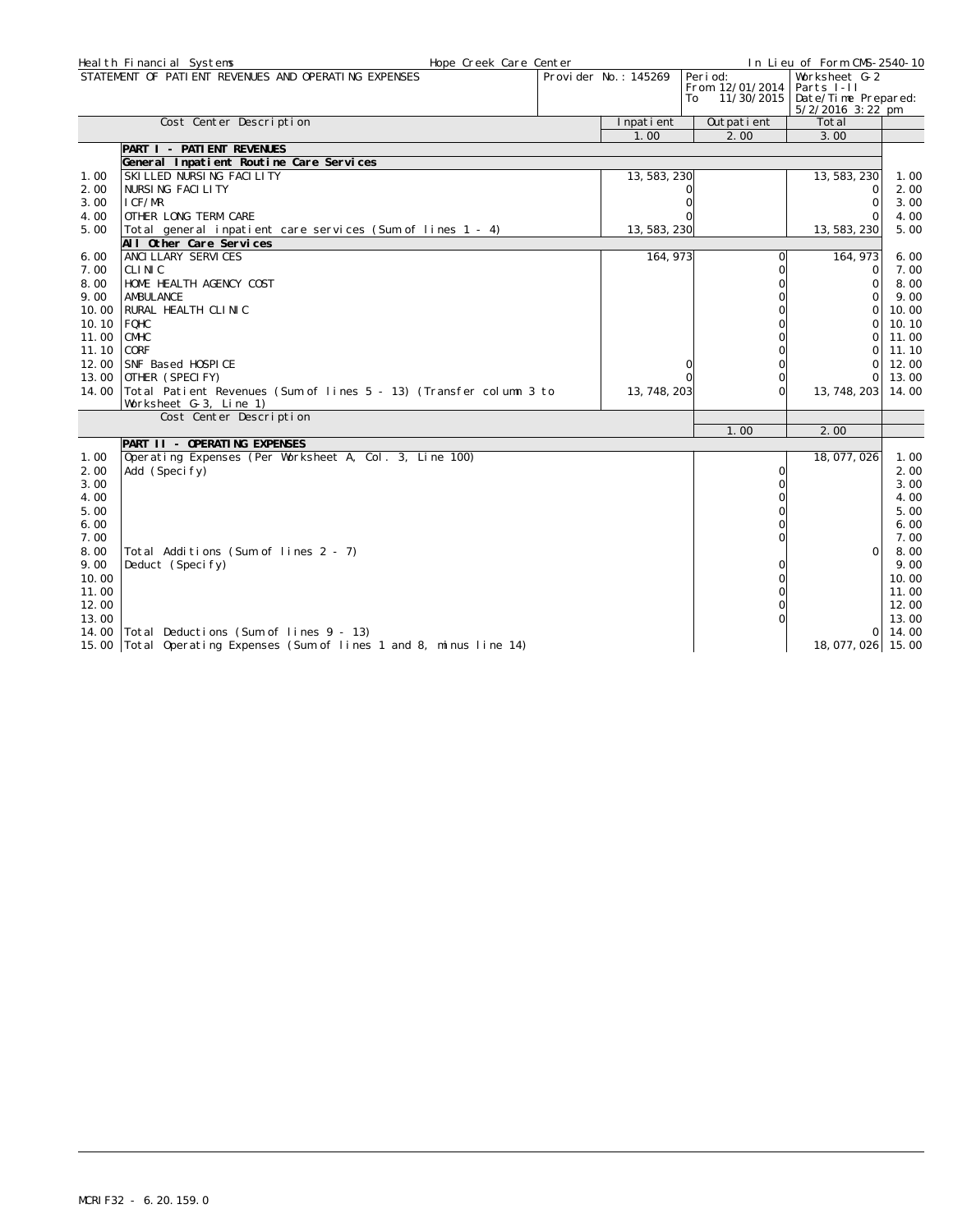|       | Heal th Financial Systems<br>Hope Creek Care Center                      |                      |                                                  | In Lieu of Form CMS-2540-10                                            |       |
|-------|--------------------------------------------------------------------------|----------------------|--------------------------------------------------|------------------------------------------------------------------------|-------|
|       | STATEMENT OF PATIENT REVENUES AND OPERATING EXPENSES                     | Provider No.: 145269 | Peri od:<br>From 12/01/2014<br>11/30/2015<br>To: | Worksheet G-2<br>Parts I-II<br>Date/Time Prepared:<br>5/2/2016 3:22 pm |       |
|       | Cost Center Description                                                  | Inpatient            | Outpatient                                       | Total                                                                  |       |
|       |                                                                          | 1.00                 | 2.00                                             | 3.00                                                                   |       |
|       | PART I - PATI ENT REVENUES                                               |                      |                                                  |                                                                        |       |
|       | General Inpatient Routine Care Services                                  |                      |                                                  |                                                                        |       |
| 1.00  | SKILLED NURSING FACILITY                                                 | 13, 583, 230         |                                                  | 13, 583, 230                                                           | 1.00  |
| 2.00  | NURSING FACILITY                                                         |                      |                                                  | $\Omega$                                                               | 2.00  |
| 3.00  | LCF/MR                                                                   |                      |                                                  | $\Omega$                                                               | 3.00  |
| 4.00  | OTHER LONG TERM CARE                                                     |                      |                                                  |                                                                        | 4.00  |
| 5.00  | Total general inpatient care services (Sum of lines 1 - 4)               | 13, 583, 230         |                                                  | 13, 583, 230                                                           | 5.00  |
|       | All Other Care Services                                                  |                      |                                                  |                                                                        |       |
| 6.00  | ANCI LLARY SERVICES                                                      | 164, 973             |                                                  | 164, 973                                                               | 6.00  |
| 7.00  | CLINIC                                                                   |                      | $\Omega$                                         | 0                                                                      | 7.00  |
| 8.00  | HOME HEALTH AGENCY COST                                                  |                      | $\Omega$                                         | 0                                                                      | 8.00  |
| 9.00  | AMBULANCE                                                                |                      |                                                  | $\Omega$                                                               | 9.00  |
| 10.00 | RURAL HEALTH CLINIC                                                      |                      |                                                  | $\Omega$                                                               | 10.00 |
| 10.10 | FQHC                                                                     |                      |                                                  | $\Omega$                                                               | 10.10 |
| 11.00 | <b>CMHC</b>                                                              |                      |                                                  | $\Omega$                                                               | 11.00 |
| 11.10 | CORF                                                                     |                      |                                                  | $\Omega$                                                               | 11.10 |
| 12.00 | SNF Based HOSPICE                                                        |                      |                                                  | $\Omega$                                                               | 12.00 |
|       | 13.00 OTHER (SPECIFY)                                                    |                      | $\Omega$                                         | $\Omega$                                                               | 13.00 |
|       | 14.00 Total Patient Revenues (Sum of lines 5 - 13) (Transfer column 3 to | 13, 748, 203         | $\Omega$                                         | 13, 748, 203                                                           | 14.00 |
|       | Worksheet G-3, Line 1)                                                   |                      |                                                  |                                                                        |       |
|       | Cost Center Description                                                  |                      | 1.00                                             | 2.00                                                                   |       |
|       | PART II - OPERATING EXPENSES                                             |                      |                                                  |                                                                        |       |
| 1.00  | Operating Expenses (Per Worksheet A, Col. 3, Line 100)                   |                      |                                                  | 18, 077, 026                                                           | 1.00  |
| 2.00  | Add (Specify)                                                            |                      | $\Omega$                                         |                                                                        | 2.00  |
| 3.00  |                                                                          |                      | $\Omega$                                         |                                                                        | 3.00  |
| 4.00  |                                                                          |                      |                                                  |                                                                        | 4.00  |
| 5.00  |                                                                          |                      |                                                  |                                                                        | 5.00  |
| 6.00  |                                                                          |                      |                                                  |                                                                        | 6.00  |
| 7.00  |                                                                          |                      |                                                  |                                                                        | 7.00  |
| 8.00  | Total Additions (Sum of lines 2 - 7)                                     |                      |                                                  | $\Omega$                                                               | 8.00  |
| 9.00  | Deduct (Specify)                                                         |                      |                                                  |                                                                        | 9.00  |
| 10.00 |                                                                          |                      |                                                  |                                                                        | 10.00 |
| 11.00 |                                                                          |                      |                                                  |                                                                        | 11.00 |
| 12.00 |                                                                          |                      |                                                  |                                                                        | 12.00 |
| 13.00 |                                                                          |                      |                                                  |                                                                        | 13.00 |
| 14.00 | Total Deductions (Sum of lines 9 - 13)                                   |                      |                                                  | $\Omega$                                                               | 14.00 |
|       | 15.00 Total Operating Expenses (Sum of lines 1 and 8, minus line 14)     |                      |                                                  | 18, 077, 026 15.00                                                     |       |
|       |                                                                          |                      |                                                  |                                                                        |       |